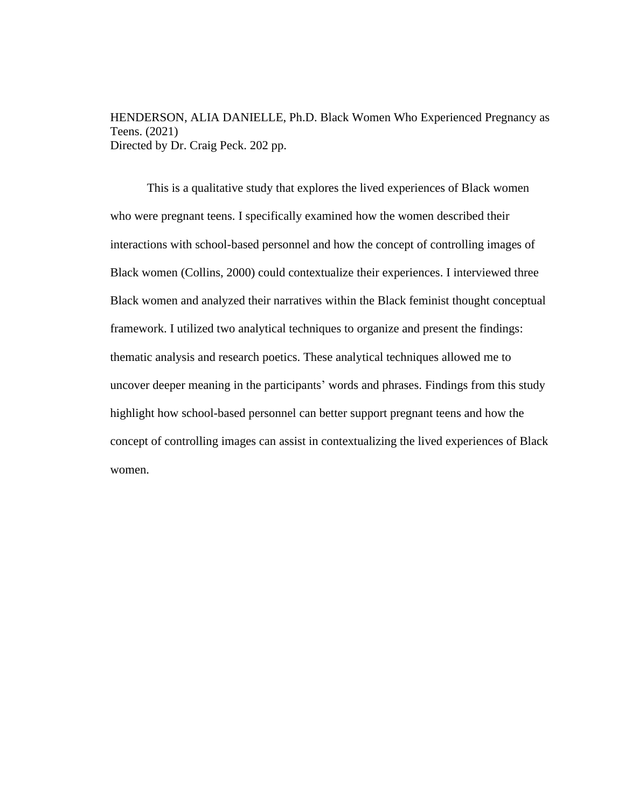HENDERSON, ALIA DANIELLE, Ph.D. Black Women Who Experienced Pregnancy as Teens. (2021) Directed by Dr. Craig Peck. 202 pp.

This is a qualitative study that explores the lived experiences of Black women who were pregnant teens. I specifically examined how the women described their interactions with school-based personnel and how the concept of controlling images of Black women (Collins, 2000) could contextualize their experiences. I interviewed three Black women and analyzed their narratives within the Black feminist thought conceptual framework. I utilized two analytical techniques to organize and present the findings: thematic analysis and research poetics. These analytical techniques allowed me to uncover deeper meaning in the participants' words and phrases. Findings from this study highlight how school-based personnel can better support pregnant teens and how the concept of controlling images can assist in contextualizing the lived experiences of Black women.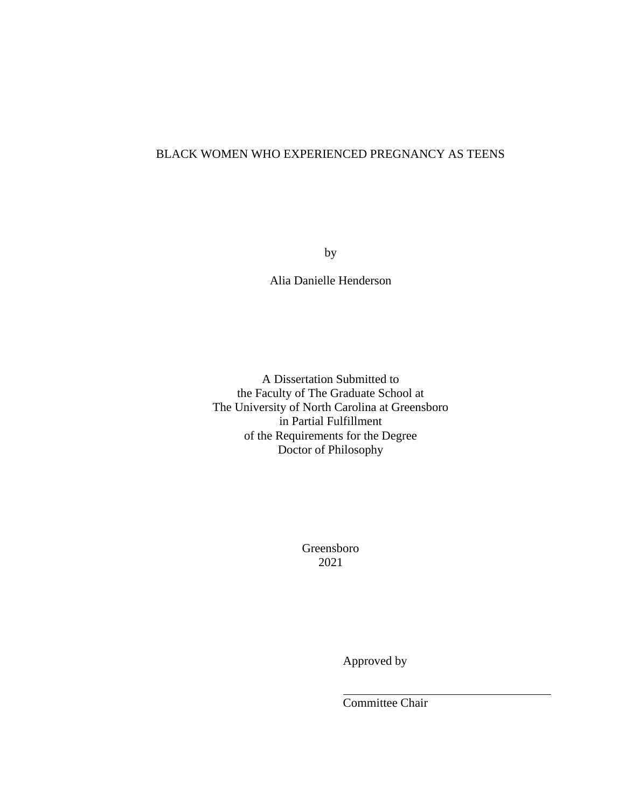# BLACK WOMEN WHO EXPERIENCED PREGNANCY AS TEENS

by

Alia Danielle Henderson

A Dissertation Submitted to the Faculty of The Graduate School at The University of North Carolina at Greensboro in Partial Fulfillment of the Requirements for the Degree Doctor of Philosophy

> Greensboro 2021

> > Approved by

Committee Chair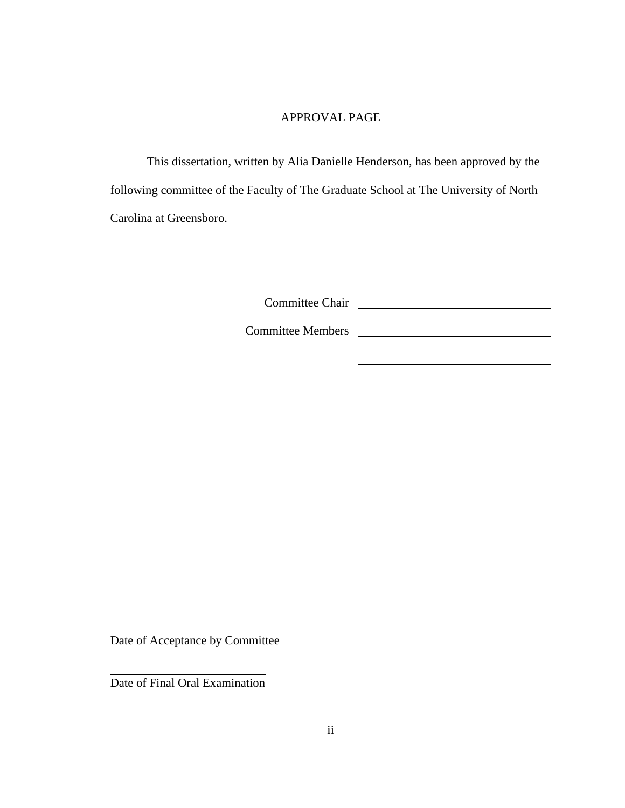# APPROVAL PAGE

This dissertation, written by Alia Danielle Henderson, has been approved by the following committee of the Faculty of The Graduate School at The University of North Carolina at Greensboro.

Committee Chair

Committee Members

Date of Acceptance by Committee

Date of Final Oral Examination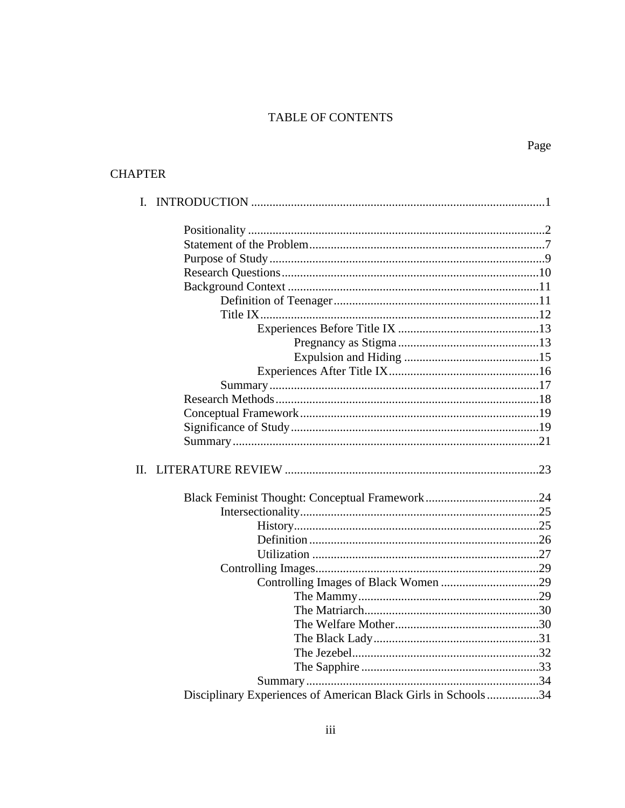# TABLE OF CONTENTS

# **CHAPTER**

| Π. |                                                               |  |
|----|---------------------------------------------------------------|--|
|    |                                                               |  |
|    |                                                               |  |
|    |                                                               |  |
|    |                                                               |  |
|    |                                                               |  |
|    |                                                               |  |
|    |                                                               |  |
|    |                                                               |  |
|    |                                                               |  |
|    |                                                               |  |
|    |                                                               |  |
|    |                                                               |  |
|    |                                                               |  |
|    |                                                               |  |
|    |                                                               |  |
|    | Disciplinary Experiences of American Black Girls in Schools34 |  |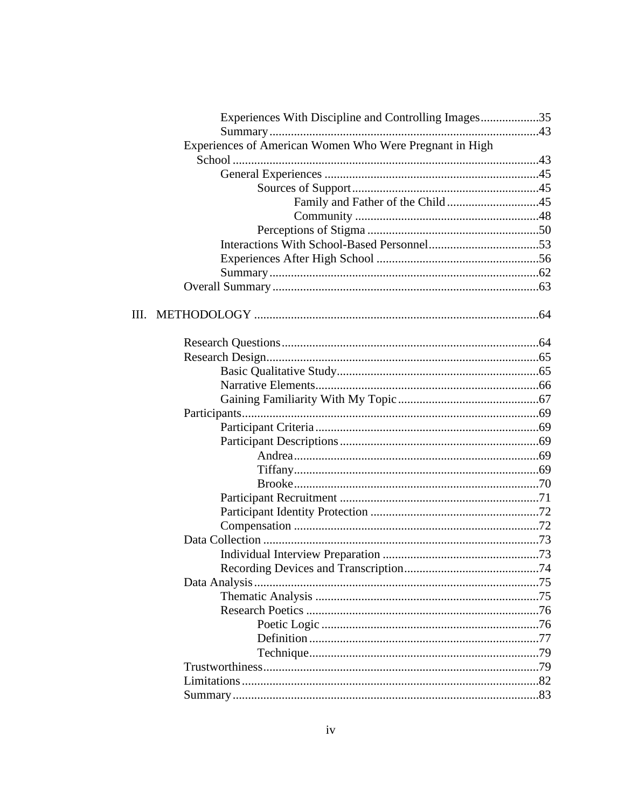| Experiences With Discipline and Controlling Images35    |                                  |
|---------------------------------------------------------|----------------------------------|
|                                                         |                                  |
| Experiences of American Women Who Were Pregnant in High |                                  |
|                                                         |                                  |
|                                                         |                                  |
|                                                         |                                  |
|                                                         | Family and Father of the Child45 |
|                                                         |                                  |
|                                                         |                                  |
|                                                         |                                  |
|                                                         |                                  |
|                                                         |                                  |
|                                                         |                                  |
| Ш.                                                      |                                  |
|                                                         |                                  |
|                                                         |                                  |
|                                                         |                                  |
|                                                         |                                  |
|                                                         |                                  |
|                                                         |                                  |
|                                                         |                                  |
|                                                         |                                  |
|                                                         |                                  |
|                                                         |                                  |
|                                                         |                                  |
|                                                         |                                  |
|                                                         |                                  |
|                                                         |                                  |
|                                                         |                                  |
|                                                         |                                  |
|                                                         |                                  |
|                                                         |                                  |
|                                                         |                                  |
|                                                         |                                  |
|                                                         |                                  |
|                                                         |                                  |
|                                                         |                                  |
|                                                         |                                  |
|                                                         |                                  |
|                                                         |                                  |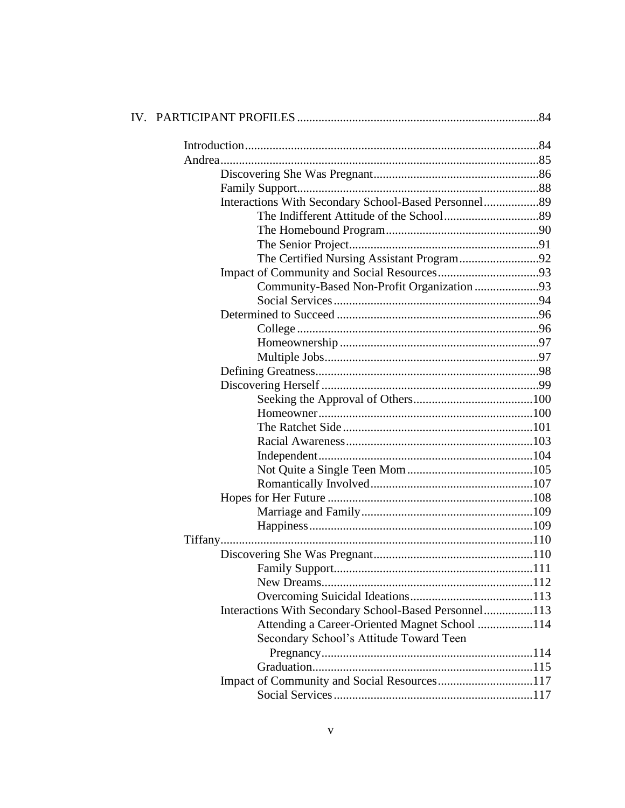| Interactions With Secondary School-Based Personnel89  |  |
|-------------------------------------------------------|--|
|                                                       |  |
|                                                       |  |
|                                                       |  |
|                                                       |  |
|                                                       |  |
| Community-Based Non-Profit Organization93             |  |
|                                                       |  |
|                                                       |  |
|                                                       |  |
|                                                       |  |
|                                                       |  |
|                                                       |  |
|                                                       |  |
|                                                       |  |
|                                                       |  |
|                                                       |  |
|                                                       |  |
|                                                       |  |
|                                                       |  |
|                                                       |  |
|                                                       |  |
|                                                       |  |
|                                                       |  |
| Tiffany                                               |  |
|                                                       |  |
|                                                       |  |
|                                                       |  |
|                                                       |  |
| Interactions With Secondary School-Based Personnel113 |  |
| Attending a Career-Oriented Magnet School 114         |  |
| Secondary School's Attitude Toward Teen               |  |
|                                                       |  |
|                                                       |  |
| Impact of Community and Social Resources117           |  |
|                                                       |  |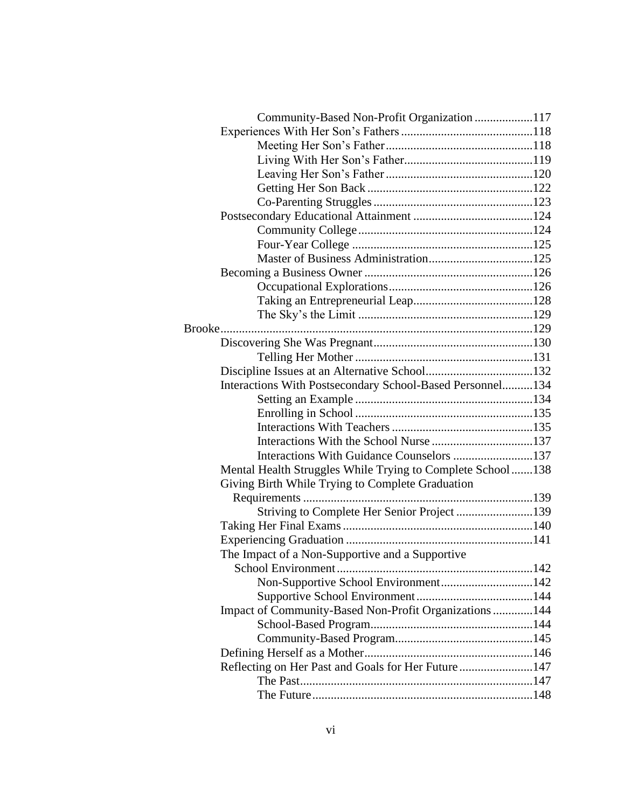| Community-Based Non-Profit Organization 117                |     |
|------------------------------------------------------------|-----|
|                                                            |     |
|                                                            |     |
|                                                            |     |
|                                                            |     |
|                                                            |     |
|                                                            |     |
|                                                            |     |
|                                                            |     |
|                                                            |     |
|                                                            |     |
|                                                            |     |
|                                                            |     |
|                                                            |     |
|                                                            |     |
|                                                            |     |
|                                                            |     |
|                                                            |     |
|                                                            |     |
| Interactions With Postsecondary School-Based Personnel134  |     |
|                                                            |     |
|                                                            |     |
|                                                            |     |
|                                                            |     |
|                                                            |     |
| Mental Health Struggles While Trying to Complete School138 |     |
| Giving Birth While Trying to Complete Graduation           |     |
|                                                            |     |
| Striving to Complete Her Senior Project 139                |     |
|                                                            |     |
|                                                            |     |
| The Impact of a Non-Supportive and a Supportive            |     |
| School Environment                                         | 142 |
| Non-Supportive School Environment142                       |     |
|                                                            |     |
| Impact of Community-Based Non-Profit Organizations  144    |     |
|                                                            |     |
|                                                            |     |
|                                                            |     |
| Reflecting on Her Past and Goals for Her Future 147        |     |
|                                                            |     |
|                                                            |     |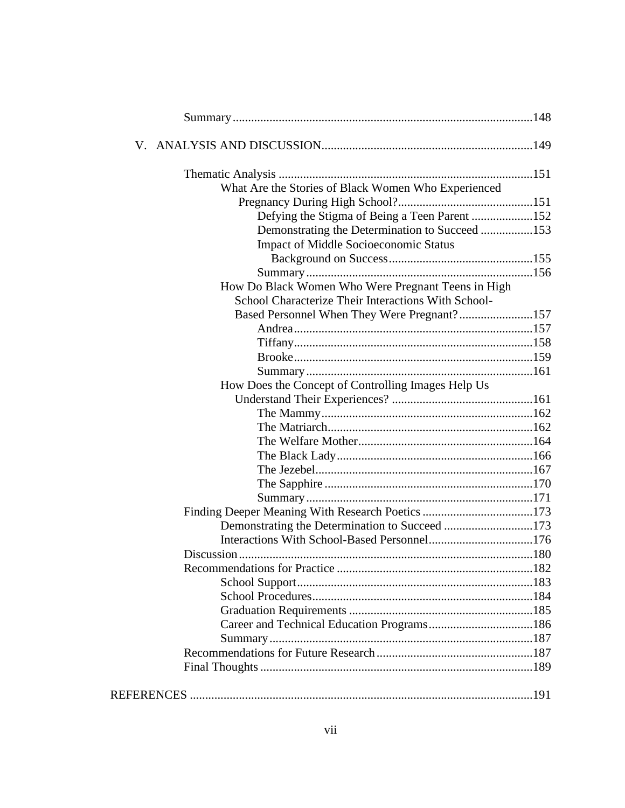| What Are the Stories of Black Women Who Experienced |  |
|-----------------------------------------------------|--|
|                                                     |  |
| Defying the Stigma of Being a Teen Parent 152       |  |
| Demonstrating the Determination to Succeed 153      |  |
| <b>Impact of Middle Socioeconomic Status</b>        |  |
|                                                     |  |
|                                                     |  |
| How Do Black Women Who Were Pregnant Teens in High  |  |
| School Characterize Their Interactions With School- |  |
| Based Personnel When They Were Pregnant?157         |  |
|                                                     |  |
|                                                     |  |
|                                                     |  |
|                                                     |  |
| How Does the Concept of Controlling Images Help Us  |  |
|                                                     |  |
|                                                     |  |
|                                                     |  |
|                                                     |  |
|                                                     |  |
|                                                     |  |
|                                                     |  |
|                                                     |  |
|                                                     |  |
| Demonstrating the Determination to Succeed 173      |  |
|                                                     |  |
|                                                     |  |
|                                                     |  |
|                                                     |  |
|                                                     |  |
|                                                     |  |
|                                                     |  |
|                                                     |  |
|                                                     |  |
|                                                     |  |
|                                                     |  |
|                                                     |  |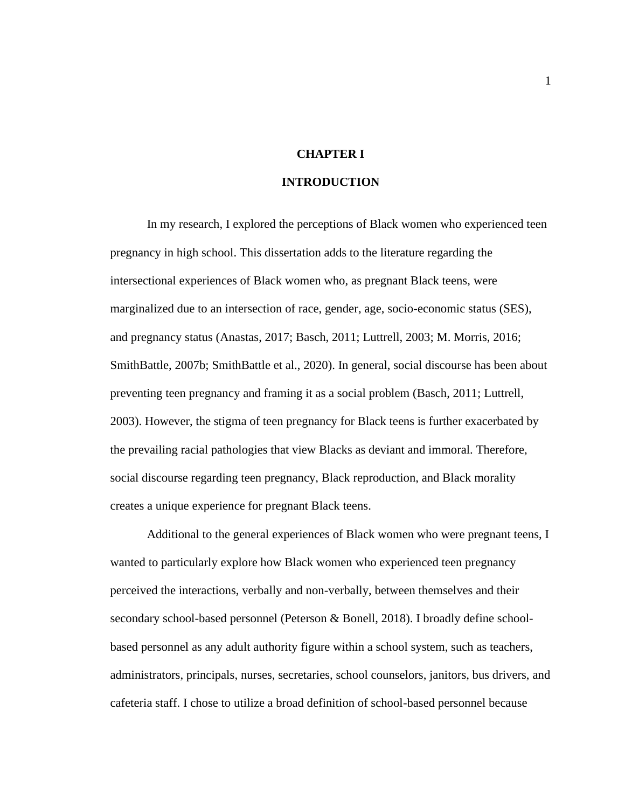# **CHAPTER I**

## **INTRODUCTION**

In my research, I explored the perceptions of Black women who experienced teen pregnancy in high school. This dissertation adds to the literature regarding the intersectional experiences of Black women who, as pregnant Black teens, were marginalized due to an intersection of race, gender, age, socio-economic status (SES), and pregnancy status (Anastas, 2017; Basch, 2011; Luttrell, 2003; M. Morris, 2016; SmithBattle, 2007b; SmithBattle et al., 2020). In general, social discourse has been about preventing teen pregnancy and framing it as a social problem (Basch, 2011; Luttrell, 2003). However, the stigma of teen pregnancy for Black teens is further exacerbated by the prevailing racial pathologies that view Blacks as deviant and immoral. Therefore, social discourse regarding teen pregnancy, Black reproduction, and Black morality creates a unique experience for pregnant Black teens.

Additional to the general experiences of Black women who were pregnant teens, I wanted to particularly explore how Black women who experienced teen pregnancy perceived the interactions, verbally and non-verbally, between themselves and their secondary school-based personnel (Peterson & Bonell, 2018). I broadly define schoolbased personnel as any adult authority figure within a school system, such as teachers, administrators, principals, nurses, secretaries, school counselors, janitors, bus drivers, and cafeteria staff. I chose to utilize a broad definition of school-based personnel because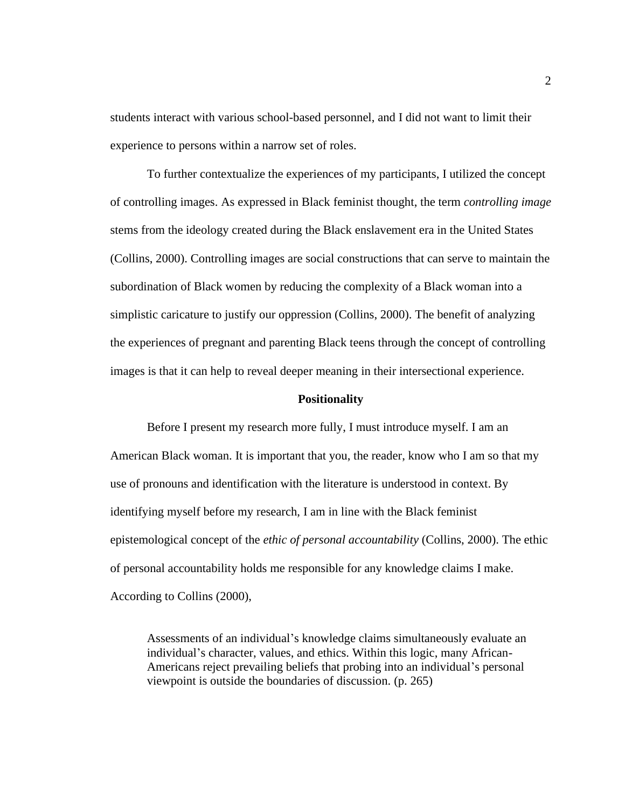students interact with various school-based personnel, and I did not want to limit their experience to persons within a narrow set of roles.

To further contextualize the experiences of my participants, I utilized the concept of controlling images. As expressed in Black feminist thought, the term *controlling image* stems from the ideology created during the Black enslavement era in the United States (Collins, 2000). Controlling images are social constructions that can serve to maintain the subordination of Black women by reducing the complexity of a Black woman into a simplistic caricature to justify our oppression (Collins, 2000). The benefit of analyzing the experiences of pregnant and parenting Black teens through the concept of controlling images is that it can help to reveal deeper meaning in their intersectional experience.

#### **Positionality**

Before I present my research more fully, I must introduce myself. I am an American Black woman. It is important that you, the reader, know who I am so that my use of pronouns and identification with the literature is understood in context. By identifying myself before my research, I am in line with the Black feminist epistemological concept of the *ethic of personal accountability* (Collins, 2000). The ethic of personal accountability holds me responsible for any knowledge claims I make. According to Collins (2000),

Assessments of an individual's knowledge claims simultaneously evaluate an individual's character, values, and ethics. Within this logic, many African-Americans reject prevailing beliefs that probing into an individual's personal viewpoint is outside the boundaries of discussion. (p. 265)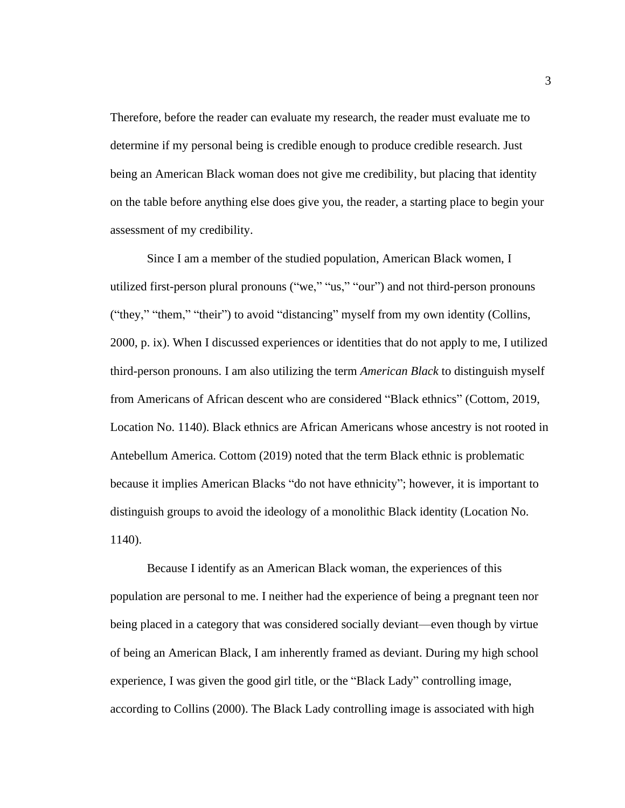Therefore, before the reader can evaluate my research, the reader must evaluate me to determine if my personal being is credible enough to produce credible research. Just being an American Black woman does not give me credibility, but placing that identity on the table before anything else does give you, the reader, a starting place to begin your assessment of my credibility.

Since I am a member of the studied population, American Black women, I utilized first-person plural pronouns ("we," "us," "our") and not third-person pronouns ("they," "them," "their") to avoid "distancing" myself from my own identity (Collins, 2000, p. ix). When I discussed experiences or identities that do not apply to me, I utilized third-person pronouns. I am also utilizing the term *American Black* to distinguish myself from Americans of African descent who are considered "Black ethnics" (Cottom, 2019, Location No. 1140). Black ethnics are African Americans whose ancestry is not rooted in Antebellum America. Cottom (2019) noted that the term Black ethnic is problematic because it implies American Blacks "do not have ethnicity"; however, it is important to distinguish groups to avoid the ideology of a monolithic Black identity (Location No. 1140).

Because I identify as an American Black woman, the experiences of this population are personal to me. I neither had the experience of being a pregnant teen nor being placed in a category that was considered socially deviant—even though by virtue of being an American Black, I am inherently framed as deviant. During my high school experience, I was given the good girl title, or the "Black Lady" controlling image, according to Collins (2000). The Black Lady controlling image is associated with high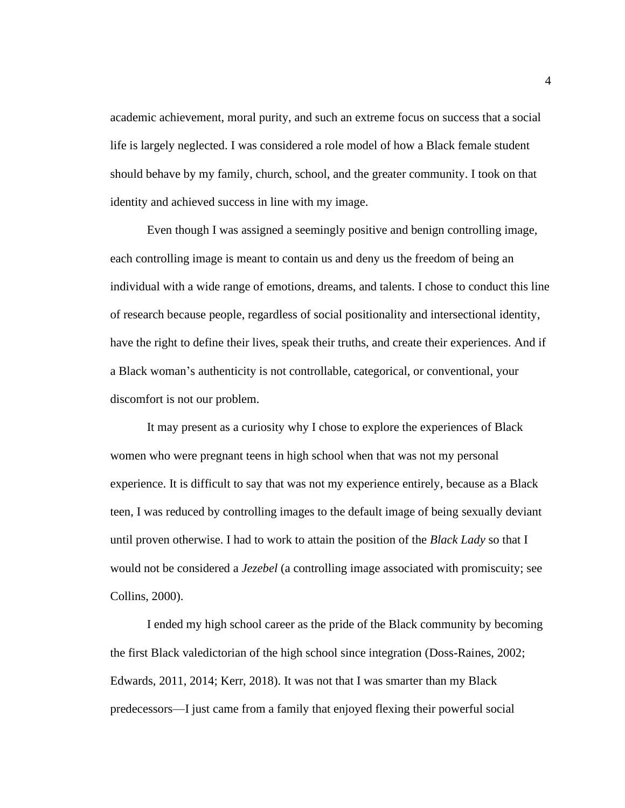academic achievement, moral purity, and such an extreme focus on success that a social life is largely neglected. I was considered a role model of how a Black female student should behave by my family, church, school, and the greater community. I took on that identity and achieved success in line with my image.

Even though I was assigned a seemingly positive and benign controlling image, each controlling image is meant to contain us and deny us the freedom of being an individual with a wide range of emotions, dreams, and talents. I chose to conduct this line of research because people, regardless of social positionality and intersectional identity, have the right to define their lives, speak their truths, and create their experiences. And if a Black woman's authenticity is not controllable, categorical, or conventional, your discomfort is not our problem.

It may present as a curiosity why I chose to explore the experiences of Black women who were pregnant teens in high school when that was not my personal experience. It is difficult to say that was not my experience entirely, because as a Black teen, I was reduced by controlling images to the default image of being sexually deviant until proven otherwise. I had to work to attain the position of the *Black Lady* so that I would not be considered a *Jezebel* (a controlling image associated with promiscuity; see Collins, 2000).

I ended my high school career as the pride of the Black community by becoming the first Black valedictorian of the high school since integration (Doss-Raines, 2002; Edwards, 2011, 2014; Kerr, 2018). It was not that I was smarter than my Black predecessors—I just came from a family that enjoyed flexing their powerful social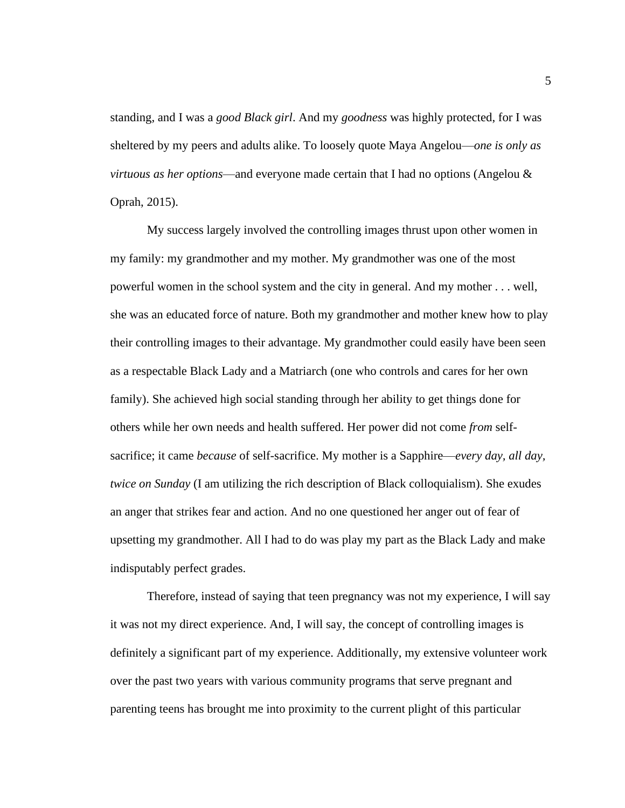standing, and I was a *good Black girl*. And my *goodness* was highly protected, for I was sheltered by my peers and adults alike. To loosely quote Maya Angelou—*one is only as virtuous as her options*—and everyone made certain that I had no options (Angelou & Oprah, 2015).

My success largely involved the controlling images thrust upon other women in my family: my grandmother and my mother. My grandmother was one of the most powerful women in the school system and the city in general. And my mother . . . well, she was an educated force of nature. Both my grandmother and mother knew how to play their controlling images to their advantage. My grandmother could easily have been seen as a respectable Black Lady and a Matriarch (one who controls and cares for her own family). She achieved high social standing through her ability to get things done for others while her own needs and health suffered. Her power did not come *from* selfsacrifice; it came *because* of self-sacrifice. My mother is a Sapphire—*every day, all day, twice on Sunday* (I am utilizing the rich description of Black colloquialism). She exudes an anger that strikes fear and action. And no one questioned her anger out of fear of upsetting my grandmother. All I had to do was play my part as the Black Lady and make indisputably perfect grades.

Therefore, instead of saying that teen pregnancy was not my experience, I will say it was not my direct experience. And, I will say, the concept of controlling images is definitely a significant part of my experience. Additionally, my extensive volunteer work over the past two years with various community programs that serve pregnant and parenting teens has brought me into proximity to the current plight of this particular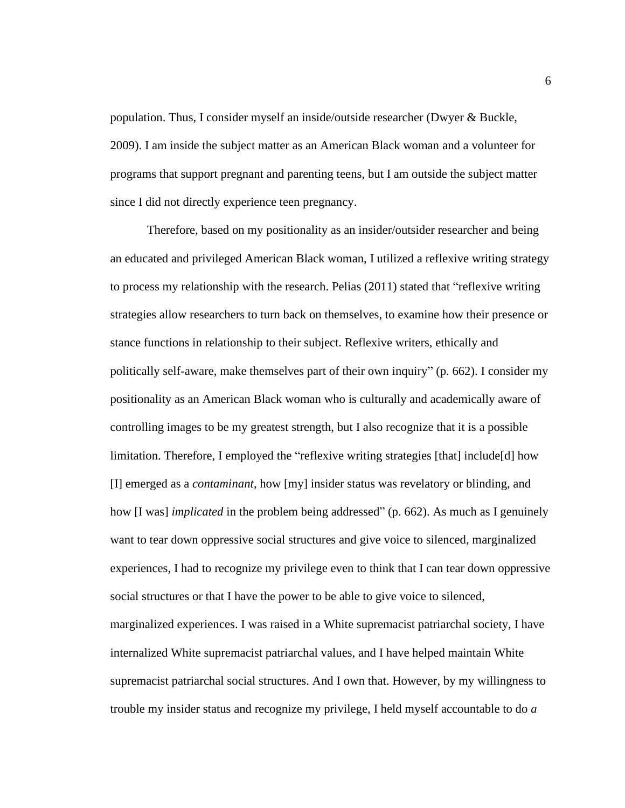population. Thus, I consider myself an inside/outside researcher (Dwyer & Buckle, 2009). I am inside the subject matter as an American Black woman and a volunteer for programs that support pregnant and parenting teens, but I am outside the subject matter since I did not directly experience teen pregnancy.

Therefore, based on my positionality as an insider/outsider researcher and being an educated and privileged American Black woman, I utilized a reflexive writing strategy to process my relationship with the research. Pelias (2011) stated that "reflexive writing strategies allow researchers to turn back on themselves, to examine how their presence or stance functions in relationship to their subject. Reflexive writers, ethically and politically self-aware, make themselves part of their own inquiry" (p. 662). I consider my positionality as an American Black woman who is culturally and academically aware of controlling images to be my greatest strength, but I also recognize that it is a possible limitation. Therefore, I employed the "reflexive writing strategies [that] include[d] how [I] emerged as a *contaminant*, how [my] insider status was revelatory or blinding, and how [I was] *implicated* in the problem being addressed" (p. 662). As much as I genuinely want to tear down oppressive social structures and give voice to silenced, marginalized experiences, I had to recognize my privilege even to think that I can tear down oppressive social structures or that I have the power to be able to give voice to silenced, marginalized experiences. I was raised in a White supremacist patriarchal society, I have internalized White supremacist patriarchal values, and I have helped maintain White supremacist patriarchal social structures. And I own that. However, by my willingness to trouble my insider status and recognize my privilege, I held myself accountable to do *a*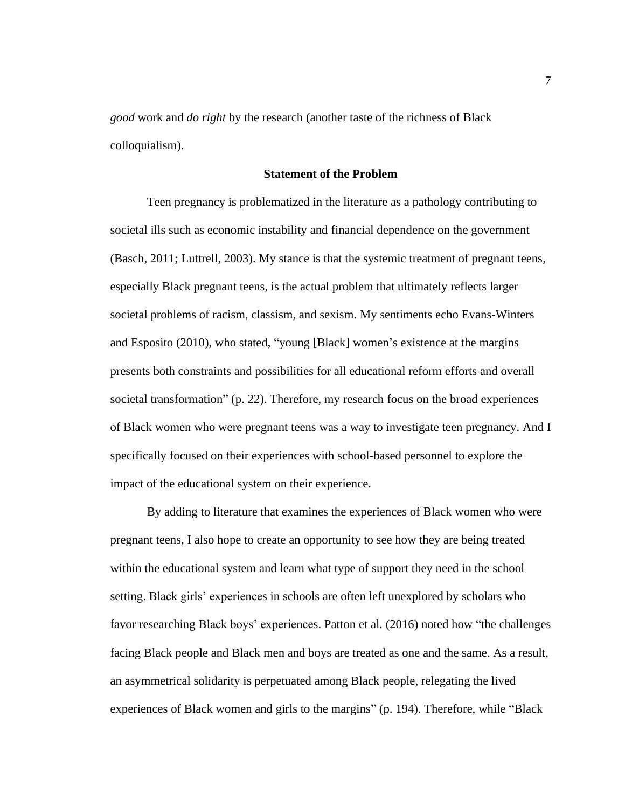*good* work and *do right* by the research (another taste of the richness of Black colloquialism).

## **Statement of the Problem**

Teen pregnancy is problematized in the literature as a pathology contributing to societal ills such as economic instability and financial dependence on the government (Basch, 2011; Luttrell, 2003). My stance is that the systemic treatment of pregnant teens, especially Black pregnant teens, is the actual problem that ultimately reflects larger societal problems of racism, classism, and sexism. My sentiments echo Evans-Winters and Esposito (2010), who stated, "young [Black] women's existence at the margins presents both constraints and possibilities for all educational reform efforts and overall societal transformation" (p. 22). Therefore, my research focus on the broad experiences of Black women who were pregnant teens was a way to investigate teen pregnancy. And I specifically focused on their experiences with school-based personnel to explore the impact of the educational system on their experience.

By adding to literature that examines the experiences of Black women who were pregnant teens, I also hope to create an opportunity to see how they are being treated within the educational system and learn what type of support they need in the school setting. Black girls' experiences in schools are often left unexplored by scholars who favor researching Black boys' experiences. Patton et al. (2016) noted how "the challenges facing Black people and Black men and boys are treated as one and the same. As a result, an asymmetrical solidarity is perpetuated among Black people, relegating the lived experiences of Black women and girls to the margins" (p. 194). Therefore, while "Black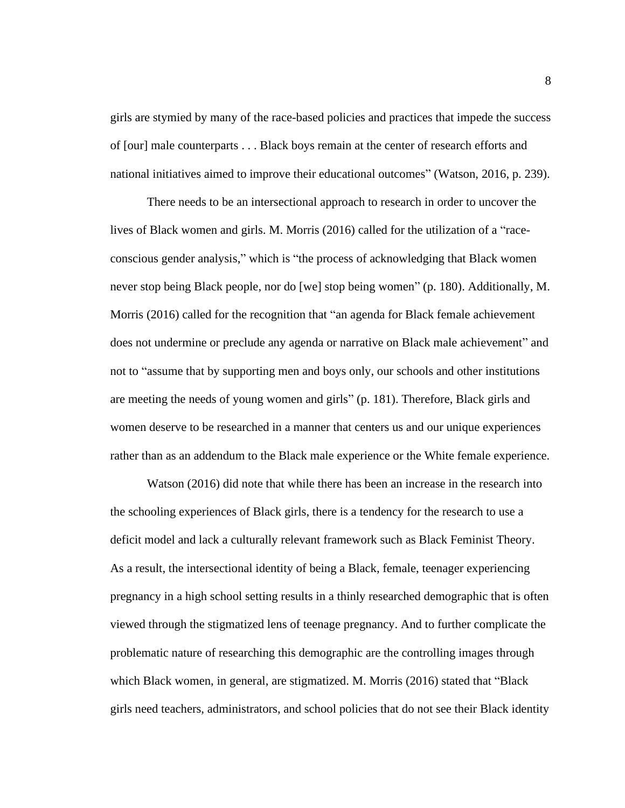girls are stymied by many of the race-based policies and practices that impede the success of [our] male counterparts . . . Black boys remain at the center of research efforts and national initiatives aimed to improve their educational outcomes" (Watson, 2016, p. 239).

There needs to be an intersectional approach to research in order to uncover the lives of Black women and girls. M. Morris (2016) called for the utilization of a "raceconscious gender analysis," which is "the process of acknowledging that Black women never stop being Black people, nor do [we] stop being women" (p. 180). Additionally, M. Morris (2016) called for the recognition that "an agenda for Black female achievement does not undermine or preclude any agenda or narrative on Black male achievement" and not to "assume that by supporting men and boys only, our schools and other institutions are meeting the needs of young women and girls" (p. 181). Therefore, Black girls and women deserve to be researched in a manner that centers us and our unique experiences rather than as an addendum to the Black male experience or the White female experience.

Watson (2016) did note that while there has been an increase in the research into the schooling experiences of Black girls, there is a tendency for the research to use a deficit model and lack a culturally relevant framework such as Black Feminist Theory. As a result, the intersectional identity of being a Black, female, teenager experiencing pregnancy in a high school setting results in a thinly researched demographic that is often viewed through the stigmatized lens of teenage pregnancy. And to further complicate the problematic nature of researching this demographic are the controlling images through which Black women, in general, are stigmatized. M. Morris (2016) stated that "Black girls need teachers, administrators, and school policies that do not see their Black identity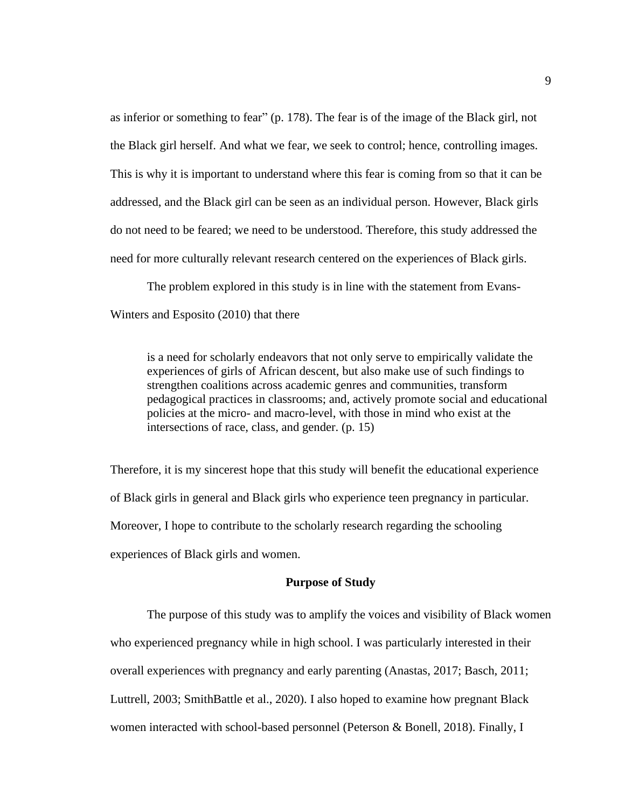as inferior or something to fear" (p. 178). The fear is of the image of the Black girl, not the Black girl herself. And what we fear, we seek to control; hence, controlling images. This is why it is important to understand where this fear is coming from so that it can be addressed, and the Black girl can be seen as an individual person. However, Black girls do not need to be feared; we need to be understood. Therefore, this study addressed the need for more culturally relevant research centered on the experiences of Black girls.

The problem explored in this study is in line with the statement from Evans-Winters and Esposito (2010) that there

is a need for scholarly endeavors that not only serve to empirically validate the experiences of girls of African descent, but also make use of such findings to strengthen coalitions across academic genres and communities, transform pedagogical practices in classrooms; and, actively promote social and educational policies at the micro- and macro-level, with those in mind who exist at the intersections of race, class, and gender. (p. 15)

Therefore, it is my sincerest hope that this study will benefit the educational experience of Black girls in general and Black girls who experience teen pregnancy in particular. Moreover, I hope to contribute to the scholarly research regarding the schooling experiences of Black girls and women.

#### **Purpose of Study**

The purpose of this study was to amplify the voices and visibility of Black women who experienced pregnancy while in high school. I was particularly interested in their overall experiences with pregnancy and early parenting (Anastas, 2017; Basch, 2011; Luttrell, 2003; SmithBattle et al., 2020). I also hoped to examine how pregnant Black women interacted with school-based personnel (Peterson & Bonell, 2018). Finally, I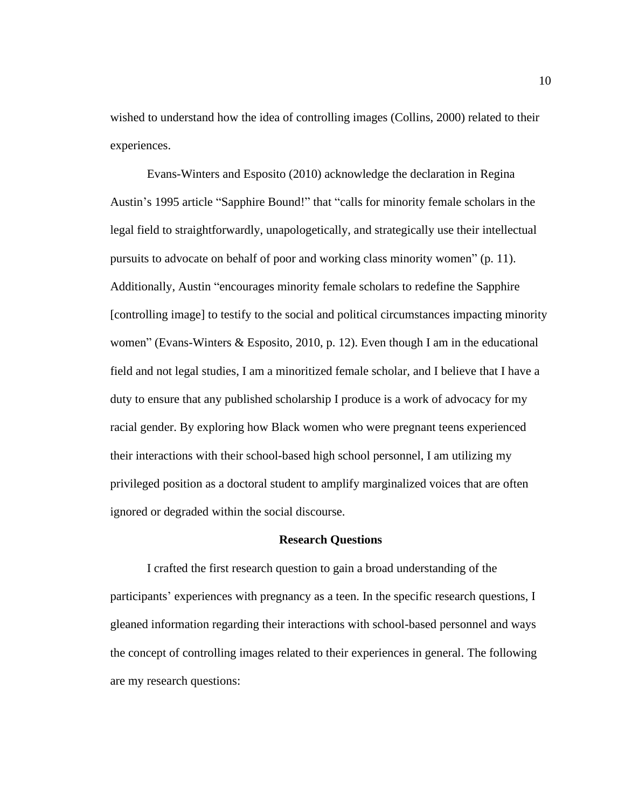wished to understand how the idea of controlling images (Collins, 2000) related to their experiences.

Evans-Winters and Esposito (2010) acknowledge the declaration in Regina Austin's 1995 article "Sapphire Bound!" that "calls for minority female scholars in the legal field to straightforwardly, unapologetically, and strategically use their intellectual pursuits to advocate on behalf of poor and working class minority women" (p. 11). Additionally, Austin "encourages minority female scholars to redefine the Sapphire [controlling image] to testify to the social and political circumstances impacting minority women" (Evans-Winters & Esposito, 2010, p. 12). Even though I am in the educational field and not legal studies, I am a minoritized female scholar, and I believe that I have a duty to ensure that any published scholarship I produce is a work of advocacy for my racial gender. By exploring how Black women who were pregnant teens experienced their interactions with their school-based high school personnel, I am utilizing my privileged position as a doctoral student to amplify marginalized voices that are often ignored or degraded within the social discourse.

#### **Research Questions**

I crafted the first research question to gain a broad understanding of the participants' experiences with pregnancy as a teen. In the specific research questions, I gleaned information regarding their interactions with school-based personnel and ways the concept of controlling images related to their experiences in general. The following are my research questions: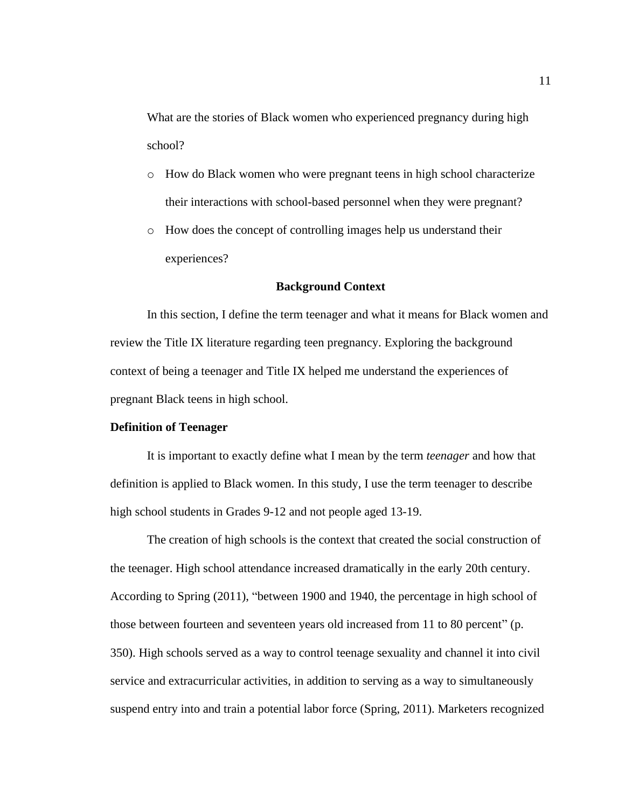What are the stories of Black women who experienced pregnancy during high school?

- o How do Black women who were pregnant teens in high school characterize their interactions with school-based personnel when they were pregnant?
- o How does the concept of controlling images help us understand their experiences?

### **Background Context**

In this section, I define the term teenager and what it means for Black women and review the Title IX literature regarding teen pregnancy. Exploring the background context of being a teenager and Title IX helped me understand the experiences of pregnant Black teens in high school.

## **Definition of Teenager**

It is important to exactly define what I mean by the term *teenager* and how that definition is applied to Black women. In this study, I use the term teenager to describe high school students in Grades 9-12 and not people aged 13-19.

The creation of high schools is the context that created the social construction of the teenager. High school attendance increased dramatically in the early 20th century. According to Spring (2011), "between 1900 and 1940, the percentage in high school of those between fourteen and seventeen years old increased from 11 to 80 percent" (p. 350). High schools served as a way to control teenage sexuality and channel it into civil service and extracurricular activities, in addition to serving as a way to simultaneously suspend entry into and train a potential labor force (Spring, 2011). Marketers recognized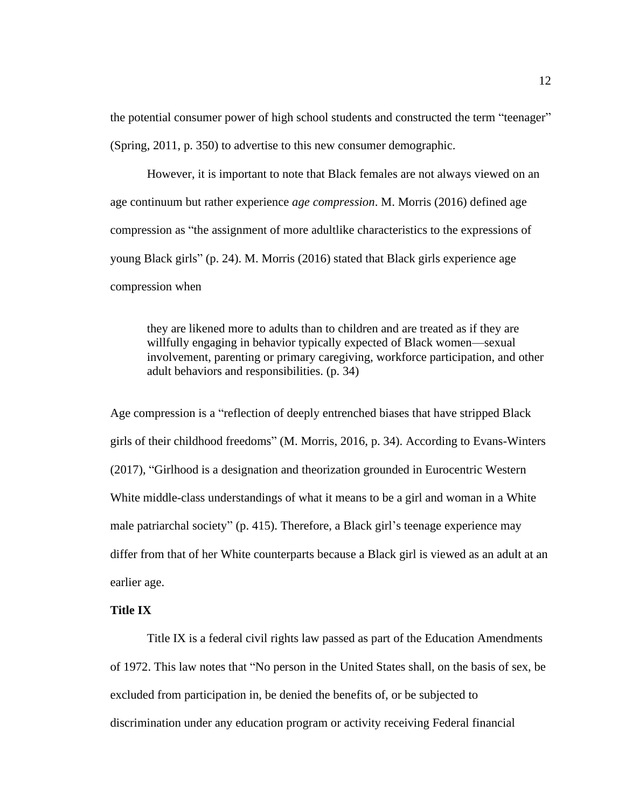the potential consumer power of high school students and constructed the term "teenager" (Spring, 2011, p. 350) to advertise to this new consumer demographic.

However, it is important to note that Black females are not always viewed on an age continuum but rather experience *age compression*. M. Morris (2016) defined age compression as "the assignment of more adultlike characteristics to the expressions of young Black girls" (p. 24). M. Morris (2016) stated that Black girls experience age compression when

they are likened more to adults than to children and are treated as if they are willfully engaging in behavior typically expected of Black women—sexual involvement, parenting or primary caregiving, workforce participation, and other adult behaviors and responsibilities. (p. 34)

Age compression is a "reflection of deeply entrenched biases that have stripped Black girls of their childhood freedoms" (M. Morris, 2016, p. 34). According to Evans-Winters (2017), "Girlhood is a designation and theorization grounded in Eurocentric Western White middle-class understandings of what it means to be a girl and woman in a White male patriarchal society" (p. 415). Therefore, a Black girl's teenage experience may differ from that of her White counterparts because a Black girl is viewed as an adult at an earlier age.

### **Title IX**

Title IX is a federal civil rights law passed as part of the Education Amendments of 1972. This law notes that "No person in the United States shall, on the basis of sex, be excluded from participation in, be denied the benefits of, or be subjected to discrimination under any education program or activity receiving Federal financial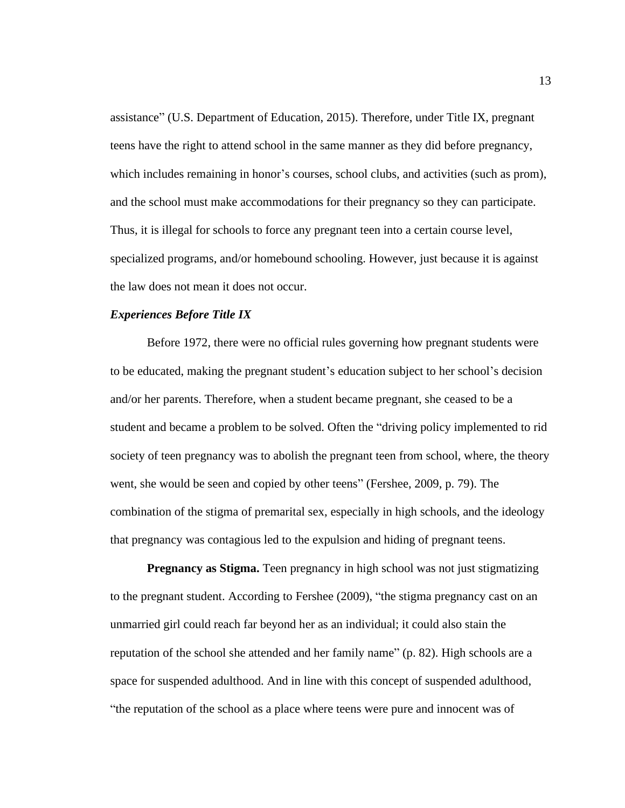assistance" (U.S. Department of Education, 2015). Therefore, under Title IX, pregnant teens have the right to attend school in the same manner as they did before pregnancy, which includes remaining in honor's courses, school clubs, and activities (such as prom), and the school must make accommodations for their pregnancy so they can participate. Thus, it is illegal for schools to force any pregnant teen into a certain course level, specialized programs, and/or homebound schooling. However, just because it is against the law does not mean it does not occur.

## *Experiences Before Title IX*

Before 1972, there were no official rules governing how pregnant students were to be educated, making the pregnant student's education subject to her school's decision and/or her parents. Therefore, when a student became pregnant, she ceased to be a student and became a problem to be solved. Often the "driving policy implemented to rid society of teen pregnancy was to abolish the pregnant teen from school, where, the theory went, she would be seen and copied by other teens" (Fershee, 2009, p. 79). The combination of the stigma of premarital sex, especially in high schools, and the ideology that pregnancy was contagious led to the expulsion and hiding of pregnant teens.

**Pregnancy as Stigma.** Teen pregnancy in high school was not just stigmatizing to the pregnant student. According to Fershee (2009), "the stigma pregnancy cast on an unmarried girl could reach far beyond her as an individual; it could also stain the reputation of the school she attended and her family name" (p. 82). High schools are a space for suspended adulthood. And in line with this concept of suspended adulthood, "the reputation of the school as a place where teens were pure and innocent was of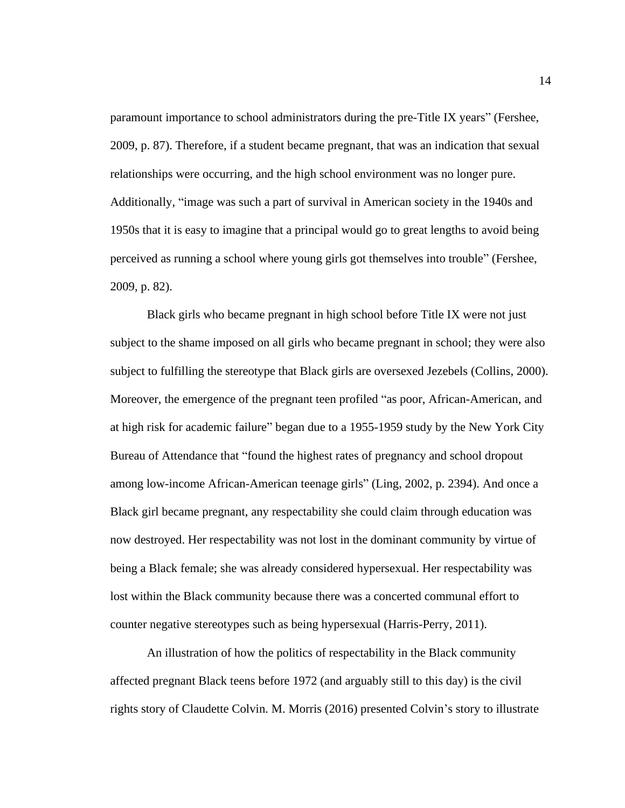paramount importance to school administrators during the pre-Title IX years" (Fershee, 2009, p. 87). Therefore, if a student became pregnant, that was an indication that sexual relationships were occurring, and the high school environment was no longer pure. Additionally, "image was such a part of survival in American society in the 1940s and 1950s that it is easy to imagine that a principal would go to great lengths to avoid being perceived as running a school where young girls got themselves into trouble" (Fershee, 2009, p. 82).

Black girls who became pregnant in high school before Title IX were not just subject to the shame imposed on all girls who became pregnant in school; they were also subject to fulfilling the stereotype that Black girls are oversexed Jezebels (Collins, 2000). Moreover, the emergence of the pregnant teen profiled "as poor, African-American, and at high risk for academic failure" began due to a 1955-1959 study by the New York City Bureau of Attendance that "found the highest rates of pregnancy and school dropout among low-income African-American teenage girls" (Ling, 2002, p. 2394). And once a Black girl became pregnant, any respectability she could claim through education was now destroyed. Her respectability was not lost in the dominant community by virtue of being a Black female; she was already considered hypersexual. Her respectability was lost within the Black community because there was a concerted communal effort to counter negative stereotypes such as being hypersexual (Harris-Perry, 2011).

An illustration of how the politics of respectability in the Black community affected pregnant Black teens before 1972 (and arguably still to this day) is the civil rights story of Claudette Colvin. M. Morris (2016) presented Colvin's story to illustrate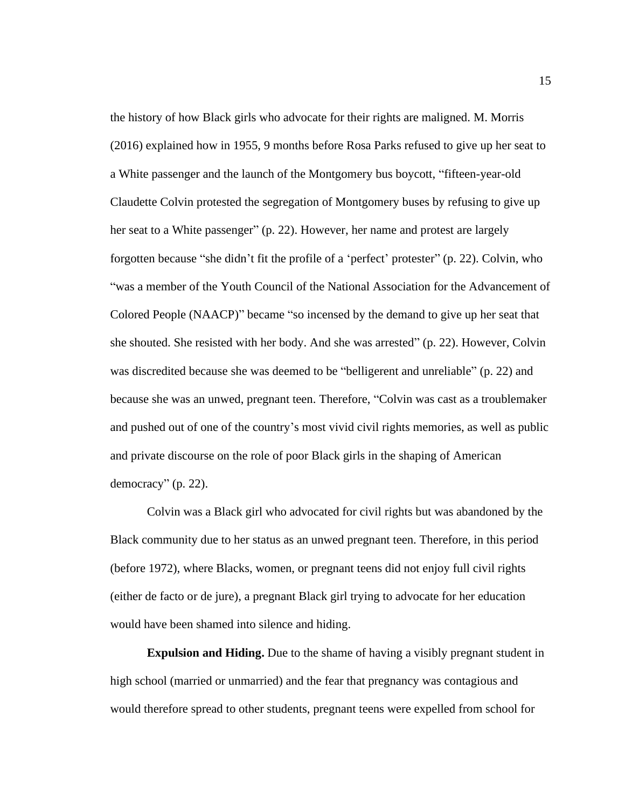the history of how Black girls who advocate for their rights are maligned. M. Morris (2016) explained how in 1955, 9 months before Rosa Parks refused to give up her seat to a White passenger and the launch of the Montgomery bus boycott, "fifteen-year-old Claudette Colvin protested the segregation of Montgomery buses by refusing to give up her seat to a White passenger" (p. 22). However, her name and protest are largely forgotten because "she didn't fit the profile of a 'perfect' protester" (p. 22). Colvin, who "was a member of the Youth Council of the National Association for the Advancement of Colored People (NAACP)" became "so incensed by the demand to give up her seat that she shouted. She resisted with her body. And she was arrested" (p. 22). However, Colvin was discredited because she was deemed to be "belligerent and unreliable" (p. 22) and because she was an unwed, pregnant teen. Therefore, "Colvin was cast as a troublemaker and pushed out of one of the country's most vivid civil rights memories, as well as public and private discourse on the role of poor Black girls in the shaping of American democracy" (p. 22).

Colvin was a Black girl who advocated for civil rights but was abandoned by the Black community due to her status as an unwed pregnant teen. Therefore, in this period (before 1972), where Blacks, women, or pregnant teens did not enjoy full civil rights (either de facto or de jure), a pregnant Black girl trying to advocate for her education would have been shamed into silence and hiding.

**Expulsion and Hiding.** Due to the shame of having a visibly pregnant student in high school (married or unmarried) and the fear that pregnancy was contagious and would therefore spread to other students, pregnant teens were expelled from school for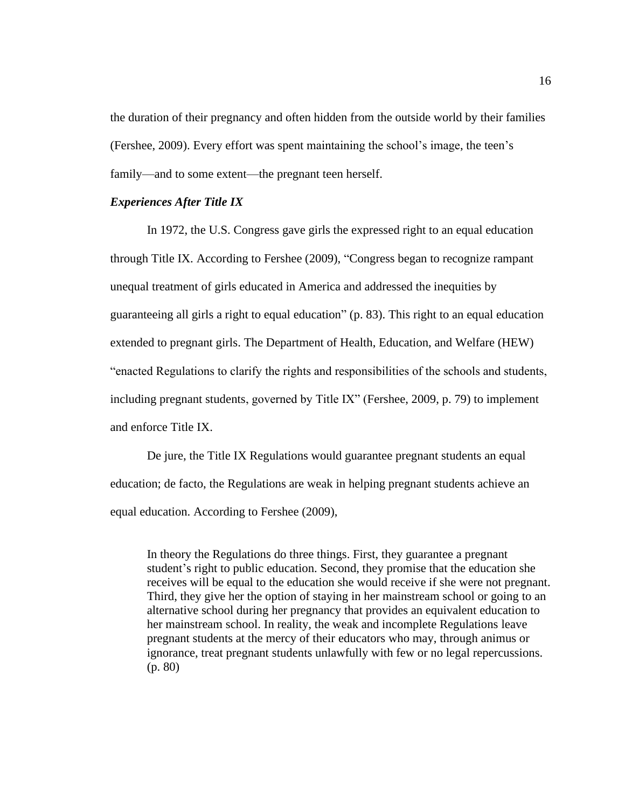the duration of their pregnancy and often hidden from the outside world by their families (Fershee, 2009). Every effort was spent maintaining the school's image, the teen's family—and to some extent—the pregnant teen herself.

## *Experiences After Title IX*

In 1972, the U.S. Congress gave girls the expressed right to an equal education through Title IX. According to Fershee (2009), "Congress began to recognize rampant unequal treatment of girls educated in America and addressed the inequities by guaranteeing all girls a right to equal education" (p. 83). This right to an equal education extended to pregnant girls. The Department of Health, Education, and Welfare (HEW) "enacted Regulations to clarify the rights and responsibilities of the schools and students, including pregnant students, governed by Title IX" (Fershee, 2009, p. 79) to implement and enforce Title IX.

De jure, the Title IX Regulations would guarantee pregnant students an equal education; de facto, the Regulations are weak in helping pregnant students achieve an equal education. According to Fershee (2009),

In theory the Regulations do three things. First, they guarantee a pregnant student's right to public education. Second, they promise that the education she receives will be equal to the education she would receive if she were not pregnant. Third, they give her the option of staying in her mainstream school or going to an alternative school during her pregnancy that provides an equivalent education to her mainstream school. In reality, the weak and incomplete Regulations leave pregnant students at the mercy of their educators who may, through animus or ignorance, treat pregnant students unlawfully with few or no legal repercussions. (p. 80)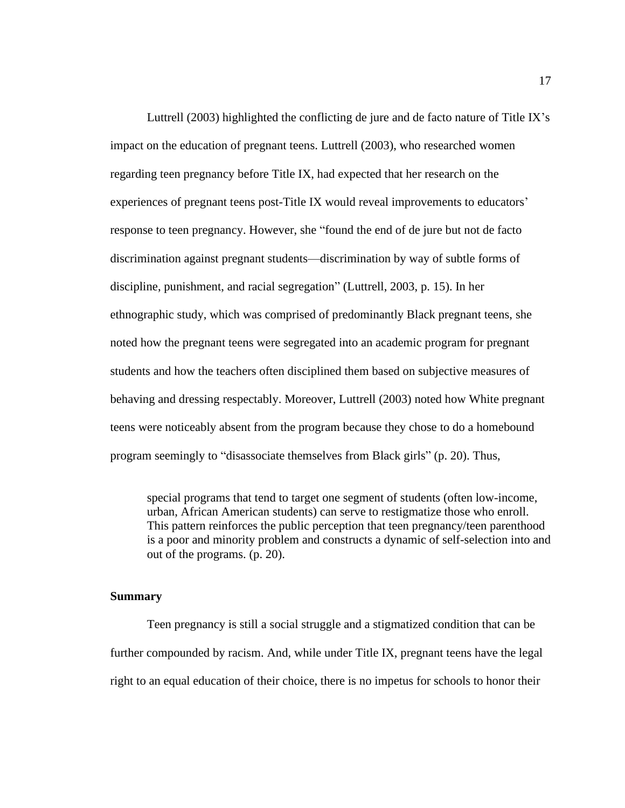Luttrell (2003) highlighted the conflicting de jure and de facto nature of Title IX's impact on the education of pregnant teens. Luttrell (2003), who researched women regarding teen pregnancy before Title IX, had expected that her research on the experiences of pregnant teens post-Title IX would reveal improvements to educators' response to teen pregnancy. However, she "found the end of de jure but not de facto discrimination against pregnant students—discrimination by way of subtle forms of discipline, punishment, and racial segregation" (Luttrell, 2003, p. 15). In her ethnographic study, which was comprised of predominantly Black pregnant teens, she noted how the pregnant teens were segregated into an academic program for pregnant students and how the teachers often disciplined them based on subjective measures of behaving and dressing respectably. Moreover, Luttrell (2003) noted how White pregnant teens were noticeably absent from the program because they chose to do a homebound program seemingly to "disassociate themselves from Black girls" (p. 20). Thus,

special programs that tend to target one segment of students (often low-income, urban, African American students) can serve to restigmatize those who enroll. This pattern reinforces the public perception that teen pregnancy/teen parenthood is a poor and minority problem and constructs a dynamic of self-selection into and out of the programs. (p. 20).

#### **Summary**

Teen pregnancy is still a social struggle and a stigmatized condition that can be further compounded by racism. And, while under Title IX, pregnant teens have the legal right to an equal education of their choice, there is no impetus for schools to honor their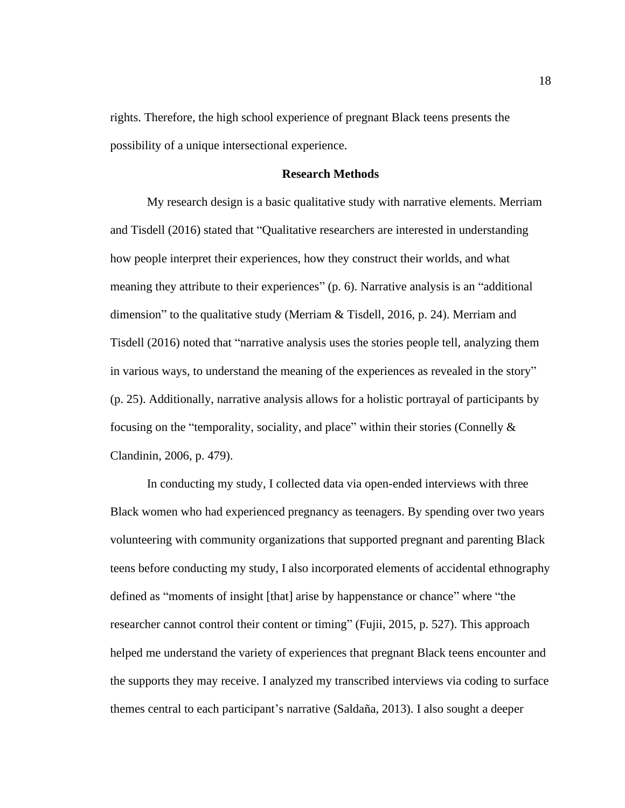rights. Therefore, the high school experience of pregnant Black teens presents the possibility of a unique intersectional experience.

## **Research Methods**

My research design is a basic qualitative study with narrative elements. Merriam and Tisdell (2016) stated that "Qualitative researchers are interested in understanding how people interpret their experiences, how they construct their worlds, and what meaning they attribute to their experiences" (p. 6). Narrative analysis is an "additional dimension" to the qualitative study (Merriam & Tisdell, 2016, p. 24). Merriam and Tisdell (2016) noted that "narrative analysis uses the stories people tell, analyzing them in various ways, to understand the meaning of the experiences as revealed in the story" (p. 25). Additionally, narrative analysis allows for a holistic portrayal of participants by focusing on the "temporality, sociality, and place" within their stories (Connelly & Clandinin, 2006, p. 479).

In conducting my study, I collected data via open-ended interviews with three Black women who had experienced pregnancy as teenagers. By spending over two years volunteering with community organizations that supported pregnant and parenting Black teens before conducting my study, I also incorporated elements of accidental ethnography defined as "moments of insight [that] arise by happenstance or chance" where "the researcher cannot control their content or timing" (Fujii, 2015, p. 527). This approach helped me understand the variety of experiences that pregnant Black teens encounter and the supports they may receive. I analyzed my transcribed interviews via coding to surface themes central to each participant's narrative (Saldaña, 2013). I also sought a deeper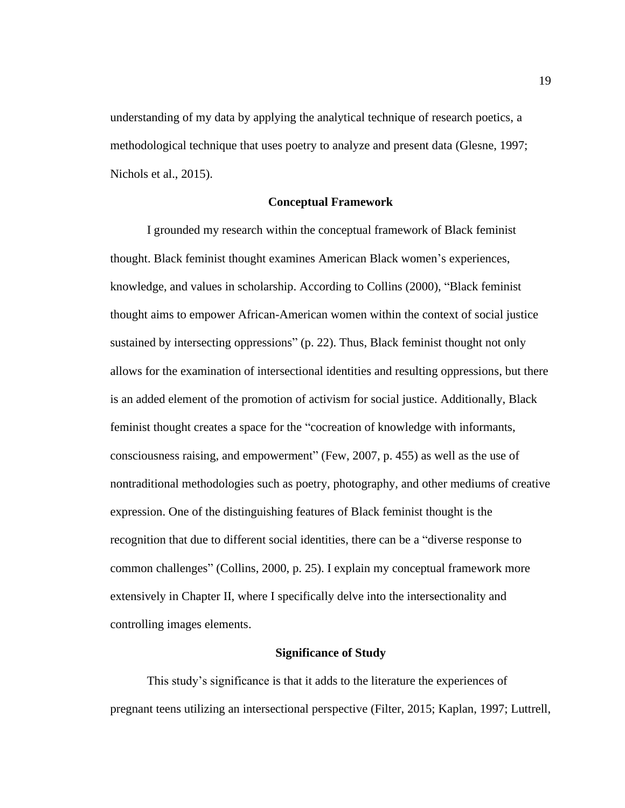understanding of my data by applying the analytical technique of research poetics, a methodological technique that uses poetry to analyze and present data (Glesne, 1997; Nichols et al., 2015).

### **Conceptual Framework**

I grounded my research within the conceptual framework of Black feminist thought. Black feminist thought examines American Black women's experiences, knowledge, and values in scholarship. According to Collins (2000), "Black feminist thought aims to empower African-American women within the context of social justice sustained by intersecting oppressions" (p. 22). Thus, Black feminist thought not only allows for the examination of intersectional identities and resulting oppressions, but there is an added element of the promotion of activism for social justice. Additionally, Black feminist thought creates a space for the "cocreation of knowledge with informants, consciousness raising, and empowerment" (Few, 2007, p. 455) as well as the use of nontraditional methodologies such as poetry, photography, and other mediums of creative expression. One of the distinguishing features of Black feminist thought is the recognition that due to different social identities, there can be a "diverse response to common challenges" (Collins, 2000, p. 25). I explain my conceptual framework more extensively in Chapter II, where I specifically delve into the intersectionality and controlling images elements.

## **Significance of Study**

This study's significance is that it adds to the literature the experiences of pregnant teens utilizing an intersectional perspective (Filter, 2015; Kaplan, 1997; Luttrell,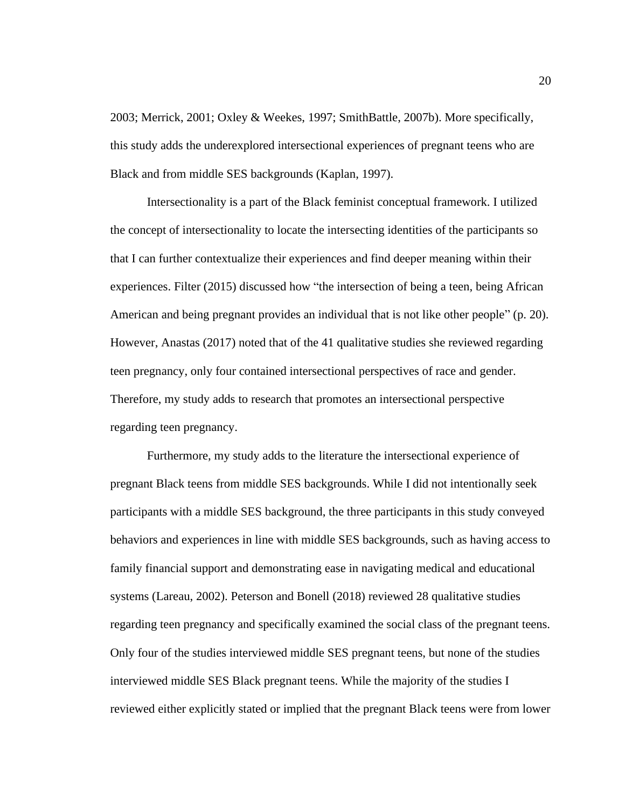2003; Merrick, 2001; Oxley & Weekes, 1997; SmithBattle, 2007b). More specifically, this study adds the underexplored intersectional experiences of pregnant teens who are Black and from middle SES backgrounds (Kaplan, 1997).

Intersectionality is a part of the Black feminist conceptual framework. I utilized the concept of intersectionality to locate the intersecting identities of the participants so that I can further contextualize their experiences and find deeper meaning within their experiences. Filter (2015) discussed how "the intersection of being a teen, being African American and being pregnant provides an individual that is not like other people" (p. 20). However, Anastas (2017) noted that of the 41 qualitative studies she reviewed regarding teen pregnancy, only four contained intersectional perspectives of race and gender. Therefore, my study adds to research that promotes an intersectional perspective regarding teen pregnancy.

Furthermore, my study adds to the literature the intersectional experience of pregnant Black teens from middle SES backgrounds. While I did not intentionally seek participants with a middle SES background, the three participants in this study conveyed behaviors and experiences in line with middle SES backgrounds, such as having access to family financial support and demonstrating ease in navigating medical and educational systems (Lareau, 2002). Peterson and Bonell (2018) reviewed 28 qualitative studies regarding teen pregnancy and specifically examined the social class of the pregnant teens. Only four of the studies interviewed middle SES pregnant teens, but none of the studies interviewed middle SES Black pregnant teens. While the majority of the studies I reviewed either explicitly stated or implied that the pregnant Black teens were from lower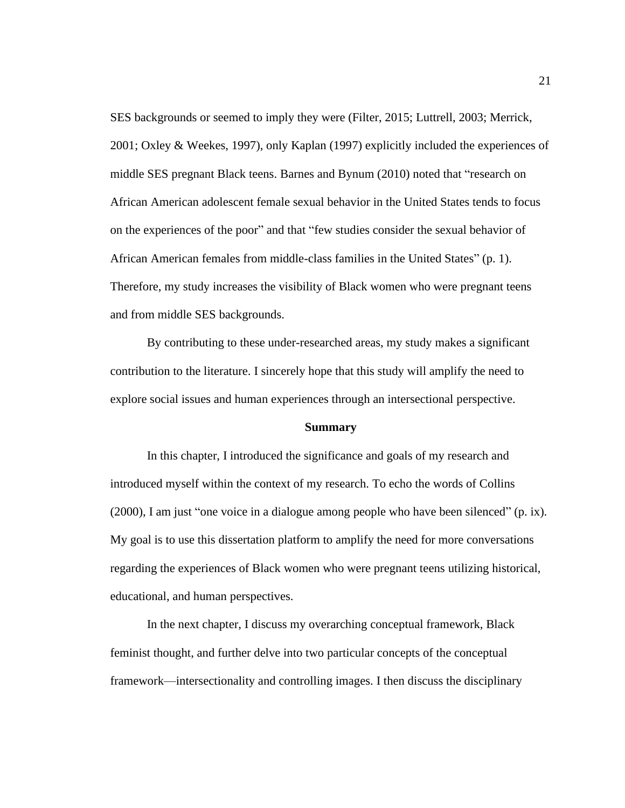SES backgrounds or seemed to imply they were (Filter, 2015; Luttrell, 2003; Merrick, 2001; Oxley & Weekes, 1997), only Kaplan (1997) explicitly included the experiences of middle SES pregnant Black teens. Barnes and Bynum (2010) noted that "research on African American adolescent female sexual behavior in the United States tends to focus on the experiences of the poor" and that "few studies consider the sexual behavior of African American females from middle-class families in the United States" (p. 1). Therefore, my study increases the visibility of Black women who were pregnant teens and from middle SES backgrounds.

By contributing to these under-researched areas, my study makes a significant contribution to the literature. I sincerely hope that this study will amplify the need to explore social issues and human experiences through an intersectional perspective.

#### **Summary**

In this chapter, I introduced the significance and goals of my research and introduced myself within the context of my research. To echo the words of Collins (2000), I am just "one voice in a dialogue among people who have been silenced" (p. ix). My goal is to use this dissertation platform to amplify the need for more conversations regarding the experiences of Black women who were pregnant teens utilizing historical, educational, and human perspectives.

In the next chapter, I discuss my overarching conceptual framework, Black feminist thought, and further delve into two particular concepts of the conceptual framework—intersectionality and controlling images. I then discuss the disciplinary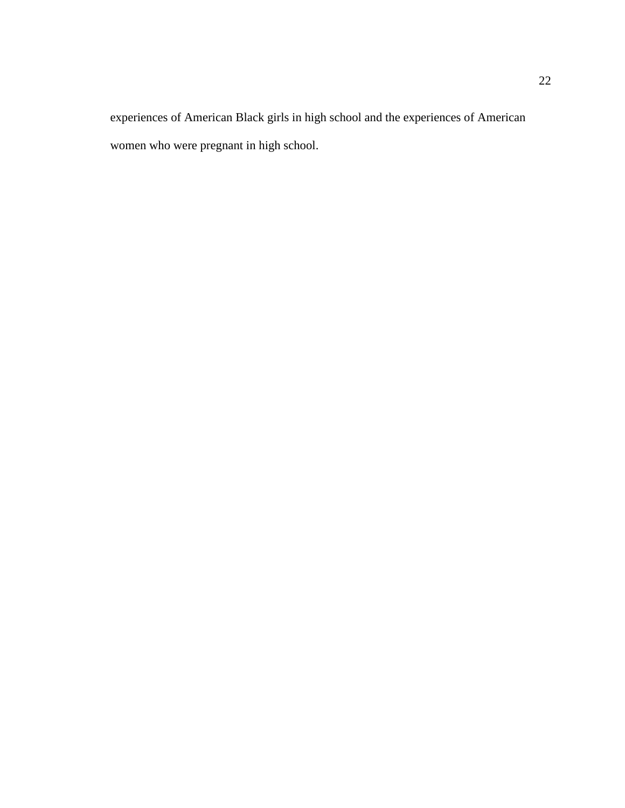experiences of American Black girls in high school and the experiences of American women who were pregnant in high school.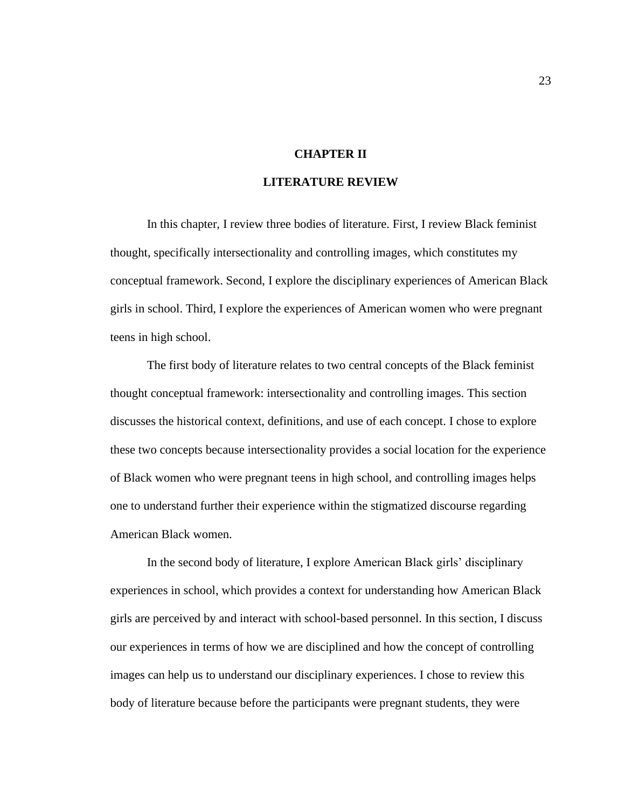## **CHAPTER II**

## **LITERATURE REVIEW**

In this chapter, I review three bodies of literature. First, I review Black feminist thought, specifically intersectionality and controlling images, which constitutes my conceptual framework. Second, I explore the disciplinary experiences of American Black girls in school. Third, I explore the experiences of American women who were pregnant teens in high school.

The first body of literature relates to two central concepts of the Black feminist thought conceptual framework: intersectionality and controlling images. This section discusses the historical context, definitions, and use of each concept. I chose to explore these two concepts because intersectionality provides a social location for the experience of Black women who were pregnant teens in high school, and controlling images helps one to understand further their experience within the stigmatized discourse regarding American Black women.

In the second body of literature, I explore American Black girls' disciplinary experiences in school, which provides a context for understanding how American Black girls are perceived by and interact with school-based personnel. In this section, I discuss our experiences in terms of how we are disciplined and how the concept of controlling images can help us to understand our disciplinary experiences. I chose to review this body of literature because before the participants were pregnant students, they were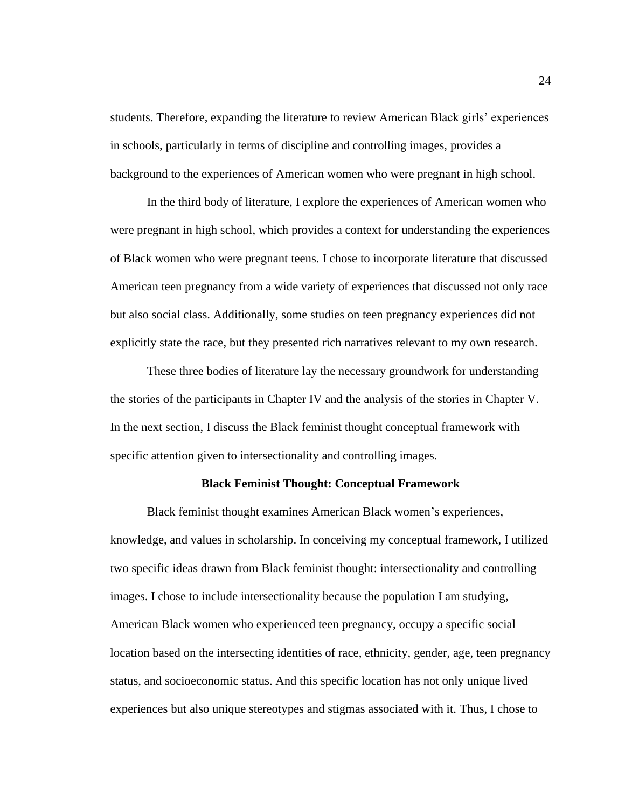students. Therefore, expanding the literature to review American Black girls' experiences in schools, particularly in terms of discipline and controlling images, provides a background to the experiences of American women who were pregnant in high school.

In the third body of literature, I explore the experiences of American women who were pregnant in high school, which provides a context for understanding the experiences of Black women who were pregnant teens. I chose to incorporate literature that discussed American teen pregnancy from a wide variety of experiences that discussed not only race but also social class. Additionally, some studies on teen pregnancy experiences did not explicitly state the race, but they presented rich narratives relevant to my own research.

These three bodies of literature lay the necessary groundwork for understanding the stories of the participants in Chapter IV and the analysis of the stories in Chapter V. In the next section, I discuss the Black feminist thought conceptual framework with specific attention given to intersectionality and controlling images.

### **Black Feminist Thought: Conceptual Framework**

Black feminist thought examines American Black women's experiences, knowledge, and values in scholarship. In conceiving my conceptual framework, I utilized two specific ideas drawn from Black feminist thought: intersectionality and controlling images. I chose to include intersectionality because the population I am studying, American Black women who experienced teen pregnancy, occupy a specific social location based on the intersecting identities of race, ethnicity, gender, age, teen pregnancy status, and socioeconomic status. And this specific location has not only unique lived experiences but also unique stereotypes and stigmas associated with it. Thus, I chose to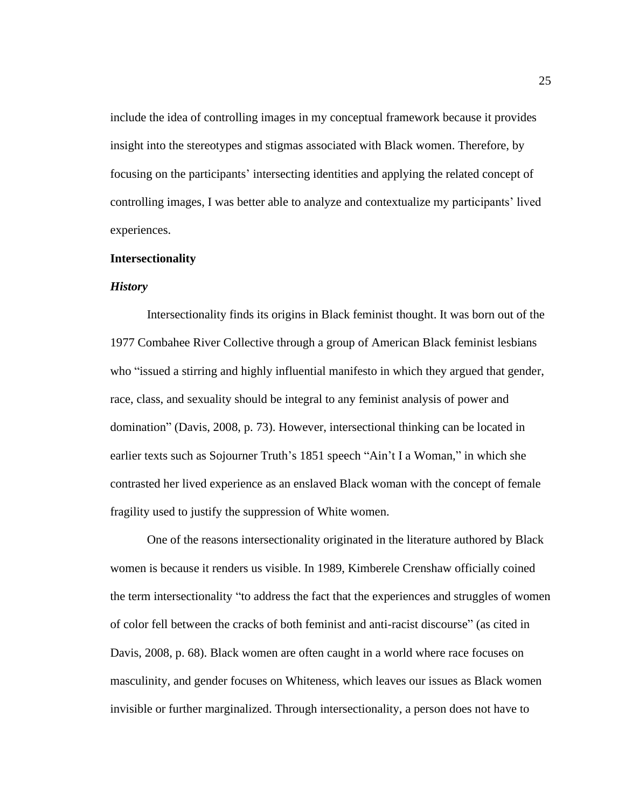include the idea of controlling images in my conceptual framework because it provides insight into the stereotypes and stigmas associated with Black women. Therefore, by focusing on the participants' intersecting identities and applying the related concept of controlling images, I was better able to analyze and contextualize my participants' lived experiences.

#### **Intersectionality**

## *History*

Intersectionality finds its origins in Black feminist thought. It was born out of the 1977 Combahee River Collective through a group of American Black feminist lesbians who "issued a stirring and highly influential manifesto in which they argued that gender, race, class, and sexuality should be integral to any feminist analysis of power and domination" (Davis, 2008, p. 73). However, intersectional thinking can be located in earlier texts such as Sojourner Truth's 1851 speech "Ain't I a Woman," in which she contrasted her lived experience as an enslaved Black woman with the concept of female fragility used to justify the suppression of White women.

One of the reasons intersectionality originated in the literature authored by Black women is because it renders us visible. In 1989, Kimberele Crenshaw officially coined the term intersectionality "to address the fact that the experiences and struggles of women of color fell between the cracks of both feminist and anti-racist discourse" (as cited in Davis, 2008, p. 68). Black women are often caught in a world where race focuses on masculinity, and gender focuses on Whiteness, which leaves our issues as Black women invisible or further marginalized. Through intersectionality, a person does not have to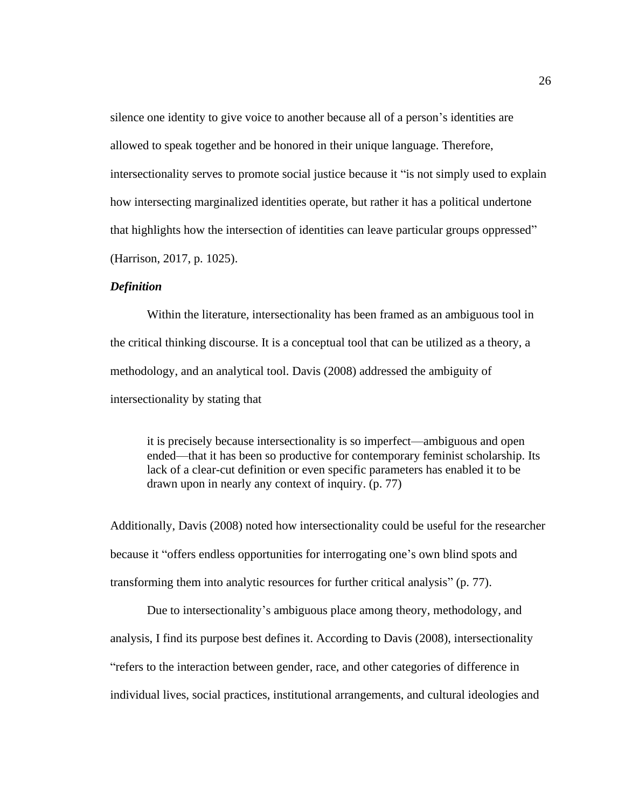silence one identity to give voice to another because all of a person's identities are allowed to speak together and be honored in their unique language. Therefore, intersectionality serves to promote social justice because it "is not simply used to explain how intersecting marginalized identities operate, but rather it has a political undertone that highlights how the intersection of identities can leave particular groups oppressed" (Harrison, 2017, p. 1025).

## *Definition*

Within the literature, intersectionality has been framed as an ambiguous tool in the critical thinking discourse. It is a conceptual tool that can be utilized as a theory, a methodology, and an analytical tool. Davis (2008) addressed the ambiguity of intersectionality by stating that

it is precisely because intersectionality is so imperfect—ambiguous and open ended—that it has been so productive for contemporary feminist scholarship. Its lack of a clear-cut definition or even specific parameters has enabled it to be drawn upon in nearly any context of inquiry. (p. 77)

Additionally, Davis (2008) noted how intersectionality could be useful for the researcher because it "offers endless opportunities for interrogating one's own blind spots and transforming them into analytic resources for further critical analysis" (p. 77).

Due to intersectionality's ambiguous place among theory, methodology, and analysis, I find its purpose best defines it. According to Davis (2008), intersectionality "refers to the interaction between gender, race, and other categories of difference in individual lives, social practices, institutional arrangements, and cultural ideologies and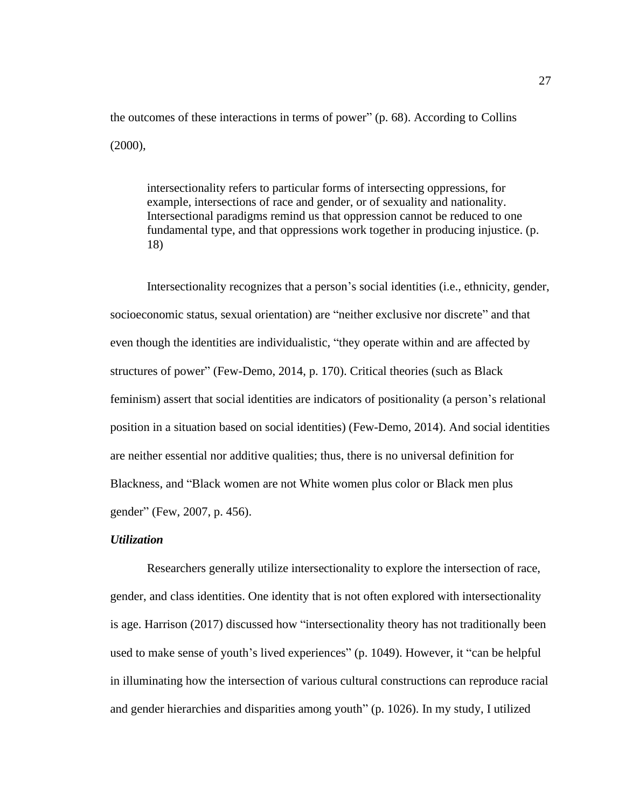the outcomes of these interactions in terms of power" (p. 68). According to Collins (2000),

intersectionality refers to particular forms of intersecting oppressions, for example, intersections of race and gender, or of sexuality and nationality. Intersectional paradigms remind us that oppression cannot be reduced to one fundamental type, and that oppressions work together in producing injustice. (p. 18)

Intersectionality recognizes that a person's social identities (i.e., ethnicity, gender, socioeconomic status, sexual orientation) are "neither exclusive nor discrete" and that even though the identities are individualistic, "they operate within and are affected by structures of power" (Few-Demo, 2014, p. 170). Critical theories (such as Black feminism) assert that social identities are indicators of positionality (a person's relational position in a situation based on social identities) (Few-Demo, 2014). And social identities are neither essential nor additive qualities; thus, there is no universal definition for Blackness, and "Black women are not White women plus color or Black men plus gender" (Few, 2007, p. 456).

# *Utilization*

Researchers generally utilize intersectionality to explore the intersection of race, gender, and class identities. One identity that is not often explored with intersectionality is age. Harrison (2017) discussed how "intersectionality theory has not traditionally been used to make sense of youth's lived experiences" (p. 1049). However, it "can be helpful in illuminating how the intersection of various cultural constructions can reproduce racial and gender hierarchies and disparities among youth" (p. 1026). In my study, I utilized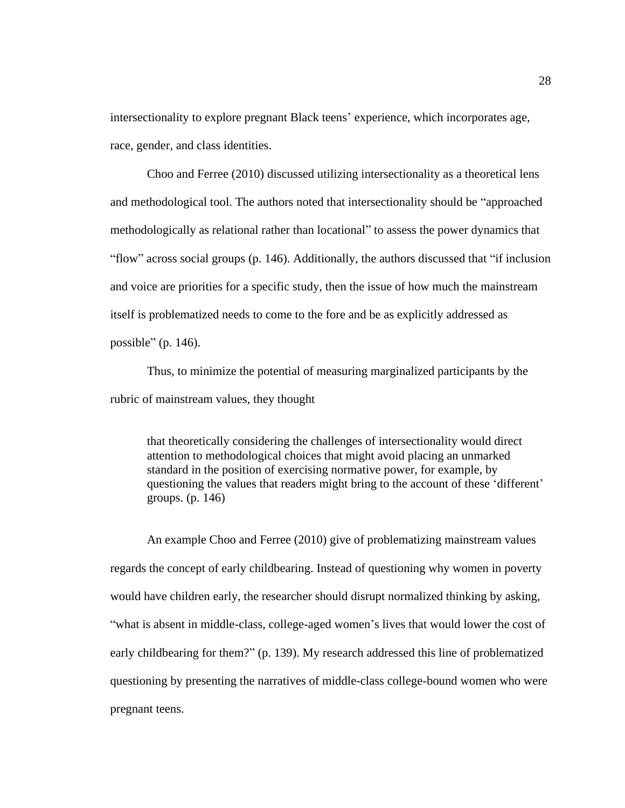intersectionality to explore pregnant Black teens' experience, which incorporates age, race, gender, and class identities.

Choo and Ferree (2010) discussed utilizing intersectionality as a theoretical lens and methodological tool. The authors noted that intersectionality should be "approached methodologically as relational rather than locational" to assess the power dynamics that "flow" across social groups (p. 146). Additionally, the authors discussed that "if inclusion and voice are priorities for a specific study, then the issue of how much the mainstream itself is problematized needs to come to the fore and be as explicitly addressed as possible" (p. 146).

Thus, to minimize the potential of measuring marginalized participants by the rubric of mainstream values, they thought

that theoretically considering the challenges of intersectionality would direct attention to methodological choices that might avoid placing an unmarked standard in the position of exercising normative power, for example, by questioning the values that readers might bring to the account of these 'different' groups. (p. 146)

An example Choo and Ferree (2010) give of problematizing mainstream values regards the concept of early childbearing. Instead of questioning why women in poverty would have children early, the researcher should disrupt normalized thinking by asking, "what is absent in middle-class, college-aged women's lives that would lower the cost of early childbearing for them?" (p. 139). My research addressed this line of problematized questioning by presenting the narratives of middle-class college-bound women who were pregnant teens.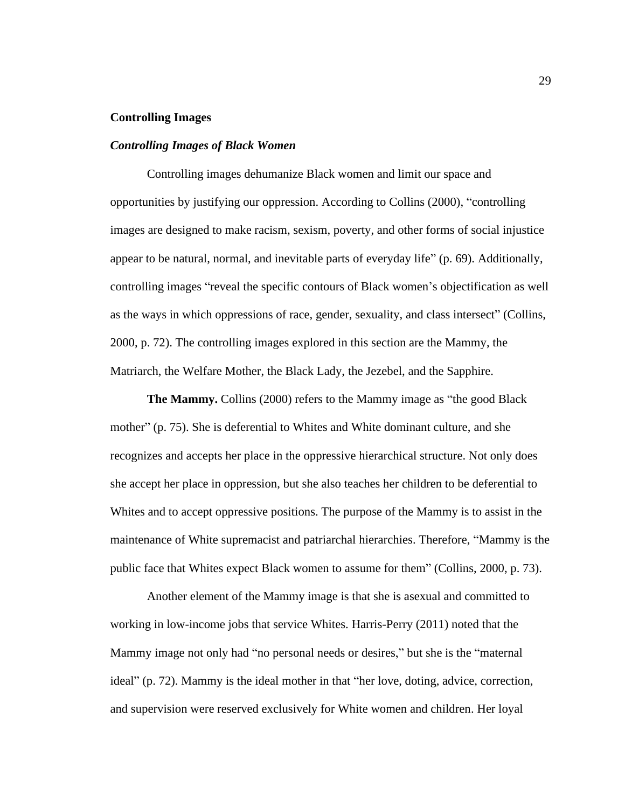# **Controlling Images**

#### *Controlling Images of Black Women*

Controlling images dehumanize Black women and limit our space and opportunities by justifying our oppression. According to Collins (2000), "controlling images are designed to make racism, sexism, poverty, and other forms of social injustice appear to be natural, normal, and inevitable parts of everyday life" (p. 69). Additionally, controlling images "reveal the specific contours of Black women's objectification as well as the ways in which oppressions of race, gender, sexuality, and class intersect" (Collins, 2000, p. 72). The controlling images explored in this section are the Mammy, the Matriarch, the Welfare Mother, the Black Lady, the Jezebel, and the Sapphire.

**The Mammy.** Collins (2000) refers to the Mammy image as "the good Black" mother" (p. 75). She is deferential to Whites and White dominant culture, and she recognizes and accepts her place in the oppressive hierarchical structure. Not only does she accept her place in oppression, but she also teaches her children to be deferential to Whites and to accept oppressive positions. The purpose of the Mammy is to assist in the maintenance of White supremacist and patriarchal hierarchies. Therefore, "Mammy is the public face that Whites expect Black women to assume for them" (Collins, 2000, p. 73).

Another element of the Mammy image is that she is asexual and committed to working in low-income jobs that service Whites. Harris-Perry (2011) noted that the Mammy image not only had "no personal needs or desires," but she is the "maternal ideal" (p. 72). Mammy is the ideal mother in that "her love, doting, advice, correction, and supervision were reserved exclusively for White women and children. Her loyal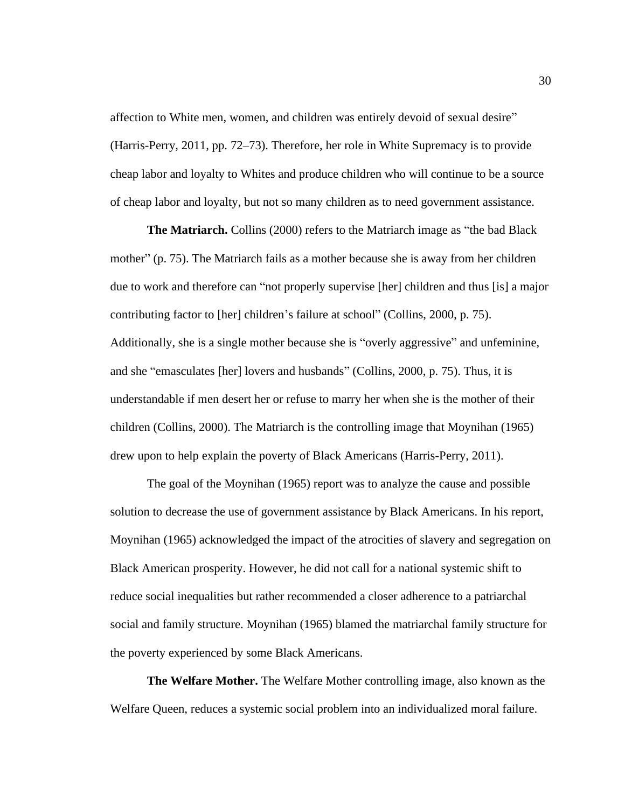affection to White men, women, and children was entirely devoid of sexual desire" (Harris-Perry, 2011, pp. 72–73). Therefore, her role in White Supremacy is to provide cheap labor and loyalty to Whites and produce children who will continue to be a source of cheap labor and loyalty, but not so many children as to need government assistance.

**The Matriarch.** Collins (2000) refers to the Matriarch image as "the bad Black mother" (p. 75). The Matriarch fails as a mother because she is away from her children due to work and therefore can "not properly supervise [her] children and thus [is] a major contributing factor to [her] children's failure at school" (Collins, 2000, p. 75). Additionally, she is a single mother because she is "overly aggressive" and unfeminine, and she "emasculates [her] lovers and husbands" (Collins, 2000, p. 75). Thus, it is understandable if men desert her or refuse to marry her when she is the mother of their children (Collins, 2000). The Matriarch is the controlling image that Moynihan (1965) drew upon to help explain the poverty of Black Americans (Harris-Perry, 2011).

The goal of the Moynihan (1965) report was to analyze the cause and possible solution to decrease the use of government assistance by Black Americans. In his report, Moynihan (1965) acknowledged the impact of the atrocities of slavery and segregation on Black American prosperity. However, he did not call for a national systemic shift to reduce social inequalities but rather recommended a closer adherence to a patriarchal social and family structure. Moynihan (1965) blamed the matriarchal family structure for the poverty experienced by some Black Americans.

**The Welfare Mother.** The Welfare Mother controlling image, also known as the Welfare Queen, reduces a systemic social problem into an individualized moral failure.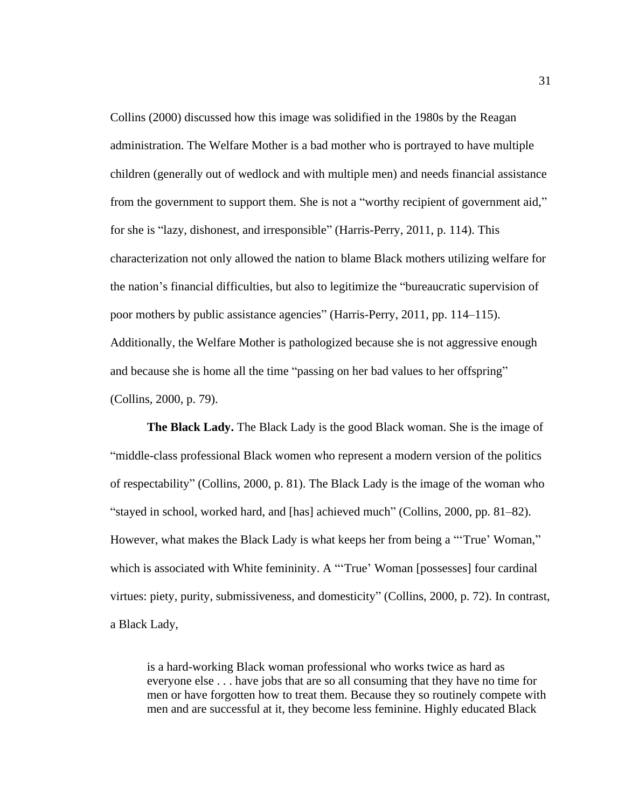Collins (2000) discussed how this image was solidified in the 1980s by the Reagan administration. The Welfare Mother is a bad mother who is portrayed to have multiple children (generally out of wedlock and with multiple men) and needs financial assistance from the government to support them. She is not a "worthy recipient of government aid," for she is "lazy, dishonest, and irresponsible" (Harris-Perry, 2011, p. 114). This characterization not only allowed the nation to blame Black mothers utilizing welfare for the nation's financial difficulties, but also to legitimize the "bureaucratic supervision of poor mothers by public assistance agencies" (Harris-Perry, 2011, pp. 114–115). Additionally, the Welfare Mother is pathologized because she is not aggressive enough and because she is home all the time "passing on her bad values to her offspring" (Collins, 2000, p. 79).

**The Black Lady.** The Black Lady is the good Black woman. She is the image of "middle-class professional Black women who represent a modern version of the politics of respectability" (Collins, 2000, p. 81). The Black Lady is the image of the woman who "stayed in school, worked hard, and [has] achieved much" (Collins, 2000, pp. 81–82). However, what makes the Black Lady is what keeps her from being a "'True' Woman," which is associated with White femininity. A "True' Woman [possesses] four cardinal virtues: piety, purity, submissiveness, and domesticity" (Collins, 2000, p. 72). In contrast, a Black Lady,

is a hard-working Black woman professional who works twice as hard as everyone else . . . have jobs that are so all consuming that they have no time for men or have forgotten how to treat them. Because they so routinely compete with men and are successful at it, they become less feminine. Highly educated Black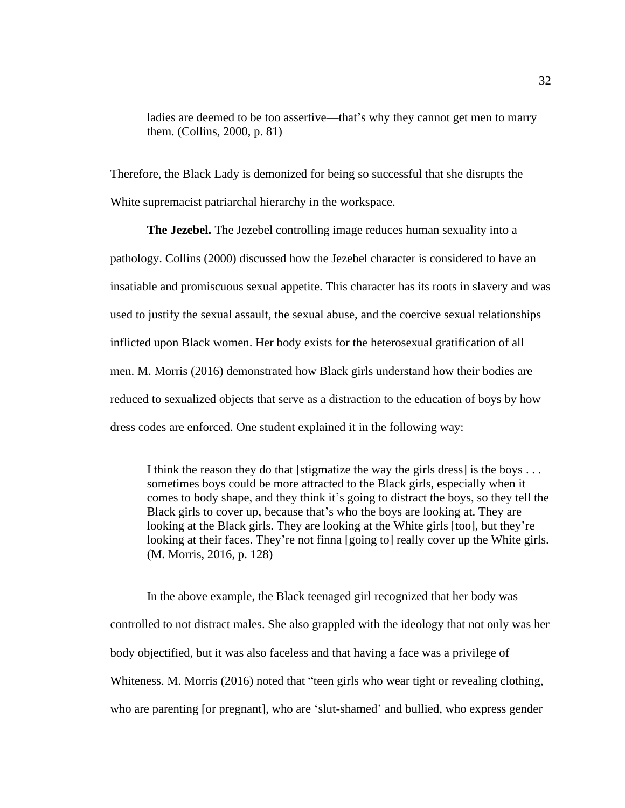ladies are deemed to be too assertive—that's why they cannot get men to marry them. (Collins, 2000, p. 81)

Therefore, the Black Lady is demonized for being so successful that she disrupts the White supremacist patriarchal hierarchy in the workspace.

**The Jezebel.** The Jezebel controlling image reduces human sexuality into a pathology. Collins (2000) discussed how the Jezebel character is considered to have an insatiable and promiscuous sexual appetite. This character has its roots in slavery and was used to justify the sexual assault, the sexual abuse, and the coercive sexual relationships inflicted upon Black women. Her body exists for the heterosexual gratification of all men. M. Morris (2016) demonstrated how Black girls understand how their bodies are reduced to sexualized objects that serve as a distraction to the education of boys by how dress codes are enforced. One student explained it in the following way:

I think the reason they do that [stigmatize the way the girls dress] is the boys . . . sometimes boys could be more attracted to the Black girls, especially when it comes to body shape, and they think it's going to distract the boys, so they tell the Black girls to cover up, because that's who the boys are looking at. They are looking at the Black girls. They are looking at the White girls [too], but they're looking at their faces. They're not finna [going to] really cover up the White girls. (M. Morris, 2016, p. 128)

In the above example, the Black teenaged girl recognized that her body was controlled to not distract males. She also grappled with the ideology that not only was her body objectified, but it was also faceless and that having a face was a privilege of Whiteness. M. Morris (2016) noted that "teen girls who wear tight or revealing clothing, who are parenting [or pregnant], who are 'slut-shamed' and bullied, who express gender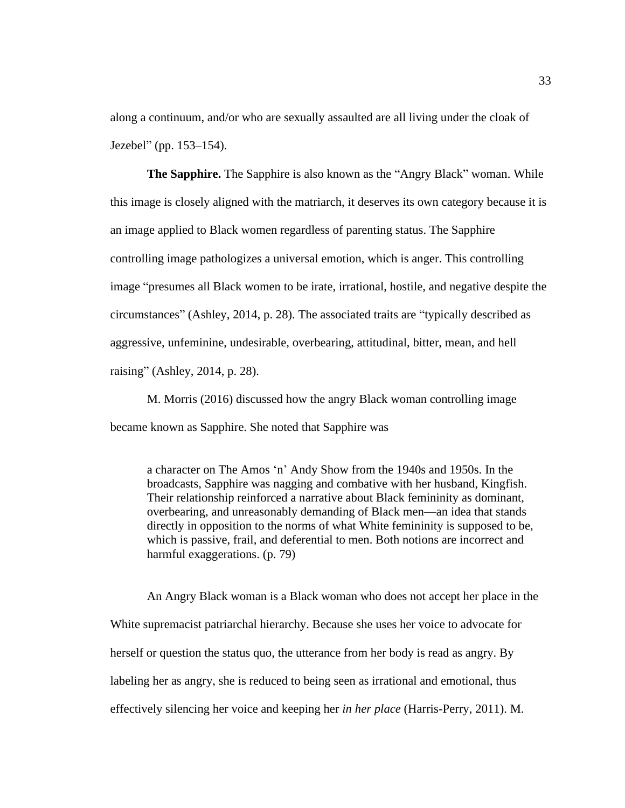along a continuum, and/or who are sexually assaulted are all living under the cloak of Jezebel" (pp. 153–154).

**The Sapphire.** The Sapphire is also known as the "Angry Black" woman. While this image is closely aligned with the matriarch, it deserves its own category because it is an image applied to Black women regardless of parenting status. The Sapphire controlling image pathologizes a universal emotion, which is anger. This controlling image "presumes all Black women to be irate, irrational, hostile, and negative despite the circumstances" (Ashley, 2014, p. 28). The associated traits are "typically described as aggressive, unfeminine, undesirable, overbearing, attitudinal, bitter, mean, and hell raising" (Ashley, 2014, p. 28).

M. Morris (2016) discussed how the angry Black woman controlling image became known as Sapphire. She noted that Sapphire was

a character on The Amos 'n' Andy Show from the 1940s and 1950s. In the broadcasts, Sapphire was nagging and combative with her husband, Kingfish. Their relationship reinforced a narrative about Black femininity as dominant, overbearing, and unreasonably demanding of Black men—an idea that stands directly in opposition to the norms of what White femininity is supposed to be, which is passive, frail, and deferential to men. Both notions are incorrect and harmful exaggerations. (p. 79)

An Angry Black woman is a Black woman who does not accept her place in the White supremacist patriarchal hierarchy. Because she uses her voice to advocate for herself or question the status quo, the utterance from her body is read as angry. By labeling her as angry, she is reduced to being seen as irrational and emotional, thus effectively silencing her voice and keeping her *in her place* (Harris-Perry, 2011). M.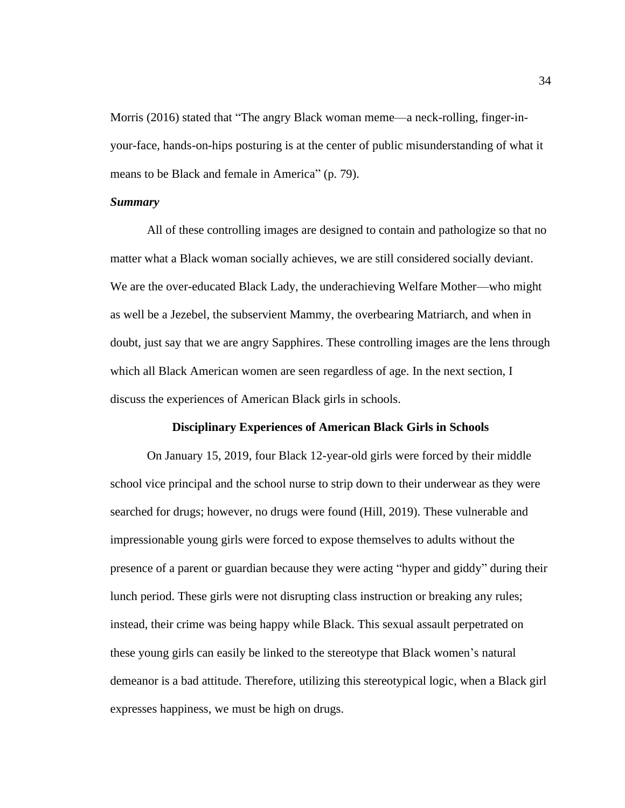Morris (2016) stated that "The angry Black woman meme—a neck-rolling, finger-inyour-face, hands-on-hips posturing is at the center of public misunderstanding of what it means to be Black and female in America" (p. 79).

# *Summary*

All of these controlling images are designed to contain and pathologize so that no matter what a Black woman socially achieves, we are still considered socially deviant. We are the over-educated Black Lady, the underachieving Welfare Mother—who might as well be a Jezebel, the subservient Mammy, the overbearing Matriarch, and when in doubt, just say that we are angry Sapphires. These controlling images are the lens through which all Black American women are seen regardless of age. In the next section, I discuss the experiences of American Black girls in schools.

### **Disciplinary Experiences of American Black Girls in Schools**

On January 15, 2019, four Black 12-year-old girls were forced by their middle school vice principal and the school nurse to strip down to their underwear as they were searched for drugs; however, no drugs were found (Hill, 2019). These vulnerable and impressionable young girls were forced to expose themselves to adults without the presence of a parent or guardian because they were acting "hyper and giddy" during their lunch period. These girls were not disrupting class instruction or breaking any rules; instead, their crime was being happy while Black. This sexual assault perpetrated on these young girls can easily be linked to the stereotype that Black women's natural demeanor is a bad attitude. Therefore, utilizing this stereotypical logic, when a Black girl expresses happiness, we must be high on drugs.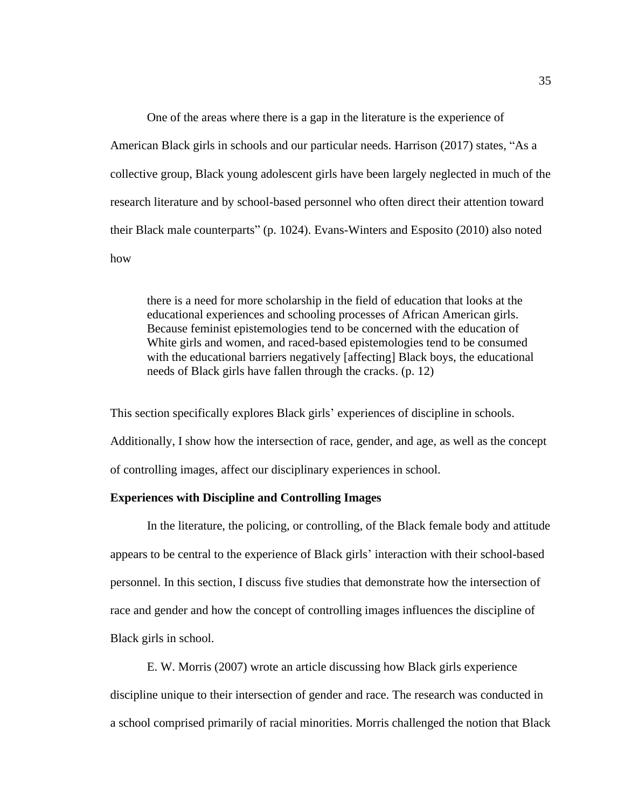One of the areas where there is a gap in the literature is the experience of American Black girls in schools and our particular needs. Harrison (2017) states, "As a collective group, Black young adolescent girls have been largely neglected in much of the research literature and by school-based personnel who often direct their attention toward their Black male counterparts" (p. 1024). Evans-Winters and Esposito (2010) also noted how

there is a need for more scholarship in the field of education that looks at the educational experiences and schooling processes of African American girls. Because feminist epistemologies tend to be concerned with the education of White girls and women, and raced-based epistemologies tend to be consumed with the educational barriers negatively [affecting] Black boys, the educational needs of Black girls have fallen through the cracks. (p. 12)

This section specifically explores Black girls' experiences of discipline in schools. Additionally, I show how the intersection of race, gender, and age, as well as the concept of controlling images, affect our disciplinary experiences in school.

#### **Experiences with Discipline and Controlling Images**

In the literature, the policing, or controlling, of the Black female body and attitude appears to be central to the experience of Black girls' interaction with their school-based personnel. In this section, I discuss five studies that demonstrate how the intersection of race and gender and how the concept of controlling images influences the discipline of Black girls in school.

E. W. Morris (2007) wrote an article discussing how Black girls experience discipline unique to their intersection of gender and race. The research was conducted in a school comprised primarily of racial minorities. Morris challenged the notion that Black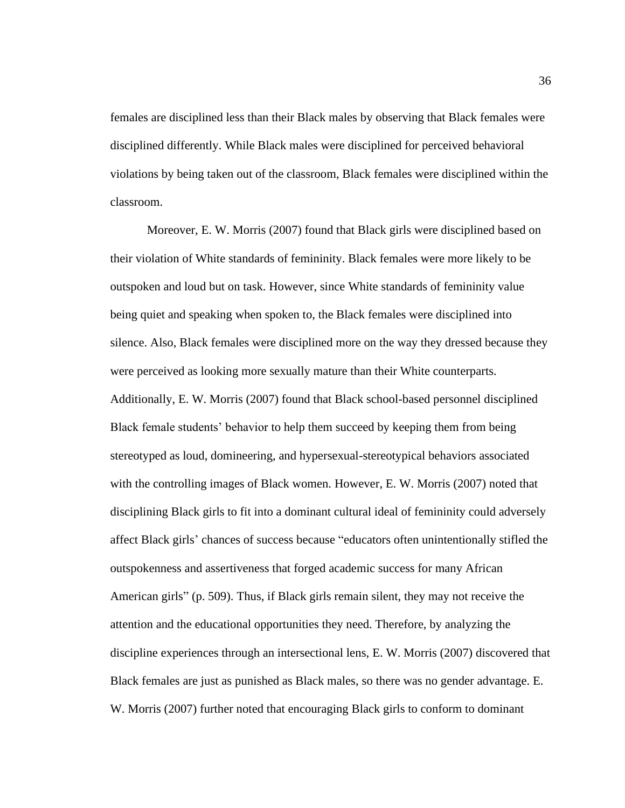females are disciplined less than their Black males by observing that Black females were disciplined differently. While Black males were disciplined for perceived behavioral violations by being taken out of the classroom, Black females were disciplined within the classroom.

Moreover, E. W. Morris (2007) found that Black girls were disciplined based on their violation of White standards of femininity. Black females were more likely to be outspoken and loud but on task. However, since White standards of femininity value being quiet and speaking when spoken to, the Black females were disciplined into silence. Also, Black females were disciplined more on the way they dressed because they were perceived as looking more sexually mature than their White counterparts. Additionally, E. W. Morris (2007) found that Black school-based personnel disciplined Black female students' behavior to help them succeed by keeping them from being stereotyped as loud, domineering, and hypersexual-stereotypical behaviors associated with the controlling images of Black women. However, E. W. Morris (2007) noted that disciplining Black girls to fit into a dominant cultural ideal of femininity could adversely affect Black girls' chances of success because "educators often unintentionally stifled the outspokenness and assertiveness that forged academic success for many African American girls" (p. 509). Thus, if Black girls remain silent, they may not receive the attention and the educational opportunities they need. Therefore, by analyzing the discipline experiences through an intersectional lens, E. W. Morris (2007) discovered that Black females are just as punished as Black males, so there was no gender advantage. E. W. Morris (2007) further noted that encouraging Black girls to conform to dominant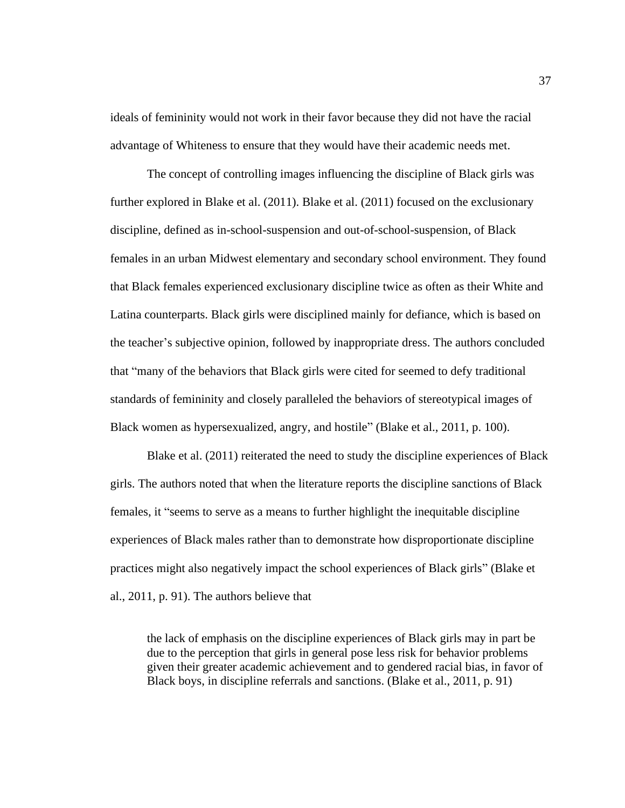ideals of femininity would not work in their favor because they did not have the racial advantage of Whiteness to ensure that they would have their academic needs met.

The concept of controlling images influencing the discipline of Black girls was further explored in Blake et al. (2011). Blake et al. (2011) focused on the exclusionary discipline, defined as in-school-suspension and out-of-school-suspension, of Black females in an urban Midwest elementary and secondary school environment. They found that Black females experienced exclusionary discipline twice as often as their White and Latina counterparts. Black girls were disciplined mainly for defiance, which is based on the teacher's subjective opinion, followed by inappropriate dress. The authors concluded that "many of the behaviors that Black girls were cited for seemed to defy traditional standards of femininity and closely paralleled the behaviors of stereotypical images of Black women as hypersexualized, angry, and hostile" (Blake et al., 2011, p. 100).

Blake et al. (2011) reiterated the need to study the discipline experiences of Black girls. The authors noted that when the literature reports the discipline sanctions of Black females, it "seems to serve as a means to further highlight the inequitable discipline experiences of Black males rather than to demonstrate how disproportionate discipline practices might also negatively impact the school experiences of Black girls" (Blake et al., 2011, p. 91). The authors believe that

the lack of emphasis on the discipline experiences of Black girls may in part be due to the perception that girls in general pose less risk for behavior problems given their greater academic achievement and to gendered racial bias, in favor of Black boys, in discipline referrals and sanctions. (Blake et al., 2011, p. 91)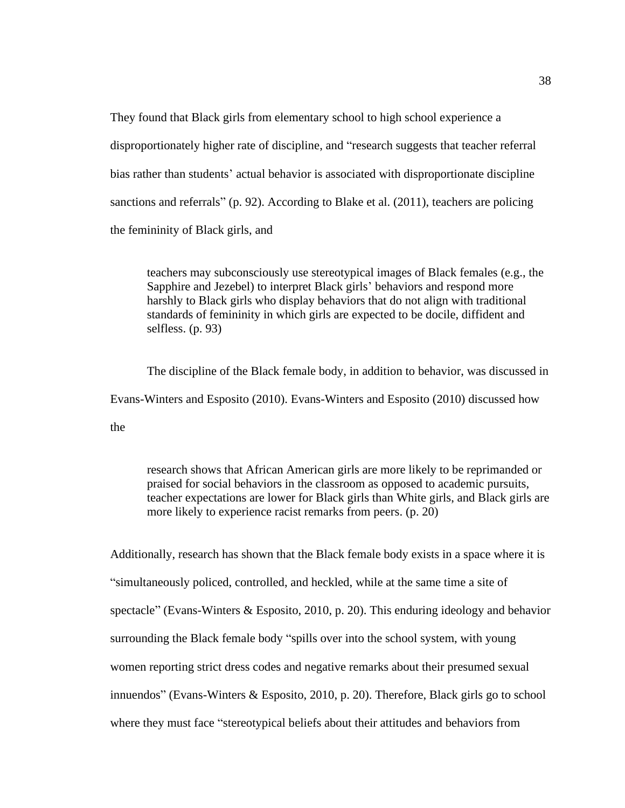They found that Black girls from elementary school to high school experience a disproportionately higher rate of discipline, and "research suggests that teacher referral bias rather than students' actual behavior is associated with disproportionate discipline sanctions and referrals" (p. 92). According to Blake et al. (2011), teachers are policing the femininity of Black girls, and

teachers may subconsciously use stereotypical images of Black females (e.g., the Sapphire and Jezebel) to interpret Black girls' behaviors and respond more harshly to Black girls who display behaviors that do not align with traditional standards of femininity in which girls are expected to be docile, diffident and selfless. (p. 93)

The discipline of the Black female body, in addition to behavior, was discussed in Evans-Winters and Esposito (2010). Evans-Winters and Esposito (2010) discussed how the

research shows that African American girls are more likely to be reprimanded or praised for social behaviors in the classroom as opposed to academic pursuits, teacher expectations are lower for Black girls than White girls, and Black girls are more likely to experience racist remarks from peers. (p. 20)

Additionally, research has shown that the Black female body exists in a space where it is "simultaneously policed, controlled, and heckled, while at the same time a site of spectacle" (Evans-Winters & Esposito, 2010, p. 20). This enduring ideology and behavior surrounding the Black female body "spills over into the school system, with young women reporting strict dress codes and negative remarks about their presumed sexual innuendos" (Evans-Winters & Esposito, 2010, p. 20). Therefore, Black girls go to school where they must face "stereotypical beliefs about their attitudes and behaviors from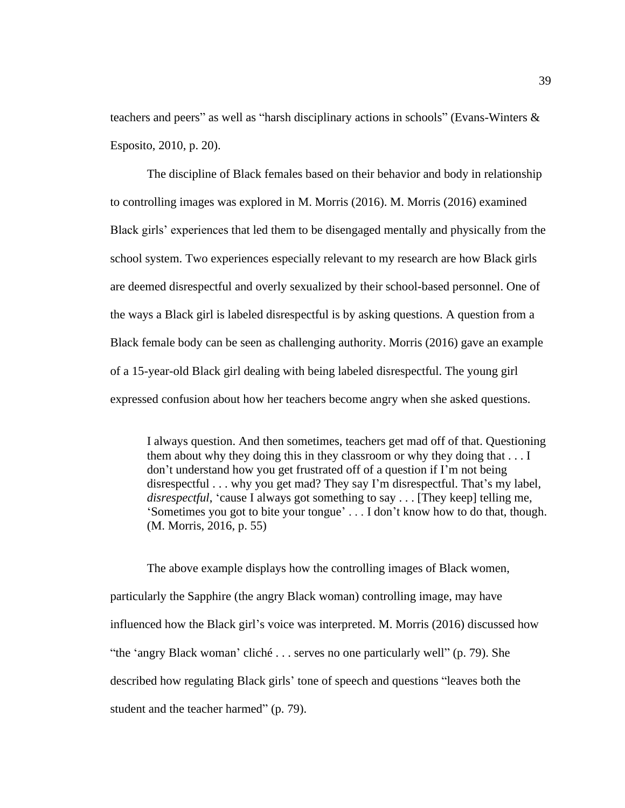teachers and peers" as well as "harsh disciplinary actions in schools" (Evans-Winters & Esposito, 2010, p. 20).

The discipline of Black females based on their behavior and body in relationship to controlling images was explored in M. Morris (2016). M. Morris (2016) examined Black girls' experiences that led them to be disengaged mentally and physically from the school system. Two experiences especially relevant to my research are how Black girls are deemed disrespectful and overly sexualized by their school-based personnel. One of the ways a Black girl is labeled disrespectful is by asking questions. A question from a Black female body can be seen as challenging authority. Morris (2016) gave an example of a 15-year-old Black girl dealing with being labeled disrespectful. The young girl expressed confusion about how her teachers become angry when she asked questions.

I always question. And then sometimes, teachers get mad off of that. Questioning them about why they doing this in they classroom or why they doing that . . . I don't understand how you get frustrated off of a question if I'm not being disrespectful . . . why you get mad? They say I'm disrespectful. That's my label, *disrespectful*, 'cause I always got something to say . . . [They keep] telling me, 'Sometimes you got to bite your tongue' . . . I don't know how to do that, though. (M. Morris, 2016, p. 55)

The above example displays how the controlling images of Black women, particularly the Sapphire (the angry Black woman) controlling image, may have influenced how the Black girl's voice was interpreted. M. Morris (2016) discussed how "the 'angry Black woman' cliché . . . serves no one particularly well" (p. 79). She described how regulating Black girls' tone of speech and questions "leaves both the student and the teacher harmed" (p. 79).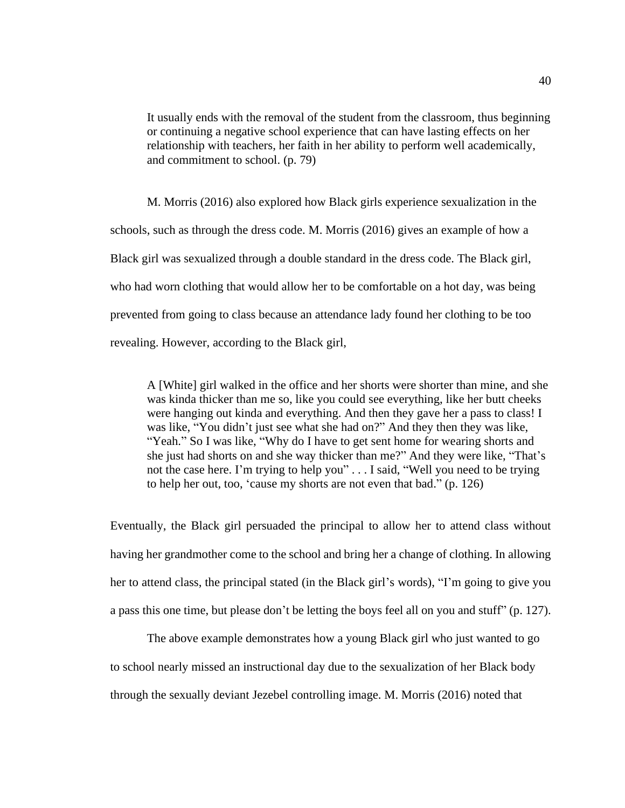It usually ends with the removal of the student from the classroom, thus beginning or continuing a negative school experience that can have lasting effects on her relationship with teachers, her faith in her ability to perform well academically, and commitment to school. (p. 79)

M. Morris (2016) also explored how Black girls experience sexualization in the schools, such as through the dress code. M. Morris (2016) gives an example of how a Black girl was sexualized through a double standard in the dress code. The Black girl, who had worn clothing that would allow her to be comfortable on a hot day, was being prevented from going to class because an attendance lady found her clothing to be too revealing. However, according to the Black girl,

A [White] girl walked in the office and her shorts were shorter than mine, and she was kinda thicker than me so, like you could see everything, like her butt cheeks were hanging out kinda and everything. And then they gave her a pass to class! I was like, "You didn't just see what she had on?" And they then they was like, "Yeah." So I was like, "Why do I have to get sent home for wearing shorts and she just had shorts on and she way thicker than me?" And they were like, "That's not the case here. I'm trying to help you" . . . I said, "Well you need to be trying to help her out, too, 'cause my shorts are not even that bad." (p. 126)

Eventually, the Black girl persuaded the principal to allow her to attend class without having her grandmother come to the school and bring her a change of clothing. In allowing her to attend class, the principal stated (in the Black girl's words), "I'm going to give you a pass this one time, but please don't be letting the boys feel all on you and stuff" (p. 127).

The above example demonstrates how a young Black girl who just wanted to go to school nearly missed an instructional day due to the sexualization of her Black body through the sexually deviant Jezebel controlling image. M. Morris (2016) noted that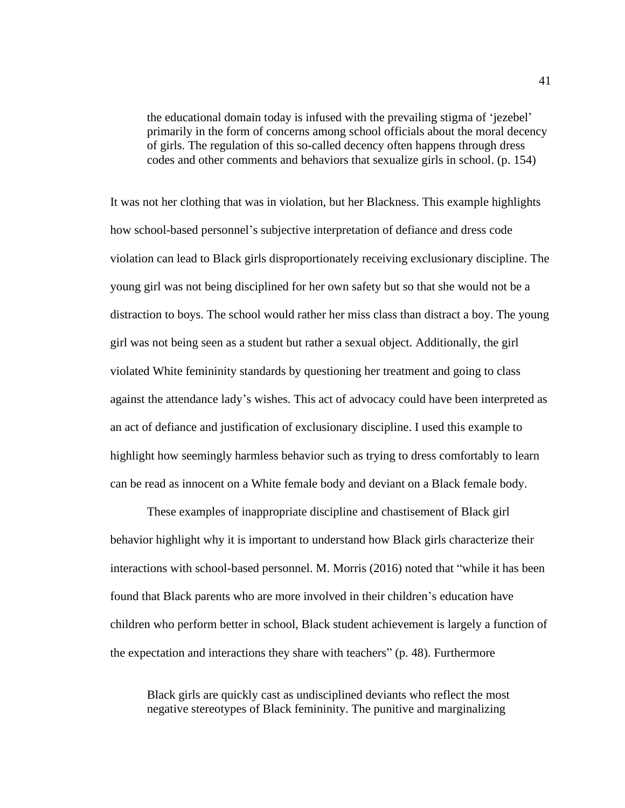the educational domain today is infused with the prevailing stigma of 'jezebel' primarily in the form of concerns among school officials about the moral decency of girls. The regulation of this so-called decency often happens through dress codes and other comments and behaviors that sexualize girls in school. (p. 154)

It was not her clothing that was in violation, but her Blackness. This example highlights how school-based personnel's subjective interpretation of defiance and dress code violation can lead to Black girls disproportionately receiving exclusionary discipline. The young girl was not being disciplined for her own safety but so that she would not be a distraction to boys. The school would rather her miss class than distract a boy. The young girl was not being seen as a student but rather a sexual object. Additionally, the girl violated White femininity standards by questioning her treatment and going to class against the attendance lady's wishes. This act of advocacy could have been interpreted as an act of defiance and justification of exclusionary discipline. I used this example to highlight how seemingly harmless behavior such as trying to dress comfortably to learn can be read as innocent on a White female body and deviant on a Black female body.

These examples of inappropriate discipline and chastisement of Black girl behavior highlight why it is important to understand how Black girls characterize their interactions with school-based personnel. M. Morris (2016) noted that "while it has been found that Black parents who are more involved in their children's education have children who perform better in school, Black student achievement is largely a function of the expectation and interactions they share with teachers" (p. 48). Furthermore

Black girls are quickly cast as undisciplined deviants who reflect the most negative stereotypes of Black femininity. The punitive and marginalizing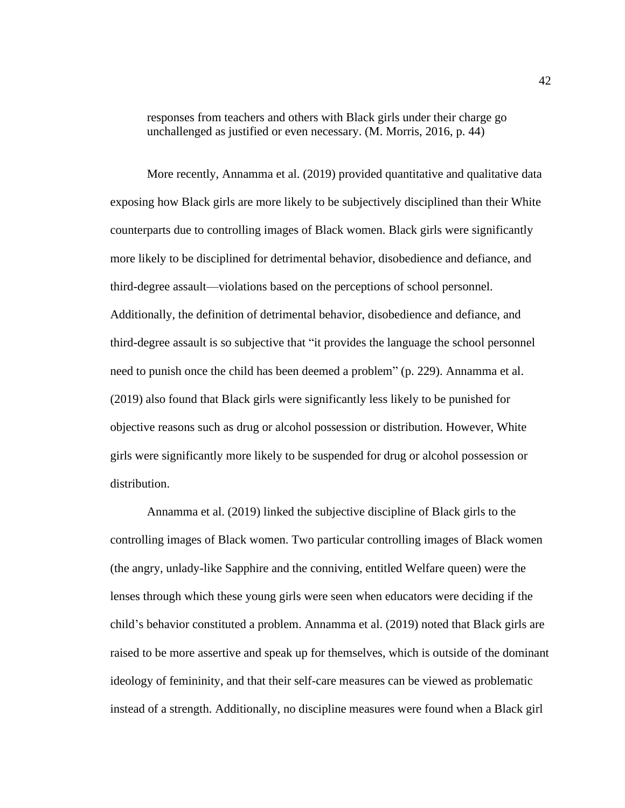responses from teachers and others with Black girls under their charge go unchallenged as justified or even necessary. (M. Morris, 2016, p. 44)

More recently, Annamma et al. (2019) provided quantitative and qualitative data exposing how Black girls are more likely to be subjectively disciplined than their White counterparts due to controlling images of Black women. Black girls were significantly more likely to be disciplined for detrimental behavior, disobedience and defiance, and third-degree assault—violations based on the perceptions of school personnel. Additionally, the definition of detrimental behavior, disobedience and defiance, and third-degree assault is so subjective that "it provides the language the school personnel need to punish once the child has been deemed a problem" (p. 229). Annamma et al. (2019) also found that Black girls were significantly less likely to be punished for objective reasons such as drug or alcohol possession or distribution. However, White girls were significantly more likely to be suspended for drug or alcohol possession or distribution.

Annamma et al. (2019) linked the subjective discipline of Black girls to the controlling images of Black women. Two particular controlling images of Black women (the angry, unlady-like Sapphire and the conniving, entitled Welfare queen) were the lenses through which these young girls were seen when educators were deciding if the child's behavior constituted a problem. Annamma et al. (2019) noted that Black girls are raised to be more assertive and speak up for themselves, which is outside of the dominant ideology of femininity, and that their self-care measures can be viewed as problematic instead of a strength. Additionally, no discipline measures were found when a Black girl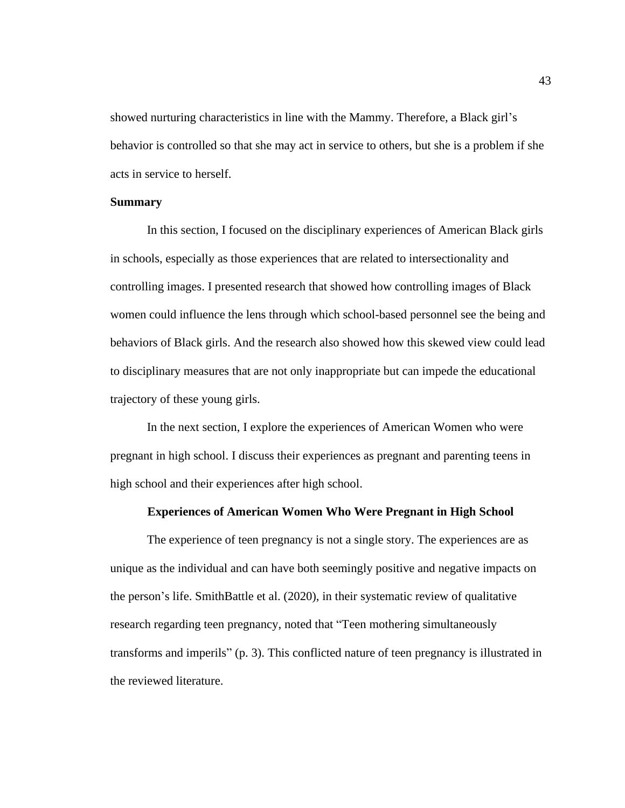showed nurturing characteristics in line with the Mammy. Therefore, a Black girl's behavior is controlled so that she may act in service to others, but she is a problem if she acts in service to herself.

# **Summary**

In this section, I focused on the disciplinary experiences of American Black girls in schools, especially as those experiences that are related to intersectionality and controlling images. I presented research that showed how controlling images of Black women could influence the lens through which school-based personnel see the being and behaviors of Black girls. And the research also showed how this skewed view could lead to disciplinary measures that are not only inappropriate but can impede the educational trajectory of these young girls.

In the next section, I explore the experiences of American Women who were pregnant in high school. I discuss their experiences as pregnant and parenting teens in high school and their experiences after high school.

# **Experiences of American Women Who Were Pregnant in High School**

The experience of teen pregnancy is not a single story. The experiences are as unique as the individual and can have both seemingly positive and negative impacts on the person's life. SmithBattle et al. (2020), in their systematic review of qualitative research regarding teen pregnancy, noted that "Teen mothering simultaneously transforms and imperils" (p. 3). This conflicted nature of teen pregnancy is illustrated in the reviewed literature.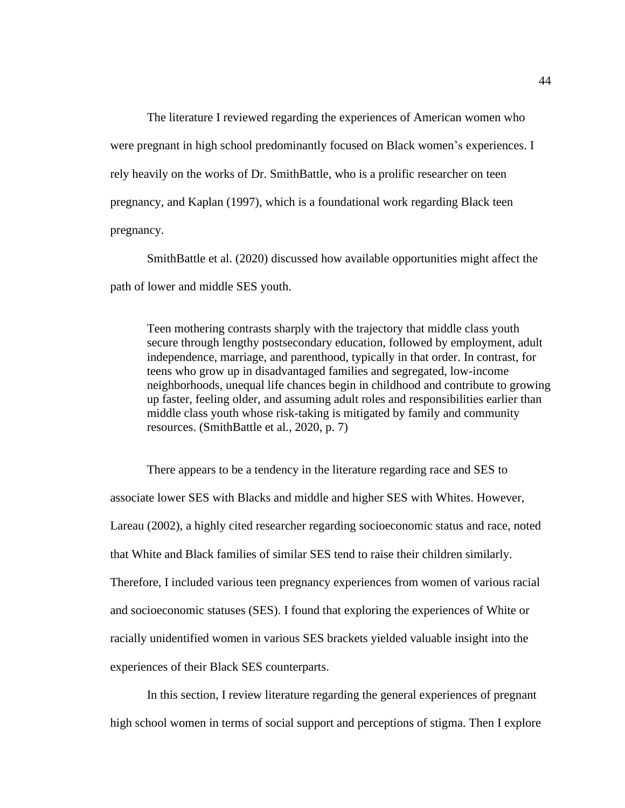The literature I reviewed regarding the experiences of American women who were pregnant in high school predominantly focused on Black women's experiences. I rely heavily on the works of Dr. SmithBattle, who is a prolific researcher on teen pregnancy, and Kaplan (1997), which is a foundational work regarding Black teen pregnancy.

SmithBattle et al. (2020) discussed how available opportunities might affect the path of lower and middle SES youth.

Teen mothering contrasts sharply with the trajectory that middle class youth secure through lengthy postsecondary education, followed by employment, adult independence, marriage, and parenthood, typically in that order. In contrast, for teens who grow up in disadvantaged families and segregated, low-income neighborhoods, unequal life chances begin in childhood and contribute to growing up faster, feeling older, and assuming adult roles and responsibilities earlier than middle class youth whose risk-taking is mitigated by family and community resources. (SmithBattle et al., 2020, p. 7)

There appears to be a tendency in the literature regarding race and SES to associate lower SES with Blacks and middle and higher SES with Whites. However, Lareau (2002), a highly cited researcher regarding socioeconomic status and race, noted that White and Black families of similar SES tend to raise their children similarly. Therefore, I included various teen pregnancy experiences from women of various racial and socioeconomic statuses (SES). I found that exploring the experiences of White or racially unidentified women in various SES brackets yielded valuable insight into the experiences of their Black SES counterparts.

In this section, I review literature regarding the general experiences of pregnant high school women in terms of social support and perceptions of stigma. Then I explore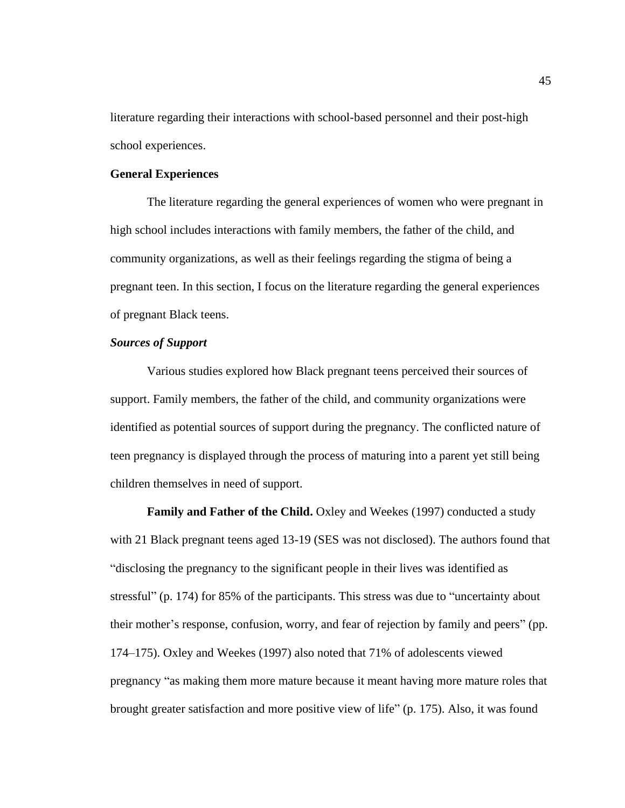literature regarding their interactions with school-based personnel and their post-high school experiences.

## **General Experiences**

The literature regarding the general experiences of women who were pregnant in high school includes interactions with family members, the father of the child, and community organizations, as well as their feelings regarding the stigma of being a pregnant teen. In this section, I focus on the literature regarding the general experiences of pregnant Black teens.

# *Sources of Support*

Various studies explored how Black pregnant teens perceived their sources of support. Family members, the father of the child, and community organizations were identified as potential sources of support during the pregnancy. The conflicted nature of teen pregnancy is displayed through the process of maturing into a parent yet still being children themselves in need of support.

**Family and Father of the Child.** Oxley and Weekes (1997) conducted a study with 21 Black pregnant teens aged 13-19 (SES was not disclosed). The authors found that "disclosing the pregnancy to the significant people in their lives was identified as stressful" (p. 174) for 85% of the participants. This stress was due to "uncertainty about their mother's response, confusion, worry, and fear of rejection by family and peers" (pp. 174–175). Oxley and Weekes (1997) also noted that 71% of adolescents viewed pregnancy "as making them more mature because it meant having more mature roles that brought greater satisfaction and more positive view of life" (p. 175). Also, it was found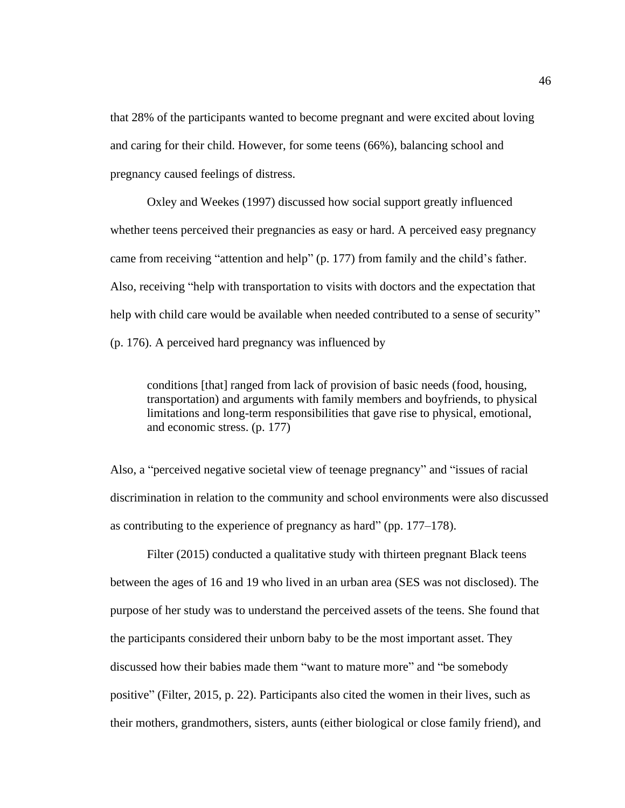that 28% of the participants wanted to become pregnant and were excited about loving and caring for their child. However, for some teens (66%), balancing school and pregnancy caused feelings of distress.

Oxley and Weekes (1997) discussed how social support greatly influenced whether teens perceived their pregnancies as easy or hard. A perceived easy pregnancy came from receiving "attention and help" (p. 177) from family and the child's father. Also, receiving "help with transportation to visits with doctors and the expectation that help with child care would be available when needed contributed to a sense of security" (p. 176). A perceived hard pregnancy was influenced by

conditions [that] ranged from lack of provision of basic needs (food, housing, transportation) and arguments with family members and boyfriends, to physical limitations and long-term responsibilities that gave rise to physical, emotional, and economic stress. (p. 177)

Also, a "perceived negative societal view of teenage pregnancy" and "issues of racial discrimination in relation to the community and school environments were also discussed as contributing to the experience of pregnancy as hard" (pp. 177–178).

Filter (2015) conducted a qualitative study with thirteen pregnant Black teens between the ages of 16 and 19 who lived in an urban area (SES was not disclosed). The purpose of her study was to understand the perceived assets of the teens. She found that the participants considered their unborn baby to be the most important asset. They discussed how their babies made them "want to mature more" and "be somebody positive" (Filter, 2015, p. 22). Participants also cited the women in their lives, such as their mothers, grandmothers, sisters, aunts (either biological or close family friend), and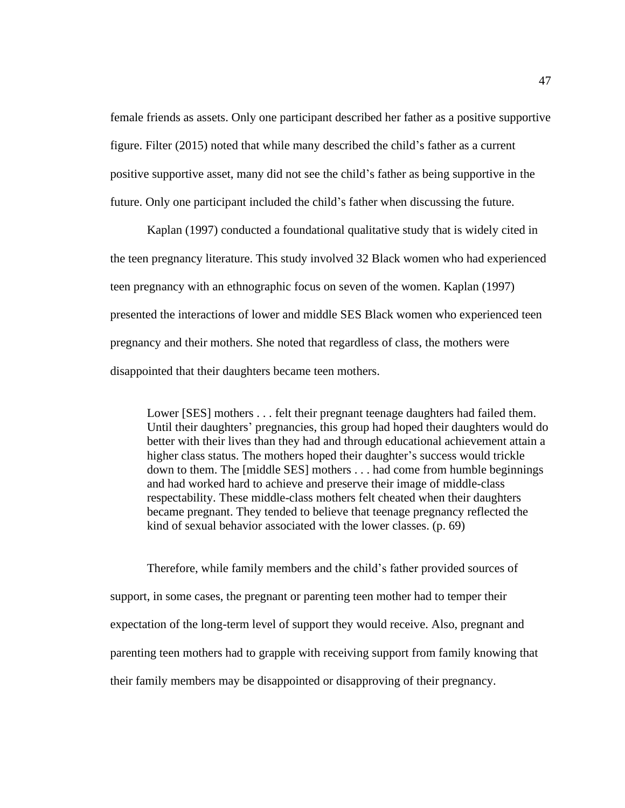female friends as assets. Only one participant described her father as a positive supportive figure. Filter (2015) noted that while many described the child's father as a current positive supportive asset, many did not see the child's father as being supportive in the future. Only one participant included the child's father when discussing the future.

Kaplan (1997) conducted a foundational qualitative study that is widely cited in the teen pregnancy literature. This study involved 32 Black women who had experienced teen pregnancy with an ethnographic focus on seven of the women. Kaplan (1997) presented the interactions of lower and middle SES Black women who experienced teen pregnancy and their mothers. She noted that regardless of class, the mothers were disappointed that their daughters became teen mothers.

Lower [SES] mothers . . . felt their pregnant teenage daughters had failed them. Until their daughters' pregnancies, this group had hoped their daughters would do better with their lives than they had and through educational achievement attain a higher class status. The mothers hoped their daughter's success would trickle down to them. The [middle SES] mothers . . . had come from humble beginnings and had worked hard to achieve and preserve their image of middle-class respectability. These middle-class mothers felt cheated when their daughters became pregnant. They tended to believe that teenage pregnancy reflected the kind of sexual behavior associated with the lower classes. (p. 69)

Therefore, while family members and the child's father provided sources of support, in some cases, the pregnant or parenting teen mother had to temper their expectation of the long-term level of support they would receive. Also, pregnant and parenting teen mothers had to grapple with receiving support from family knowing that their family members may be disappointed or disapproving of their pregnancy.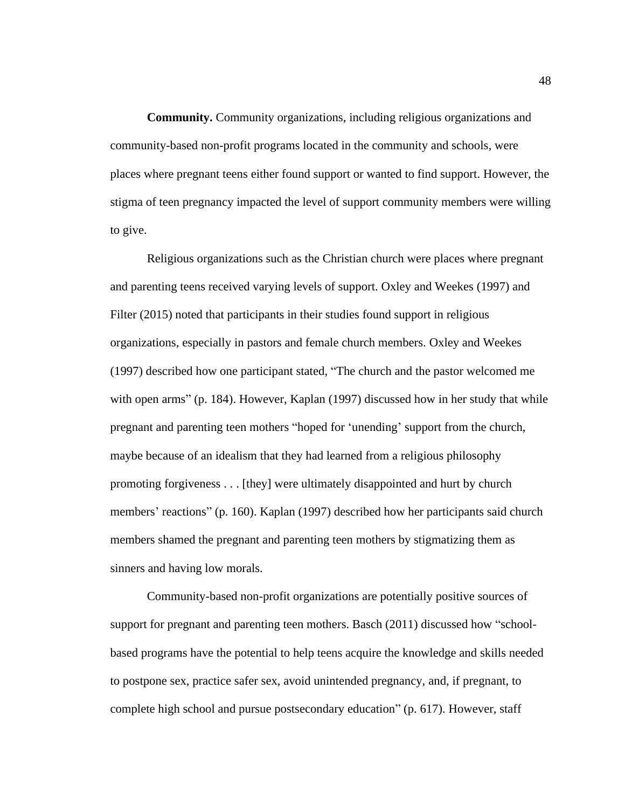**Community.** Community organizations, including religious organizations and community-based non-profit programs located in the community and schools, were places where pregnant teens either found support or wanted to find support. However, the stigma of teen pregnancy impacted the level of support community members were willing to give.

Religious organizations such as the Christian church were places where pregnant and parenting teens received varying levels of support. Oxley and Weekes (1997) and Filter (2015) noted that participants in their studies found support in religious organizations, especially in pastors and female church members. Oxley and Weekes (1997) described how one participant stated, "The church and the pastor welcomed me with open arms" (p. 184). However, Kaplan (1997) discussed how in her study that while pregnant and parenting teen mothers "hoped for 'unending' support from the church, maybe because of an idealism that they had learned from a religious philosophy promoting forgiveness . . . [they] were ultimately disappointed and hurt by church members' reactions" (p. 160). Kaplan (1997) described how her participants said church members shamed the pregnant and parenting teen mothers by stigmatizing them as sinners and having low morals.

Community-based non-profit organizations are potentially positive sources of support for pregnant and parenting teen mothers. Basch (2011) discussed how "schoolbased programs have the potential to help teens acquire the knowledge and skills needed to postpone sex, practice safer sex, avoid unintended pregnancy, and, if pregnant, to complete high school and pursue postsecondary education" (p. 617). However, staff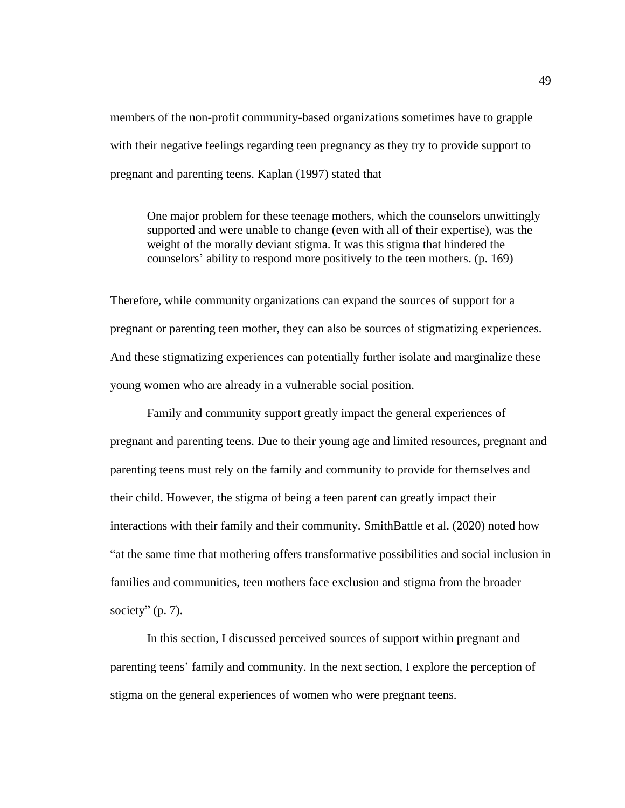members of the non-profit community-based organizations sometimes have to grapple with their negative feelings regarding teen pregnancy as they try to provide support to pregnant and parenting teens. Kaplan (1997) stated that

One major problem for these teenage mothers, which the counselors unwittingly supported and were unable to change (even with all of their expertise), was the weight of the morally deviant stigma. It was this stigma that hindered the counselors' ability to respond more positively to the teen mothers. (p. 169)

Therefore, while community organizations can expand the sources of support for a pregnant or parenting teen mother, they can also be sources of stigmatizing experiences. And these stigmatizing experiences can potentially further isolate and marginalize these young women who are already in a vulnerable social position.

Family and community support greatly impact the general experiences of pregnant and parenting teens. Due to their young age and limited resources, pregnant and parenting teens must rely on the family and community to provide for themselves and their child. However, the stigma of being a teen parent can greatly impact their interactions with their family and their community. SmithBattle et al. (2020) noted how "at the same time that mothering offers transformative possibilities and social inclusion in families and communities, teen mothers face exclusion and stigma from the broader society"  $(p. 7)$ .

In this section, I discussed perceived sources of support within pregnant and parenting teens' family and community. In the next section, I explore the perception of stigma on the general experiences of women who were pregnant teens.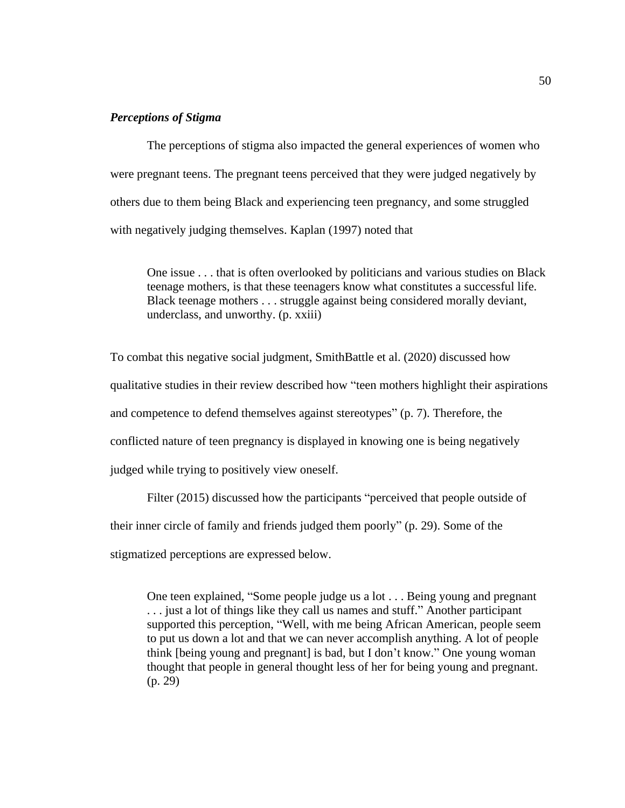# *Perceptions of Stigma*

The perceptions of stigma also impacted the general experiences of women who were pregnant teens. The pregnant teens perceived that they were judged negatively by others due to them being Black and experiencing teen pregnancy, and some struggled with negatively judging themselves. Kaplan (1997) noted that

One issue . . . that is often overlooked by politicians and various studies on Black teenage mothers, is that these teenagers know what constitutes a successful life. Black teenage mothers . . . struggle against being considered morally deviant, underclass, and unworthy. (p. xxiii)

To combat this negative social judgment, SmithBattle et al. (2020) discussed how qualitative studies in their review described how "teen mothers highlight their aspirations and competence to defend themselves against stereotypes" (p. 7). Therefore, the conflicted nature of teen pregnancy is displayed in knowing one is being negatively judged while trying to positively view oneself.

Filter (2015) discussed how the participants "perceived that people outside of their inner circle of family and friends judged them poorly" (p. 29). Some of the stigmatized perceptions are expressed below.

One teen explained, "Some people judge us a lot . . . Being young and pregnant . . . just a lot of things like they call us names and stuff." Another participant supported this perception, "Well, with me being African American, people seem to put us down a lot and that we can never accomplish anything. A lot of people think [being young and pregnant] is bad, but I don't know." One young woman thought that people in general thought less of her for being young and pregnant. (p. 29)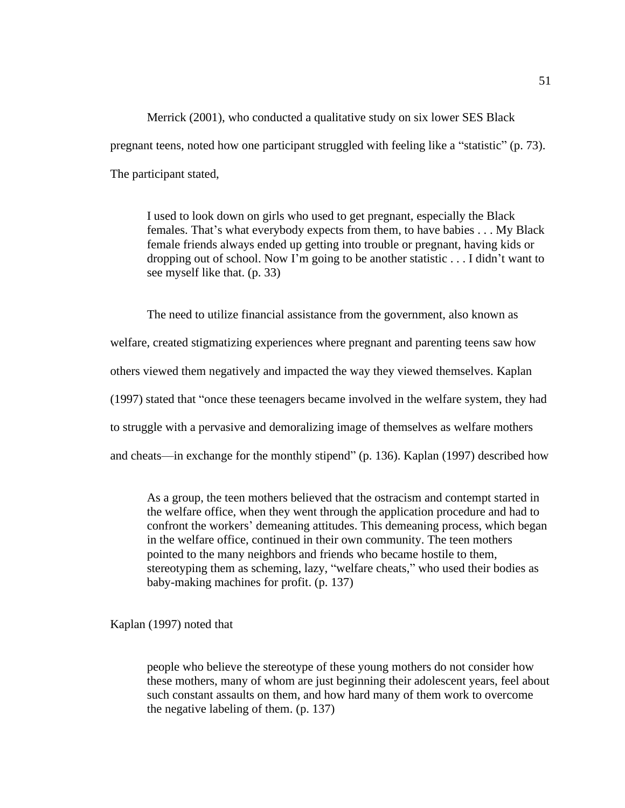Merrick (2001), who conducted a qualitative study on six lower SES Black pregnant teens, noted how one participant struggled with feeling like a "statistic" (p. 73). The participant stated,

I used to look down on girls who used to get pregnant, especially the Black females. That's what everybody expects from them, to have babies . . . My Black female friends always ended up getting into trouble or pregnant, having kids or dropping out of school. Now I'm going to be another statistic . . . I didn't want to see myself like that. (p. 33)

The need to utilize financial assistance from the government, also known as welfare, created stigmatizing experiences where pregnant and parenting teens saw how others viewed them negatively and impacted the way they viewed themselves. Kaplan (1997) stated that "once these teenagers became involved in the welfare system, they had to struggle with a pervasive and demoralizing image of themselves as welfare mothers and cheats—in exchange for the monthly stipend" (p. 136). Kaplan (1997) described how

As a group, the teen mothers believed that the ostracism and contempt started in the welfare office, when they went through the application procedure and had to confront the workers' demeaning attitudes. This demeaning process, which began in the welfare office, continued in their own community. The teen mothers pointed to the many neighbors and friends who became hostile to them, stereotyping them as scheming, lazy, "welfare cheats," who used their bodies as baby-making machines for profit. (p. 137)

Kaplan (1997) noted that

people who believe the stereotype of these young mothers do not consider how these mothers, many of whom are just beginning their adolescent years, feel about such constant assaults on them, and how hard many of them work to overcome the negative labeling of them. (p. 137)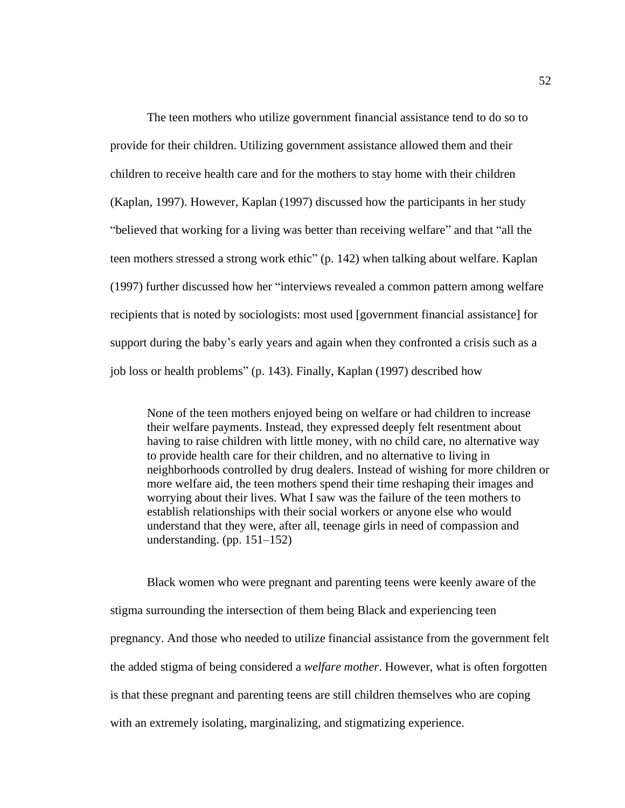The teen mothers who utilize government financial assistance tend to do so to provide for their children. Utilizing government assistance allowed them and their children to receive health care and for the mothers to stay home with their children (Kaplan, 1997). However, Kaplan (1997) discussed how the participants in her study "believed that working for a living was better than receiving welfare" and that "all the teen mothers stressed a strong work ethic" (p. 142) when talking about welfare. Kaplan (1997) further discussed how her "interviews revealed a common pattern among welfare recipients that is noted by sociologists: most used [government financial assistance] for support during the baby's early years and again when they confronted a crisis such as a job loss or health problems" (p. 143). Finally, Kaplan (1997) described how

None of the teen mothers enjoyed being on welfare or had children to increase their welfare payments. Instead, they expressed deeply felt resentment about having to raise children with little money, with no child care, no alternative way to provide health care for their children, and no alternative to living in neighborhoods controlled by drug dealers. Instead of wishing for more children or more welfare aid, the teen mothers spend their time reshaping their images and worrying about their lives. What I saw was the failure of the teen mothers to establish relationships with their social workers or anyone else who would understand that they were, after all, teenage girls in need of compassion and understanding. (pp. 151–152)

Black women who were pregnant and parenting teens were keenly aware of the stigma surrounding the intersection of them being Black and experiencing teen pregnancy. And those who needed to utilize financial assistance from the government felt the added stigma of being considered a *welfare mother*. However, what is often forgotten is that these pregnant and parenting teens are still children themselves who are coping with an extremely isolating, marginalizing, and stigmatizing experience.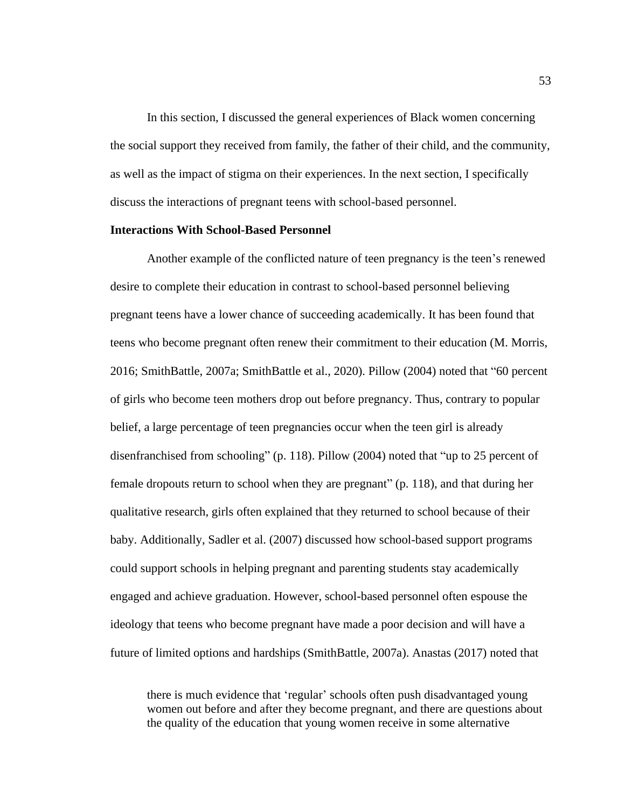In this section, I discussed the general experiences of Black women concerning the social support they received from family, the father of their child, and the community, as well as the impact of stigma on their experiences. In the next section, I specifically discuss the interactions of pregnant teens with school-based personnel.

# **Interactions With School-Based Personnel**

Another example of the conflicted nature of teen pregnancy is the teen's renewed desire to complete their education in contrast to school-based personnel believing pregnant teens have a lower chance of succeeding academically. It has been found that teens who become pregnant often renew their commitment to their education (M. Morris, 2016; SmithBattle, 2007a; SmithBattle et al., 2020). Pillow (2004) noted that "60 percent of girls who become teen mothers drop out before pregnancy. Thus, contrary to popular belief, a large percentage of teen pregnancies occur when the teen girl is already disenfranchised from schooling" (p. 118). Pillow (2004) noted that "up to 25 percent of female dropouts return to school when they are pregnant" (p. 118), and that during her qualitative research, girls often explained that they returned to school because of their baby. Additionally, Sadler et al. (2007) discussed how school-based support programs could support schools in helping pregnant and parenting students stay academically engaged and achieve graduation. However, school-based personnel often espouse the ideology that teens who become pregnant have made a poor decision and will have a future of limited options and hardships (SmithBattle, 2007a). Anastas (2017) noted that

there is much evidence that 'regular' schools often push disadvantaged young women out before and after they become pregnant, and there are questions about the quality of the education that young women receive in some alternative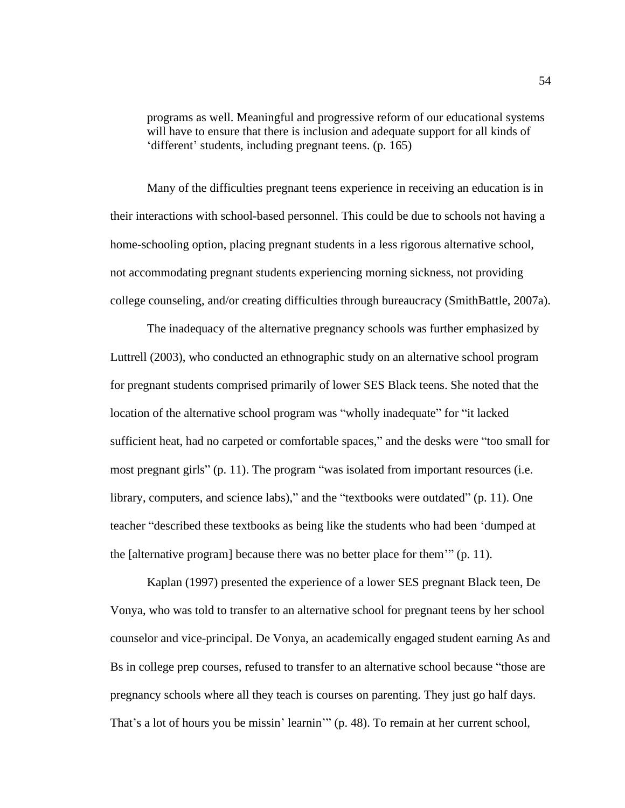programs as well. Meaningful and progressive reform of our educational systems will have to ensure that there is inclusion and adequate support for all kinds of 'different' students, including pregnant teens. (p. 165)

Many of the difficulties pregnant teens experience in receiving an education is in their interactions with school-based personnel. This could be due to schools not having a home-schooling option, placing pregnant students in a less rigorous alternative school, not accommodating pregnant students experiencing morning sickness, not providing college counseling, and/or creating difficulties through bureaucracy (SmithBattle, 2007a).

The inadequacy of the alternative pregnancy schools was further emphasized by Luttrell (2003), who conducted an ethnographic study on an alternative school program for pregnant students comprised primarily of lower SES Black teens. She noted that the location of the alternative school program was "wholly inadequate" for "it lacked sufficient heat, had no carpeted or comfortable spaces," and the desks were "too small for most pregnant girls" (p. 11). The program "was isolated from important resources (i.e. library, computers, and science labs)," and the "textbooks were outdated" (p. 11). One teacher "described these textbooks as being like the students who had been 'dumped at the [alternative program] because there was no better place for them'" (p. 11).

Kaplan (1997) presented the experience of a lower SES pregnant Black teen, De Vonya, who was told to transfer to an alternative school for pregnant teens by her school counselor and vice-principal. De Vonya, an academically engaged student earning As and Bs in college prep courses, refused to transfer to an alternative school because "those are pregnancy schools where all they teach is courses on parenting. They just go half days. That's a lot of hours you be missin' learnin'" (p. 48). To remain at her current school,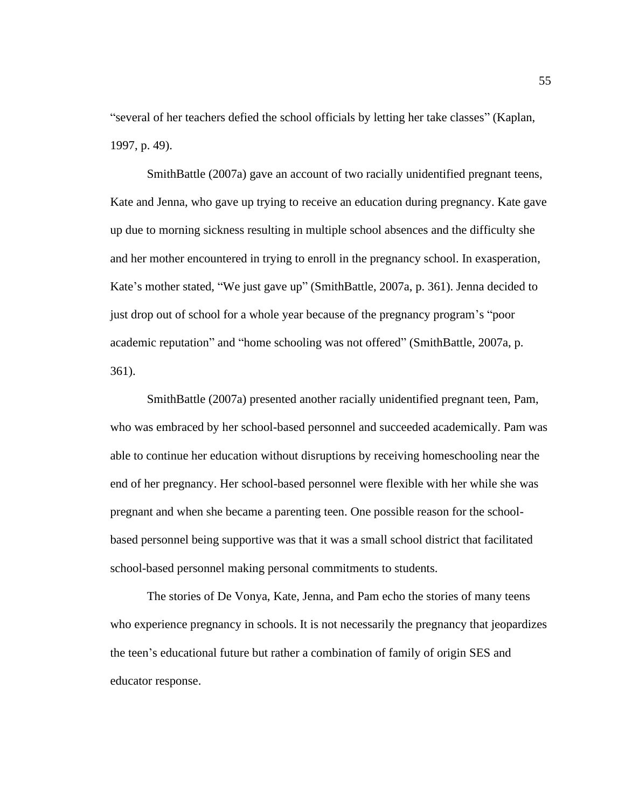"several of her teachers defied the school officials by letting her take classes" (Kaplan, 1997, p. 49).

SmithBattle (2007a) gave an account of two racially unidentified pregnant teens, Kate and Jenna, who gave up trying to receive an education during pregnancy. Kate gave up due to morning sickness resulting in multiple school absences and the difficulty she and her mother encountered in trying to enroll in the pregnancy school. In exasperation, Kate's mother stated, "We just gave up" (SmithBattle, 2007a, p. 361). Jenna decided to just drop out of school for a whole year because of the pregnancy program's "poor academic reputation" and "home schooling was not offered" (SmithBattle, 2007a, p. 361).

SmithBattle (2007a) presented another racially unidentified pregnant teen, Pam, who was embraced by her school-based personnel and succeeded academically. Pam was able to continue her education without disruptions by receiving homeschooling near the end of her pregnancy. Her school-based personnel were flexible with her while she was pregnant and when she became a parenting teen. One possible reason for the schoolbased personnel being supportive was that it was a small school district that facilitated school-based personnel making personal commitments to students.

The stories of De Vonya, Kate, Jenna, and Pam echo the stories of many teens who experience pregnancy in schools. It is not necessarily the pregnancy that jeopardizes the teen's educational future but rather a combination of family of origin SES and educator response.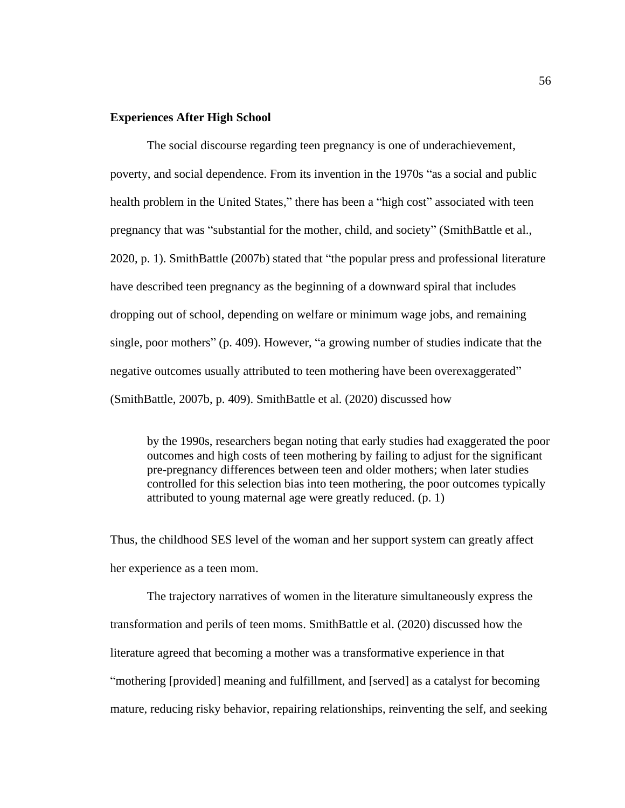# **Experiences After High School**

The social discourse regarding teen pregnancy is one of underachievement, poverty, and social dependence. From its invention in the 1970s "as a social and public health problem in the United States," there has been a "high cost" associated with teen pregnancy that was "substantial for the mother, child, and society" (SmithBattle et al., 2020, p. 1). SmithBattle (2007b) stated that "the popular press and professional literature have described teen pregnancy as the beginning of a downward spiral that includes dropping out of school, depending on welfare or minimum wage jobs, and remaining single, poor mothers" (p. 409). However, "a growing number of studies indicate that the negative outcomes usually attributed to teen mothering have been overexaggerated" (SmithBattle, 2007b, p. 409). SmithBattle et al. (2020) discussed how

by the 1990s, researchers began noting that early studies had exaggerated the poor outcomes and high costs of teen mothering by failing to adjust for the significant pre-pregnancy differences between teen and older mothers; when later studies controlled for this selection bias into teen mothering, the poor outcomes typically attributed to young maternal age were greatly reduced. (p. 1)

Thus, the childhood SES level of the woman and her support system can greatly affect her experience as a teen mom.

The trajectory narratives of women in the literature simultaneously express the transformation and perils of teen moms. SmithBattle et al. (2020) discussed how the literature agreed that becoming a mother was a transformative experience in that "mothering [provided] meaning and fulfillment, and [served] as a catalyst for becoming mature, reducing risky behavior, repairing relationships, reinventing the self, and seeking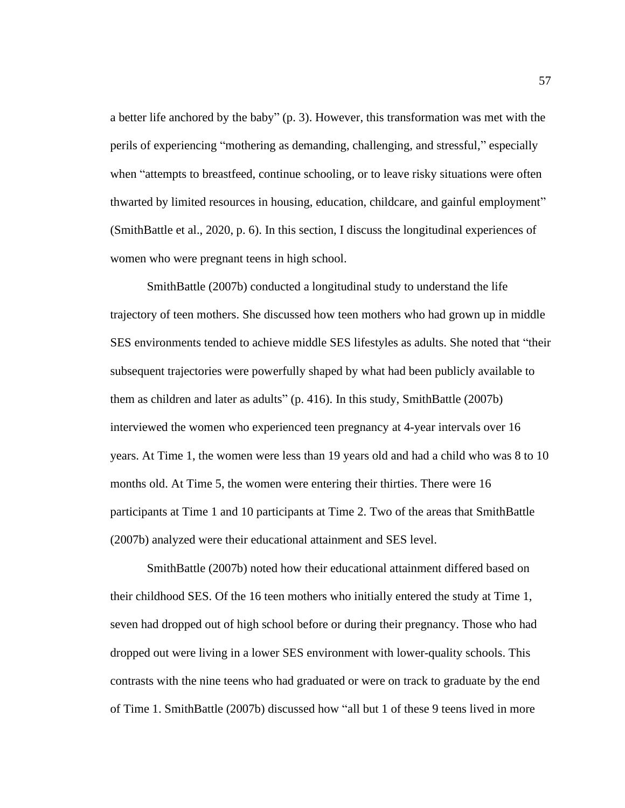a better life anchored by the baby" (p. 3). However, this transformation was met with the perils of experiencing "mothering as demanding, challenging, and stressful," especially when "attempts to breastfeed, continue schooling, or to leave risky situations were often thwarted by limited resources in housing, education, childcare, and gainful employment" (SmithBattle et al., 2020, p. 6). In this section, I discuss the longitudinal experiences of women who were pregnant teens in high school.

SmithBattle (2007b) conducted a longitudinal study to understand the life trajectory of teen mothers. She discussed how teen mothers who had grown up in middle SES environments tended to achieve middle SES lifestyles as adults. She noted that "their subsequent trajectories were powerfully shaped by what had been publicly available to them as children and later as adults" (p. 416). In this study, SmithBattle (2007b) interviewed the women who experienced teen pregnancy at 4-year intervals over 16 years. At Time 1, the women were less than 19 years old and had a child who was 8 to 10 months old. At Time 5, the women were entering their thirties. There were 16 participants at Time 1 and 10 participants at Time 2. Two of the areas that SmithBattle (2007b) analyzed were their educational attainment and SES level.

SmithBattle (2007b) noted how their educational attainment differed based on their childhood SES. Of the 16 teen mothers who initially entered the study at Time 1, seven had dropped out of high school before or during their pregnancy. Those who had dropped out were living in a lower SES environment with lower-quality schools. This contrasts with the nine teens who had graduated or were on track to graduate by the end of Time 1. SmithBattle (2007b) discussed how "all but 1 of these 9 teens lived in more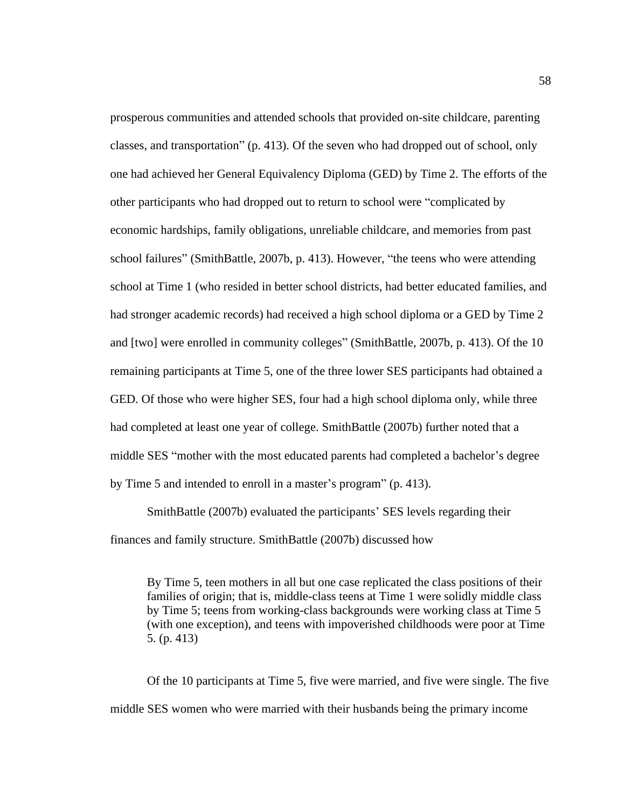prosperous communities and attended schools that provided on-site childcare, parenting classes, and transportation" (p. 413). Of the seven who had dropped out of school, only one had achieved her General Equivalency Diploma (GED) by Time 2. The efforts of the other participants who had dropped out to return to school were "complicated by economic hardships, family obligations, unreliable childcare, and memories from past school failures" (SmithBattle, 2007b, p. 413). However, "the teens who were attending school at Time 1 (who resided in better school districts, had better educated families, and had stronger academic records) had received a high school diploma or a GED by Time 2 and [two] were enrolled in community colleges" (SmithBattle, 2007b, p. 413). Of the 10 remaining participants at Time 5, one of the three lower SES participants had obtained a GED. Of those who were higher SES, four had a high school diploma only, while three had completed at least one year of college. SmithBattle (2007b) further noted that a middle SES "mother with the most educated parents had completed a bachelor's degree by Time 5 and intended to enroll in a master's program" (p. 413).

SmithBattle (2007b) evaluated the participants' SES levels regarding their finances and family structure. SmithBattle (2007b) discussed how

By Time 5, teen mothers in all but one case replicated the class positions of their families of origin; that is, middle-class teens at Time 1 were solidly middle class by Time 5; teens from working-class backgrounds were working class at Time 5 (with one exception), and teens with impoverished childhoods were poor at Time 5. (p. 413)

Of the 10 participants at Time 5, five were married, and five were single. The five middle SES women who were married with their husbands being the primary income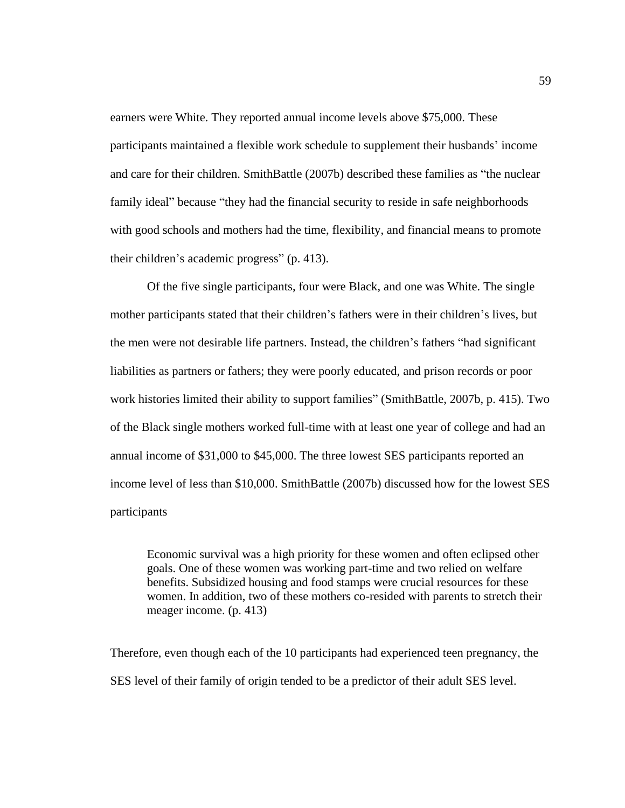earners were White. They reported annual income levels above \$75,000. These participants maintained a flexible work schedule to supplement their husbands' income and care for their children. SmithBattle (2007b) described these families as "the nuclear family ideal" because "they had the financial security to reside in safe neighborhoods with good schools and mothers had the time, flexibility, and financial means to promote their children's academic progress" (p. 413).

Of the five single participants, four were Black, and one was White. The single mother participants stated that their children's fathers were in their children's lives, but the men were not desirable life partners. Instead, the children's fathers "had significant liabilities as partners or fathers; they were poorly educated, and prison records or poor work histories limited their ability to support families" (SmithBattle, 2007b, p. 415). Two of the Black single mothers worked full-time with at least one year of college and had an annual income of \$31,000 to \$45,000. The three lowest SES participants reported an income level of less than \$10,000. SmithBattle (2007b) discussed how for the lowest SES participants

Economic survival was a high priority for these women and often eclipsed other goals. One of these women was working part-time and two relied on welfare benefits. Subsidized housing and food stamps were crucial resources for these women. In addition, two of these mothers co-resided with parents to stretch their meager income. (p. 413)

Therefore, even though each of the 10 participants had experienced teen pregnancy, the SES level of their family of origin tended to be a predictor of their adult SES level.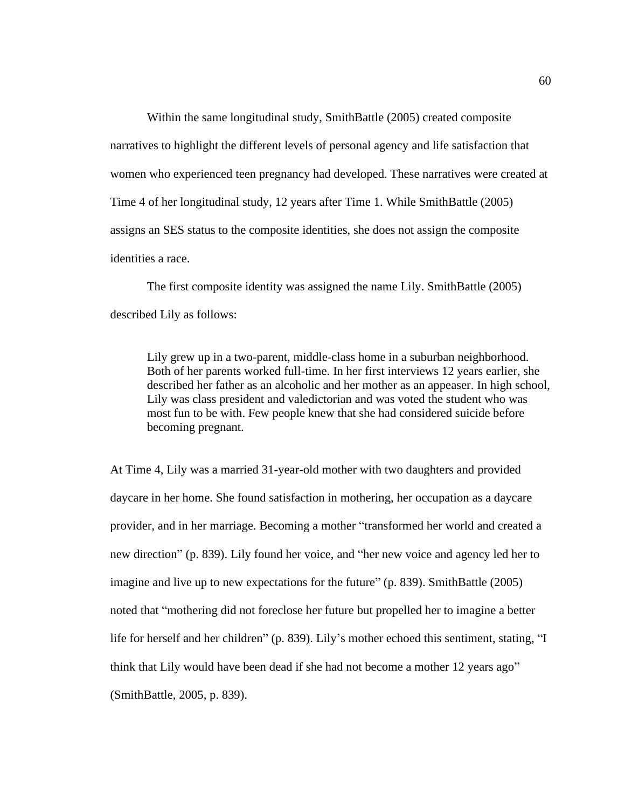Within the same longitudinal study, SmithBattle (2005) created composite narratives to highlight the different levels of personal agency and life satisfaction that women who experienced teen pregnancy had developed. These narratives were created at Time 4 of her longitudinal study, 12 years after Time 1. While SmithBattle (2005) assigns an SES status to the composite identities, she does not assign the composite identities a race.

The first composite identity was assigned the name Lily. SmithBattle (2005) described Lily as follows:

Lily grew up in a two-parent, middle-class home in a suburban neighborhood. Both of her parents worked full-time. In her first interviews 12 years earlier, she described her father as an alcoholic and her mother as an appeaser. In high school, Lily was class president and valedictorian and was voted the student who was most fun to be with. Few people knew that she had considered suicide before becoming pregnant.

At Time 4, Lily was a married 31-year-old mother with two daughters and provided daycare in her home. She found satisfaction in mothering, her occupation as a daycare provider, and in her marriage. Becoming a mother "transformed her world and created a new direction" (p. 839). Lily found her voice, and "her new voice and agency led her to imagine and live up to new expectations for the future" (p. 839). SmithBattle (2005) noted that "mothering did not foreclose her future but propelled her to imagine a better life for herself and her children" (p. 839). Lily's mother echoed this sentiment, stating, "I think that Lily would have been dead if she had not become a mother 12 years ago" (SmithBattle, 2005, p. 839).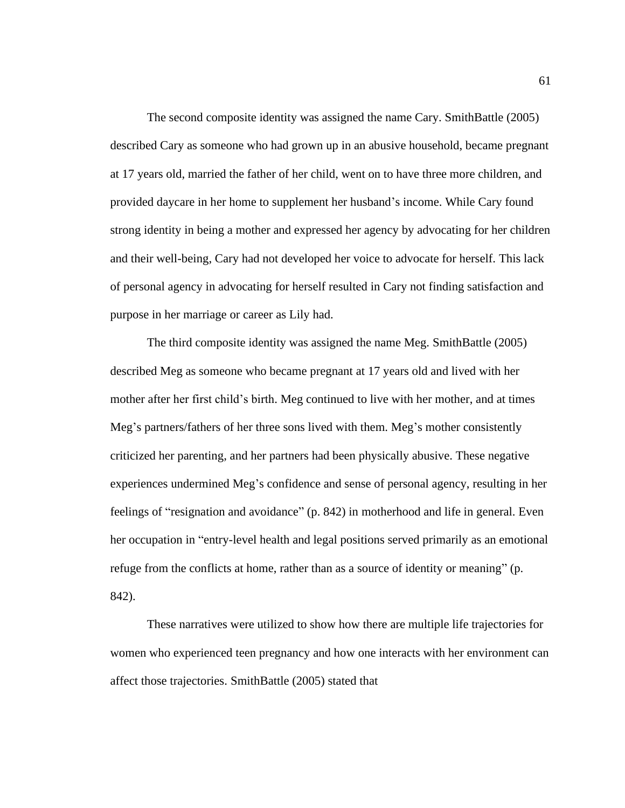The second composite identity was assigned the name Cary. SmithBattle (2005) described Cary as someone who had grown up in an abusive household, became pregnant at 17 years old, married the father of her child, went on to have three more children, and provided daycare in her home to supplement her husband's income. While Cary found strong identity in being a mother and expressed her agency by advocating for her children and their well-being, Cary had not developed her voice to advocate for herself. This lack of personal agency in advocating for herself resulted in Cary not finding satisfaction and purpose in her marriage or career as Lily had.

The third composite identity was assigned the name Meg. SmithBattle (2005) described Meg as someone who became pregnant at 17 years old and lived with her mother after her first child's birth. Meg continued to live with her mother, and at times Meg's partners/fathers of her three sons lived with them. Meg's mother consistently criticized her parenting, and her partners had been physically abusive. These negative experiences undermined Meg's confidence and sense of personal agency, resulting in her feelings of "resignation and avoidance" (p. 842) in motherhood and life in general. Even her occupation in "entry-level health and legal positions served primarily as an emotional refuge from the conflicts at home, rather than as a source of identity or meaning" (p. 842).

These narratives were utilized to show how there are multiple life trajectories for women who experienced teen pregnancy and how one interacts with her environment can affect those trajectories. SmithBattle (2005) stated that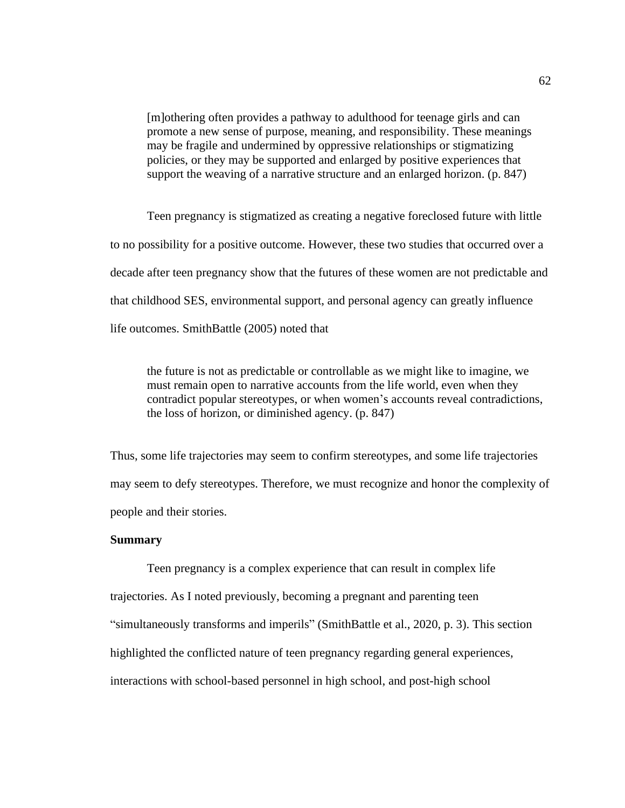[m]othering often provides a pathway to adulthood for teenage girls and can promote a new sense of purpose, meaning, and responsibility. These meanings may be fragile and undermined by oppressive relationships or stigmatizing policies, or they may be supported and enlarged by positive experiences that support the weaving of a narrative structure and an enlarged horizon. (p. 847)

Teen pregnancy is stigmatized as creating a negative foreclosed future with little to no possibility for a positive outcome. However, these two studies that occurred over a decade after teen pregnancy show that the futures of these women are not predictable and that childhood SES, environmental support, and personal agency can greatly influence life outcomes. SmithBattle (2005) noted that

the future is not as predictable or controllable as we might like to imagine, we must remain open to narrative accounts from the life world, even when they contradict popular stereotypes, or when women's accounts reveal contradictions, the loss of horizon, or diminished agency. (p. 847)

Thus, some life trajectories may seem to confirm stereotypes, and some life trajectories may seem to defy stereotypes. Therefore, we must recognize and honor the complexity of people and their stories.

### **Summary**

Teen pregnancy is a complex experience that can result in complex life trajectories. As I noted previously, becoming a pregnant and parenting teen "simultaneously transforms and imperils" (SmithBattle et al., 2020, p. 3). This section highlighted the conflicted nature of teen pregnancy regarding general experiences, interactions with school-based personnel in high school, and post-high school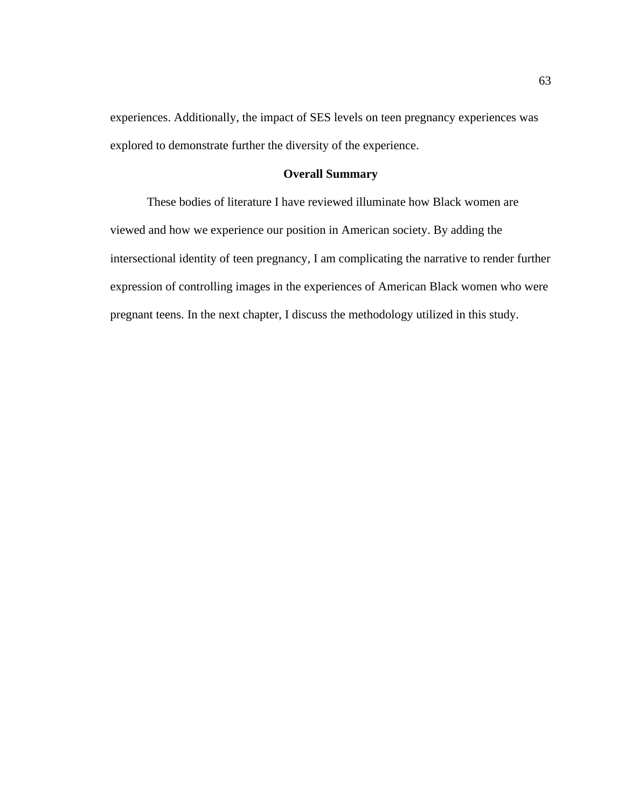experiences. Additionally, the impact of SES levels on teen pregnancy experiences was explored to demonstrate further the diversity of the experience.

# **Overall Summary**

These bodies of literature I have reviewed illuminate how Black women are viewed and how we experience our position in American society. By adding the intersectional identity of teen pregnancy, I am complicating the narrative to render further expression of controlling images in the experiences of American Black women who were pregnant teens. In the next chapter, I discuss the methodology utilized in this study.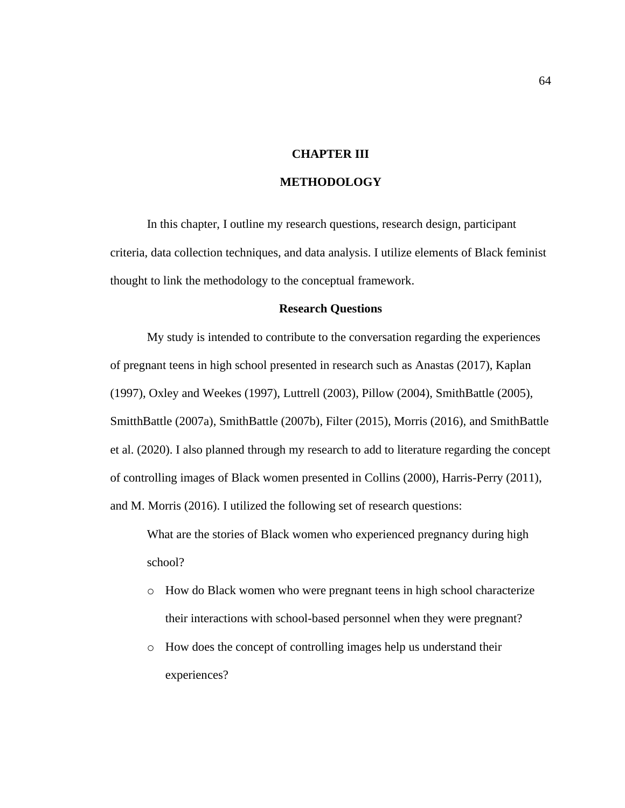# **CHAPTER III**

# **METHODOLOGY**

In this chapter, I outline my research questions, research design, participant criteria, data collection techniques, and data analysis. I utilize elements of Black feminist thought to link the methodology to the conceptual framework.

# **Research Questions**

My study is intended to contribute to the conversation regarding the experiences of pregnant teens in high school presented in research such as Anastas (2017), Kaplan (1997), Oxley and Weekes (1997), Luttrell (2003), Pillow (2004), SmithBattle (2005), SmitthBattle (2007a), SmithBattle (2007b), Filter (2015), Morris (2016), and SmithBattle et al. (2020). I also planned through my research to add to literature regarding the concept of controlling images of Black women presented in Collins (2000), Harris-Perry (2011), and M. Morris (2016). I utilized the following set of research questions:

What are the stories of Black women who experienced pregnancy during high school?

- o How do Black women who were pregnant teens in high school characterize their interactions with school-based personnel when they were pregnant?
- o How does the concept of controlling images help us understand their experiences?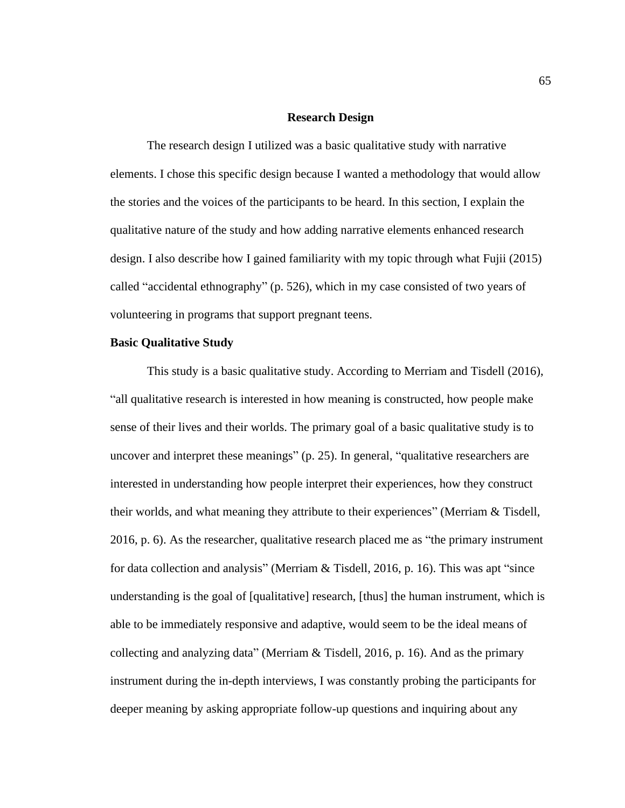#### **Research Design**

The research design I utilized was a basic qualitative study with narrative elements. I chose this specific design because I wanted a methodology that would allow the stories and the voices of the participants to be heard. In this section, I explain the qualitative nature of the study and how adding narrative elements enhanced research design. I also describe how I gained familiarity with my topic through what Fujii (2015) called "accidental ethnography" (p. 526), which in my case consisted of two years of volunteering in programs that support pregnant teens.

### **Basic Qualitative Study**

This study is a basic qualitative study. According to Merriam and Tisdell (2016), "all qualitative research is interested in how meaning is constructed, how people make sense of their lives and their worlds. The primary goal of a basic qualitative study is to uncover and interpret these meanings" (p. 25). In general, "qualitative researchers are interested in understanding how people interpret their experiences, how they construct their worlds, and what meaning they attribute to their experiences" (Merriam & Tisdell, 2016, p. 6). As the researcher, qualitative research placed me as "the primary instrument for data collection and analysis" (Merriam & Tisdell, 2016, p. 16). This was apt "since understanding is the goal of [qualitative] research, [thus] the human instrument, which is able to be immediately responsive and adaptive, would seem to be the ideal means of collecting and analyzing data" (Merriam & Tisdell, 2016, p. 16). And as the primary instrument during the in-depth interviews, I was constantly probing the participants for deeper meaning by asking appropriate follow-up questions and inquiring about any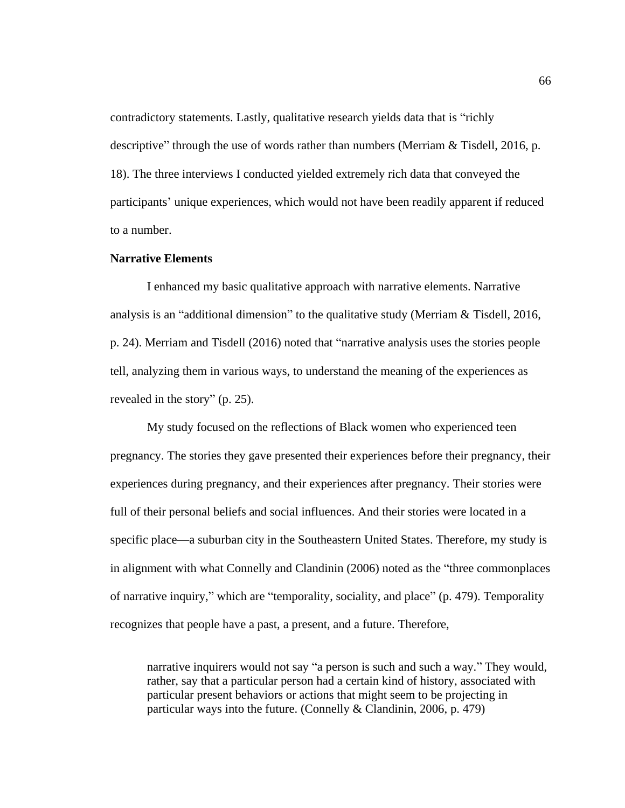contradictory statements. Lastly, qualitative research yields data that is "richly descriptive" through the use of words rather than numbers (Merriam & Tisdell, 2016, p. 18). The three interviews I conducted yielded extremely rich data that conveyed the participants' unique experiences, which would not have been readily apparent if reduced to a number.

# **Narrative Elements**

I enhanced my basic qualitative approach with narrative elements. Narrative analysis is an "additional dimension" to the qualitative study (Merriam & Tisdell, 2016, p. 24). Merriam and Tisdell (2016) noted that "narrative analysis uses the stories people tell, analyzing them in various ways, to understand the meaning of the experiences as revealed in the story" (p. 25).

My study focused on the reflections of Black women who experienced teen pregnancy. The stories they gave presented their experiences before their pregnancy, their experiences during pregnancy, and their experiences after pregnancy. Their stories were full of their personal beliefs and social influences. And their stories were located in a specific place—a suburban city in the Southeastern United States. Therefore, my study is in alignment with what Connelly and Clandinin (2006) noted as the "three commonplaces of narrative inquiry," which are "temporality, sociality, and place" (p. 479). Temporality recognizes that people have a past, a present, and a future. Therefore,

narrative inquirers would not say "a person is such and such a way." They would, rather, say that a particular person had a certain kind of history, associated with particular present behaviors or actions that might seem to be projecting in particular ways into the future. (Connelly & Clandinin, 2006, p. 479)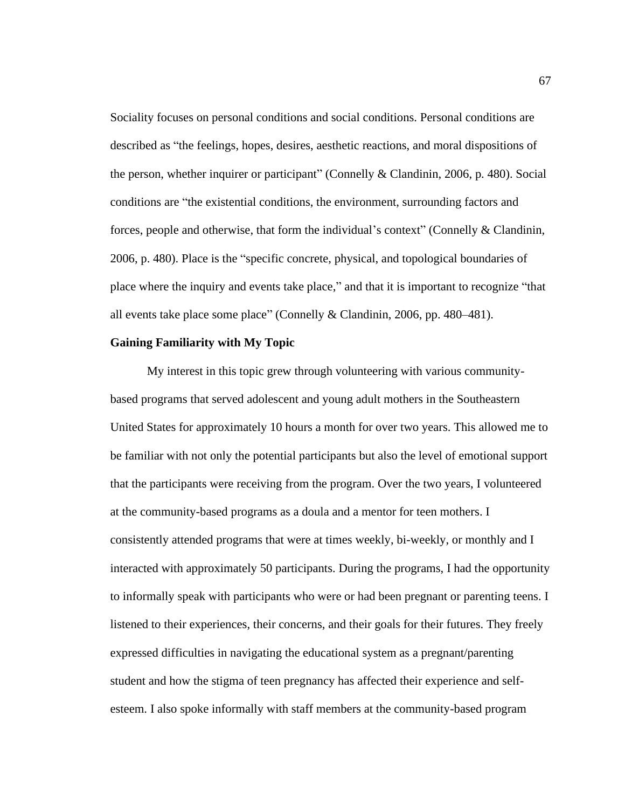Sociality focuses on personal conditions and social conditions. Personal conditions are described as "the feelings, hopes, desires, aesthetic reactions, and moral dispositions of the person, whether inquirer or participant" (Connelly & Clandinin, 2006, p. 480). Social conditions are "the existential conditions, the environment, surrounding factors and forces, people and otherwise, that form the individual's context" (Connelly & Clandinin, 2006, p. 480). Place is the "specific concrete, physical, and topological boundaries of place where the inquiry and events take place," and that it is important to recognize "that all events take place some place" (Connelly & Clandinin, 2006, pp. 480–481).

## **Gaining Familiarity with My Topic**

My interest in this topic grew through volunteering with various communitybased programs that served adolescent and young adult mothers in the Southeastern United States for approximately 10 hours a month for over two years. This allowed me to be familiar with not only the potential participants but also the level of emotional support that the participants were receiving from the program. Over the two years, I volunteered at the community-based programs as a doula and a mentor for teen mothers. I consistently attended programs that were at times weekly, bi-weekly, or monthly and I interacted with approximately 50 participants. During the programs, I had the opportunity to informally speak with participants who were or had been pregnant or parenting teens. I listened to their experiences, their concerns, and their goals for their futures. They freely expressed difficulties in navigating the educational system as a pregnant/parenting student and how the stigma of teen pregnancy has affected their experience and selfesteem. I also spoke informally with staff members at the community-based program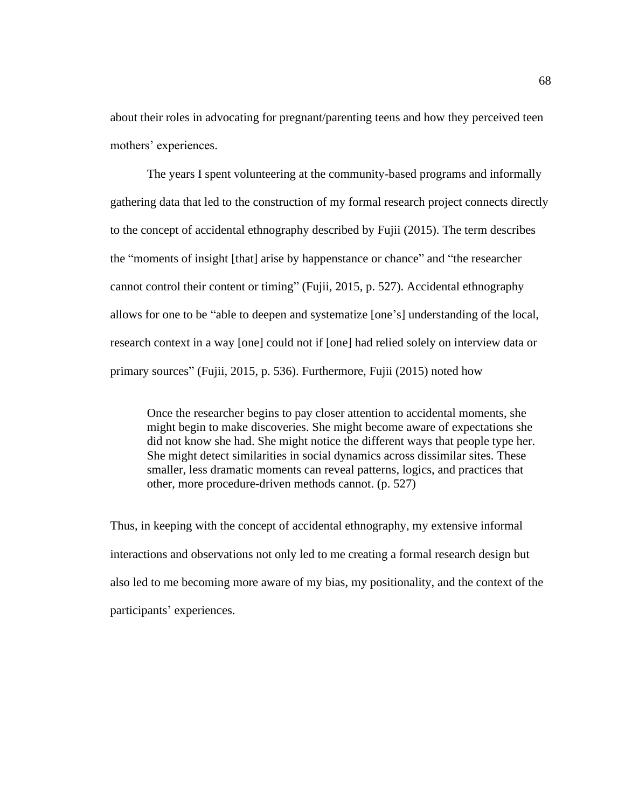about their roles in advocating for pregnant/parenting teens and how they perceived teen mothers' experiences.

The years I spent volunteering at the community-based programs and informally gathering data that led to the construction of my formal research project connects directly to the concept of accidental ethnography described by Fujii (2015). The term describes the "moments of insight [that] arise by happenstance or chance" and "the researcher cannot control their content or timing" (Fujii, 2015, p. 527). Accidental ethnography allows for one to be "able to deepen and systematize [one's] understanding of the local, research context in a way [one] could not if [one] had relied solely on interview data or primary sources" (Fujii, 2015, p. 536). Furthermore, Fujii (2015) noted how

Once the researcher begins to pay closer attention to accidental moments, she might begin to make discoveries. She might become aware of expectations she did not know she had. She might notice the different ways that people type her. She might detect similarities in social dynamics across dissimilar sites. These smaller, less dramatic moments can reveal patterns, logics, and practices that other, more procedure-driven methods cannot. (p. 527)

Thus, in keeping with the concept of accidental ethnography, my extensive informal interactions and observations not only led to me creating a formal research design but also led to me becoming more aware of my bias, my positionality, and the context of the participants' experiences.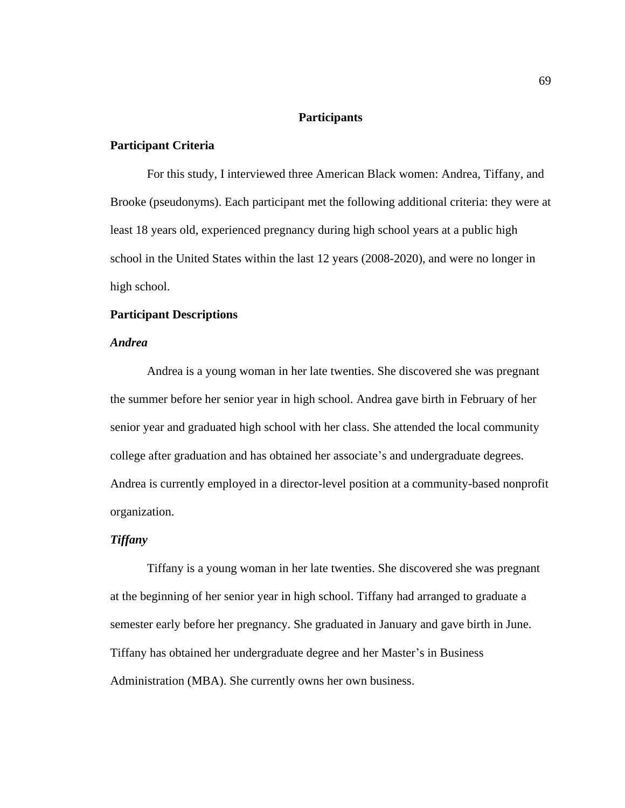# **Participants**

## **Participant Criteria**

For this study, I interviewed three American Black women: Andrea, Tiffany, and Brooke (pseudonyms). Each participant met the following additional criteria: they were at least 18 years old, experienced pregnancy during high school years at a public high school in the United States within the last 12 years (2008-2020), and were no longer in high school.

# **Participant Descriptions**

# *Andrea*

Andrea is a young woman in her late twenties. She discovered she was pregnant the summer before her senior year in high school. Andrea gave birth in February of her senior year and graduated high school with her class. She attended the local community college after graduation and has obtained her associate's and undergraduate degrees. Andrea is currently employed in a director-level position at a community-based nonprofit organization.

## *Tiffany*

Tiffany is a young woman in her late twenties. She discovered she was pregnant at the beginning of her senior year in high school. Tiffany had arranged to graduate a semester early before her pregnancy. She graduated in January and gave birth in June. Tiffany has obtained her undergraduate degree and her Master's in Business Administration (MBA). She currently owns her own business.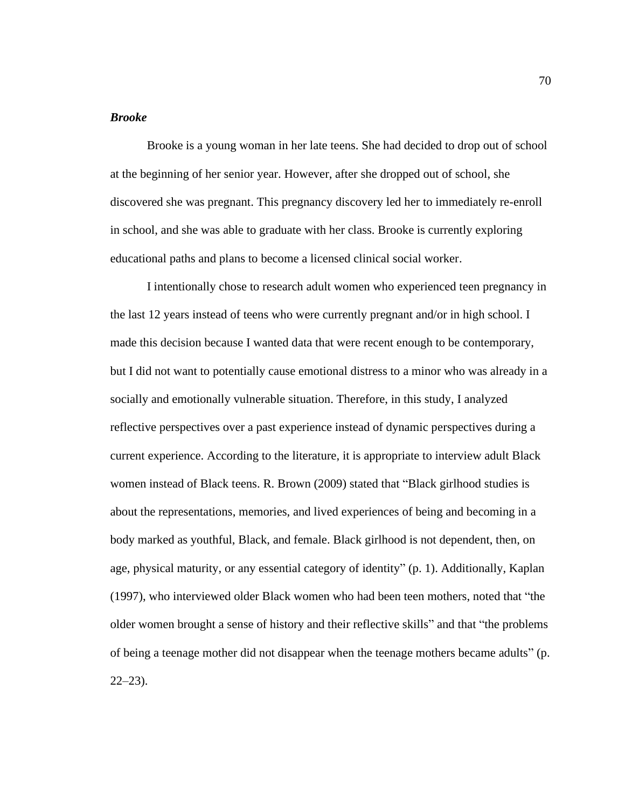# *Brooke*

Brooke is a young woman in her late teens. She had decided to drop out of school at the beginning of her senior year. However, after she dropped out of school, she discovered she was pregnant. This pregnancy discovery led her to immediately re-enroll in school, and she was able to graduate with her class. Brooke is currently exploring educational paths and plans to become a licensed clinical social worker.

I intentionally chose to research adult women who experienced teen pregnancy in the last 12 years instead of teens who were currently pregnant and/or in high school. I made this decision because I wanted data that were recent enough to be contemporary, but I did not want to potentially cause emotional distress to a minor who was already in a socially and emotionally vulnerable situation. Therefore, in this study, I analyzed reflective perspectives over a past experience instead of dynamic perspectives during a current experience. According to the literature, it is appropriate to interview adult Black women instead of Black teens. R. Brown (2009) stated that "Black girlhood studies is about the representations, memories, and lived experiences of being and becoming in a body marked as youthful, Black, and female. Black girlhood is not dependent, then, on age, physical maturity, or any essential category of identity" (p. 1). Additionally, Kaplan (1997), who interviewed older Black women who had been teen mothers, noted that "the older women brought a sense of history and their reflective skills" and that "the problems of being a teenage mother did not disappear when the teenage mothers became adults" (p.  $22 - 23$ ).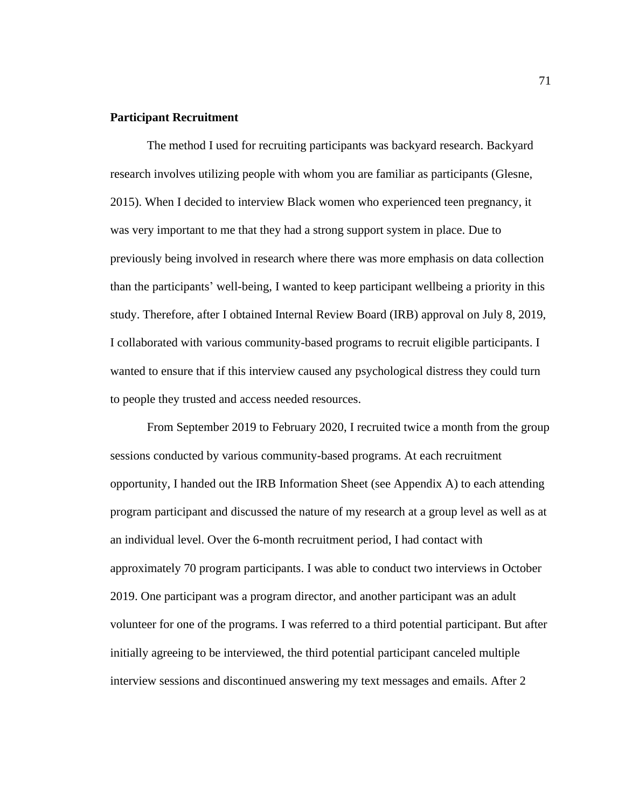## **Participant Recruitment**

The method I used for recruiting participants was backyard research. Backyard research involves utilizing people with whom you are familiar as participants (Glesne, 2015). When I decided to interview Black women who experienced teen pregnancy, it was very important to me that they had a strong support system in place. Due to previously being involved in research where there was more emphasis on data collection than the participants' well-being, I wanted to keep participant wellbeing a priority in this study. Therefore, after I obtained Internal Review Board (IRB) approval on July 8, 2019, I collaborated with various community-based programs to recruit eligible participants. I wanted to ensure that if this interview caused any psychological distress they could turn to people they trusted and access needed resources.

From September 2019 to February 2020, I recruited twice a month from the group sessions conducted by various community-based programs. At each recruitment opportunity, I handed out the IRB Information Sheet (see Appendix A) to each attending program participant and discussed the nature of my research at a group level as well as at an individual level. Over the 6-month recruitment period, I had contact with approximately 70 program participants. I was able to conduct two interviews in October 2019. One participant was a program director, and another participant was an adult volunteer for one of the programs. I was referred to a third potential participant. But after initially agreeing to be interviewed, the third potential participant canceled multiple interview sessions and discontinued answering my text messages and emails. After 2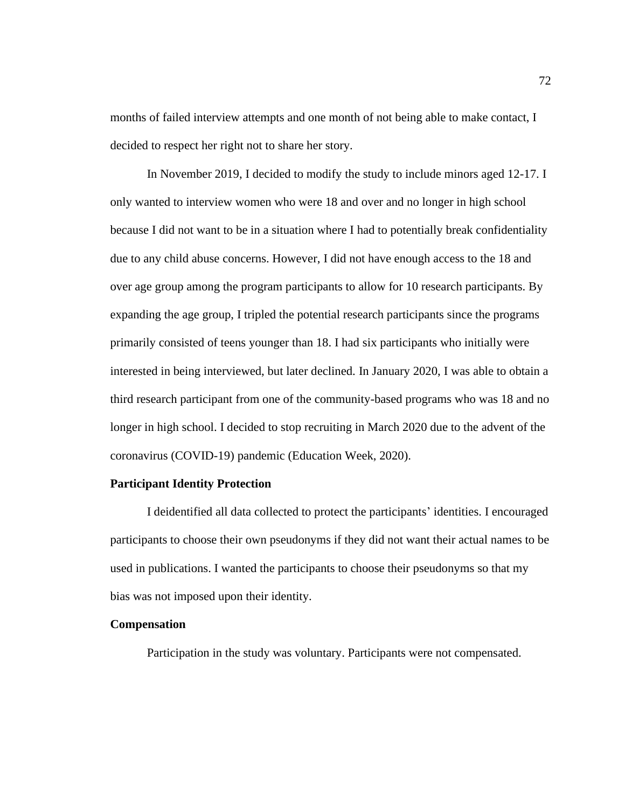months of failed interview attempts and one month of not being able to make contact, I decided to respect her right not to share her story.

In November 2019, I decided to modify the study to include minors aged 12-17. I only wanted to interview women who were 18 and over and no longer in high school because I did not want to be in a situation where I had to potentially break confidentiality due to any child abuse concerns. However, I did not have enough access to the 18 and over age group among the program participants to allow for 10 research participants. By expanding the age group, I tripled the potential research participants since the programs primarily consisted of teens younger than 18. I had six participants who initially were interested in being interviewed, but later declined. In January 2020, I was able to obtain a third research participant from one of the community-based programs who was 18 and no longer in high school. I decided to stop recruiting in March 2020 due to the advent of the coronavirus (COVID-19) pandemic (Education Week, 2020).

### **Participant Identity Protection**

I deidentified all data collected to protect the participants' identities. I encouraged participants to choose their own pseudonyms if they did not want their actual names to be used in publications. I wanted the participants to choose their pseudonyms so that my bias was not imposed upon their identity.

#### **Compensation**

Participation in the study was voluntary. Participants were not compensated.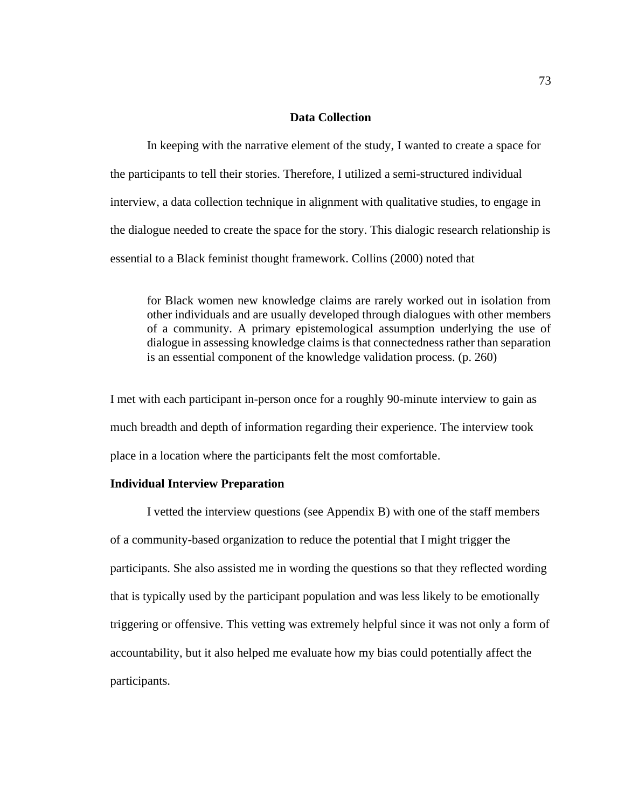# **Data Collection**

In keeping with the narrative element of the study, I wanted to create a space for the participants to tell their stories. Therefore, I utilized a semi-structured individual interview, a data collection technique in alignment with qualitative studies, to engage in the dialogue needed to create the space for the story. This dialogic research relationship is essential to a Black feminist thought framework. Collins (2000) noted that

for Black women new knowledge claims are rarely worked out in isolation from other individuals and are usually developed through dialogues with other members of a community. A primary epistemological assumption underlying the use of dialogue in assessing knowledge claims is that connectedness rather than separation is an essential component of the knowledge validation process. (p. 260)

I met with each participant in-person once for a roughly 90-minute interview to gain as much breadth and depth of information regarding their experience. The interview took place in a location where the participants felt the most comfortable.

### **Individual Interview Preparation**

I vetted the interview questions (see Appendix B) with one of the staff members of a community-based organization to reduce the potential that I might trigger the participants. She also assisted me in wording the questions so that they reflected wording that is typically used by the participant population and was less likely to be emotionally triggering or offensive. This vetting was extremely helpful since it was not only a form of accountability, but it also helped me evaluate how my bias could potentially affect the participants.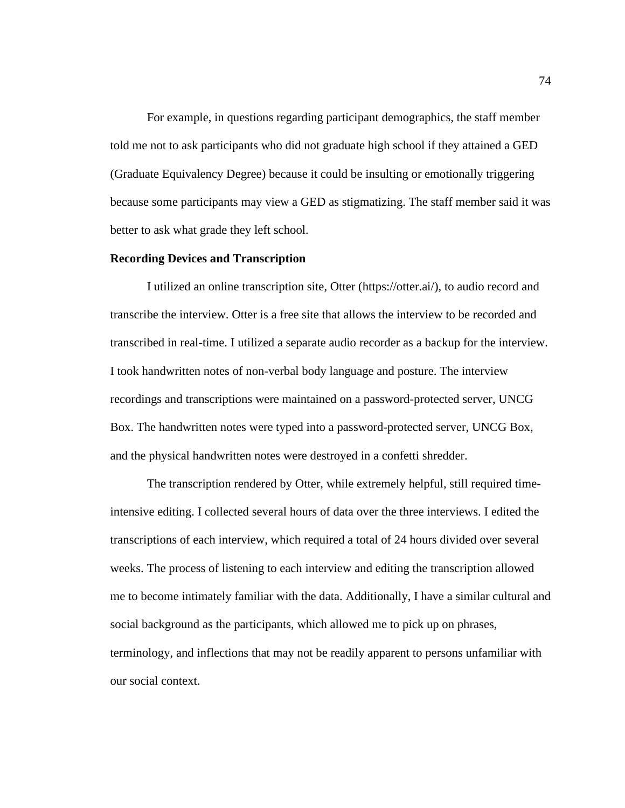For example, in questions regarding participant demographics, the staff member told me not to ask participants who did not graduate high school if they attained a GED (Graduate Equivalency Degree) because it could be insulting or emotionally triggering because some participants may view a GED as stigmatizing. The staff member said it was better to ask what grade they left school.

## **Recording Devices and Transcription**

I utilized an online transcription site, Otter (https://otter.ai/), to audio record and transcribe the interview. Otter is a free site that allows the interview to be recorded and transcribed in real-time. I utilized a separate audio recorder as a backup for the interview. I took handwritten notes of non-verbal body language and posture. The interview recordings and transcriptions were maintained on a password-protected server, UNCG Box. The handwritten notes were typed into a password-protected server, UNCG Box, and the physical handwritten notes were destroyed in a confetti shredder.

The transcription rendered by Otter, while extremely helpful, still required timeintensive editing. I collected several hours of data over the three interviews. I edited the transcriptions of each interview, which required a total of 24 hours divided over several weeks. The process of listening to each interview and editing the transcription allowed me to become intimately familiar with the data. Additionally, I have a similar cultural and social background as the participants, which allowed me to pick up on phrases, terminology, and inflections that may not be readily apparent to persons unfamiliar with our social context.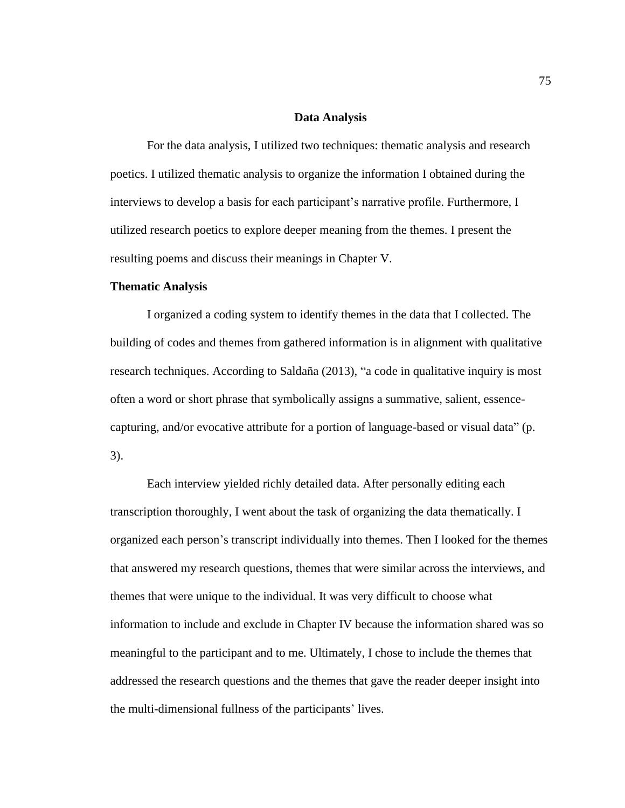## **Data Analysis**

For the data analysis, I utilized two techniques: thematic analysis and research poetics. I utilized thematic analysis to organize the information I obtained during the interviews to develop a basis for each participant's narrative profile. Furthermore, I utilized research poetics to explore deeper meaning from the themes. I present the resulting poems and discuss their meanings in Chapter V.

# **Thematic Analysis**

I organized a coding system to identify themes in the data that I collected. The building of codes and themes from gathered information is in alignment with qualitative research techniques. According to Saldaña (2013), "a code in qualitative inquiry is most often a word or short phrase that symbolically assigns a summative, salient, essencecapturing, and/or evocative attribute for a portion of language-based or visual data" (p. 3).

Each interview yielded richly detailed data. After personally editing each transcription thoroughly, I went about the task of organizing the data thematically. I organized each person's transcript individually into themes. Then I looked for the themes that answered my research questions, themes that were similar across the interviews, and themes that were unique to the individual. It was very difficult to choose what information to include and exclude in Chapter IV because the information shared was so meaningful to the participant and to me. Ultimately, I chose to include the themes that addressed the research questions and the themes that gave the reader deeper insight into the multi-dimensional fullness of the participants' lives.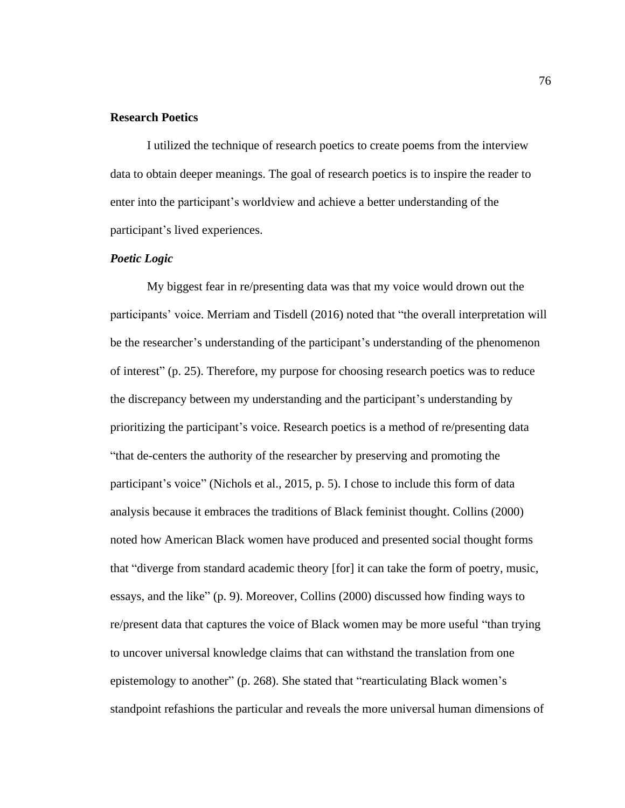# **Research Poetics**

I utilized the technique of research poetics to create poems from the interview data to obtain deeper meanings. The goal of research poetics is to inspire the reader to enter into the participant's worldview and achieve a better understanding of the participant's lived experiences.

# *Poetic Logic*

My biggest fear in re/presenting data was that my voice would drown out the participants' voice. Merriam and Tisdell (2016) noted that "the overall interpretation will be the researcher's understanding of the participant's understanding of the phenomenon of interest" (p. 25). Therefore, my purpose for choosing research poetics was to reduce the discrepancy between my understanding and the participant's understanding by prioritizing the participant's voice. Research poetics is a method of re/presenting data "that de-centers the authority of the researcher by preserving and promoting the participant's voice" (Nichols et al., 2015, p. 5). I chose to include this form of data analysis because it embraces the traditions of Black feminist thought. Collins (2000) noted how American Black women have produced and presented social thought forms that "diverge from standard academic theory [for] it can take the form of poetry, music, essays, and the like" (p. 9). Moreover, Collins (2000) discussed how finding ways to re/present data that captures the voice of Black women may be more useful "than trying to uncover universal knowledge claims that can withstand the translation from one epistemology to another" (p. 268). She stated that "rearticulating Black women's standpoint refashions the particular and reveals the more universal human dimensions of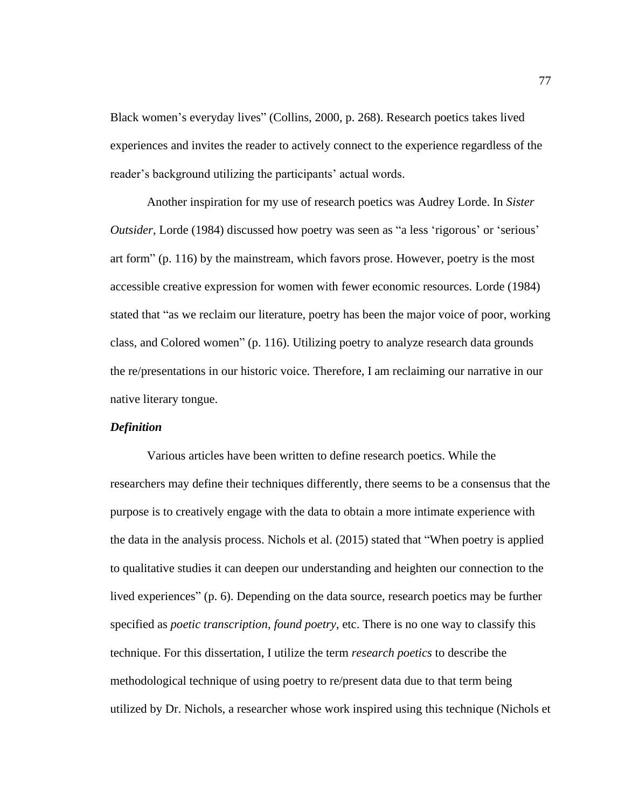Black women's everyday lives" (Collins, 2000, p. 268). Research poetics takes lived experiences and invites the reader to actively connect to the experience regardless of the reader's background utilizing the participants' actual words.

Another inspiration for my use of research poetics was Audrey Lorde. In *Sister Outsider*, Lorde (1984) discussed how poetry was seen as "a less 'rigorous' or 'serious' art form" (p. 116) by the mainstream, which favors prose. However, poetry is the most accessible creative expression for women with fewer economic resources. Lorde (1984) stated that "as we reclaim our literature, poetry has been the major voice of poor, working class, and Colored women" (p. 116). Utilizing poetry to analyze research data grounds the re/presentations in our historic voice. Therefore, I am reclaiming our narrative in our native literary tongue.

## *Definition*

Various articles have been written to define research poetics. While the researchers may define their techniques differently, there seems to be a consensus that the purpose is to creatively engage with the data to obtain a more intimate experience with the data in the analysis process. Nichols et al. (2015) stated that "When poetry is applied to qualitative studies it can deepen our understanding and heighten our connection to the lived experiences" (p. 6). Depending on the data source, research poetics may be further specified as *poetic transcription*, *found poetry*, etc. There is no one way to classify this technique. For this dissertation, I utilize the term *research poetics* to describe the methodological technique of using poetry to re/present data due to that term being utilized by Dr. Nichols, a researcher whose work inspired using this technique (Nichols et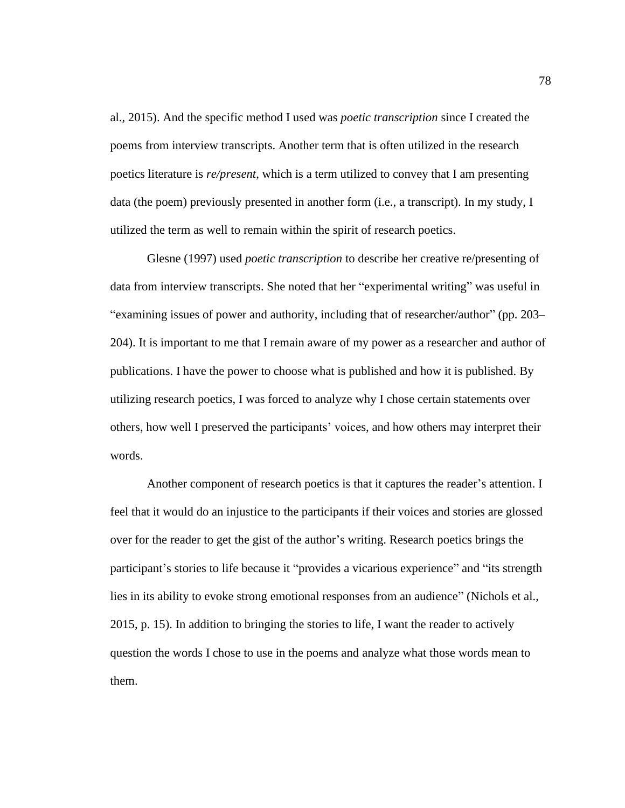al., 2015). And the specific method I used was *poetic transcription* since I created the poems from interview transcripts. Another term that is often utilized in the research poetics literature is *re/present*, which is a term utilized to convey that I am presenting data (the poem) previously presented in another form (i.e., a transcript). In my study, I utilized the term as well to remain within the spirit of research poetics.

Glesne (1997) used *poetic transcription* to describe her creative re/presenting of data from interview transcripts. She noted that her "experimental writing" was useful in "examining issues of power and authority, including that of researcher/author" (pp. 203– 204). It is important to me that I remain aware of my power as a researcher and author of publications. I have the power to choose what is published and how it is published. By utilizing research poetics, I was forced to analyze why I chose certain statements over others, how well I preserved the participants' voices, and how others may interpret their words.

Another component of research poetics is that it captures the reader's attention. I feel that it would do an injustice to the participants if their voices and stories are glossed over for the reader to get the gist of the author's writing. Research poetics brings the participant's stories to life because it "provides a vicarious experience" and "its strength lies in its ability to evoke strong emotional responses from an audience" (Nichols et al., 2015, p. 15). In addition to bringing the stories to life, I want the reader to actively question the words I chose to use in the poems and analyze what those words mean to them.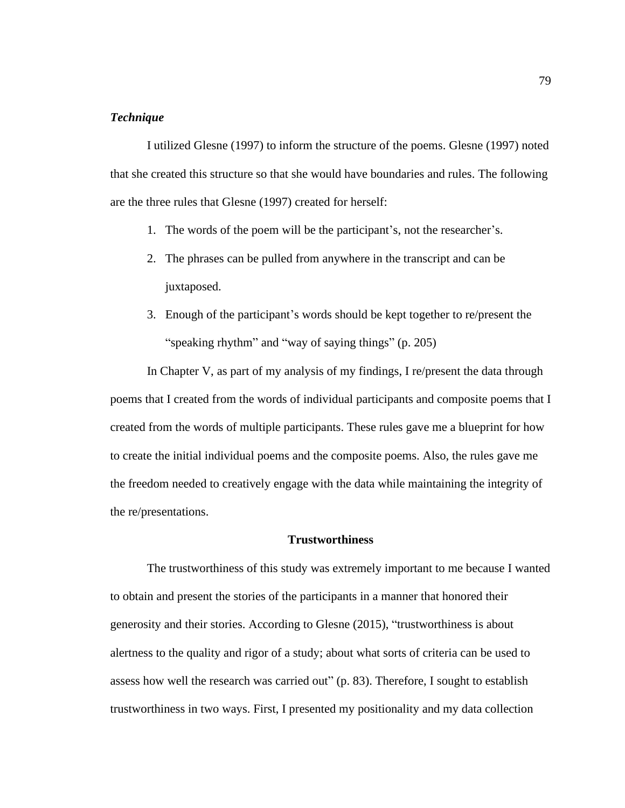# *Technique*

I utilized Glesne (1997) to inform the structure of the poems. Glesne (1997) noted that she created this structure so that she would have boundaries and rules. The following are the three rules that Glesne (1997) created for herself:

- 1. The words of the poem will be the participant's, not the researcher's.
- 2. The phrases can be pulled from anywhere in the transcript and can be juxtaposed.
- 3. Enough of the participant's words should be kept together to re/present the "speaking rhythm" and "way of saying things" (p. 205)

In Chapter V, as part of my analysis of my findings, I re/present the data through poems that I created from the words of individual participants and composite poems that I created from the words of multiple participants. These rules gave me a blueprint for how to create the initial individual poems and the composite poems. Also, the rules gave me the freedom needed to creatively engage with the data while maintaining the integrity of the re/presentations.

# **Trustworthiness**

The trustworthiness of this study was extremely important to me because I wanted to obtain and present the stories of the participants in a manner that honored their generosity and their stories. According to Glesne (2015), "trustworthiness is about alertness to the quality and rigor of a study; about what sorts of criteria can be used to assess how well the research was carried out" (p. 83). Therefore, I sought to establish trustworthiness in two ways. First, I presented my positionality and my data collection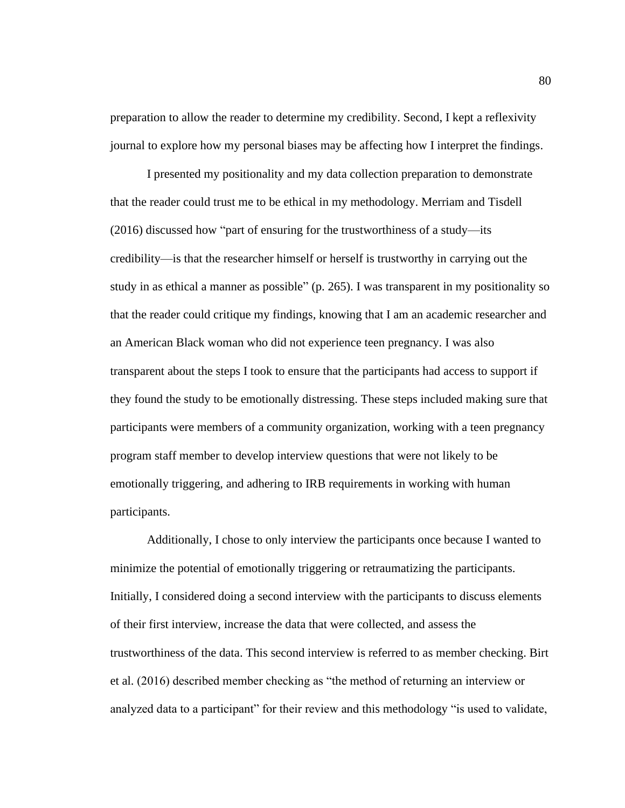preparation to allow the reader to determine my credibility. Second, I kept a reflexivity journal to explore how my personal biases may be affecting how I interpret the findings.

I presented my positionality and my data collection preparation to demonstrate that the reader could trust me to be ethical in my methodology. Merriam and Tisdell (2016) discussed how "part of ensuring for the trustworthiness of a study—its credibility—is that the researcher himself or herself is trustworthy in carrying out the study in as ethical a manner as possible" (p. 265). I was transparent in my positionality so that the reader could critique my findings, knowing that I am an academic researcher and an American Black woman who did not experience teen pregnancy. I was also transparent about the steps I took to ensure that the participants had access to support if they found the study to be emotionally distressing. These steps included making sure that participants were members of a community organization, working with a teen pregnancy program staff member to develop interview questions that were not likely to be emotionally triggering, and adhering to IRB requirements in working with human participants.

Additionally, I chose to only interview the participants once because I wanted to minimize the potential of emotionally triggering or retraumatizing the participants. Initially, I considered doing a second interview with the participants to discuss elements of their first interview, increase the data that were collected, and assess the trustworthiness of the data. This second interview is referred to as member checking. Birt et al. (2016) described member checking as "the method of returning an interview or analyzed data to a participant" for their review and this methodology "is used to validate,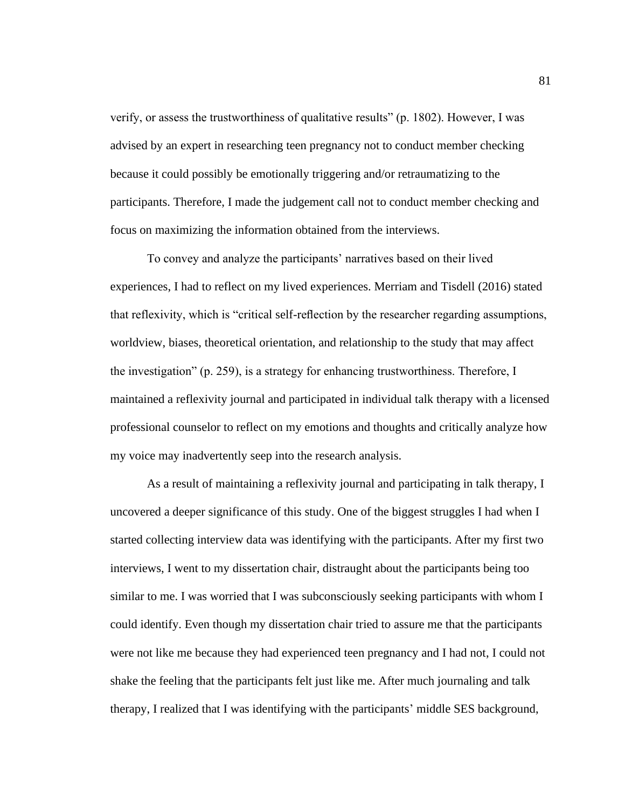verify, or assess the trustworthiness of qualitative results" (p. 1802). However, I was advised by an expert in researching teen pregnancy not to conduct member checking because it could possibly be emotionally triggering and/or retraumatizing to the participants. Therefore, I made the judgement call not to conduct member checking and focus on maximizing the information obtained from the interviews.

To convey and analyze the participants' narratives based on their lived experiences, I had to reflect on my lived experiences. Merriam and Tisdell (2016) stated that reflexivity, which is "critical self-reflection by the researcher regarding assumptions, worldview, biases, theoretical orientation, and relationship to the study that may affect the investigation" (p. 259), is a strategy for enhancing trustworthiness. Therefore, I maintained a reflexivity journal and participated in individual talk therapy with a licensed professional counselor to reflect on my emotions and thoughts and critically analyze how my voice may inadvertently seep into the research analysis.

As a result of maintaining a reflexivity journal and participating in talk therapy, I uncovered a deeper significance of this study. One of the biggest struggles I had when I started collecting interview data was identifying with the participants. After my first two interviews, I went to my dissertation chair, distraught about the participants being too similar to me. I was worried that I was subconsciously seeking participants with whom I could identify. Even though my dissertation chair tried to assure me that the participants were not like me because they had experienced teen pregnancy and I had not, I could not shake the feeling that the participants felt just like me. After much journaling and talk therapy, I realized that I was identifying with the participants' middle SES background,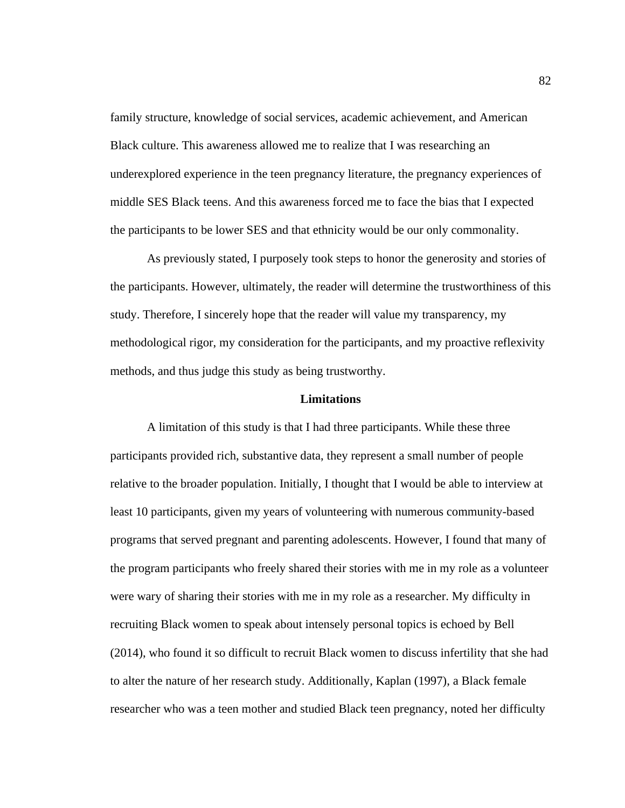family structure, knowledge of social services, academic achievement, and American Black culture. This awareness allowed me to realize that I was researching an underexplored experience in the teen pregnancy literature, the pregnancy experiences of middle SES Black teens. And this awareness forced me to face the bias that I expected the participants to be lower SES and that ethnicity would be our only commonality.

As previously stated, I purposely took steps to honor the generosity and stories of the participants. However, ultimately, the reader will determine the trustworthiness of this study. Therefore, I sincerely hope that the reader will value my transparency, my methodological rigor, my consideration for the participants, and my proactive reflexivity methods, and thus judge this study as being trustworthy.

# **Limitations**

A limitation of this study is that I had three participants. While these three participants provided rich, substantive data, they represent a small number of people relative to the broader population. Initially, I thought that I would be able to interview at least 10 participants, given my years of volunteering with numerous community-based programs that served pregnant and parenting adolescents. However, I found that many of the program participants who freely shared their stories with me in my role as a volunteer were wary of sharing their stories with me in my role as a researcher. My difficulty in recruiting Black women to speak about intensely personal topics is echoed by Bell (2014), who found it so difficult to recruit Black women to discuss infertility that she had to alter the nature of her research study. Additionally, Kaplan (1997), a Black female researcher who was a teen mother and studied Black teen pregnancy, noted her difficulty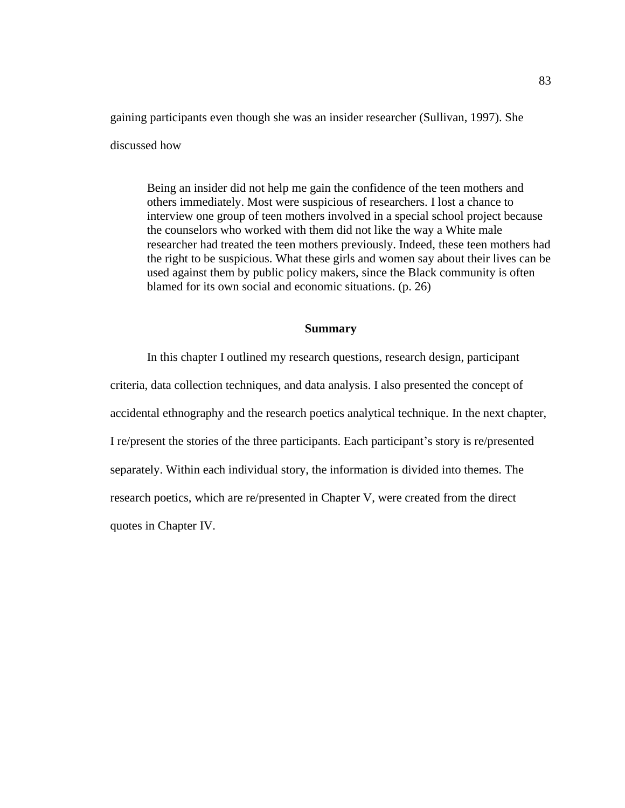gaining participants even though she was an insider researcher (Sullivan, 1997). She

discussed how

Being an insider did not help me gain the confidence of the teen mothers and others immediately. Most were suspicious of researchers. I lost a chance to interview one group of teen mothers involved in a special school project because the counselors who worked with them did not like the way a White male researcher had treated the teen mothers previously. Indeed, these teen mothers had the right to be suspicious. What these girls and women say about their lives can be used against them by public policy makers, since the Black community is often blamed for its own social and economic situations. (p. 26)

#### **Summary**

In this chapter I outlined my research questions, research design, participant criteria, data collection techniques, and data analysis. I also presented the concept of accidental ethnography and the research poetics analytical technique. In the next chapter, I re/present the stories of the three participants. Each participant's story is re/presented separately. Within each individual story, the information is divided into themes. The research poetics, which are re/presented in Chapter V, were created from the direct quotes in Chapter IV.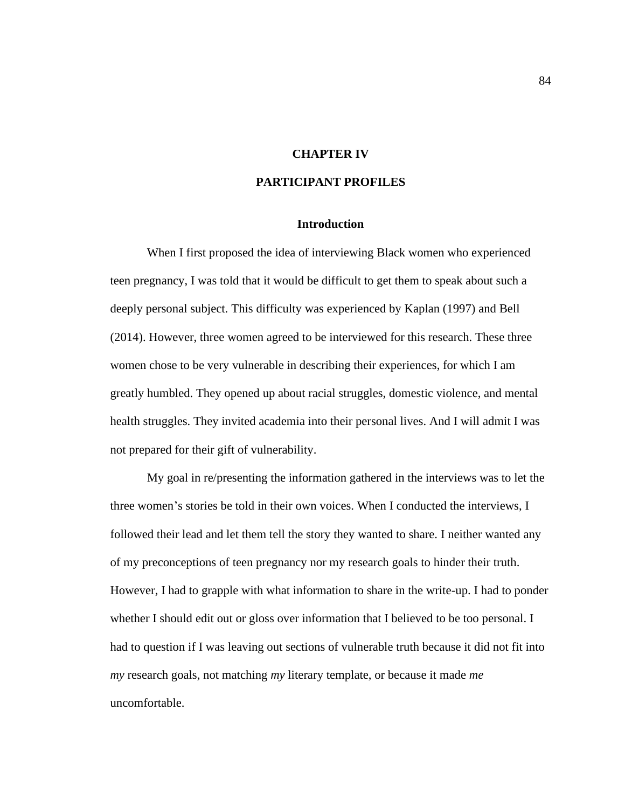# **CHAPTER IV**

# **PARTICIPANT PROFILES**

### **Introduction**

When I first proposed the idea of interviewing Black women who experienced teen pregnancy, I was told that it would be difficult to get them to speak about such a deeply personal subject. This difficulty was experienced by Kaplan (1997) and Bell (2014). However, three women agreed to be interviewed for this research. These three women chose to be very vulnerable in describing their experiences, for which I am greatly humbled. They opened up about racial struggles, domestic violence, and mental health struggles. They invited academia into their personal lives. And I will admit I was not prepared for their gift of vulnerability.

My goal in re/presenting the information gathered in the interviews was to let the three women's stories be told in their own voices. When I conducted the interviews, I followed their lead and let them tell the story they wanted to share. I neither wanted any of my preconceptions of teen pregnancy nor my research goals to hinder their truth. However, I had to grapple with what information to share in the write-up. I had to ponder whether I should edit out or gloss over information that I believed to be too personal. I had to question if I was leaving out sections of vulnerable truth because it did not fit into *my* research goals, not matching *my* literary template, or because it made *me* uncomfortable.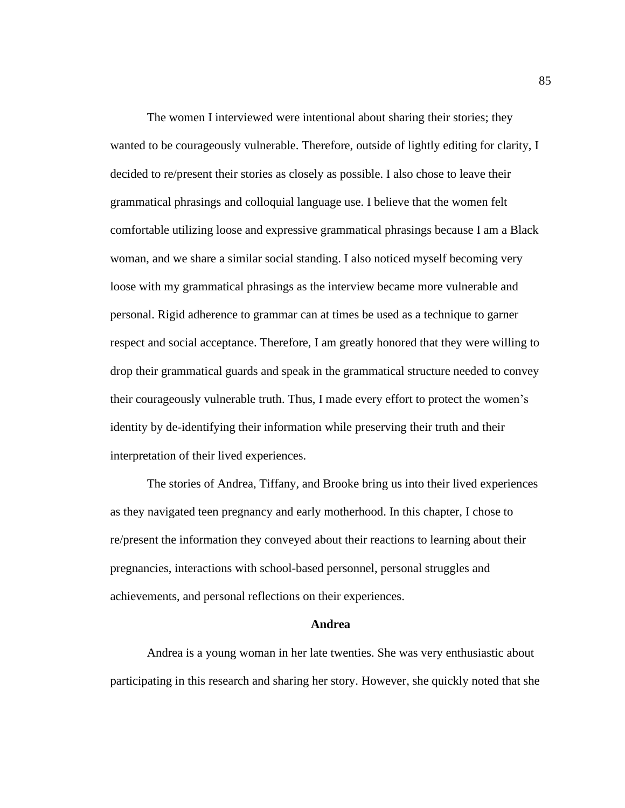The women I interviewed were intentional about sharing their stories; they wanted to be courageously vulnerable. Therefore, outside of lightly editing for clarity, I decided to re/present their stories as closely as possible. I also chose to leave their grammatical phrasings and colloquial language use. I believe that the women felt comfortable utilizing loose and expressive grammatical phrasings because I am a Black woman, and we share a similar social standing. I also noticed myself becoming very loose with my grammatical phrasings as the interview became more vulnerable and personal. Rigid adherence to grammar can at times be used as a technique to garner respect and social acceptance. Therefore, I am greatly honored that they were willing to drop their grammatical guards and speak in the grammatical structure needed to convey their courageously vulnerable truth. Thus, I made every effort to protect the women's identity by de-identifying their information while preserving their truth and their interpretation of their lived experiences.

The stories of Andrea, Tiffany, and Brooke bring us into their lived experiences as they navigated teen pregnancy and early motherhood. In this chapter, I chose to re/present the information they conveyed about their reactions to learning about their pregnancies, interactions with school-based personnel, personal struggles and achievements, and personal reflections on their experiences.

#### **Andrea**

Andrea is a young woman in her late twenties. She was very enthusiastic about participating in this research and sharing her story. However, she quickly noted that she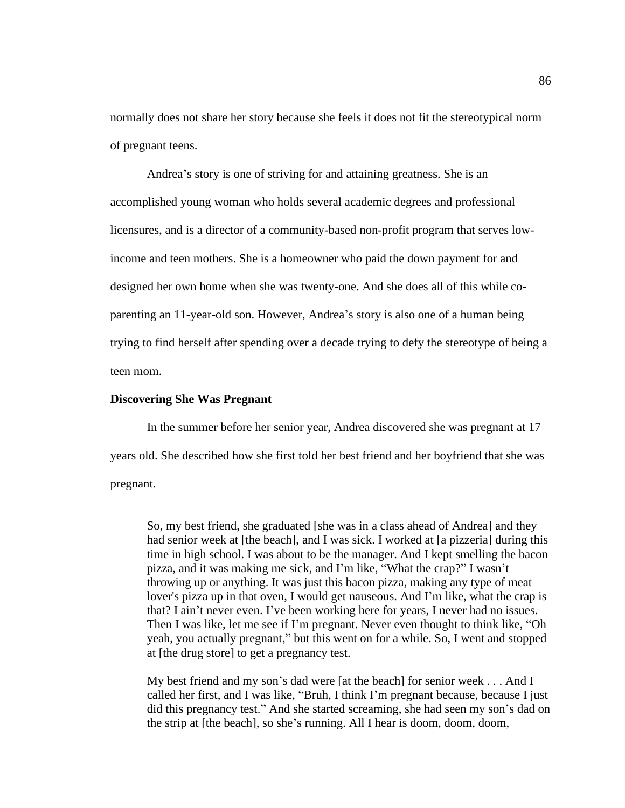normally does not share her story because she feels it does not fit the stereotypical norm of pregnant teens.

Andrea's story is one of striving for and attaining greatness. She is an accomplished young woman who holds several academic degrees and professional licensures, and is a director of a community-based non-profit program that serves lowincome and teen mothers. She is a homeowner who paid the down payment for and designed her own home when she was twenty-one. And she does all of this while coparenting an 11-year-old son. However, Andrea's story is also one of a human being trying to find herself after spending over a decade trying to defy the stereotype of being a teen mom.

## **Discovering She Was Pregnant**

In the summer before her senior year, Andrea discovered she was pregnant at 17 years old. She described how she first told her best friend and her boyfriend that she was pregnant.

So, my best friend, she graduated [she was in a class ahead of Andrea] and they had senior week at [the beach], and I was sick. I worked at [a pizzeria] during this time in high school. I was about to be the manager. And I kept smelling the bacon pizza, and it was making me sick, and I'm like, "What the crap?" I wasn't throwing up or anything. It was just this bacon pizza, making any type of meat lover's pizza up in that oven, I would get nauseous. And I'm like, what the crap is that? I ain't never even. I've been working here for years, I never had no issues. Then I was like, let me see if I'm pregnant. Never even thought to think like, "Oh yeah, you actually pregnant," but this went on for a while. So, I went and stopped at [the drug store] to get a pregnancy test.

My best friend and my son's dad were [at the beach] for senior week . . . And I called her first, and I was like, "Bruh, I think I'm pregnant because, because I just did this pregnancy test." And she started screaming, she had seen my son's dad on the strip at [the beach], so she's running. All I hear is doom, doom, doom,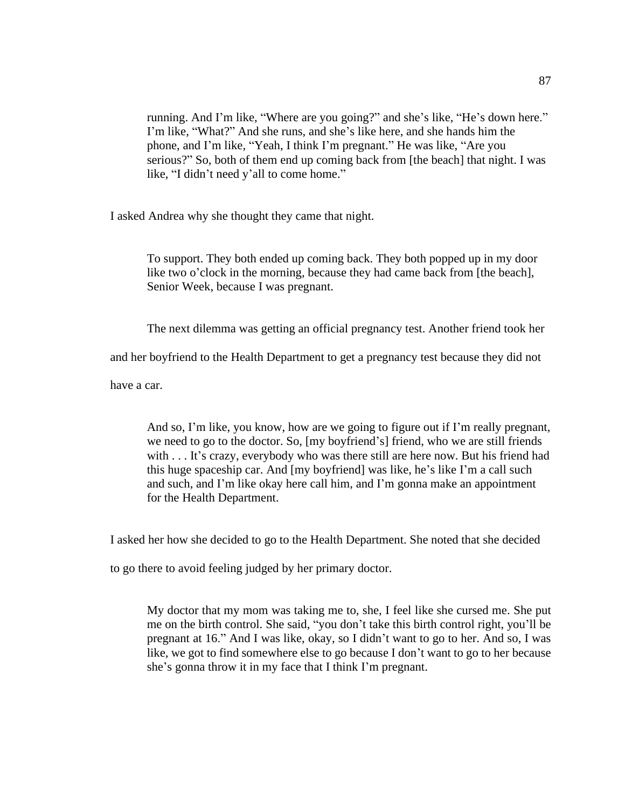running. And I'm like, "Where are you going?" and she's like, "He's down here." I'm like, "What?" And she runs, and she's like here, and she hands him the phone, and I'm like, "Yeah, I think I'm pregnant." He was like, "Are you serious?" So, both of them end up coming back from [the beach] that night. I was like, "I didn't need y'all to come home."

I asked Andrea why she thought they came that night.

To support. They both ended up coming back. They both popped up in my door like two o'clock in the morning, because they had came back from [the beach], Senior Week, because I was pregnant.

The next dilemma was getting an official pregnancy test. Another friend took her

and her boyfriend to the Health Department to get a pregnancy test because they did not

have a car.

And so, I'm like, you know, how are we going to figure out if I'm really pregnant, we need to go to the doctor. So, [my boyfriend's] friend, who we are still friends with . . . It's crazy, everybody who was there still are here now. But his friend had this huge spaceship car. And [my boyfriend] was like, he's like I'm a call such and such, and I'm like okay here call him, and I'm gonna make an appointment for the Health Department.

I asked her how she decided to go to the Health Department. She noted that she decided

to go there to avoid feeling judged by her primary doctor.

My doctor that my mom was taking me to, she, I feel like she cursed me. She put me on the birth control. She said, "you don't take this birth control right, you'll be pregnant at 16." And I was like, okay, so I didn't want to go to her. And so, I was like, we got to find somewhere else to go because I don't want to go to her because she's gonna throw it in my face that I think I'm pregnant.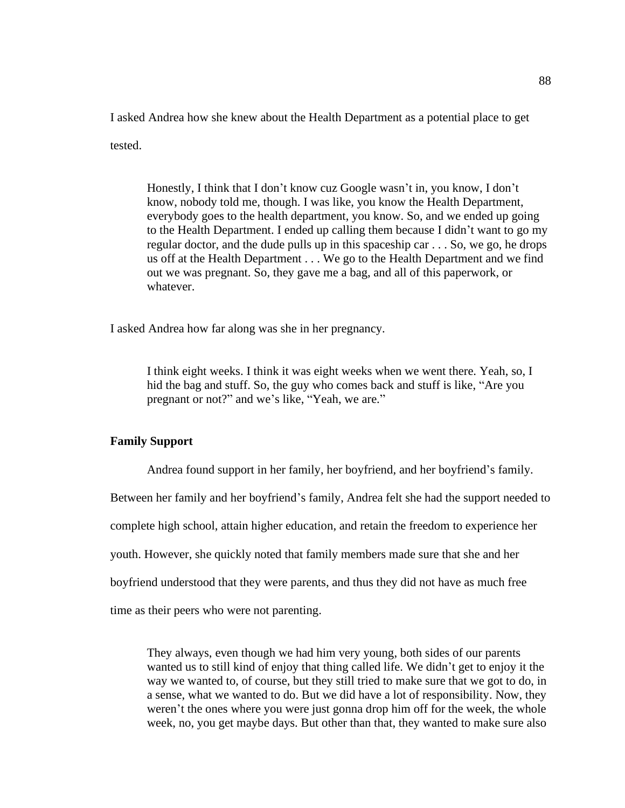I asked Andrea how she knew about the Health Department as a potential place to get tested.

Honestly, I think that I don't know cuz Google wasn't in, you know, I don't know, nobody told me, though. I was like, you know the Health Department, everybody goes to the health department, you know. So, and we ended up going to the Health Department. I ended up calling them because I didn't want to go my regular doctor, and the dude pulls up in this spaceship car . . . So, we go, he drops us off at the Health Department . . . We go to the Health Department and we find out we was pregnant. So, they gave me a bag, and all of this paperwork, or whatever.

I asked Andrea how far along was she in her pregnancy.

I think eight weeks. I think it was eight weeks when we went there. Yeah, so, I hid the bag and stuff. So, the guy who comes back and stuff is like, "Are you pregnant or not?" and we's like, "Yeah, we are."

### **Family Support**

Andrea found support in her family, her boyfriend, and her boyfriend's family. Between her family and her boyfriend's family, Andrea felt she had the support needed to complete high school, attain higher education, and retain the freedom to experience her youth. However, she quickly noted that family members made sure that she and her boyfriend understood that they were parents, and thus they did not have as much free time as their peers who were not parenting.

They always, even though we had him very young, both sides of our parents wanted us to still kind of enjoy that thing called life. We didn't get to enjoy it the way we wanted to, of course, but they still tried to make sure that we got to do, in a sense, what we wanted to do. But we did have a lot of responsibility. Now, they weren't the ones where you were just gonna drop him off for the week, the whole week, no, you get maybe days. But other than that, they wanted to make sure also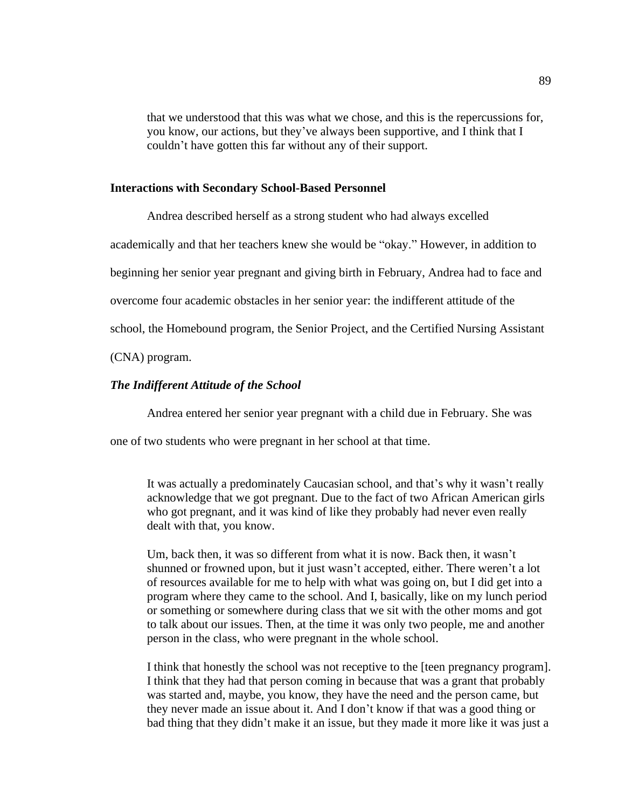that we understood that this was what we chose, and this is the repercussions for, you know, our actions, but they've always been supportive, and I think that I couldn't have gotten this far without any of their support.

#### **Interactions with Secondary School-Based Personnel**

Andrea described herself as a strong student who had always excelled academically and that her teachers knew she would be "okay." However, in addition to beginning her senior year pregnant and giving birth in February, Andrea had to face and overcome four academic obstacles in her senior year: the indifferent attitude of the school, the Homebound program, the Senior Project, and the Certified Nursing Assistant

(CNA) program.

#### *The Indifferent Attitude of the School*

Andrea entered her senior year pregnant with a child due in February. She was

one of two students who were pregnant in her school at that time.

It was actually a predominately Caucasian school, and that's why it wasn't really acknowledge that we got pregnant. Due to the fact of two African American girls who got pregnant, and it was kind of like they probably had never even really dealt with that, you know.

Um, back then, it was so different from what it is now. Back then, it wasn't shunned or frowned upon, but it just wasn't accepted, either. There weren't a lot of resources available for me to help with what was going on, but I did get into a program where they came to the school. And I, basically, like on my lunch period or something or somewhere during class that we sit with the other moms and got to talk about our issues. Then, at the time it was only two people, me and another person in the class, who were pregnant in the whole school.

I think that honestly the school was not receptive to the [teen pregnancy program]. I think that they had that person coming in because that was a grant that probably was started and, maybe, you know, they have the need and the person came, but they never made an issue about it. And I don't know if that was a good thing or bad thing that they didn't make it an issue, but they made it more like it was just a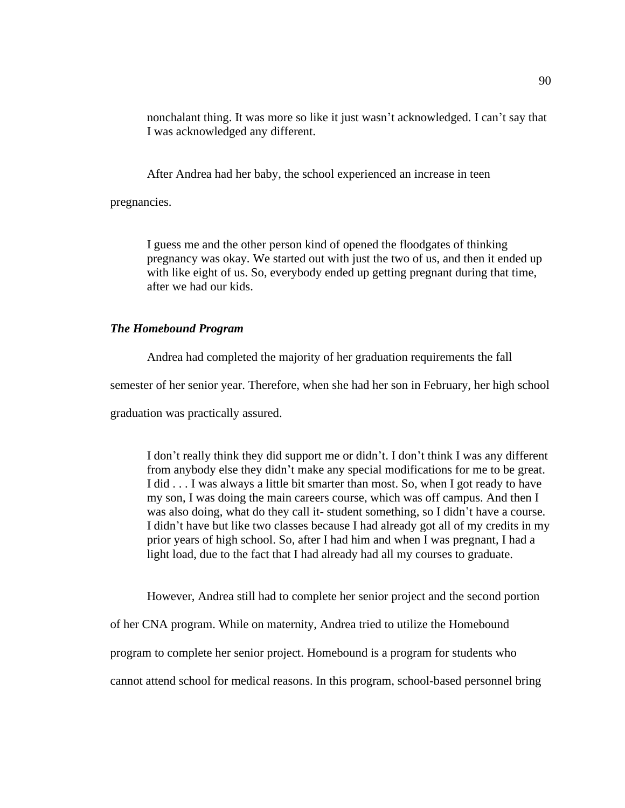nonchalant thing. It was more so like it just wasn't acknowledged. I can't say that I was acknowledged any different.

After Andrea had her baby, the school experienced an increase in teen

pregnancies.

I guess me and the other person kind of opened the floodgates of thinking pregnancy was okay. We started out with just the two of us, and then it ended up with like eight of us. So, everybody ended up getting pregnant during that time, after we had our kids.

## *The Homebound Program*

Andrea had completed the majority of her graduation requirements the fall

semester of her senior year. Therefore, when she had her son in February, her high school

graduation was practically assured.

I don't really think they did support me or didn't. I don't think I was any different from anybody else they didn't make any special modifications for me to be great. I did . . . I was always a little bit smarter than most. So, when I got ready to have my son, I was doing the main careers course, which was off campus. And then I was also doing, what do they call it- student something, so I didn't have a course. I didn't have but like two classes because I had already got all of my credits in my prior years of high school. So, after I had him and when I was pregnant, I had a light load, due to the fact that I had already had all my courses to graduate.

However, Andrea still had to complete her senior project and the second portion

of her CNA program. While on maternity, Andrea tried to utilize the Homebound

program to complete her senior project. Homebound is a program for students who

cannot attend school for medical reasons. In this program, school-based personnel bring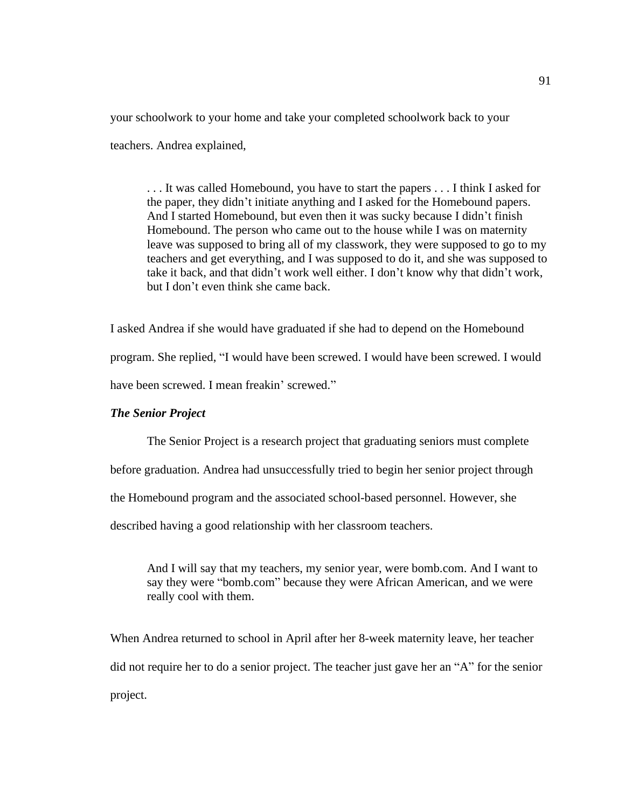your schoolwork to your home and take your completed schoolwork back to your teachers. Andrea explained,

. . . It was called Homebound, you have to start the papers . . . I think I asked for the paper, they didn't initiate anything and I asked for the Homebound papers. And I started Homebound, but even then it was sucky because I didn't finish Homebound. The person who came out to the house while I was on maternity leave was supposed to bring all of my classwork, they were supposed to go to my teachers and get everything, and I was supposed to do it, and she was supposed to take it back, and that didn't work well either. I don't know why that didn't work, but I don't even think she came back.

I asked Andrea if she would have graduated if she had to depend on the Homebound program. She replied, "I would have been screwed. I would have been screwed. I would have been screwed. I mean freakin' screwed."

#### *The Senior Project*

The Senior Project is a research project that graduating seniors must complete

before graduation. Andrea had unsuccessfully tried to begin her senior project through

the Homebound program and the associated school-based personnel. However, she

described having a good relationship with her classroom teachers.

And I will say that my teachers, my senior year, were bomb.com. And I want to say they were "bomb.com" because they were African American, and we were really cool with them.

When Andrea returned to school in April after her 8-week maternity leave, her teacher did not require her to do a senior project. The teacher just gave her an "A" for the senior project.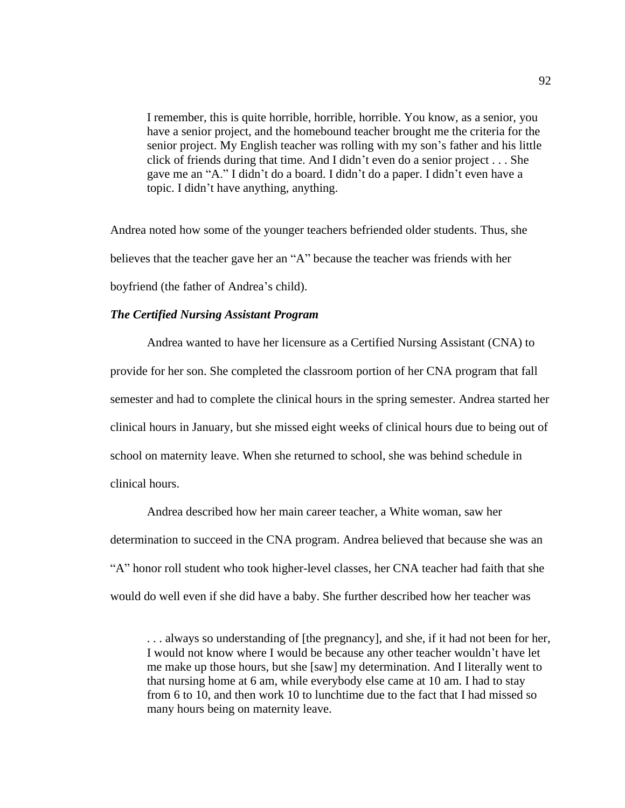I remember, this is quite horrible, horrible, horrible. You know, as a senior, you have a senior project, and the homebound teacher brought me the criteria for the senior project. My English teacher was rolling with my son's father and his little click of friends during that time. And I didn't even do a senior project . . . She gave me an "A." I didn't do a board. I didn't do a paper. I didn't even have a topic. I didn't have anything, anything.

Andrea noted how some of the younger teachers befriended older students. Thus, she believes that the teacher gave her an "A" because the teacher was friends with her boyfriend (the father of Andrea's child).

# *The Certified Nursing Assistant Program*

Andrea wanted to have her licensure as a Certified Nursing Assistant (CNA) to provide for her son. She completed the classroom portion of her CNA program that fall semester and had to complete the clinical hours in the spring semester. Andrea started her clinical hours in January, but she missed eight weeks of clinical hours due to being out of school on maternity leave. When she returned to school, she was behind schedule in clinical hours.

Andrea described how her main career teacher, a White woman, saw her determination to succeed in the CNA program. Andrea believed that because she was an "A" honor roll student who took higher-level classes, her CNA teacher had faith that she would do well even if she did have a baby. She further described how her teacher was

. . . always so understanding of [the pregnancy], and she, if it had not been for her, I would not know where I would be because any other teacher wouldn't have let me make up those hours, but she [saw] my determination. And I literally went to that nursing home at 6 am, while everybody else came at 10 am. I had to stay from 6 to 10, and then work 10 to lunchtime due to the fact that I had missed so many hours being on maternity leave.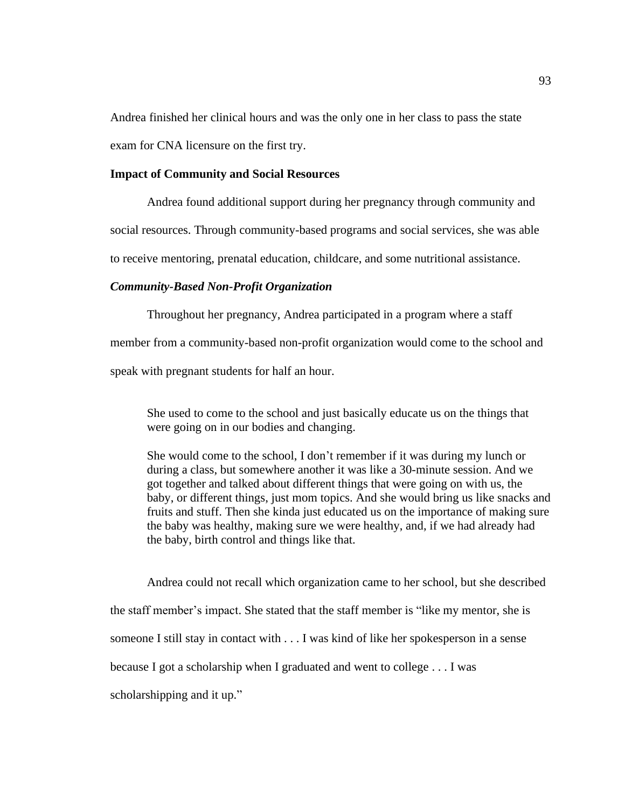Andrea finished her clinical hours and was the only one in her class to pass the state exam for CNA licensure on the first try.

## **Impact of Community and Social Resources**

Andrea found additional support during her pregnancy through community and social resources. Through community-based programs and social services, she was able to receive mentoring, prenatal education, childcare, and some nutritional assistance.

## *Community-Based Non-Profit Organization*

Throughout her pregnancy, Andrea participated in a program where a staff member from a community-based non-profit organization would come to the school and speak with pregnant students for half an hour.

She used to come to the school and just basically educate us on the things that were going on in our bodies and changing.

She would come to the school, I don't remember if it was during my lunch or during a class, but somewhere another it was like a 30-minute session. And we got together and talked about different things that were going on with us, the baby, or different things, just mom topics. And she would bring us like snacks and fruits and stuff. Then she kinda just educated us on the importance of making sure the baby was healthy, making sure we were healthy, and, if we had already had the baby, birth control and things like that.

Andrea could not recall which organization came to her school, but she described the staff member's impact. She stated that the staff member is "like my mentor, she is someone I still stay in contact with . . . I was kind of like her spokesperson in a sense because I got a scholarship when I graduated and went to college . . . I was scholarshipping and it up."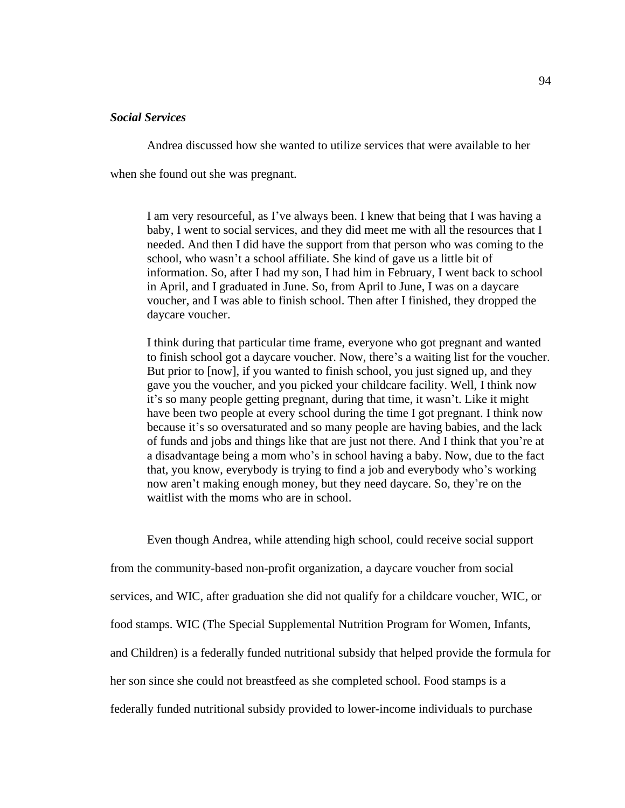# *Social Services*

Andrea discussed how she wanted to utilize services that were available to her when she found out she was pregnant.

I am very resourceful, as I've always been. I knew that being that I was having a baby, I went to social services, and they did meet me with all the resources that I needed. And then I did have the support from that person who was coming to the school, who wasn't a school affiliate. She kind of gave us a little bit of information. So, after I had my son, I had him in February, I went back to school in April, and I graduated in June. So, from April to June, I was on a daycare voucher, and I was able to finish school. Then after I finished, they dropped the daycare voucher.

I think during that particular time frame, everyone who got pregnant and wanted to finish school got a daycare voucher. Now, there's a waiting list for the voucher. But prior to [now], if you wanted to finish school, you just signed up, and they gave you the voucher, and you picked your childcare facility. Well, I think now it's so many people getting pregnant, during that time, it wasn't. Like it might have been two people at every school during the time I got pregnant. I think now because it's so oversaturated and so many people are having babies, and the lack of funds and jobs and things like that are just not there. And I think that you're at a disadvantage being a mom who's in school having a baby. Now, due to the fact that, you know, everybody is trying to find a job and everybody who's working now aren't making enough money, but they need daycare. So, they're on the waitlist with the moms who are in school.

Even though Andrea, while attending high school, could receive social support from the community-based non-profit organization, a daycare voucher from social services, and WIC, after graduation she did not qualify for a childcare voucher, WIC, or food stamps. WIC (The Special Supplemental Nutrition Program for Women, Infants, and Children) is a federally funded nutritional subsidy that helped provide the formula for her son since she could not breastfeed as she completed school. Food stamps is a federally funded nutritional subsidy provided to lower-income individuals to purchase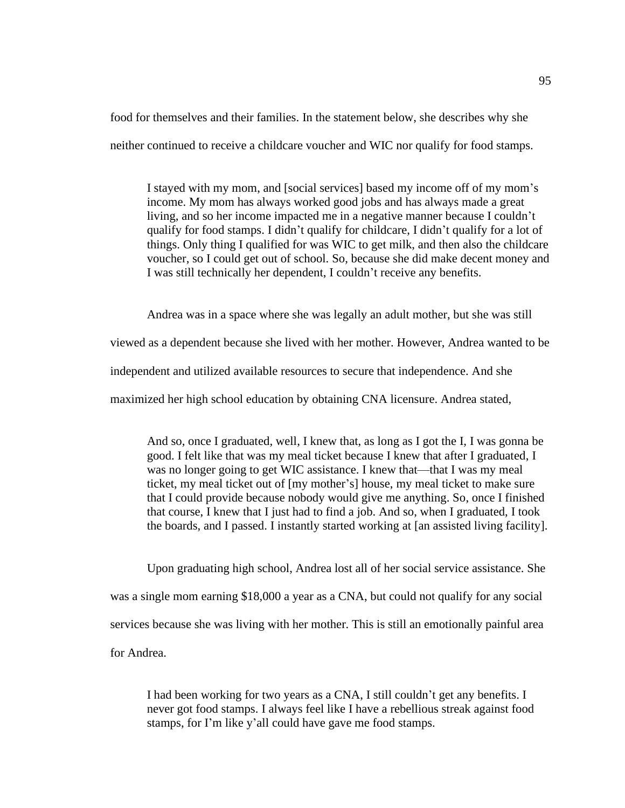food for themselves and their families. In the statement below, she describes why she neither continued to receive a childcare voucher and WIC nor qualify for food stamps.

I stayed with my mom, and [social services] based my income off of my mom's income. My mom has always worked good jobs and has always made a great living, and so her income impacted me in a negative manner because I couldn't qualify for food stamps. I didn't qualify for childcare, I didn't qualify for a lot of things. Only thing I qualified for was WIC to get milk, and then also the childcare voucher, so I could get out of school. So, because she did make decent money and I was still technically her dependent, I couldn't receive any benefits.

Andrea was in a space where she was legally an adult mother, but she was still viewed as a dependent because she lived with her mother. However, Andrea wanted to be independent and utilized available resources to secure that independence. And she maximized her high school education by obtaining CNA licensure. Andrea stated,

And so, once I graduated, well, I knew that, as long as I got the I, I was gonna be good. I felt like that was my meal ticket because I knew that after I graduated, I was no longer going to get WIC assistance. I knew that—that I was my meal ticket, my meal ticket out of [my mother's] house, my meal ticket to make sure that I could provide because nobody would give me anything. So, once I finished that course, I knew that I just had to find a job. And so, when I graduated, I took the boards, and I passed. I instantly started working at [an assisted living facility].

Upon graduating high school, Andrea lost all of her social service assistance. She was a single mom earning \$18,000 a year as a CNA, but could not qualify for any social services because she was living with her mother. This is still an emotionally painful area for Andrea.

I had been working for two years as a CNA, I still couldn't get any benefits. I never got food stamps. I always feel like I have a rebellious streak against food stamps, for I'm like y'all could have gave me food stamps.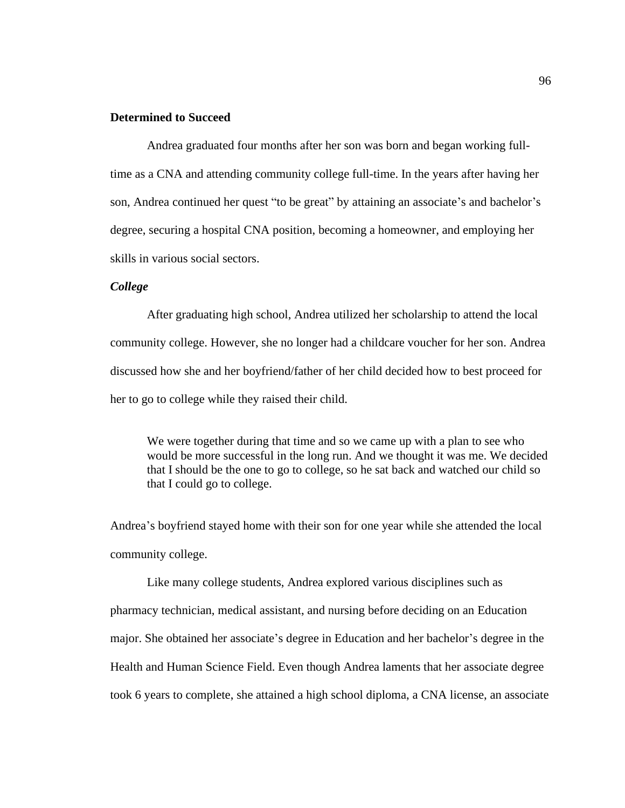# **Determined to Succeed**

Andrea graduated four months after her son was born and began working fulltime as a CNA and attending community college full-time. In the years after having her son, Andrea continued her quest "to be great" by attaining an associate's and bachelor's degree, securing a hospital CNA position, becoming a homeowner, and employing her skills in various social sectors.

# *College*

After graduating high school, Andrea utilized her scholarship to attend the local community college. However, she no longer had a childcare voucher for her son. Andrea discussed how she and her boyfriend/father of her child decided how to best proceed for her to go to college while they raised their child.

We were together during that time and so we came up with a plan to see who would be more successful in the long run. And we thought it was me. We decided that I should be the one to go to college, so he sat back and watched our child so that I could go to college.

Andrea's boyfriend stayed home with their son for one year while she attended the local community college.

Like many college students, Andrea explored various disciplines such as pharmacy technician, medical assistant, and nursing before deciding on an Education major. She obtained her associate's degree in Education and her bachelor's degree in the Health and Human Science Field. Even though Andrea laments that her associate degree took 6 years to complete, she attained a high school diploma, a CNA license, an associate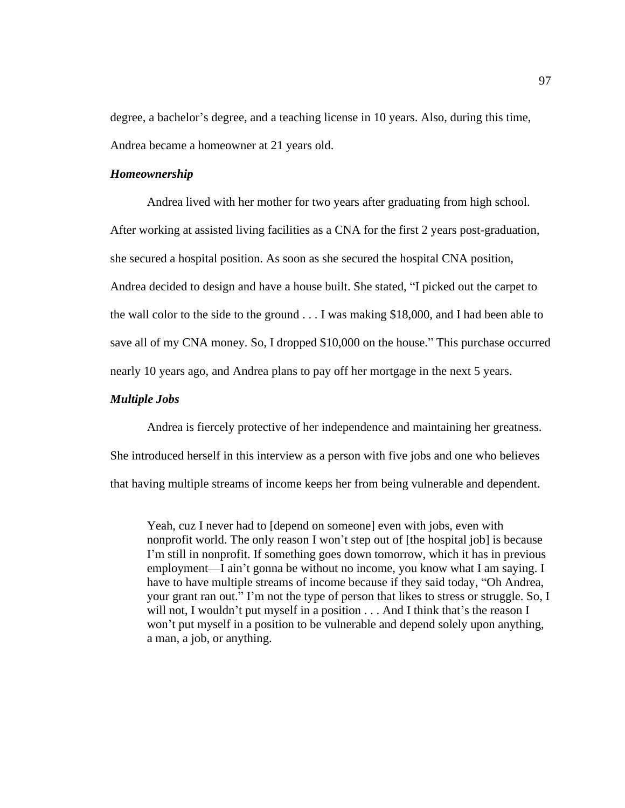degree, a bachelor's degree, and a teaching license in 10 years. Also, during this time, Andrea became a homeowner at 21 years old.

## *Homeownership*

Andrea lived with her mother for two years after graduating from high school. After working at assisted living facilities as a CNA for the first 2 years post-graduation, she secured a hospital position. As soon as she secured the hospital CNA position, Andrea decided to design and have a house built. She stated, "I picked out the carpet to the wall color to the side to the ground . . . I was making \$18,000, and I had been able to save all of my CNA money. So, I dropped \$10,000 on the house." This purchase occurred nearly 10 years ago, and Andrea plans to pay off her mortgage in the next 5 years.

## *Multiple Jobs*

Andrea is fiercely protective of her independence and maintaining her greatness. She introduced herself in this interview as a person with five jobs and one who believes that having multiple streams of income keeps her from being vulnerable and dependent.

Yeah, cuz I never had to [depend on someone] even with jobs, even with nonprofit world. The only reason I won't step out of [the hospital job] is because I'm still in nonprofit. If something goes down tomorrow, which it has in previous employment—I ain't gonna be without no income, you know what I am saying. I have to have multiple streams of income because if they said today, "Oh Andrea, your grant ran out." I'm not the type of person that likes to stress or struggle. So, I will not, I wouldn't put myself in a position . . . And I think that's the reason I won't put myself in a position to be vulnerable and depend solely upon anything, a man, a job, or anything.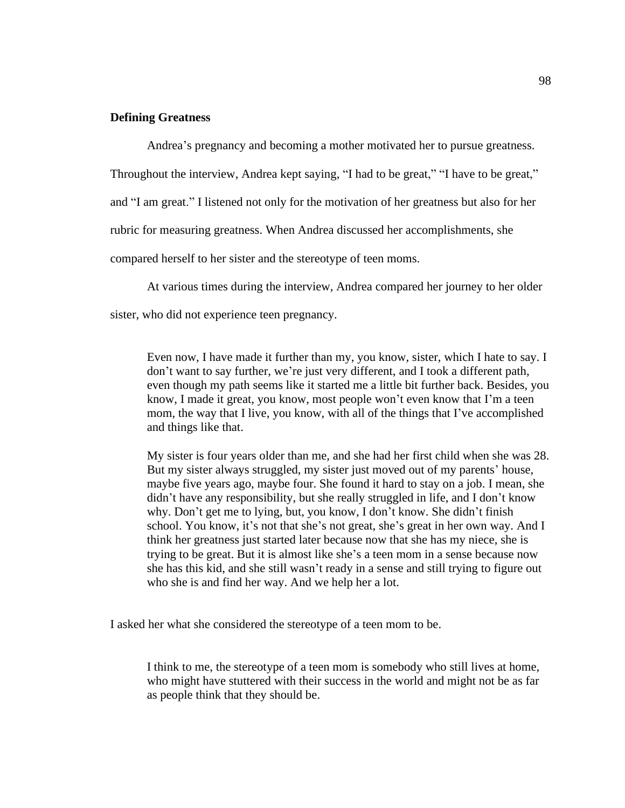## **Defining Greatness**

Andrea's pregnancy and becoming a mother motivated her to pursue greatness.

Throughout the interview, Andrea kept saying, "I had to be great," "I have to be great,"

and "I am great." I listened not only for the motivation of her greatness but also for her

rubric for measuring greatness. When Andrea discussed her accomplishments, she

compared herself to her sister and the stereotype of teen moms.

At various times during the interview, Andrea compared her journey to her older

sister, who did not experience teen pregnancy.

Even now, I have made it further than my, you know, sister, which I hate to say. I don't want to say further, we're just very different, and I took a different path, even though my path seems like it started me a little bit further back. Besides, you know, I made it great, you know, most people won't even know that I'm a teen mom, the way that I live, you know, with all of the things that I've accomplished and things like that.

My sister is four years older than me, and she had her first child when she was 28. But my sister always struggled, my sister just moved out of my parents' house, maybe five years ago, maybe four. She found it hard to stay on a job. I mean, she didn't have any responsibility, but she really struggled in life, and I don't know why. Don't get me to lying, but, you know, I don't know. She didn't finish school. You know, it's not that she's not great, she's great in her own way. And I think her greatness just started later because now that she has my niece, she is trying to be great. But it is almost like she's a teen mom in a sense because now she has this kid, and she still wasn't ready in a sense and still trying to figure out who she is and find her way. And we help her a lot.

I asked her what she considered the stereotype of a teen mom to be.

I think to me, the stereotype of a teen mom is somebody who still lives at home, who might have stuttered with their success in the world and might not be as far as people think that they should be.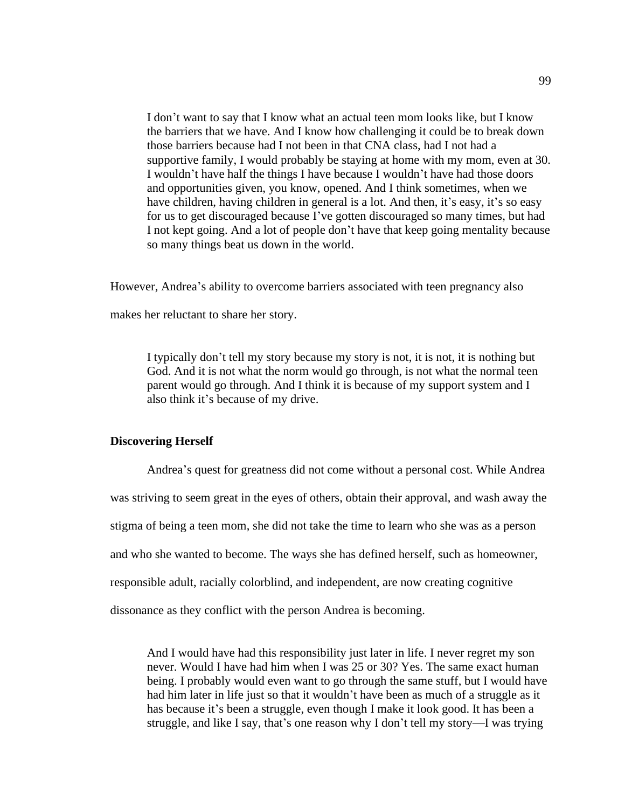I don't want to say that I know what an actual teen mom looks like, but I know the barriers that we have. And I know how challenging it could be to break down those barriers because had I not been in that CNA class, had I not had a supportive family, I would probably be staying at home with my mom, even at 30. I wouldn't have half the things I have because I wouldn't have had those doors and opportunities given, you know, opened. And I think sometimes, when we have children, having children in general is a lot. And then, it's easy, it's so easy for us to get discouraged because I've gotten discouraged so many times, but had I not kept going. And a lot of people don't have that keep going mentality because so many things beat us down in the world.

However, Andrea's ability to overcome barriers associated with teen pregnancy also

makes her reluctant to share her story.

I typically don't tell my story because my story is not, it is not, it is nothing but God. And it is not what the norm would go through, is not what the normal teen parent would go through. And I think it is because of my support system and I also think it's because of my drive.

#### **Discovering Herself**

Andrea's quest for greatness did not come without a personal cost. While Andrea was striving to seem great in the eyes of others, obtain their approval, and wash away the stigma of being a teen mom, she did not take the time to learn who she was as a person and who she wanted to become. The ways she has defined herself, such as homeowner, responsible adult, racially colorblind, and independent, are now creating cognitive dissonance as they conflict with the person Andrea is becoming.

And I would have had this responsibility just later in life. I never regret my son never. Would I have had him when I was 25 or 30? Yes. The same exact human being. I probably would even want to go through the same stuff, but I would have had him later in life just so that it wouldn't have been as much of a struggle as it has because it's been a struggle, even though I make it look good. It has been a struggle, and like I say, that's one reason why I don't tell my story—I was trying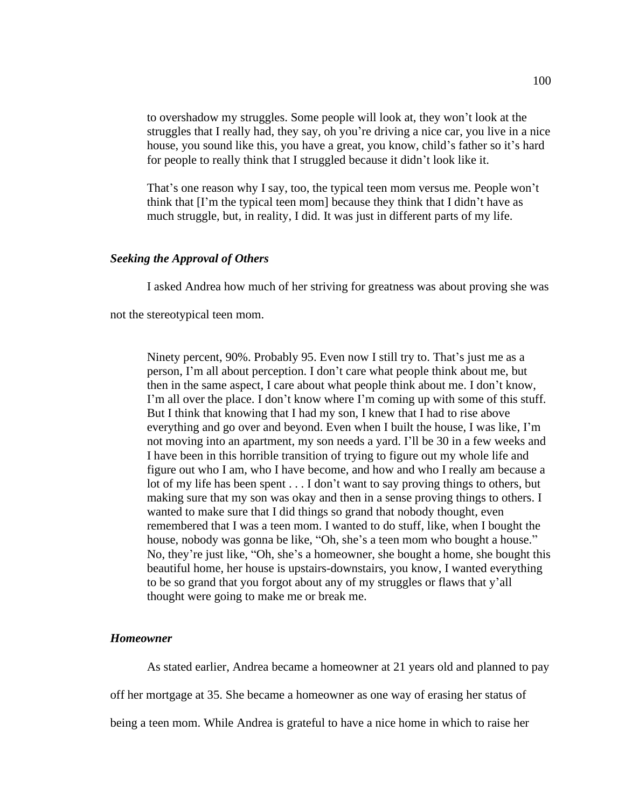to overshadow my struggles. Some people will look at, they won't look at the struggles that I really had, they say, oh you're driving a nice car, you live in a nice house, you sound like this, you have a great, you know, child's father so it's hard for people to really think that I struggled because it didn't look like it.

That's one reason why I say, too, the typical teen mom versus me. People won't think that [I'm the typical teen mom] because they think that I didn't have as much struggle, but, in reality, I did. It was just in different parts of my life.

## *Seeking the Approval of Others*

I asked Andrea how much of her striving for greatness was about proving she was

not the stereotypical teen mom.

Ninety percent, 90%. Probably 95. Even now I still try to. That's just me as a person, I'm all about perception. I don't care what people think about me, but then in the same aspect, I care about what people think about me. I don't know, I'm all over the place. I don't know where I'm coming up with some of this stuff. But I think that knowing that I had my son, I knew that I had to rise above everything and go over and beyond. Even when I built the house, I was like, I'm not moving into an apartment, my son needs a yard. I'll be 30 in a few weeks and I have been in this horrible transition of trying to figure out my whole life and figure out who I am, who I have become, and how and who I really am because a lot of my life has been spent . . . I don't want to say proving things to others, but making sure that my son was okay and then in a sense proving things to others. I wanted to make sure that I did things so grand that nobody thought, even remembered that I was a teen mom. I wanted to do stuff, like, when I bought the house, nobody was gonna be like, "Oh, she's a teen mom who bought a house." No, they're just like, "Oh, she's a homeowner, she bought a home, she bought this beautiful home, her house is upstairs-downstairs, you know, I wanted everything to be so grand that you forgot about any of my struggles or flaws that y'all thought were going to make me or break me.

## *Homeowner*

As stated earlier, Andrea became a homeowner at 21 years old and planned to pay off her mortgage at 35. She became a homeowner as one way of erasing her status of being a teen mom. While Andrea is grateful to have a nice home in which to raise her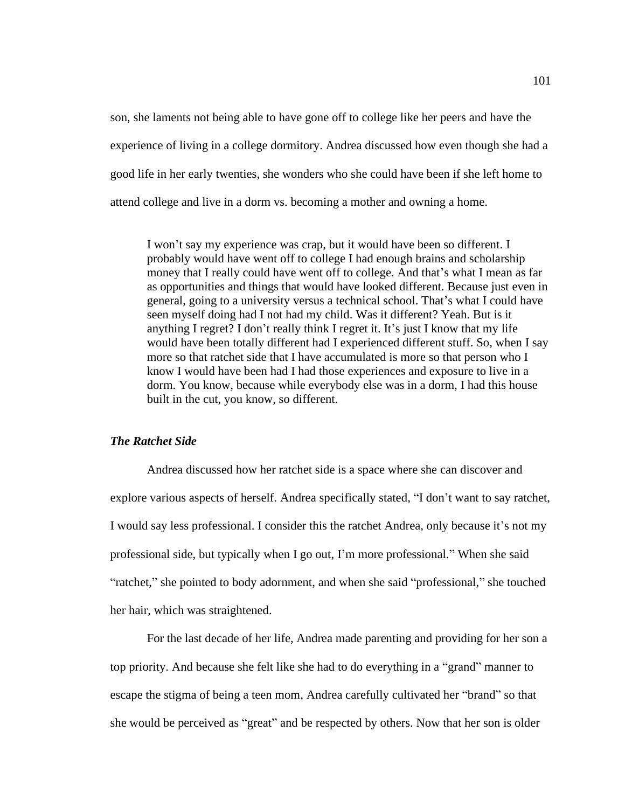son, she laments not being able to have gone off to college like her peers and have the experience of living in a college dormitory. Andrea discussed how even though she had a good life in her early twenties, she wonders who she could have been if she left home to attend college and live in a dorm vs. becoming a mother and owning a home.

I won't say my experience was crap, but it would have been so different. I probably would have went off to college I had enough brains and scholarship money that I really could have went off to college. And that's what I mean as far as opportunities and things that would have looked different. Because just even in general, going to a university versus a technical school. That's what I could have seen myself doing had I not had my child. Was it different? Yeah. But is it anything I regret? I don't really think I regret it. It's just I know that my life would have been totally different had I experienced different stuff. So, when I say more so that ratchet side that I have accumulated is more so that person who I know I would have been had I had those experiences and exposure to live in a dorm. You know, because while everybody else was in a dorm, I had this house built in the cut, you know, so different.

### *The Ratchet Side*

Andrea discussed how her ratchet side is a space where she can discover and explore various aspects of herself. Andrea specifically stated, "I don't want to say ratchet, I would say less professional. I consider this the ratchet Andrea, only because it's not my professional side, but typically when I go out, I'm more professional." When she said "ratchet," she pointed to body adornment, and when she said "professional," she touched her hair, which was straightened.

For the last decade of her life, Andrea made parenting and providing for her son a top priority. And because she felt like she had to do everything in a "grand" manner to escape the stigma of being a teen mom, Andrea carefully cultivated her "brand" so that she would be perceived as "great" and be respected by others. Now that her son is older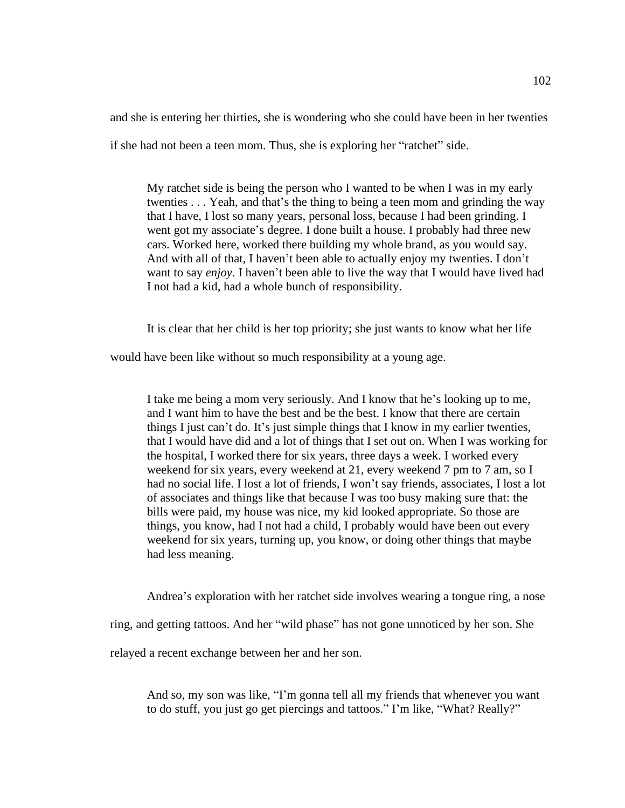and she is entering her thirties, she is wondering who she could have been in her twenties

if she had not been a teen mom. Thus, she is exploring her "ratchet" side.

My ratchet side is being the person who I wanted to be when I was in my early twenties . . . Yeah, and that's the thing to being a teen mom and grinding the way that I have, I lost so many years, personal loss, because I had been grinding. I went got my associate's degree. I done built a house. I probably had three new cars. Worked here, worked there building my whole brand, as you would say. And with all of that, I haven't been able to actually enjoy my twenties. I don't want to say *enjoy*. I haven't been able to live the way that I would have lived had I not had a kid, had a whole bunch of responsibility.

It is clear that her child is her top priority; she just wants to know what her life

would have been like without so much responsibility at a young age.

I take me being a mom very seriously. And I know that he's looking up to me, and I want him to have the best and be the best. I know that there are certain things I just can't do. It's just simple things that I know in my earlier twenties, that I would have did and a lot of things that I set out on. When I was working for the hospital, I worked there for six years, three days a week. I worked every weekend for six years, every weekend at 21, every weekend 7 pm to 7 am, so I had no social life. I lost a lot of friends, I won't say friends, associates, I lost a lot of associates and things like that because I was too busy making sure that: the bills were paid, my house was nice, my kid looked appropriate. So those are things, you know, had I not had a child, I probably would have been out every weekend for six years, turning up, you know, or doing other things that maybe had less meaning.

Andrea's exploration with her ratchet side involves wearing a tongue ring, a nose

ring, and getting tattoos. And her "wild phase" has not gone unnoticed by her son. She

relayed a recent exchange between her and her son.

And so, my son was like, "I'm gonna tell all my friends that whenever you want to do stuff, you just go get piercings and tattoos." I'm like, "What? Really?"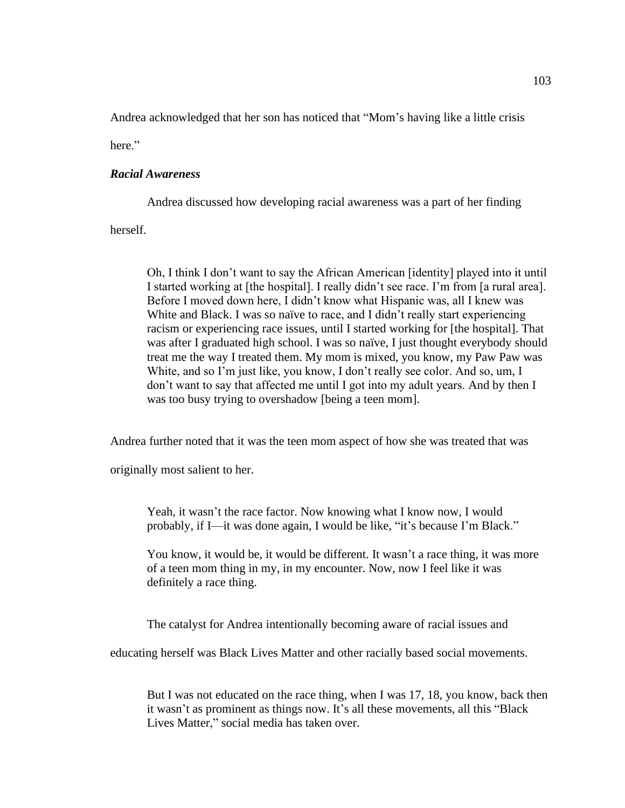Andrea acknowledged that her son has noticed that "Mom's having like a little crisis

here."

# *Racial Awareness*

Andrea discussed how developing racial awareness was a part of her finding

herself.

Oh, I think I don't want to say the African American [identity] played into it until I started working at [the hospital]. I really didn't see race. I'm from [a rural area]. Before I moved down here, I didn't know what Hispanic was, all I knew was White and Black. I was so naïve to race, and I didn't really start experiencing racism or experiencing race issues, until I started working for [the hospital]. That was after I graduated high school. I was so naïve, I just thought everybody should treat me the way I treated them. My mom is mixed, you know, my Paw Paw was White, and so I'm just like, you know, I don't really see color. And so, um, I don't want to say that affected me until I got into my adult years. And by then I was too busy trying to overshadow [being a teen mom].

Andrea further noted that it was the teen mom aspect of how she was treated that was

originally most salient to her.

Yeah, it wasn't the race factor. Now knowing what I know now, I would probably, if I—it was done again, I would be like, "it's because I'm Black."

You know, it would be, it would be different. It wasn't a race thing, it was more of a teen mom thing in my, in my encounter. Now, now I feel like it was definitely a race thing.

The catalyst for Andrea intentionally becoming aware of racial issues and

educating herself was Black Lives Matter and other racially based social movements.

But I was not educated on the race thing, when I was 17, 18, you know, back then it wasn't as prominent as things now. It's all these movements, all this "Black Lives Matter," social media has taken over.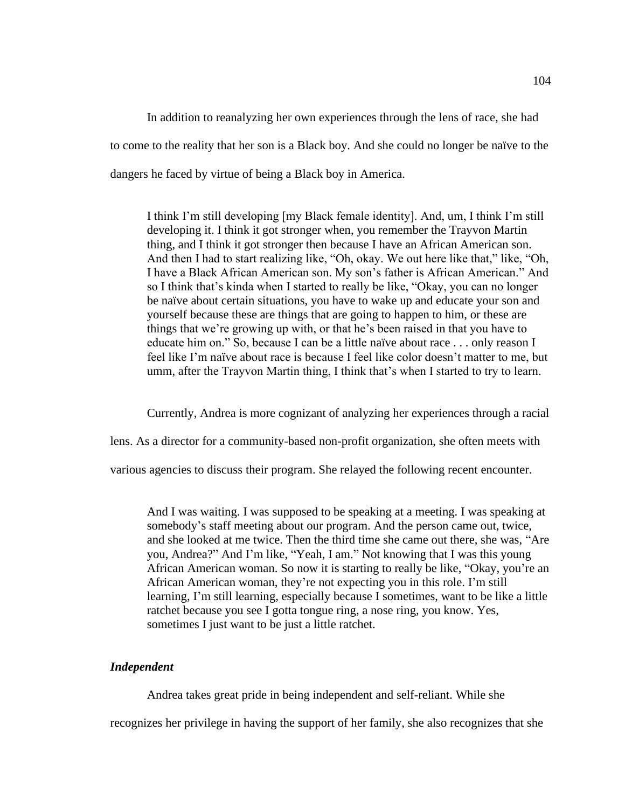In addition to reanalyzing her own experiences through the lens of race, she had to come to the reality that her son is a Black boy. And she could no longer be naïve to the dangers he faced by virtue of being a Black boy in America.

I think I'm still developing [my Black female identity]. And, um, I think I'm still developing it. I think it got stronger when, you remember the Trayvon Martin thing, and I think it got stronger then because I have an African American son. And then I had to start realizing like, "Oh, okay. We out here like that," like, "Oh, I have a Black African American son. My son's father is African American." And so I think that's kinda when I started to really be like, "Okay, you can no longer be naïve about certain situations, you have to wake up and educate your son and yourself because these are things that are going to happen to him, or these are things that we're growing up with, or that he's been raised in that you have to educate him on." So, because I can be a little naïve about race . . . only reason I feel like I'm naïve about race is because I feel like color doesn't matter to me, but umm, after the Trayvon Martin thing, I think that's when I started to try to learn.

Currently, Andrea is more cognizant of analyzing her experiences through a racial

lens. As a director for a community-based non-profit organization, she often meets with

various agencies to discuss their program. She relayed the following recent encounter.

And I was waiting. I was supposed to be speaking at a meeting. I was speaking at somebody's staff meeting about our program. And the person came out, twice, and she looked at me twice. Then the third time she came out there, she was, "Are you, Andrea?" And I'm like, "Yeah, I am." Not knowing that I was this young African American woman. So now it is starting to really be like, "Okay, you're an African American woman, they're not expecting you in this role. I'm still learning, I'm still learning, especially because I sometimes, want to be like a little ratchet because you see I gotta tongue ring, a nose ring, you know. Yes, sometimes I just want to be just a little ratchet.

# *Independent*

Andrea takes great pride in being independent and self-reliant. While she

recognizes her privilege in having the support of her family, she also recognizes that she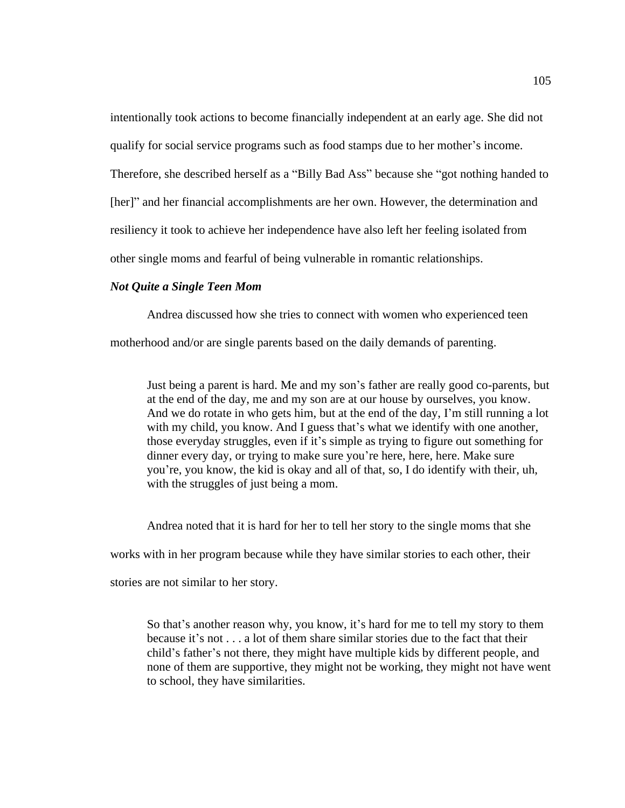intentionally took actions to become financially independent at an early age. She did not qualify for social service programs such as food stamps due to her mother's income. Therefore, she described herself as a "Billy Bad Ass" because she "got nothing handed to [her]" and her financial accomplishments are her own. However, the determination and resiliency it took to achieve her independence have also left her feeling isolated from other single moms and fearful of being vulnerable in romantic relationships.

### *Not Quite a Single Teen Mom*

Andrea discussed how she tries to connect with women who experienced teen

motherhood and/or are single parents based on the daily demands of parenting.

Just being a parent is hard. Me and my son's father are really good co-parents, but at the end of the day, me and my son are at our house by ourselves, you know. And we do rotate in who gets him, but at the end of the day, I'm still running a lot with my child, you know. And I guess that's what we identify with one another, those everyday struggles, even if it's simple as trying to figure out something for dinner every day, or trying to make sure you're here, here, here. Make sure you're, you know, the kid is okay and all of that, so, I do identify with their, uh, with the struggles of just being a mom.

Andrea noted that it is hard for her to tell her story to the single moms that she

works with in her program because while they have similar stories to each other, their

stories are not similar to her story.

So that's another reason why, you know, it's hard for me to tell my story to them because it's not . . . a lot of them share similar stories due to the fact that their child's father's not there, they might have multiple kids by different people, and none of them are supportive, they might not be working, they might not have went to school, they have similarities.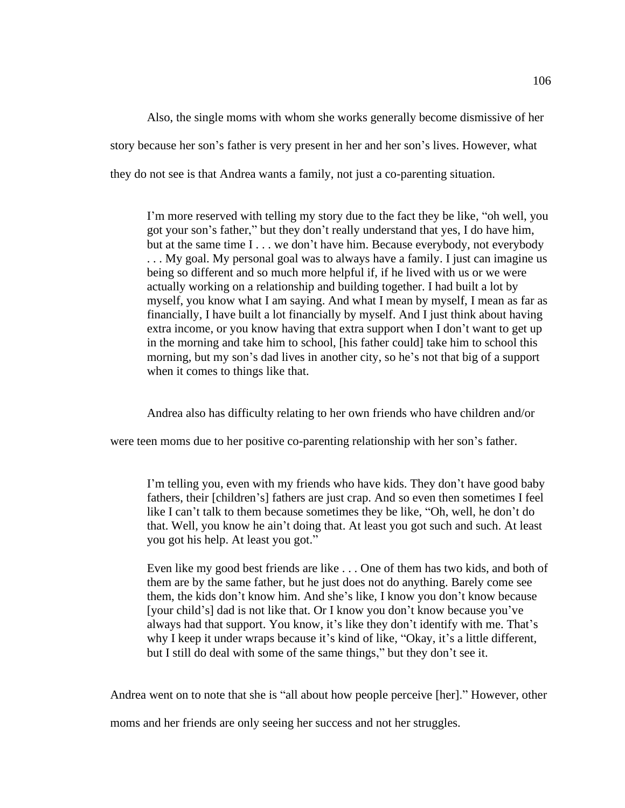Also, the single moms with whom she works generally become dismissive of her story because her son's father is very present in her and her son's lives. However, what they do not see is that Andrea wants a family, not just a co-parenting situation.

I'm more reserved with telling my story due to the fact they be like, "oh well, you got your son's father," but they don't really understand that yes, I do have him, but at the same time I . . . we don't have him. Because everybody, not everybody . . . My goal. My personal goal was to always have a family. I just can imagine us being so different and so much more helpful if, if he lived with us or we were actually working on a relationship and building together. I had built a lot by myself, you know what I am saying. And what I mean by myself, I mean as far as financially, I have built a lot financially by myself. And I just think about having extra income, or you know having that extra support when I don't want to get up in the morning and take him to school, [his father could] take him to school this morning, but my son's dad lives in another city, so he's not that big of a support when it comes to things like that.

Andrea also has difficulty relating to her own friends who have children and/or

were teen moms due to her positive co-parenting relationship with her son's father.

I'm telling you, even with my friends who have kids. They don't have good baby fathers, their [children's] fathers are just crap. And so even then sometimes I feel like I can't talk to them because sometimes they be like, "Oh, well, he don't do that. Well, you know he ain't doing that. At least you got such and such. At least you got his help. At least you got."

Even like my good best friends are like . . . One of them has two kids, and both of them are by the same father, but he just does not do anything. Barely come see them, the kids don't know him. And she's like, I know you don't know because [your child's] dad is not like that. Or I know you don't know because you've always had that support. You know, it's like they don't identify with me. That's why I keep it under wraps because it's kind of like, "Okay, it's a little different, but I still do deal with some of the same things," but they don't see it.

Andrea went on to note that she is "all about how people perceive [her]." However, other

moms and her friends are only seeing her success and not her struggles.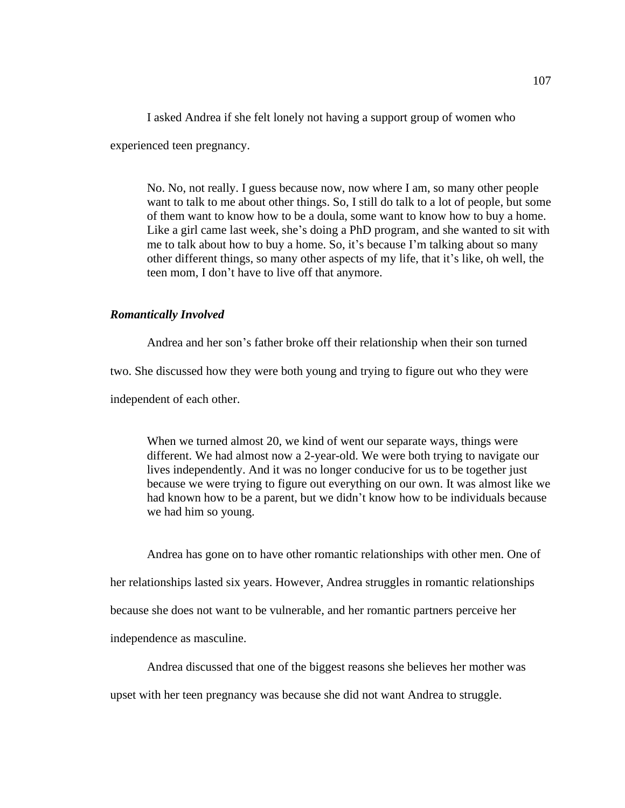I asked Andrea if she felt lonely not having a support group of women who

experienced teen pregnancy.

No. No, not really. I guess because now, now where I am, so many other people want to talk to me about other things. So, I still do talk to a lot of people, but some of them want to know how to be a doula, some want to know how to buy a home. Like a girl came last week, she's doing a PhD program, and she wanted to sit with me to talk about how to buy a home. So, it's because I'm talking about so many other different things, so many other aspects of my life, that it's like, oh well, the teen mom, I don't have to live off that anymore.

## *Romantically Involved*

Andrea and her son's father broke off their relationship when their son turned two. She discussed how they were both young and trying to figure out who they were independent of each other.

When we turned almost 20, we kind of went our separate ways, things were different. We had almost now a 2-year-old. We were both trying to navigate our lives independently. And it was no longer conducive for us to be together just because we were trying to figure out everything on our own. It was almost like we had known how to be a parent, but we didn't know how to be individuals because we had him so young.

Andrea has gone on to have other romantic relationships with other men. One of her relationships lasted six years. However, Andrea struggles in romantic relationships because she does not want to be vulnerable, and her romantic partners perceive her independence as masculine.

Andrea discussed that one of the biggest reasons she believes her mother was

upset with her teen pregnancy was because she did not want Andrea to struggle.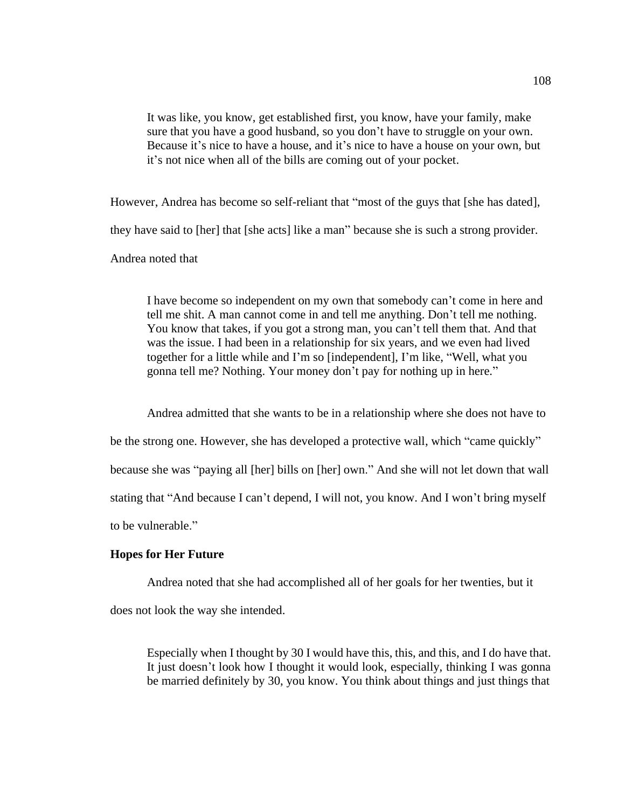It was like, you know, get established first, you know, have your family, make sure that you have a good husband, so you don't have to struggle on your own. Because it's nice to have a house, and it's nice to have a house on your own, but it's not nice when all of the bills are coming out of your pocket.

However, Andrea has become so self-reliant that "most of the guys that [she has dated], they have said to [her] that [she acts] like a man" because she is such a strong provider. Andrea noted that

I have become so independent on my own that somebody can't come in here and tell me shit. A man cannot come in and tell me anything. Don't tell me nothing. You know that takes, if you got a strong man, you can't tell them that. And that was the issue. I had been in a relationship for six years, and we even had lived together for a little while and I'm so [independent], I'm like, "Well, what you gonna tell me? Nothing. Your money don't pay for nothing up in here."

Andrea admitted that she wants to be in a relationship where she does not have to be the strong one. However, she has developed a protective wall, which "came quickly" because she was "paying all [her] bills on [her] own." And she will not let down that wall stating that "And because I can't depend, I will not, you know. And I won't bring myself to be vulnerable."

## **Hopes for Her Future**

Andrea noted that she had accomplished all of her goals for her twenties, but it

does not look the way she intended.

Especially when I thought by 30 I would have this, this, and this, and I do have that. It just doesn't look how I thought it would look, especially, thinking I was gonna be married definitely by 30, you know. You think about things and just things that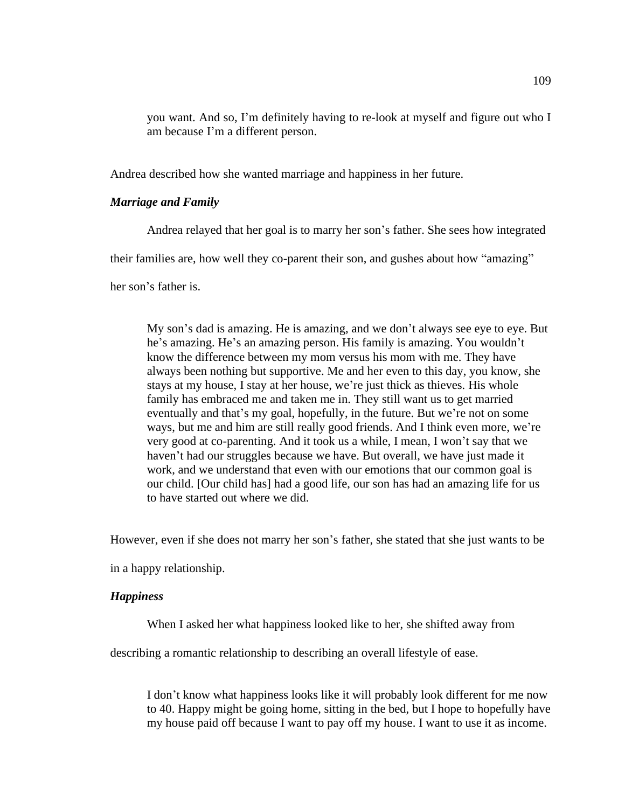you want. And so, I'm definitely having to re-look at myself and figure out who I am because I'm a different person.

Andrea described how she wanted marriage and happiness in her future.

# *Marriage and Family*

Andrea relayed that her goal is to marry her son's father. She sees how integrated

their families are, how well they co-parent their son, and gushes about how "amazing"

her son's father is.

My son's dad is amazing. He is amazing, and we don't always see eye to eye. But he's amazing. He's an amazing person. His family is amazing. You wouldn't know the difference between my mom versus his mom with me. They have always been nothing but supportive. Me and her even to this day, you know, she stays at my house, I stay at her house, we're just thick as thieves. His whole family has embraced me and taken me in. They still want us to get married eventually and that's my goal, hopefully, in the future. But we're not on some ways, but me and him are still really good friends. And I think even more, we're very good at co-parenting. And it took us a while, I mean, I won't say that we haven't had our struggles because we have. But overall, we have just made it work, and we understand that even with our emotions that our common goal is our child. [Our child has] had a good life, our son has had an amazing life for us to have started out where we did.

However, even if she does not marry her son's father, she stated that she just wants to be

in a happy relationship.

## *Happiness*

When I asked her what happiness looked like to her, she shifted away from

describing a romantic relationship to describing an overall lifestyle of ease.

I don't know what happiness looks like it will probably look different for me now to 40. Happy might be going home, sitting in the bed, but I hope to hopefully have my house paid off because I want to pay off my house. I want to use it as income.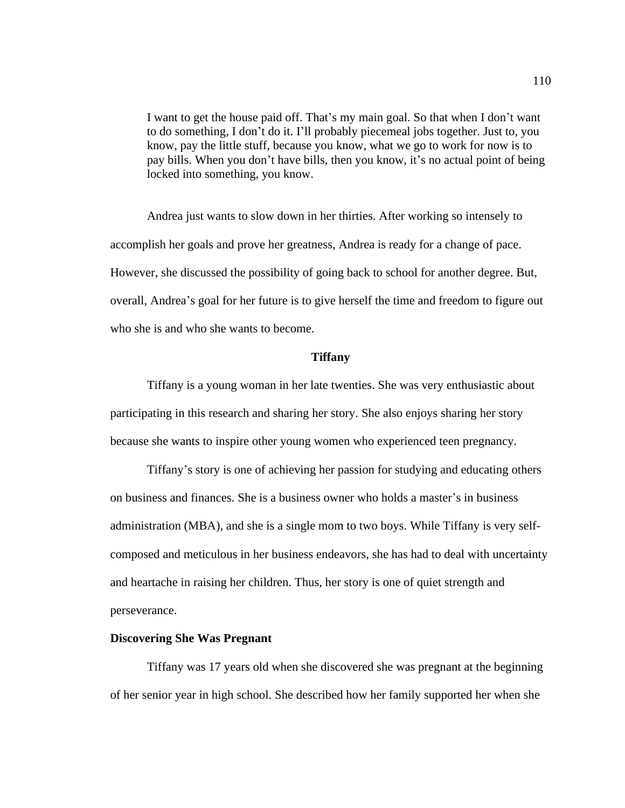I want to get the house paid off. That's my main goal. So that when I don't want to do something, I don't do it. I'll probably piecemeal jobs together. Just to, you know, pay the little stuff, because you know, what we go to work for now is to pay bills. When you don't have bills, then you know, it's no actual point of being locked into something, you know.

Andrea just wants to slow down in her thirties. After working so intensely to accomplish her goals and prove her greatness, Andrea is ready for a change of pace. However, she discussed the possibility of going back to school for another degree. But, overall, Andrea's goal for her future is to give herself the time and freedom to figure out who she is and who she wants to become.

#### **Tiffany**

Tiffany is a young woman in her late twenties. She was very enthusiastic about participating in this research and sharing her story. She also enjoys sharing her story because she wants to inspire other young women who experienced teen pregnancy.

Tiffany's story is one of achieving her passion for studying and educating others on business and finances. She is a business owner who holds a master's in business administration (MBA), and she is a single mom to two boys. While Tiffany is very selfcomposed and meticulous in her business endeavors, she has had to deal with uncertainty and heartache in raising her children. Thus, her story is one of quiet strength and perseverance.

## **Discovering She Was Pregnant**

Tiffany was 17 years old when she discovered she was pregnant at the beginning of her senior year in high school. She described how her family supported her when she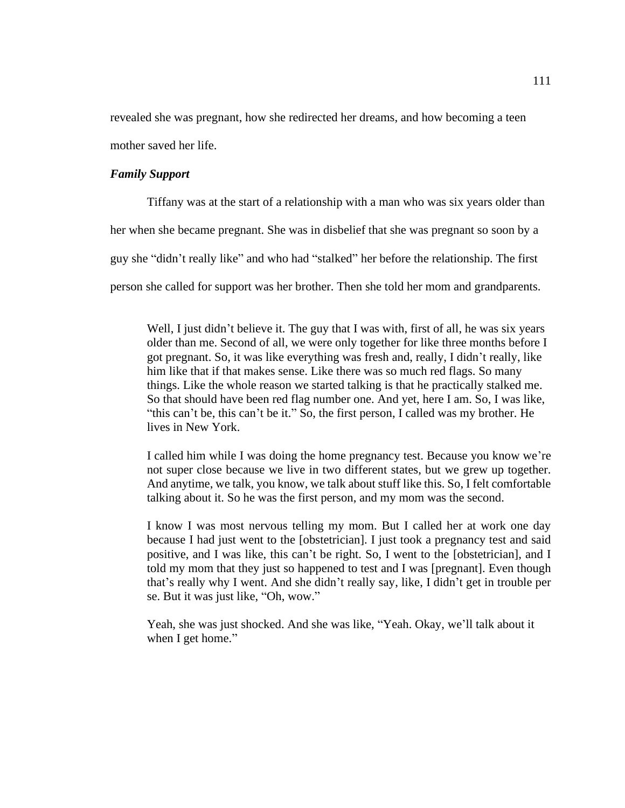revealed she was pregnant, how she redirected her dreams, and how becoming a teen mother saved her life.

# *Family Support*

Tiffany was at the start of a relationship with a man who was six years older than her when she became pregnant. She was in disbelief that she was pregnant so soon by a guy she "didn't really like" and who had "stalked" her before the relationship. The first person she called for support was her brother. Then she told her mom and grandparents.

Well, I just didn't believe it. The guy that I was with, first of all, he was six years older than me. Second of all, we were only together for like three months before I got pregnant. So, it was like everything was fresh and, really, I didn't really, like him like that if that makes sense. Like there was so much red flags. So many things. Like the whole reason we started talking is that he practically stalked me. So that should have been red flag number one. And yet, here I am. So, I was like, "this can't be, this can't be it." So, the first person, I called was my brother. He lives in New York.

I called him while I was doing the home pregnancy test. Because you know we're not super close because we live in two different states, but we grew up together. And anytime, we talk, you know, we talk about stuff like this. So, I felt comfortable talking about it. So he was the first person, and my mom was the second.

I know I was most nervous telling my mom. But I called her at work one day because I had just went to the [obstetrician]. I just took a pregnancy test and said positive, and I was like, this can't be right. So, I went to the [obstetrician], and I told my mom that they just so happened to test and I was [pregnant]. Even though that's really why I went. And she didn't really say, like, I didn't get in trouble per se. But it was just like, "Oh, wow."

Yeah, she was just shocked. And she was like, "Yeah. Okay, we'll talk about it when I get home."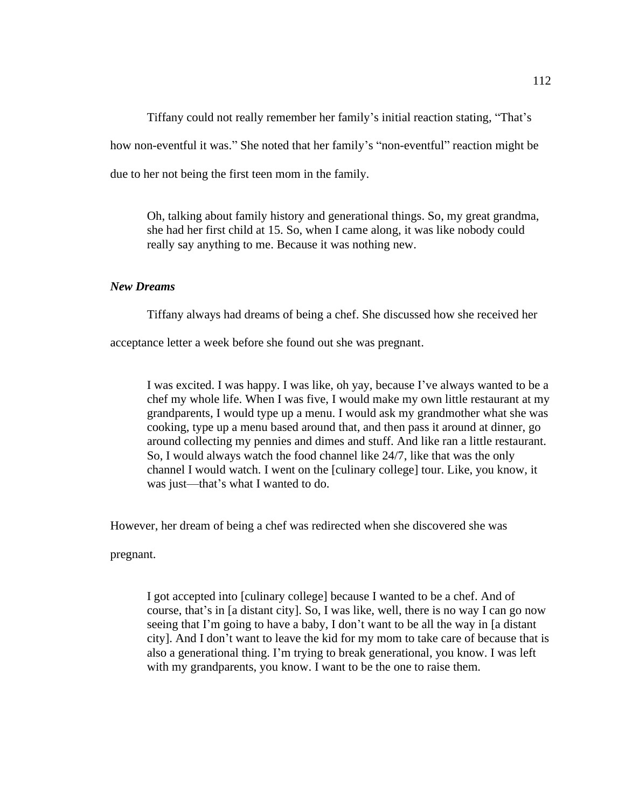Tiffany could not really remember her family's initial reaction stating, "That's how non-eventful it was." She noted that her family's "non-eventful" reaction might be due to her not being the first teen mom in the family.

Oh, talking about family history and generational things. So, my great grandma, she had her first child at 15. So, when I came along, it was like nobody could really say anything to me. Because it was nothing new.

# *New Dreams*

Tiffany always had dreams of being a chef. She discussed how she received her

acceptance letter a week before she found out she was pregnant.

I was excited. I was happy. I was like, oh yay, because I've always wanted to be a chef my whole life. When I was five, I would make my own little restaurant at my grandparents, I would type up a menu. I would ask my grandmother what she was cooking, type up a menu based around that, and then pass it around at dinner, go around collecting my pennies and dimes and stuff. And like ran a little restaurant. So, I would always watch the food channel like 24/7, like that was the only channel I would watch. I went on the [culinary college] tour. Like, you know, it was just—that's what I wanted to do.

However, her dream of being a chef was redirected when she discovered she was

pregnant.

I got accepted into [culinary college] because I wanted to be a chef. And of course, that's in [a distant city]. So, I was like, well, there is no way I can go now seeing that I'm going to have a baby, I don't want to be all the way in [a distant city]. And I don't want to leave the kid for my mom to take care of because that is also a generational thing. I'm trying to break generational, you know. I was left with my grandparents, you know. I want to be the one to raise them.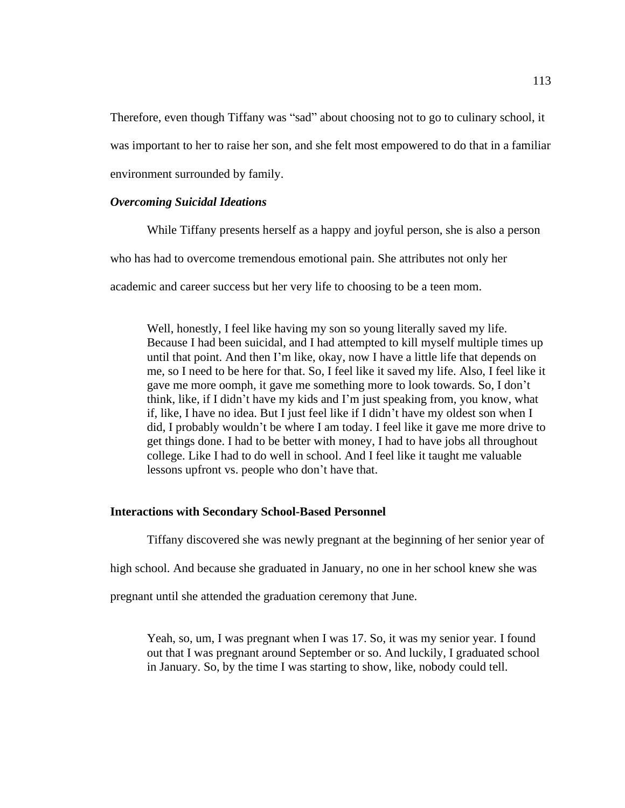Therefore, even though Tiffany was "sad" about choosing not to go to culinary school, it was important to her to raise her son, and she felt most empowered to do that in a familiar environment surrounded by family.

### *Overcoming Suicidal Ideations*

While Tiffany presents herself as a happy and joyful person, she is also a person who has had to overcome tremendous emotional pain. She attributes not only her academic and career success but her very life to choosing to be a teen mom.

Well, honestly, I feel like having my son so young literally saved my life. Because I had been suicidal, and I had attempted to kill myself multiple times up until that point. And then I'm like, okay, now I have a little life that depends on me, so I need to be here for that. So, I feel like it saved my life. Also, I feel like it gave me more oomph, it gave me something more to look towards. So, I don't think, like, if I didn't have my kids and I'm just speaking from, you know, what if, like, I have no idea. But I just feel like if I didn't have my oldest son when I did, I probably wouldn't be where I am today. I feel like it gave me more drive to get things done. I had to be better with money, I had to have jobs all throughout college. Like I had to do well in school. And I feel like it taught me valuable lessons upfront vs. people who don't have that.

## **Interactions with Secondary School-Based Personnel**

Tiffany discovered she was newly pregnant at the beginning of her senior year of

high school. And because she graduated in January, no one in her school knew she was

pregnant until she attended the graduation ceremony that June.

Yeah, so, um, I was pregnant when I was 17. So, it was my senior year. I found out that I was pregnant around September or so. And luckily, I graduated school in January. So, by the time I was starting to show, like, nobody could tell.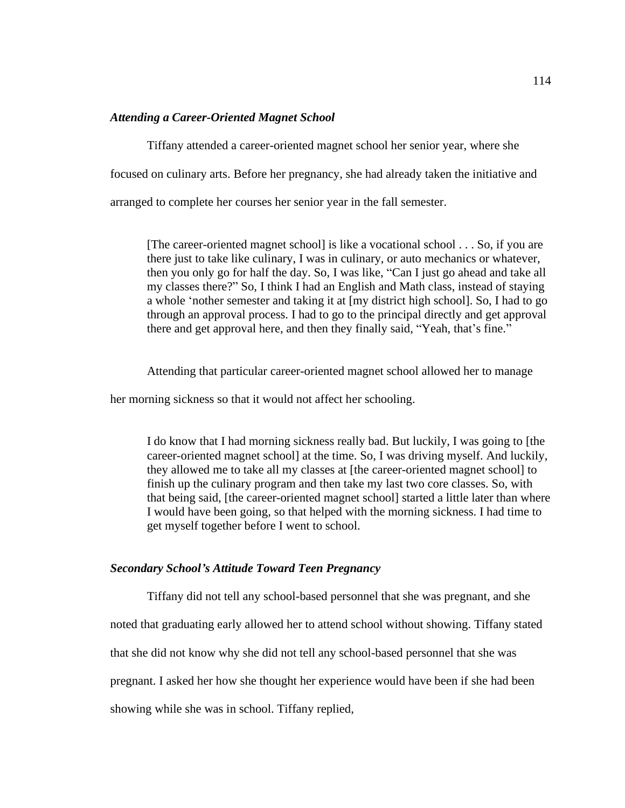## *Attending a Career-Oriented Magnet School*

Tiffany attended a career-oriented magnet school her senior year, where she focused on culinary arts. Before her pregnancy, she had already taken the initiative and arranged to complete her courses her senior year in the fall semester.

[The career-oriented magnet school] is like a vocational school . . . So, if you are there just to take like culinary, I was in culinary, or auto mechanics or whatever, then you only go for half the day. So, I was like, "Can I just go ahead and take all my classes there?" So, I think I had an English and Math class, instead of staying a whole 'nother semester and taking it at [my district high school]. So, I had to go through an approval process. I had to go to the principal directly and get approval there and get approval here, and then they finally said, "Yeah, that's fine."

Attending that particular career-oriented magnet school allowed her to manage

her morning sickness so that it would not affect her schooling.

I do know that I had morning sickness really bad. But luckily, I was going to [the career-oriented magnet school] at the time. So, I was driving myself. And luckily, they allowed me to take all my classes at [the career-oriented magnet school] to finish up the culinary program and then take my last two core classes. So, with that being said, [the career-oriented magnet school] started a little later than where I would have been going, so that helped with the morning sickness. I had time to get myself together before I went to school.

### *Secondary School's Attitude Toward Teen Pregnancy*

Tiffany did not tell any school-based personnel that she was pregnant, and she noted that graduating early allowed her to attend school without showing. Tiffany stated that she did not know why she did not tell any school-based personnel that she was pregnant. I asked her how she thought her experience would have been if she had been showing while she was in school. Tiffany replied,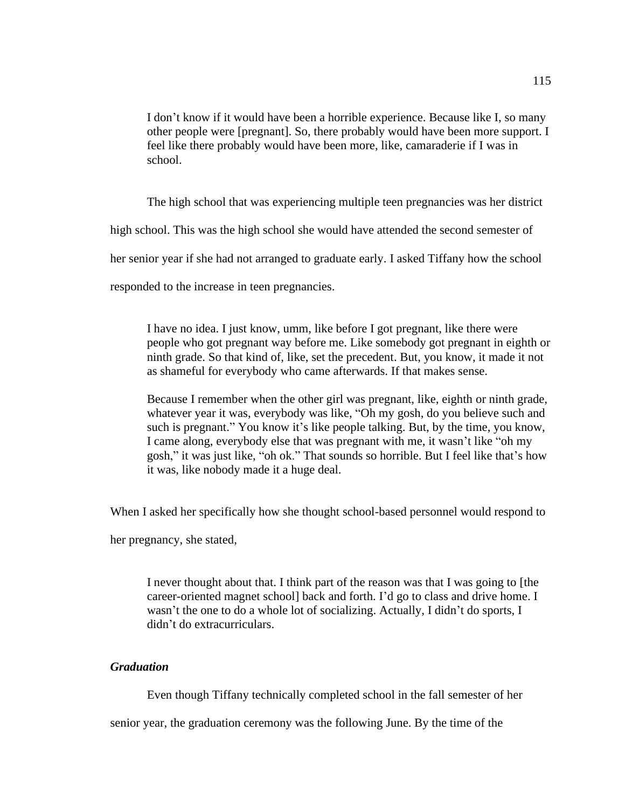I don't know if it would have been a horrible experience. Because like I, so many other people were [pregnant]. So, there probably would have been more support. I feel like there probably would have been more, like, camaraderie if I was in school.

The high school that was experiencing multiple teen pregnancies was her district high school. This was the high school she would have attended the second semester of her senior year if she had not arranged to graduate early. I asked Tiffany how the school

responded to the increase in teen pregnancies.

I have no idea. I just know, umm, like before I got pregnant, like there were people who got pregnant way before me. Like somebody got pregnant in eighth or ninth grade. So that kind of, like, set the precedent. But, you know, it made it not as shameful for everybody who came afterwards. If that makes sense.

Because I remember when the other girl was pregnant, like, eighth or ninth grade, whatever year it was, everybody was like, "Oh my gosh, do you believe such and such is pregnant." You know it's like people talking. But, by the time, you know, I came along, everybody else that was pregnant with me, it wasn't like "oh my gosh," it was just like, "oh ok." That sounds so horrible. But I feel like that's how it was, like nobody made it a huge deal.

When I asked her specifically how she thought school-based personnel would respond to

her pregnancy, she stated,

I never thought about that. I think part of the reason was that I was going to [the career-oriented magnet school] back and forth. I'd go to class and drive home. I wasn't the one to do a whole lot of socializing. Actually, I didn't do sports, I didn't do extracurriculars.

## *Graduation*

Even though Tiffany technically completed school in the fall semester of her

senior year, the graduation ceremony was the following June. By the time of the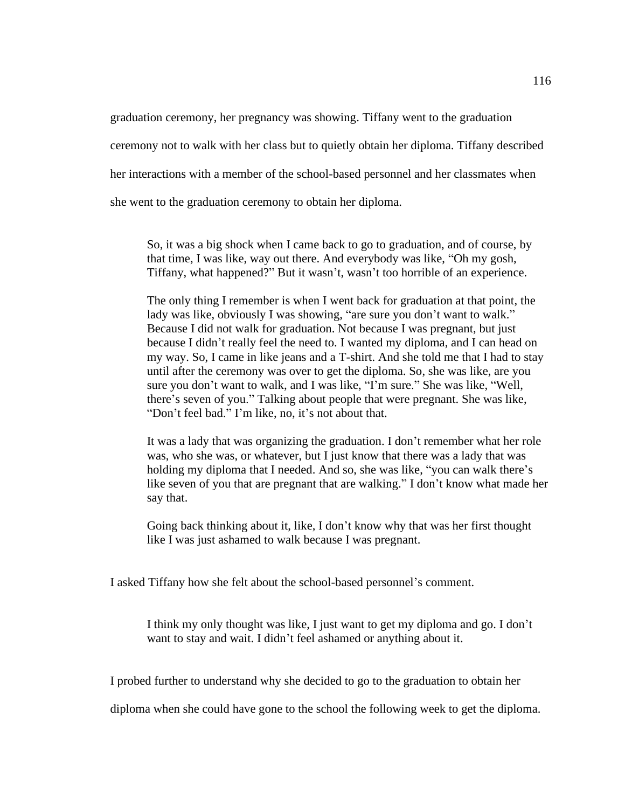graduation ceremony, her pregnancy was showing. Tiffany went to the graduation ceremony not to walk with her class but to quietly obtain her diploma. Tiffany described her interactions with a member of the school-based personnel and her classmates when she went to the graduation ceremony to obtain her diploma.

So, it was a big shock when I came back to go to graduation, and of course, by that time, I was like, way out there. And everybody was like, "Oh my gosh, Tiffany, what happened?" But it wasn't, wasn't too horrible of an experience.

The only thing I remember is when I went back for graduation at that point, the lady was like, obviously I was showing, "are sure you don't want to walk." Because I did not walk for graduation. Not because I was pregnant, but just because I didn't really feel the need to. I wanted my diploma, and I can head on my way. So, I came in like jeans and a T-shirt. And she told me that I had to stay until after the ceremony was over to get the diploma. So, she was like, are you sure you don't want to walk, and I was like, "I'm sure." She was like, "Well, there's seven of you." Talking about people that were pregnant. She was like, "Don't feel bad." I'm like, no, it's not about that.

It was a lady that was organizing the graduation. I don't remember what her role was, who she was, or whatever, but I just know that there was a lady that was holding my diploma that I needed. And so, she was like, "you can walk there's like seven of you that are pregnant that are walking." I don't know what made her say that.

Going back thinking about it, like, I don't know why that was her first thought like I was just ashamed to walk because I was pregnant.

I asked Tiffany how she felt about the school-based personnel's comment.

I think my only thought was like, I just want to get my diploma and go. I don't want to stay and wait. I didn't feel ashamed or anything about it.

I probed further to understand why she decided to go to the graduation to obtain her

diploma when she could have gone to the school the following week to get the diploma.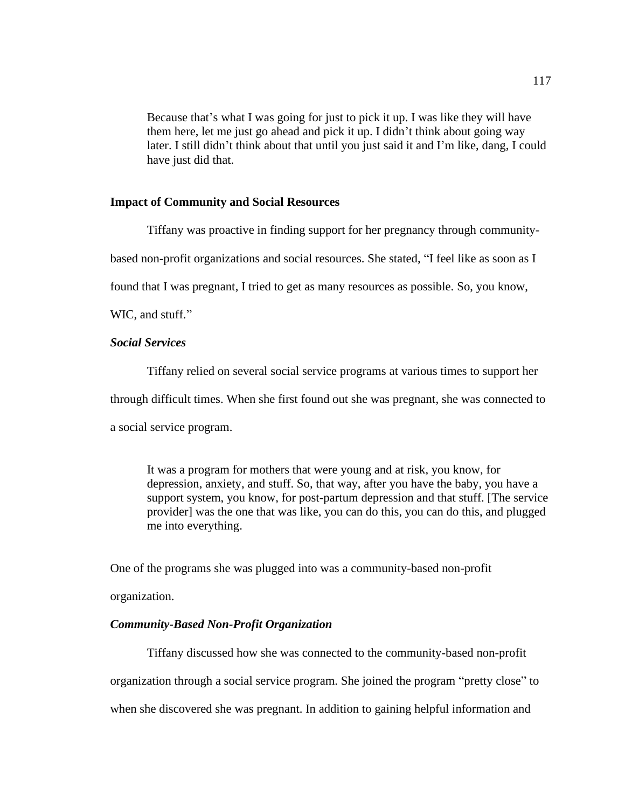Because that's what I was going for just to pick it up. I was like they will have them here, let me just go ahead and pick it up. I didn't think about going way later. I still didn't think about that until you just said it and I'm like, dang, I could have just did that.

### **Impact of Community and Social Resources**

Tiffany was proactive in finding support for her pregnancy through community-

based non-profit organizations and social resources. She stated, "I feel like as soon as I

found that I was pregnant, I tried to get as many resources as possible. So, you know,

WIC, and stuff."

## *Social Services*

Tiffany relied on several social service programs at various times to support her through difficult times. When she first found out she was pregnant, she was connected to a social service program.

It was a program for mothers that were young and at risk, you know, for depression, anxiety, and stuff. So, that way, after you have the baby, you have a support system, you know, for post-partum depression and that stuff. [The service provider] was the one that was like, you can do this, you can do this, and plugged me into everything.

One of the programs she was plugged into was a community-based non-profit

organization.

## *Community-Based Non-Profit Organization*

Tiffany discussed how she was connected to the community-based non-profit organization through a social service program. She joined the program "pretty close" to when she discovered she was pregnant. In addition to gaining helpful information and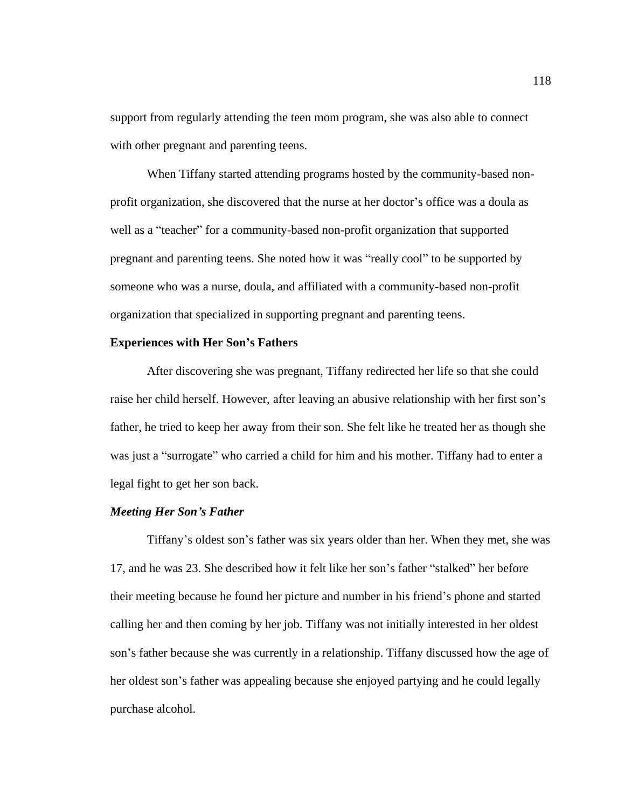support from regularly attending the teen mom program, she was also able to connect with other pregnant and parenting teens.

When Tiffany started attending programs hosted by the community-based nonprofit organization, she discovered that the nurse at her doctor's office was a doula as well as a "teacher" for a community-based non-profit organization that supported pregnant and parenting teens. She noted how it was "really cool" to be supported by someone who was a nurse, doula, and affiliated with a community-based non-profit organization that specialized in supporting pregnant and parenting teens.

### **Experiences with Her Son's Fathers**

After discovering she was pregnant, Tiffany redirected her life so that she could raise her child herself. However, after leaving an abusive relationship with her first son's father, he tried to keep her away from their son. She felt like he treated her as though she was just a "surrogate" who carried a child for him and his mother. Tiffany had to enter a legal fight to get her son back.

### *Meeting Her Son's Father*

Tiffany's oldest son's father was six years older than her. When they met, she was 17, and he was 23. She described how it felt like her son's father "stalked" her before their meeting because he found her picture and number in his friend's phone and started calling her and then coming by her job. Tiffany was not initially interested in her oldest son's father because she was currently in a relationship. Tiffany discussed how the age of her oldest son's father was appealing because she enjoyed partying and he could legally purchase alcohol.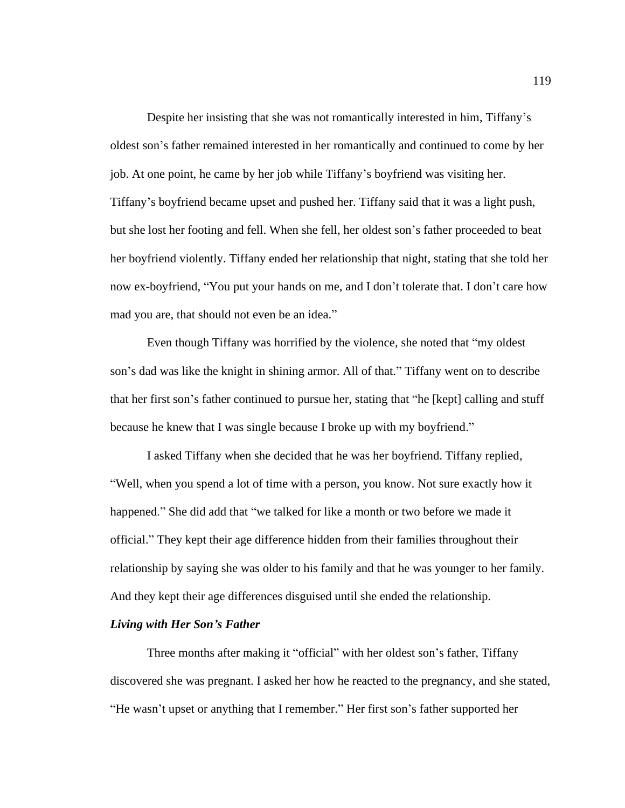Despite her insisting that she was not romantically interested in him, Tiffany's oldest son's father remained interested in her romantically and continued to come by her job. At one point, he came by her job while Tiffany's boyfriend was visiting her. Tiffany's boyfriend became upset and pushed her. Tiffany said that it was a light push, but she lost her footing and fell. When she fell, her oldest son's father proceeded to beat her boyfriend violently. Tiffany ended her relationship that night, stating that she told her now ex-boyfriend, "You put your hands on me, and I don't tolerate that. I don't care how mad you are, that should not even be an idea."

Even though Tiffany was horrified by the violence, she noted that "my oldest son's dad was like the knight in shining armor. All of that." Tiffany went on to describe that her first son's father continued to pursue her, stating that "he [kept] calling and stuff because he knew that I was single because I broke up with my boyfriend."

I asked Tiffany when she decided that he was her boyfriend. Tiffany replied, "Well, when you spend a lot of time with a person, you know. Not sure exactly how it happened." She did add that "we talked for like a month or two before we made it official." They kept their age difference hidden from their families throughout their relationship by saying she was older to his family and that he was younger to her family. And they kept their age differences disguised until she ended the relationship.

### *Living with Her Son's Father*

Three months after making it "official" with her oldest son's father, Tiffany discovered she was pregnant. I asked her how he reacted to the pregnancy, and she stated, "He wasn't upset or anything that I remember." Her first son's father supported her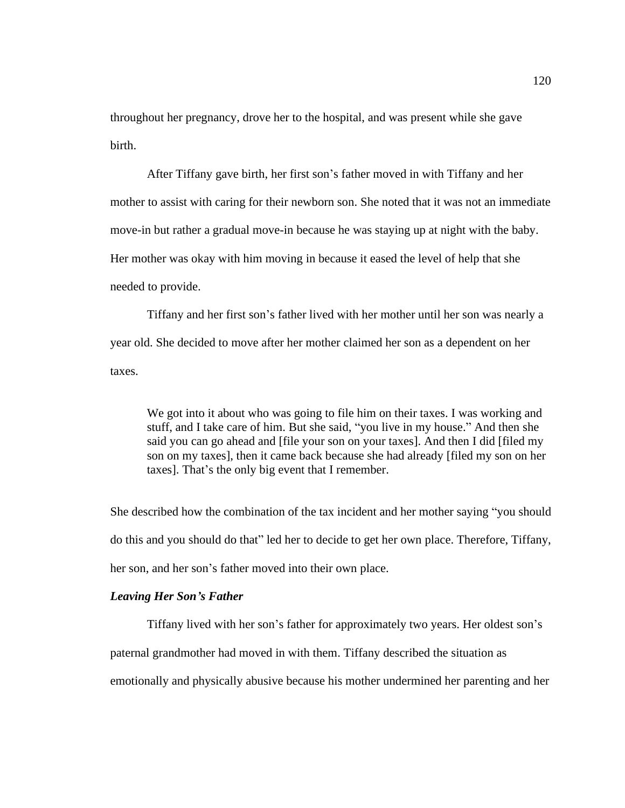throughout her pregnancy, drove her to the hospital, and was present while she gave birth.

After Tiffany gave birth, her first son's father moved in with Tiffany and her mother to assist with caring for their newborn son. She noted that it was not an immediate move-in but rather a gradual move-in because he was staying up at night with the baby. Her mother was okay with him moving in because it eased the level of help that she needed to provide.

Tiffany and her first son's father lived with her mother until her son was nearly a year old. She decided to move after her mother claimed her son as a dependent on her taxes.

We got into it about who was going to file him on their taxes. I was working and stuff, and I take care of him. But she said, "you live in my house." And then she said you can go ahead and [file your son on your taxes]. And then I did [filed my son on my taxes], then it came back because she had already [filed my son on her taxes]. That's the only big event that I remember.

She described how the combination of the tax incident and her mother saying "you should do this and you should do that" led her to decide to get her own place. Therefore, Tiffany, her son, and her son's father moved into their own place.

## *Leaving Her Son's Father*

Tiffany lived with her son's father for approximately two years. Her oldest son's paternal grandmother had moved in with them. Tiffany described the situation as emotionally and physically abusive because his mother undermined her parenting and her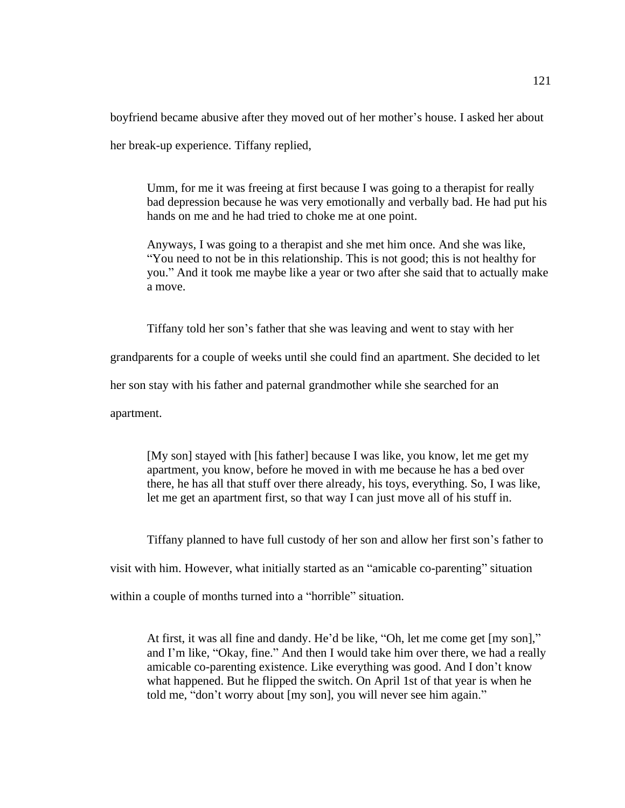boyfriend became abusive after they moved out of her mother's house. I asked her about

her break-up experience. Tiffany replied,

Umm, for me it was freeing at first because I was going to a therapist for really bad depression because he was very emotionally and verbally bad. He had put his hands on me and he had tried to choke me at one point.

Anyways, I was going to a therapist and she met him once. And she was like, "You need to not be in this relationship. This is not good; this is not healthy for you." And it took me maybe like a year or two after she said that to actually make a move.

Tiffany told her son's father that she was leaving and went to stay with her

grandparents for a couple of weeks until she could find an apartment. She decided to let

her son stay with his father and paternal grandmother while she searched for an

apartment.

[My son] stayed with [his father] because I was like, you know, let me get my apartment, you know, before he moved in with me because he has a bed over there, he has all that stuff over there already, his toys, everything. So, I was like, let me get an apartment first, so that way I can just move all of his stuff in.

Tiffany planned to have full custody of her son and allow her first son's father to

visit with him. However, what initially started as an "amicable co-parenting" situation

within a couple of months turned into a "horrible" situation.

At first, it was all fine and dandy. He'd be like, "Oh, let me come get [my son]," and I'm like, "Okay, fine." And then I would take him over there, we had a really amicable co-parenting existence. Like everything was good. And I don't know what happened. But he flipped the switch. On April 1st of that year is when he told me, "don't worry about [my son], you will never see him again."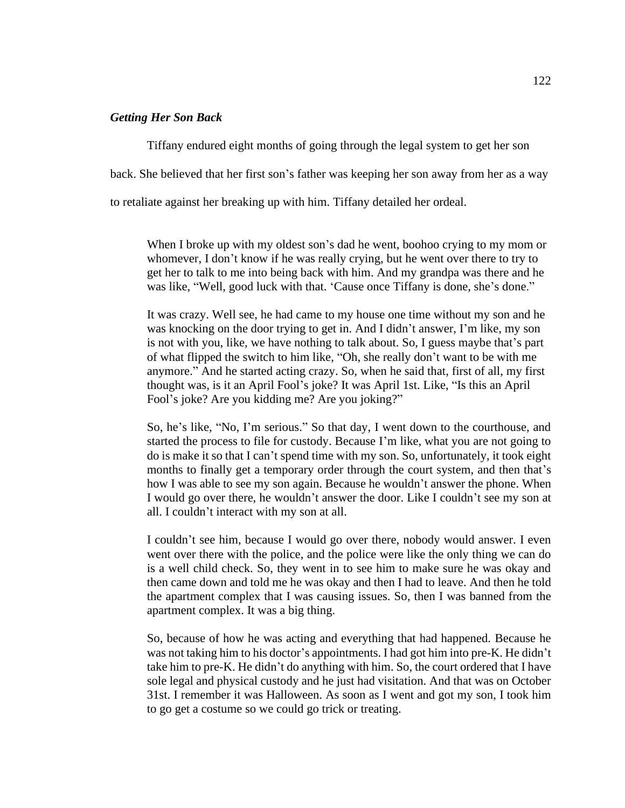## *Getting Her Son Back*

Tiffany endured eight months of going through the legal system to get her son back. She believed that her first son's father was keeping her son away from her as a way to retaliate against her breaking up with him. Tiffany detailed her ordeal.

When I broke up with my oldest son's dad he went, boohoo crying to my mom or whomever, I don't know if he was really crying, but he went over there to try to get her to talk to me into being back with him. And my grandpa was there and he was like, "Well, good luck with that. 'Cause once Tiffany is done, she's done."

It was crazy. Well see, he had came to my house one time without my son and he was knocking on the door trying to get in. And I didn't answer, I'm like, my son is not with you, like, we have nothing to talk about. So, I guess maybe that's part of what flipped the switch to him like, "Oh, she really don't want to be with me anymore." And he started acting crazy. So, when he said that, first of all, my first thought was, is it an April Fool's joke? It was April 1st. Like, "Is this an April Fool's joke? Are you kidding me? Are you joking?"

So, he's like, "No, I'm serious." So that day, I went down to the courthouse, and started the process to file for custody. Because I'm like, what you are not going to do is make it so that I can't spend time with my son. So, unfortunately, it took eight months to finally get a temporary order through the court system, and then that's how I was able to see my son again. Because he wouldn't answer the phone. When I would go over there, he wouldn't answer the door. Like I couldn't see my son at all. I couldn't interact with my son at all.

I couldn't see him, because I would go over there, nobody would answer. I even went over there with the police, and the police were like the only thing we can do is a well child check. So, they went in to see him to make sure he was okay and then came down and told me he was okay and then I had to leave. And then he told the apartment complex that I was causing issues. So, then I was banned from the apartment complex. It was a big thing.

So, because of how he was acting and everything that had happened. Because he was not taking him to his doctor's appointments. I had got him into pre-K. He didn't take him to pre-K. He didn't do anything with him. So, the court ordered that I have sole legal and physical custody and he just had visitation. And that was on October 31st. I remember it was Halloween. As soon as I went and got my son, I took him to go get a costume so we could go trick or treating.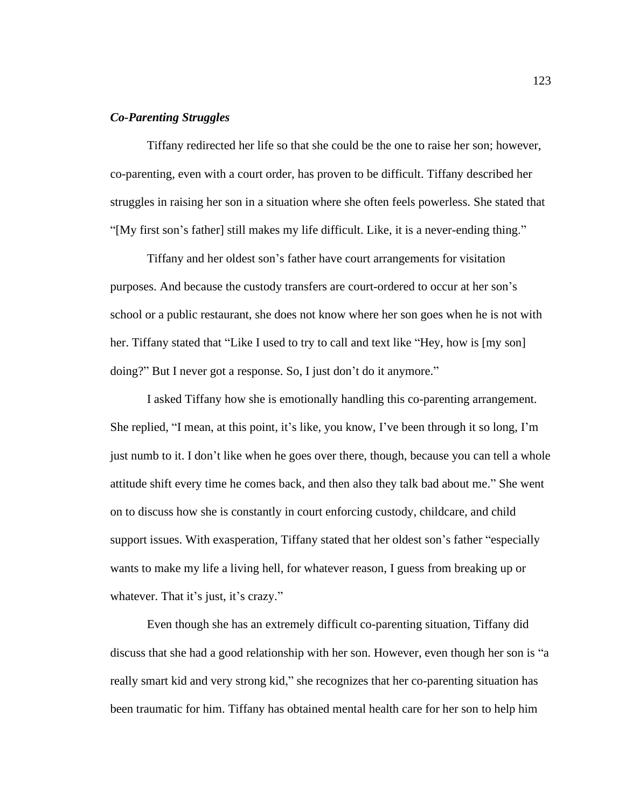### *Co-Parenting Struggles*

Tiffany redirected her life so that she could be the one to raise her son; however, co-parenting, even with a court order, has proven to be difficult. Tiffany described her struggles in raising her son in a situation where she often feels powerless. She stated that "[My first son's father] still makes my life difficult. Like, it is a never-ending thing."

Tiffany and her oldest son's father have court arrangements for visitation purposes. And because the custody transfers are court-ordered to occur at her son's school or a public restaurant, she does not know where her son goes when he is not with her. Tiffany stated that "Like I used to try to call and text like "Hey, how is [my son] doing?" But I never got a response. So, I just don't do it anymore."

I asked Tiffany how she is emotionally handling this co-parenting arrangement. She replied, "I mean, at this point, it's like, you know, I've been through it so long, I'm just numb to it. I don't like when he goes over there, though, because you can tell a whole attitude shift every time he comes back, and then also they talk bad about me." She went on to discuss how she is constantly in court enforcing custody, childcare, and child support issues. With exasperation, Tiffany stated that her oldest son's father "especially wants to make my life a living hell, for whatever reason, I guess from breaking up or whatever. That it's just, it's crazy."

Even though she has an extremely difficult co-parenting situation, Tiffany did discuss that she had a good relationship with her son. However, even though her son is "a really smart kid and very strong kid," she recognizes that her co-parenting situation has been traumatic for him. Tiffany has obtained mental health care for her son to help him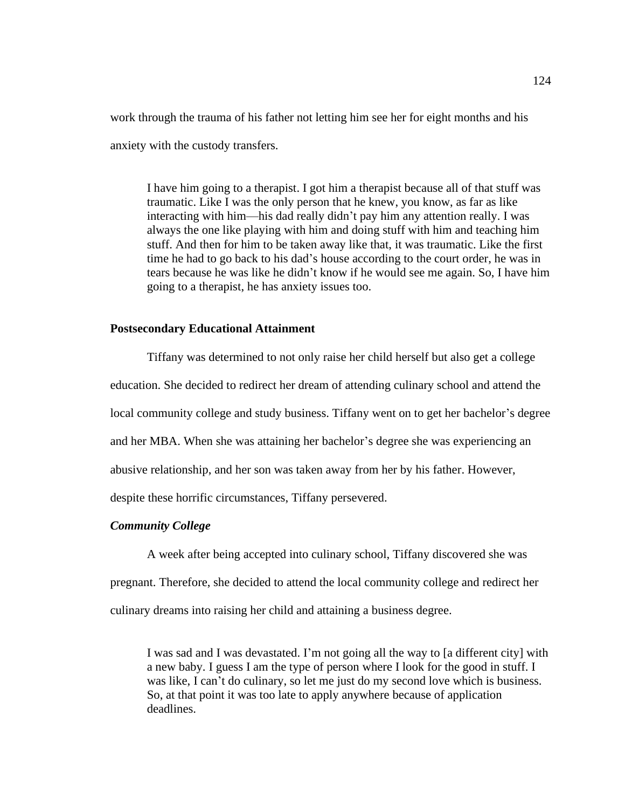work through the trauma of his father not letting him see her for eight months and his anxiety with the custody transfers.

I have him going to a therapist. I got him a therapist because all of that stuff was traumatic. Like I was the only person that he knew, you know, as far as like interacting with him—his dad really didn't pay him any attention really. I was always the one like playing with him and doing stuff with him and teaching him stuff. And then for him to be taken away like that, it was traumatic. Like the first time he had to go back to his dad's house according to the court order, he was in tears because he was like he didn't know if he would see me again. So, I have him going to a therapist, he has anxiety issues too.

### **Postsecondary Educational Attainment**

Tiffany was determined to not only raise her child herself but also get a college education. She decided to redirect her dream of attending culinary school and attend the local community college and study business. Tiffany went on to get her bachelor's degree and her MBA. When she was attaining her bachelor's degree she was experiencing an abusive relationship, and her son was taken away from her by his father. However, despite these horrific circumstances, Tiffany persevered.

### *Community College*

A week after being accepted into culinary school, Tiffany discovered she was

pregnant. Therefore, she decided to attend the local community college and redirect her

culinary dreams into raising her child and attaining a business degree.

I was sad and I was devastated. I'm not going all the way to [a different city] with a new baby. I guess I am the type of person where I look for the good in stuff. I was like, I can't do culinary, so let me just do my second love which is business. So, at that point it was too late to apply anywhere because of application deadlines.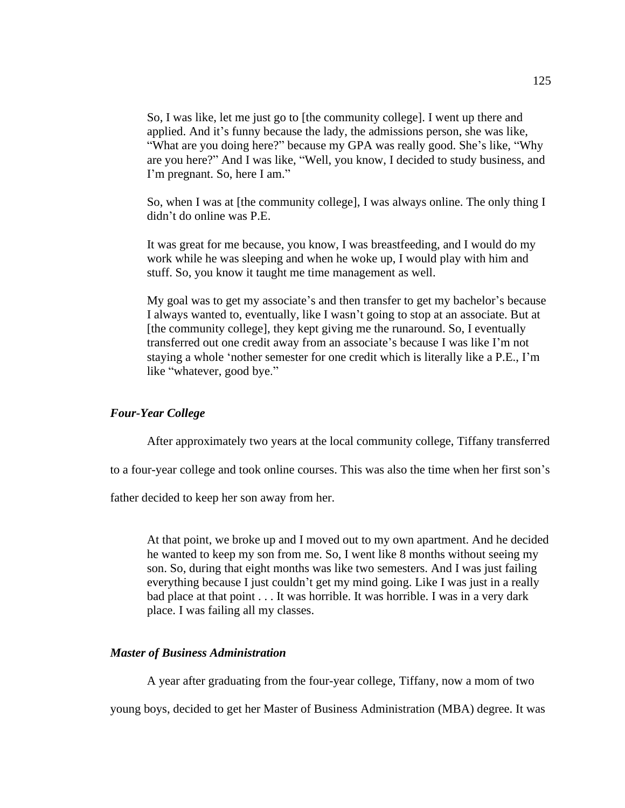So, I was like, let me just go to [the community college]. I went up there and applied. And it's funny because the lady, the admissions person, she was like, "What are you doing here?" because my GPA was really good. She's like, "Why are you here?" And I was like, "Well, you know, I decided to study business, and I'm pregnant. So, here I am."

So, when I was at [the community college], I was always online. The only thing I didn't do online was P.E.

It was great for me because, you know, I was breastfeeding, and I would do my work while he was sleeping and when he woke up, I would play with him and stuff. So, you know it taught me time management as well.

My goal was to get my associate's and then transfer to get my bachelor's because I always wanted to, eventually, like I wasn't going to stop at an associate. But at [the community college], they kept giving me the runaround. So, I eventually transferred out one credit away from an associate's because I was like I'm not staying a whole 'nother semester for one credit which is literally like a P.E., I'm like "whatever, good bye."

## *Four-Year College*

After approximately two years at the local community college, Tiffany transferred

to a four-year college and took online courses. This was also the time when her first son's

father decided to keep her son away from her.

At that point, we broke up and I moved out to my own apartment. And he decided he wanted to keep my son from me. So, I went like 8 months without seeing my son. So, during that eight months was like two semesters. And I was just failing everything because I just couldn't get my mind going. Like I was just in a really bad place at that point . . . It was horrible. It was horrible. I was in a very dark place. I was failing all my classes.

## *Master of Business Administration*

A year after graduating from the four-year college, Tiffany, now a mom of two

young boys, decided to get her Master of Business Administration (MBA) degree. It was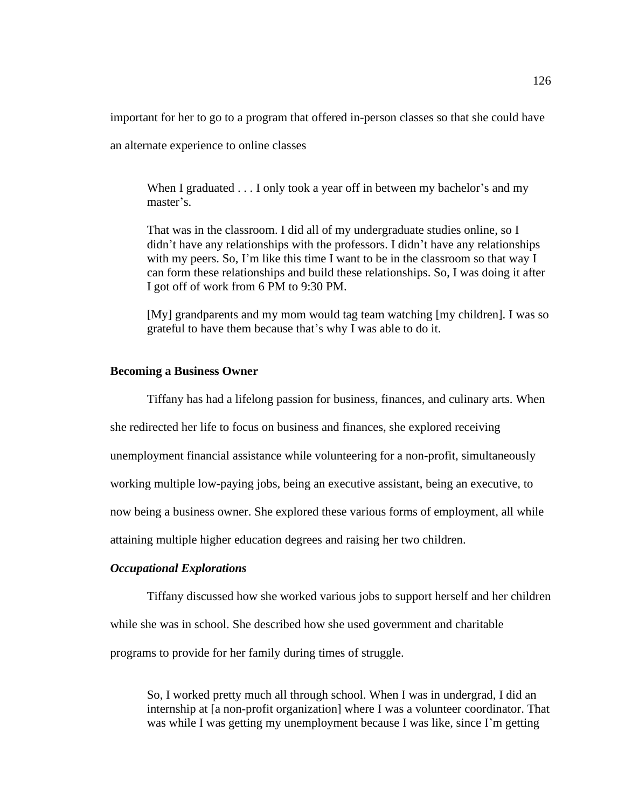important for her to go to a program that offered in-person classes so that she could have

an alternate experience to online classes

When I graduated  $\dots$  I only took a year off in between my bachelor's and my master's.

That was in the classroom. I did all of my undergraduate studies online, so I didn't have any relationships with the professors. I didn't have any relationships with my peers. So, I'm like this time I want to be in the classroom so that way I can form these relationships and build these relationships. So, I was doing it after I got off of work from 6 PM to 9:30 PM.

[My] grandparents and my mom would tag team watching [my children]. I was so grateful to have them because that's why I was able to do it.

## **Becoming a Business Owner**

Tiffany has had a lifelong passion for business, finances, and culinary arts. When

she redirected her life to focus on business and finances, she explored receiving

unemployment financial assistance while volunteering for a non-profit, simultaneously

working multiple low-paying jobs, being an executive assistant, being an executive, to

now being a business owner. She explored these various forms of employment, all while

attaining multiple higher education degrees and raising her two children.

## *Occupational Explorations*

Tiffany discussed how she worked various jobs to support herself and her children while she was in school. She described how she used government and charitable programs to provide for her family during times of struggle.

So, I worked pretty much all through school. When I was in undergrad, I did an internship at [a non-profit organization] where I was a volunteer coordinator. That was while I was getting my unemployment because I was like, since I'm getting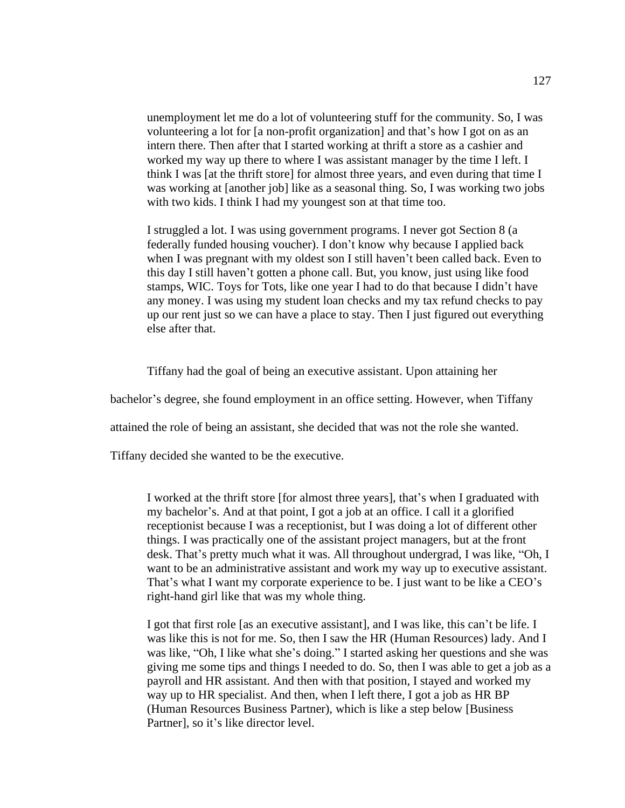unemployment let me do a lot of volunteering stuff for the community. So, I was volunteering a lot for [a non-profit organization] and that's how I got on as an intern there. Then after that I started working at thrift a store as a cashier and worked my way up there to where I was assistant manager by the time I left. I think I was [at the thrift store] for almost three years, and even during that time I was working at [another job] like as a seasonal thing. So, I was working two jobs with two kids. I think I had my youngest son at that time too.

I struggled a lot. I was using government programs. I never got Section 8 (a federally funded housing voucher). I don't know why because I applied back when I was pregnant with my oldest son I still haven't been called back. Even to this day I still haven't gotten a phone call. But, you know, just using like food stamps, WIC. Toys for Tots, like one year I had to do that because I didn't have any money. I was using my student loan checks and my tax refund checks to pay up our rent just so we can have a place to stay. Then I just figured out everything else after that.

Tiffany had the goal of being an executive assistant. Upon attaining her

bachelor's degree, she found employment in an office setting. However, when Tiffany

attained the role of being an assistant, she decided that was not the role she wanted.

Tiffany decided she wanted to be the executive.

I worked at the thrift store [for almost three years], that's when I graduated with my bachelor's. And at that point, I got a job at an office. I call it a glorified receptionist because I was a receptionist, but I was doing a lot of different other things. I was practically one of the assistant project managers, but at the front desk. That's pretty much what it was. All throughout undergrad, I was like, "Oh, I want to be an administrative assistant and work my way up to executive assistant. That's what I want my corporate experience to be. I just want to be like a CEO's right-hand girl like that was my whole thing.

I got that first role [as an executive assistant], and I was like, this can't be life. I was like this is not for me. So, then I saw the HR (Human Resources) lady. And I was like, "Oh, I like what she's doing." I started asking her questions and she was giving me some tips and things I needed to do. So, then I was able to get a job as a payroll and HR assistant. And then with that position, I stayed and worked my way up to HR specialist. And then, when I left there, I got a job as HR BP (Human Resources Business Partner), which is like a step below [Business Partner], so it's like director level.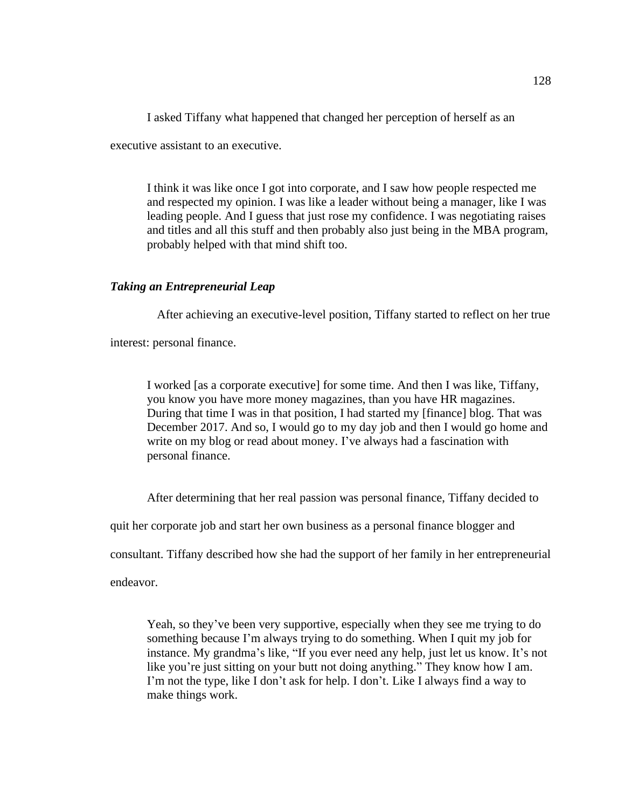I asked Tiffany what happened that changed her perception of herself as an

executive assistant to an executive.

I think it was like once I got into corporate, and I saw how people respected me and respected my opinion. I was like a leader without being a manager, like I was leading people. And I guess that just rose my confidence. I was negotiating raises and titles and all this stuff and then probably also just being in the MBA program, probably helped with that mind shift too.

# *Taking an Entrepreneurial Leap*

After achieving an executive-level position, Tiffany started to reflect on her true

interest: personal finance.

I worked [as a corporate executive] for some time. And then I was like, Tiffany, you know you have more money magazines, than you have HR magazines. During that time I was in that position, I had started my [finance] blog. That was December 2017. And so, I would go to my day job and then I would go home and write on my blog or read about money. I've always had a fascination with personal finance.

After determining that her real passion was personal finance, Tiffany decided to

quit her corporate job and start her own business as a personal finance blogger and

consultant. Tiffany described how she had the support of her family in her entrepreneurial

endeavor.

Yeah, so they've been very supportive, especially when they see me trying to do something because I'm always trying to do something. When I quit my job for instance. My grandma's like, "If you ever need any help, just let us know. It's not like you're just sitting on your butt not doing anything." They know how I am. I'm not the type, like I don't ask for help. I don't. Like I always find a way to make things work.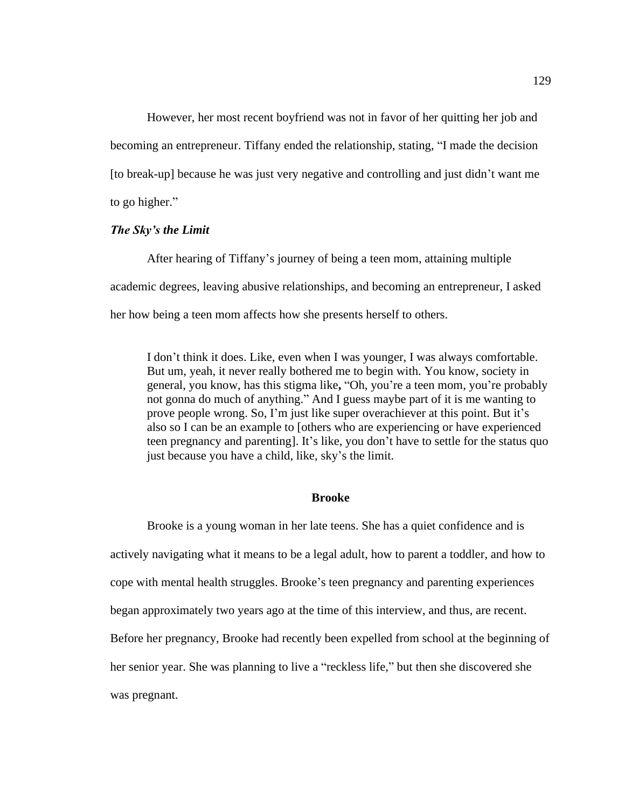However, her most recent boyfriend was not in favor of her quitting her job and becoming an entrepreneur. Tiffany ended the relationship, stating, "I made the decision [to break-up] because he was just very negative and controlling and just didn't want me to go higher."

### *The Sky's the Limit*

After hearing of Tiffany's journey of being a teen mom, attaining multiple academic degrees, leaving abusive relationships, and becoming an entrepreneur, I asked her how being a teen mom affects how she presents herself to others.

I don't think it does. Like, even when I was younger, I was always comfortable. But um, yeah, it never really bothered me to begin with. You know, society in general, you know, has this stigma like**,** "Oh, you're a teen mom, you're probably not gonna do much of anything." And I guess maybe part of it is me wanting to prove people wrong. So, I'm just like super overachiever at this point. But it's also so I can be an example to [others who are experiencing or have experienced teen pregnancy and parenting]. It's like, you don't have to settle for the status quo just because you have a child, like, sky's the limit.

#### **Brooke**

Brooke is a young woman in her late teens. She has a quiet confidence and is actively navigating what it means to be a legal adult, how to parent a toddler, and how to cope with mental health struggles. Brooke's teen pregnancy and parenting experiences began approximately two years ago at the time of this interview, and thus, are recent. Before her pregnancy, Brooke had recently been expelled from school at the beginning of her senior year. She was planning to live a "reckless life," but then she discovered she was pregnant.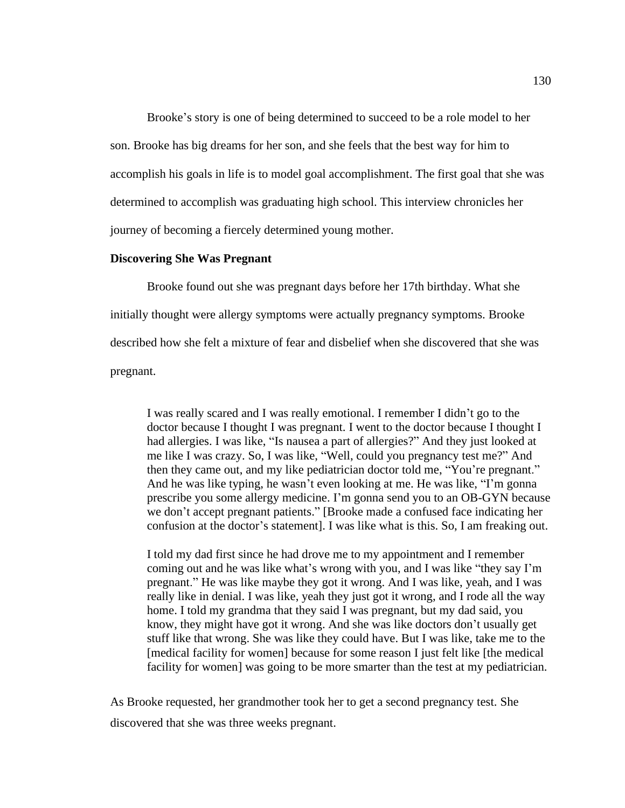Brooke's story is one of being determined to succeed to be a role model to her son. Brooke has big dreams for her son, and she feels that the best way for him to accomplish his goals in life is to model goal accomplishment. The first goal that she was determined to accomplish was graduating high school. This interview chronicles her journey of becoming a fiercely determined young mother.

### **Discovering She Was Pregnant**

Brooke found out she was pregnant days before her 17th birthday. What she initially thought were allergy symptoms were actually pregnancy symptoms. Brooke described how she felt a mixture of fear and disbelief when she discovered that she was pregnant.

I was really scared and I was really emotional. I remember I didn't go to the doctor because I thought I was pregnant. I went to the doctor because I thought I had allergies. I was like, "Is nausea a part of allergies?" And they just looked at me like I was crazy. So, I was like, "Well, could you pregnancy test me?" And then they came out, and my like pediatrician doctor told me, "You're pregnant." And he was like typing, he wasn't even looking at me. He was like, "I'm gonna prescribe you some allergy medicine. I'm gonna send you to an OB-GYN because we don't accept pregnant patients." [Brooke made a confused face indicating her confusion at the doctor's statement]. I was like what is this. So, I am freaking out.

I told my dad first since he had drove me to my appointment and I remember coming out and he was like what's wrong with you, and I was like "they say I'm pregnant." He was like maybe they got it wrong. And I was like, yeah, and I was really like in denial. I was like, yeah they just got it wrong, and I rode all the way home. I told my grandma that they said I was pregnant, but my dad said, you know, they might have got it wrong. And she was like doctors don't usually get stuff like that wrong. She was like they could have. But I was like, take me to the [medical facility for women] because for some reason I just felt like [the medical facility for women] was going to be more smarter than the test at my pediatrician.

As Brooke requested, her grandmother took her to get a second pregnancy test. She discovered that she was three weeks pregnant.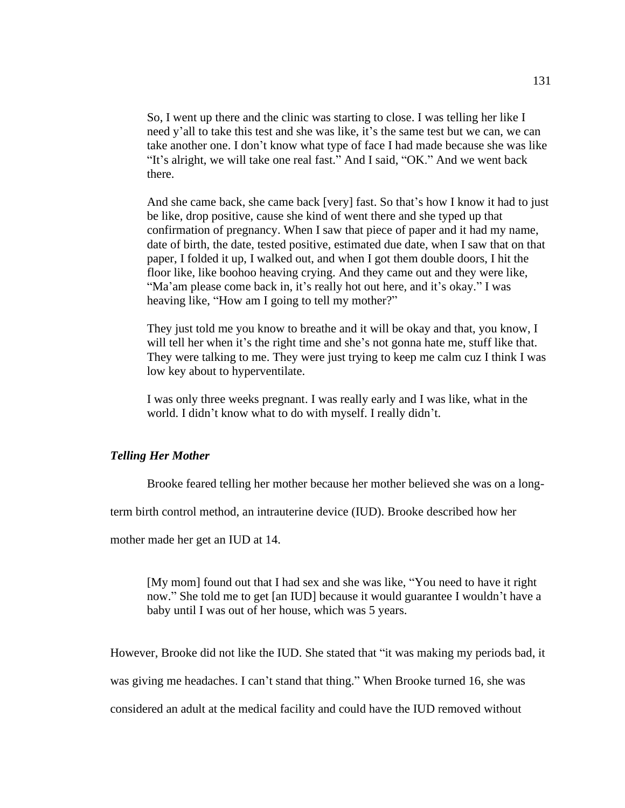So, I went up there and the clinic was starting to close. I was telling her like I need y'all to take this test and she was like, it's the same test but we can, we can take another one. I don't know what type of face I had made because she was like "It's alright, we will take one real fast." And I said, "OK." And we went back there.

And she came back, she came back [very] fast. So that's how I know it had to just be like, drop positive, cause she kind of went there and she typed up that confirmation of pregnancy. When I saw that piece of paper and it had my name, date of birth, the date, tested positive, estimated due date, when I saw that on that paper, I folded it up, I walked out, and when I got them double doors, I hit the floor like, like boohoo heaving crying. And they came out and they were like, "Ma'am please come back in, it's really hot out here, and it's okay." I was heaving like, "How am I going to tell my mother?"

They just told me you know to breathe and it will be okay and that, you know, I will tell her when it's the right time and she's not gonna hate me, stuff like that. They were talking to me. They were just trying to keep me calm cuz I think I was low key about to hyperventilate.

I was only three weeks pregnant. I was really early and I was like, what in the world. I didn't know what to do with myself. I really didn't.

### *Telling Her Mother*

Brooke feared telling her mother because her mother believed she was on a long-

term birth control method, an intrauterine device (IUD). Brooke described how her

mother made her get an IUD at 14.

[My mom] found out that I had sex and she was like, "You need to have it right now." She told me to get [an IUD] because it would guarantee I wouldn't have a baby until I was out of her house, which was 5 years.

However, Brooke did not like the IUD. She stated that "it was making my periods bad, it

was giving me headaches. I can't stand that thing." When Brooke turned 16, she was

considered an adult at the medical facility and could have the IUD removed without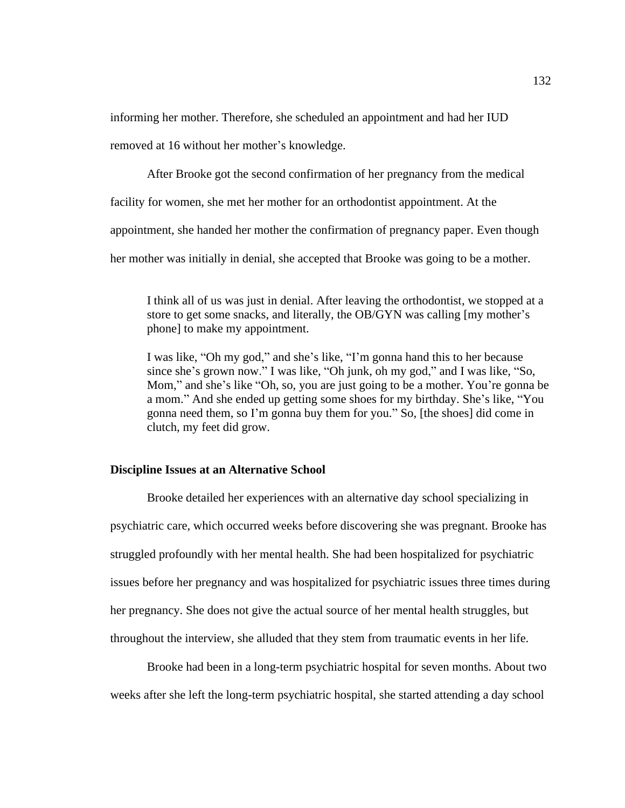informing her mother. Therefore, she scheduled an appointment and had her IUD

removed at 16 without her mother's knowledge.

After Brooke got the second confirmation of her pregnancy from the medical

facility for women, she met her mother for an orthodontist appointment. At the

appointment, she handed her mother the confirmation of pregnancy paper. Even though

her mother was initially in denial, she accepted that Brooke was going to be a mother.

I think all of us was just in denial. After leaving the orthodontist, we stopped at a store to get some snacks, and literally, the OB/GYN was calling [my mother's phone] to make my appointment.

I was like, "Oh my god," and she's like, "I'm gonna hand this to her because since she's grown now." I was like, "Oh junk, oh my god," and I was like, "So, Mom," and she's like "Oh, so, you are just going to be a mother. You're gonna be a mom." And she ended up getting some shoes for my birthday. She's like, "You gonna need them, so I'm gonna buy them for you." So, [the shoes] did come in clutch, my feet did grow.

### **Discipline Issues at an Alternative School**

Brooke detailed her experiences with an alternative day school specializing in psychiatric care, which occurred weeks before discovering she was pregnant. Brooke has struggled profoundly with her mental health. She had been hospitalized for psychiatric issues before her pregnancy and was hospitalized for psychiatric issues three times during her pregnancy. She does not give the actual source of her mental health struggles, but throughout the interview, she alluded that they stem from traumatic events in her life.

Brooke had been in a long-term psychiatric hospital for seven months. About two weeks after she left the long-term psychiatric hospital, she started attending a day school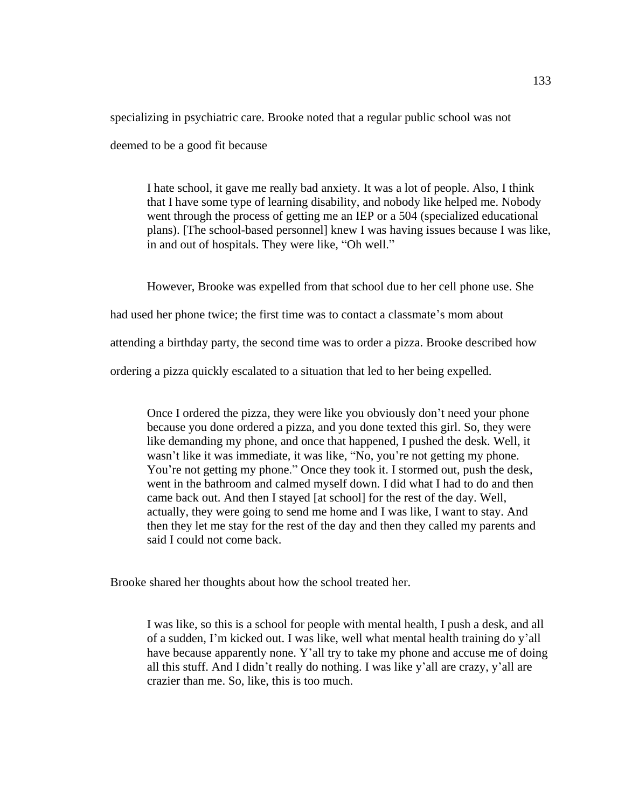specializing in psychiatric care. Brooke noted that a regular public school was not

deemed to be a good fit because

I hate school, it gave me really bad anxiety. It was a lot of people. Also, I think that I have some type of learning disability, and nobody like helped me. Nobody went through the process of getting me an IEP or a 504 (specialized educational plans). [The school-based personnel] knew I was having issues because I was like, in and out of hospitals. They were like, "Oh well."

However, Brooke was expelled from that school due to her cell phone use. She

had used her phone twice; the first time was to contact a classmate's mom about

attending a birthday party, the second time was to order a pizza. Brooke described how

ordering a pizza quickly escalated to a situation that led to her being expelled.

Once I ordered the pizza, they were like you obviously don't need your phone because you done ordered a pizza, and you done texted this girl. So, they were like demanding my phone, and once that happened, I pushed the desk. Well, it wasn't like it was immediate, it was like, "No, you're not getting my phone. You're not getting my phone." Once they took it. I stormed out, push the desk, went in the bathroom and calmed myself down. I did what I had to do and then came back out. And then I stayed [at school] for the rest of the day. Well, actually, they were going to send me home and I was like, I want to stay. And then they let me stay for the rest of the day and then they called my parents and said I could not come back.

Brooke shared her thoughts about how the school treated her.

I was like, so this is a school for people with mental health, I push a desk, and all of a sudden, I'm kicked out. I was like, well what mental health training do y'all have because apparently none. Y'all try to take my phone and accuse me of doing all this stuff. And I didn't really do nothing. I was like y'all are crazy, y'all are crazier than me. So, like, this is too much.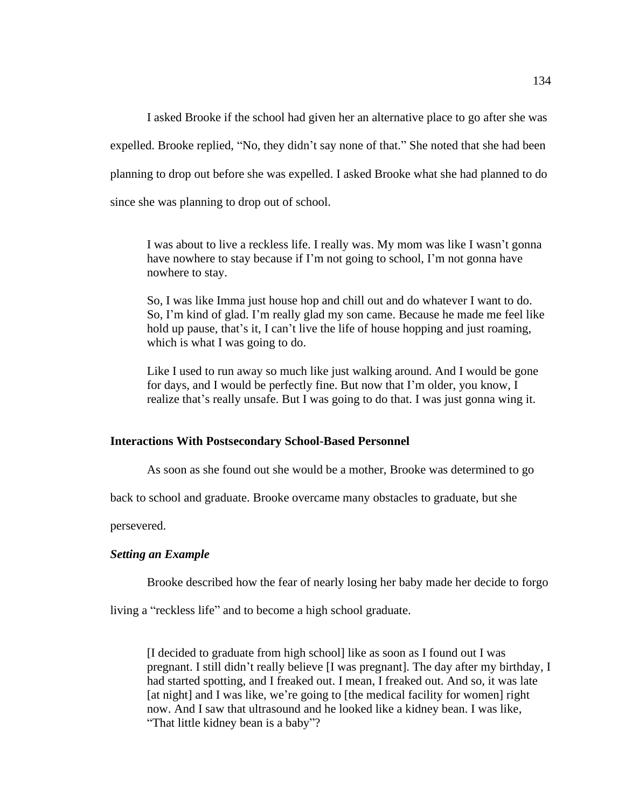I asked Brooke if the school had given her an alternative place to go after she was expelled. Brooke replied, "No, they didn't say none of that." She noted that she had been planning to drop out before she was expelled. I asked Brooke what she had planned to do since she was planning to drop out of school.

I was about to live a reckless life. I really was. My mom was like I wasn't gonna have nowhere to stay because if I'm not going to school, I'm not gonna have nowhere to stay.

So, I was like Imma just house hop and chill out and do whatever I want to do. So, I'm kind of glad. I'm really glad my son came. Because he made me feel like hold up pause, that's it, I can't live the life of house hopping and just roaming, which is what I was going to do.

Like I used to run away so much like just walking around. And I would be gone for days, and I would be perfectly fine. But now that I'm older, you know, I realize that's really unsafe. But I was going to do that. I was just gonna wing it.

#### **Interactions With Postsecondary School-Based Personnel**

As soon as she found out she would be a mother, Brooke was determined to go

back to school and graduate. Brooke overcame many obstacles to graduate, but she

persevered.

#### *Setting an Example*

Brooke described how the fear of nearly losing her baby made her decide to forgo

living a "reckless life" and to become a high school graduate.

[I decided to graduate from high school] like as soon as I found out I was pregnant. I still didn't really believe [I was pregnant]. The day after my birthday, I had started spotting, and I freaked out. I mean, I freaked out. And so, it was late [at night] and I was like, we're going to [the medical facility for women] right now. And I saw that ultrasound and he looked like a kidney bean. I was like, "That little kidney bean is a baby"?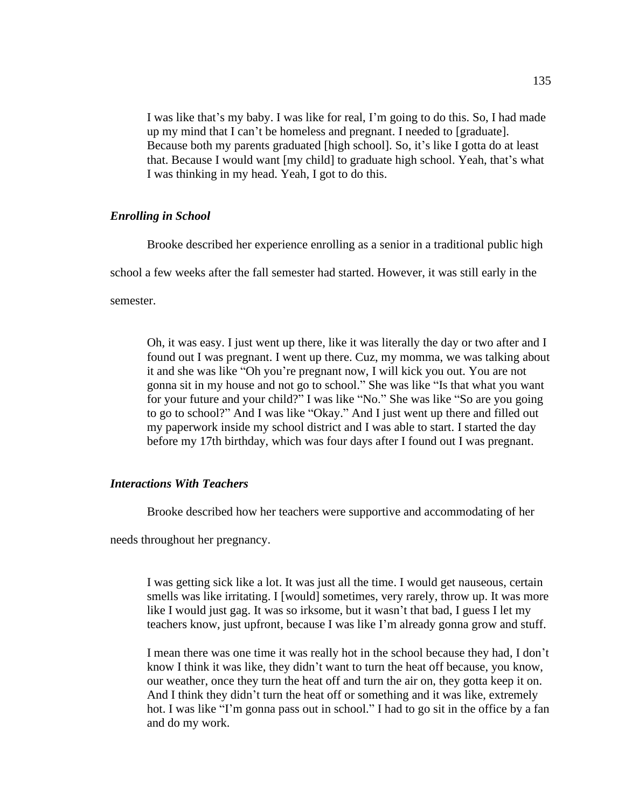I was like that's my baby. I was like for real, I'm going to do this. So, I had made up my mind that I can't be homeless and pregnant. I needed to [graduate]. Because both my parents graduated [high school]. So, it's like I gotta do at least that. Because I would want [my child] to graduate high school. Yeah, that's what I was thinking in my head. Yeah, I got to do this.

## *Enrolling in School*

Brooke described her experience enrolling as a senior in a traditional public high

school a few weeks after the fall semester had started. However, it was still early in the

semester.

Oh, it was easy. I just went up there, like it was literally the day or two after and I found out I was pregnant. I went up there. Cuz, my momma, we was talking about it and she was like "Oh you're pregnant now, I will kick you out. You are not gonna sit in my house and not go to school." She was like "Is that what you want for your future and your child?" I was like "No." She was like "So are you going to go to school?" And I was like "Okay." And I just went up there and filled out my paperwork inside my school district and I was able to start. I started the day before my 17th birthday, which was four days after I found out I was pregnant.

# *Interactions With Teachers*

Brooke described how her teachers were supportive and accommodating of her

needs throughout her pregnancy.

I was getting sick like a lot. It was just all the time. I would get nauseous, certain smells was like irritating. I [would] sometimes, very rarely, throw up. It was more like I would just gag. It was so irksome, but it wasn't that bad, I guess I let my teachers know, just upfront, because I was like I'm already gonna grow and stuff.

I mean there was one time it was really hot in the school because they had, I don't know I think it was like, they didn't want to turn the heat off because, you know, our weather, once they turn the heat off and turn the air on, they gotta keep it on. And I think they didn't turn the heat off or something and it was like, extremely hot. I was like "I'm gonna pass out in school." I had to go sit in the office by a fan and do my work.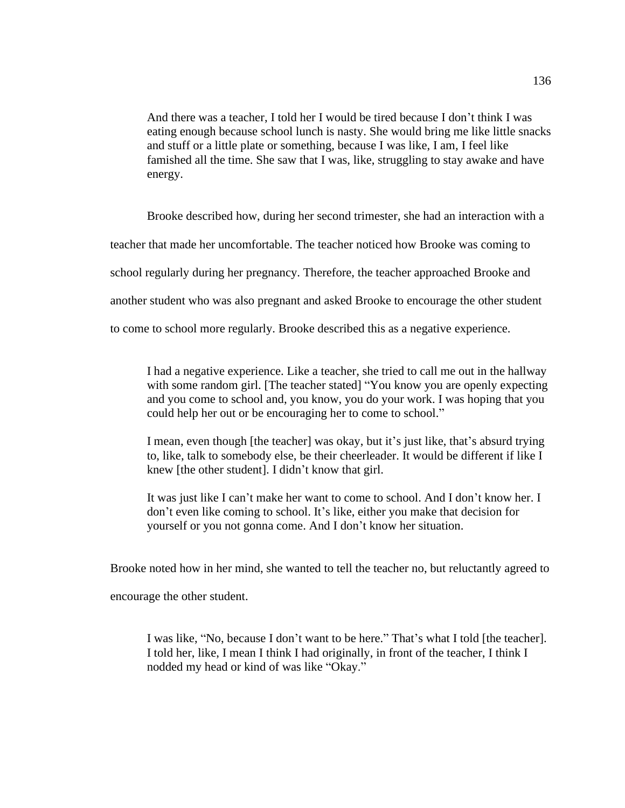And there was a teacher, I told her I would be tired because I don't think I was eating enough because school lunch is nasty. She would bring me like little snacks and stuff or a little plate or something, because I was like, I am, I feel like famished all the time. She saw that I was, like, struggling to stay awake and have energy.

Brooke described how, during her second trimester, she had an interaction with a

teacher that made her uncomfortable. The teacher noticed how Brooke was coming to

school regularly during her pregnancy. Therefore, the teacher approached Brooke and

another student who was also pregnant and asked Brooke to encourage the other student

to come to school more regularly. Brooke described this as a negative experience.

I had a negative experience. Like a teacher, she tried to call me out in the hallway with some random girl. [The teacher stated] "You know you are openly expecting and you come to school and, you know, you do your work. I was hoping that you could help her out or be encouraging her to come to school."

I mean, even though [the teacher] was okay, but it's just like, that's absurd trying to, like, talk to somebody else, be their cheerleader. It would be different if like I knew [the other student]. I didn't know that girl.

It was just like I can't make her want to come to school. And I don't know her. I don't even like coming to school. It's like, either you make that decision for yourself or you not gonna come. And I don't know her situation.

Brooke noted how in her mind, she wanted to tell the teacher no, but reluctantly agreed to

encourage the other student.

I was like, "No, because I don't want to be here." That's what I told [the teacher]. I told her, like, I mean I think I had originally, in front of the teacher, I think I nodded my head or kind of was like "Okay."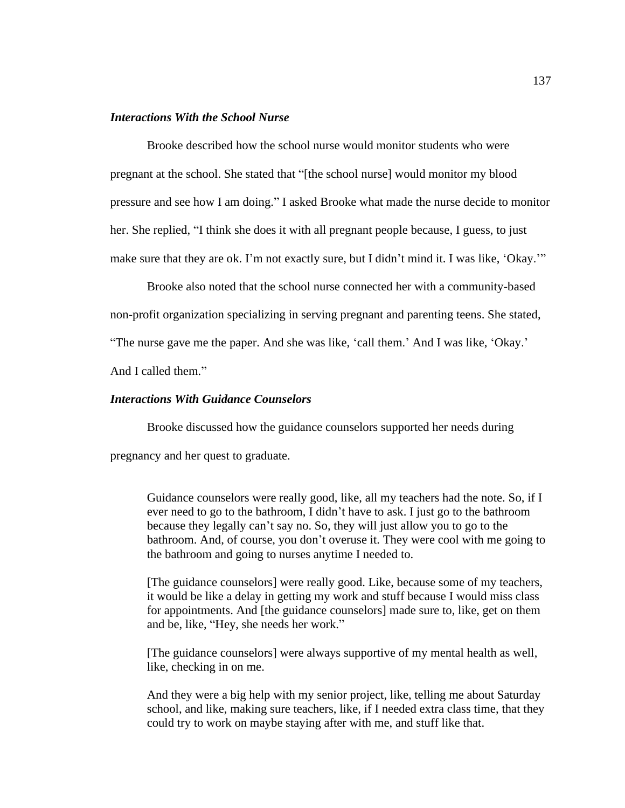# *Interactions With the School Nurse*

Brooke described how the school nurse would monitor students who were pregnant at the school. She stated that "[the school nurse] would monitor my blood pressure and see how I am doing." I asked Brooke what made the nurse decide to monitor her. She replied, "I think she does it with all pregnant people because, I guess, to just make sure that they are ok. I'm not exactly sure, but I didn't mind it. I was like, 'Okay.'"

Brooke also noted that the school nurse connected her with a community-based non-profit organization specializing in serving pregnant and parenting teens. She stated, "The nurse gave me the paper. And she was like, 'call them.' And I was like, 'Okay.'

And I called them."

# *Interactions With Guidance Counselors*

Brooke discussed how the guidance counselors supported her needs during

pregnancy and her quest to graduate.

Guidance counselors were really good, like, all my teachers had the note. So, if I ever need to go to the bathroom, I didn't have to ask. I just go to the bathroom because they legally can't say no. So, they will just allow you to go to the bathroom. And, of course, you don't overuse it. They were cool with me going to the bathroom and going to nurses anytime I needed to.

[The guidance counselors] were really good. Like, because some of my teachers, it would be like a delay in getting my work and stuff because I would miss class for appointments. And [the guidance counselors] made sure to, like, get on them and be, like, "Hey, she needs her work."

[The guidance counselors] were always supportive of my mental health as well, like, checking in on me.

And they were a big help with my senior project, like, telling me about Saturday school, and like, making sure teachers, like, if I needed extra class time, that they could try to work on maybe staying after with me, and stuff like that.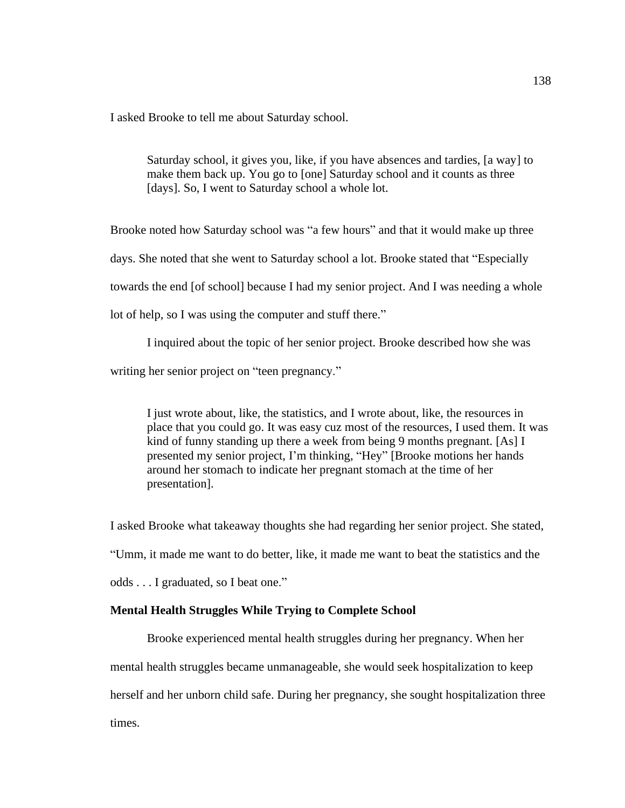I asked Brooke to tell me about Saturday school.

Saturday school, it gives you, like, if you have absences and tardies, [a way] to make them back up. You go to [one] Saturday school and it counts as three [days]. So, I went to Saturday school a whole lot.

Brooke noted how Saturday school was "a few hours" and that it would make up three days. She noted that she went to Saturday school a lot. Brooke stated that "Especially towards the end [of school] because I had my senior project. And I was needing a whole lot of help, so I was using the computer and stuff there."

I inquired about the topic of her senior project. Brooke described how she was

writing her senior project on "teen pregnancy."

I just wrote about, like, the statistics, and I wrote about, like, the resources in place that you could go. It was easy cuz most of the resources, I used them. It was kind of funny standing up there a week from being 9 months pregnant. [As] I presented my senior project, I'm thinking, "Hey" [Brooke motions her hands around her stomach to indicate her pregnant stomach at the time of her presentation].

I asked Brooke what takeaway thoughts she had regarding her senior project. She stated, "Umm, it made me want to do better, like, it made me want to beat the statistics and the odds . . . I graduated, so I beat one."

# **Mental Health Struggles While Trying to Complete School**

Brooke experienced mental health struggles during her pregnancy. When her mental health struggles became unmanageable, she would seek hospitalization to keep herself and her unborn child safe. During her pregnancy, she sought hospitalization three times.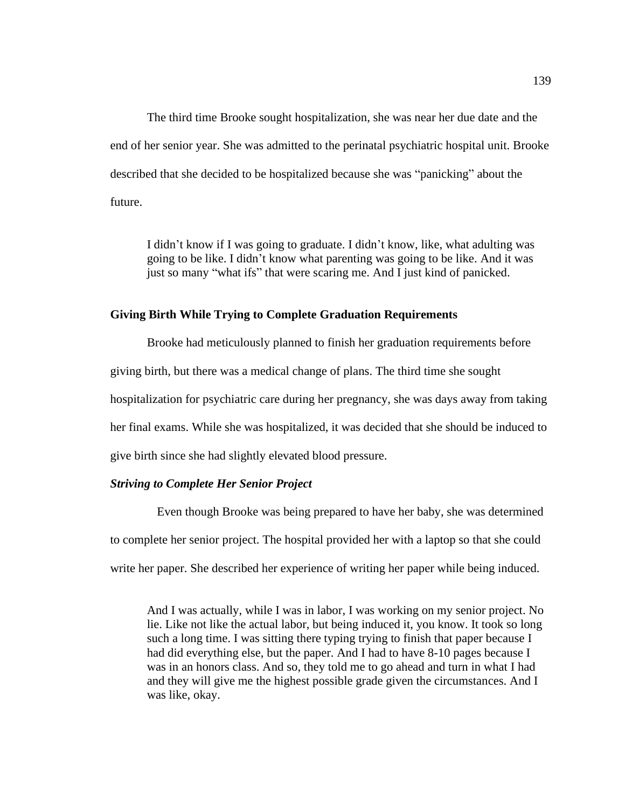The third time Brooke sought hospitalization, she was near her due date and the end of her senior year. She was admitted to the perinatal psychiatric hospital unit. Brooke described that she decided to be hospitalized because she was "panicking" about the future.

I didn't know if I was going to graduate. I didn't know, like, what adulting was going to be like. I didn't know what parenting was going to be like. And it was just so many "what ifs" that were scaring me. And I just kind of panicked.

### **Giving Birth While Trying to Complete Graduation Requirements**

Brooke had meticulously planned to finish her graduation requirements before giving birth, but there was a medical change of plans. The third time she sought hospitalization for psychiatric care during her pregnancy, she was days away from taking her final exams. While she was hospitalized, it was decided that she should be induced to give birth since she had slightly elevated blood pressure.

# *Striving to Complete Her Senior Project*

Even though Brooke was being prepared to have her baby, she was determined to complete her senior project. The hospital provided her with a laptop so that she could write her paper. She described her experience of writing her paper while being induced.

And I was actually, while I was in labor, I was working on my senior project. No lie. Like not like the actual labor, but being induced it, you know. It took so long such a long time. I was sitting there typing trying to finish that paper because I had did everything else, but the paper. And I had to have 8-10 pages because I was in an honors class. And so, they told me to go ahead and turn in what I had and they will give me the highest possible grade given the circumstances. And I was like, okay.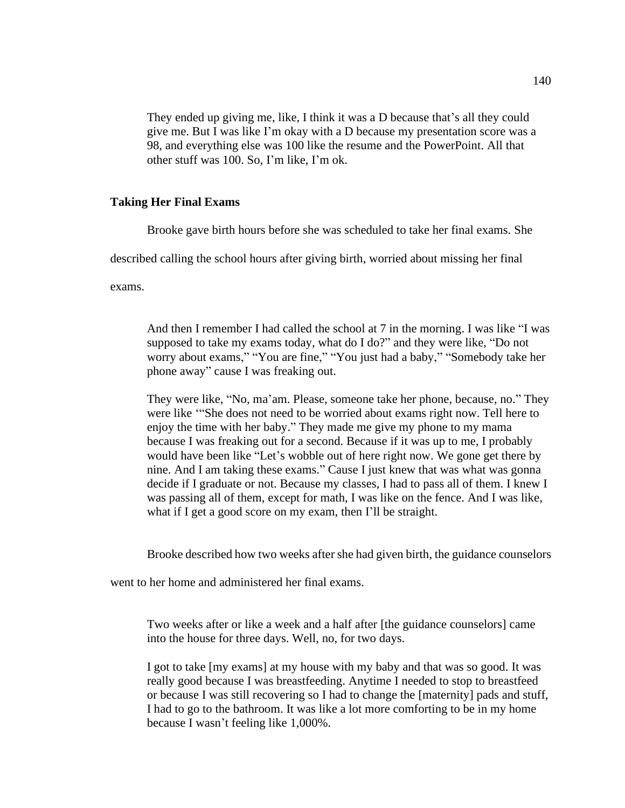They ended up giving me, like, I think it was a D because that's all they could give me. But I was like I'm okay with a D because my presentation score was a 98, and everything else was 100 like the resume and the PowerPoint. All that other stuff was 100. So, I'm like, I'm ok.

# **Taking Her Final Exams**

Brooke gave birth hours before she was scheduled to take her final exams. She

described calling the school hours after giving birth, worried about missing her final

exams.

And then I remember I had called the school at 7 in the morning. I was like "I was supposed to take my exams today, what do I do?" and they were like, "Do not worry about exams," "You are fine," "You just had a baby," "Somebody take her phone away" cause I was freaking out.

They were like, "No, ma'am. Please, someone take her phone, because, no." They were like '"She does not need to be worried about exams right now. Tell here to enjoy the time with her baby." They made me give my phone to my mama because I was freaking out for a second. Because if it was up to me, I probably would have been like "Let's wobble out of here right now. We gone get there by nine. And I am taking these exams." Cause I just knew that was what was gonna decide if I graduate or not. Because my classes, I had to pass all of them. I knew I was passing all of them, except for math, I was like on the fence. And I was like, what if I get a good score on my exam, then I'll be straight.

Brooke described how two weeks after she had given birth, the guidance counselors

went to her home and administered her final exams.

Two weeks after or like a week and a half after [the guidance counselors] came into the house for three days. Well, no, for two days.

I got to take [my exams] at my house with my baby and that was so good. It was really good because I was breastfeeding. Anytime I needed to stop to breastfeed or because I was still recovering so I had to change the [maternity] pads and stuff, I had to go to the bathroom. It was like a lot more comforting to be in my home because I wasn't feeling like 1,000%.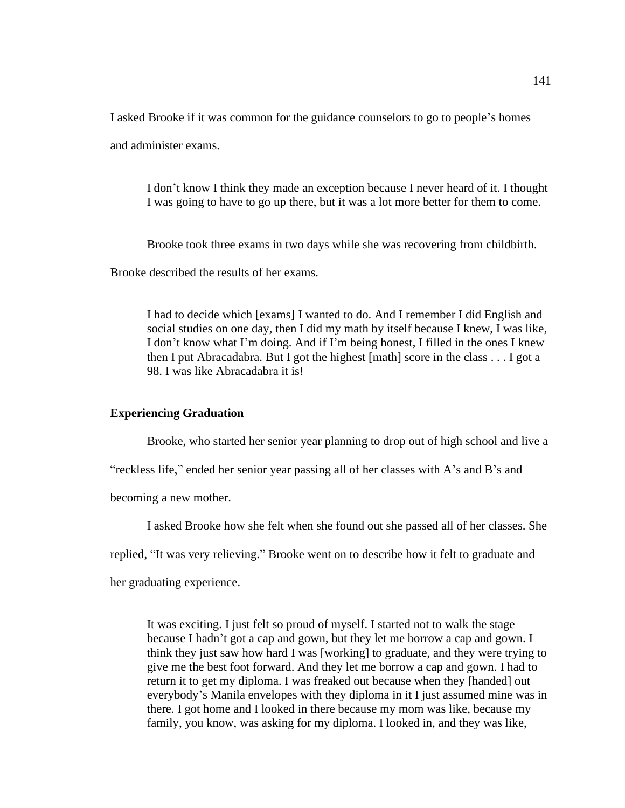I asked Brooke if it was common for the guidance counselors to go to people's homes

and administer exams.

I don't know I think they made an exception because I never heard of it. I thought I was going to have to go up there, but it was a lot more better for them to come.

Brooke took three exams in two days while she was recovering from childbirth.

Brooke described the results of her exams.

I had to decide which [exams] I wanted to do. And I remember I did English and social studies on one day, then I did my math by itself because I knew, I was like, I don't know what I'm doing. And if I'm being honest, I filled in the ones I knew then I put Abracadabra. But I got the highest [math] score in the class . . . I got a 98. I was like Abracadabra it is!

# **Experiencing Graduation**

Brooke, who started her senior year planning to drop out of high school and live a

"reckless life," ended her senior year passing all of her classes with A's and B's and

becoming a new mother.

I asked Brooke how she felt when she found out she passed all of her classes. She

replied, "It was very relieving." Brooke went on to describe how it felt to graduate and

her graduating experience.

It was exciting. I just felt so proud of myself. I started not to walk the stage because I hadn't got a cap and gown, but they let me borrow a cap and gown. I think they just saw how hard I was [working] to graduate, and they were trying to give me the best foot forward. And they let me borrow a cap and gown. I had to return it to get my diploma. I was freaked out because when they [handed] out everybody's Manila envelopes with they diploma in it I just assumed mine was in there. I got home and I looked in there because my mom was like, because my family, you know, was asking for my diploma. I looked in, and they was like,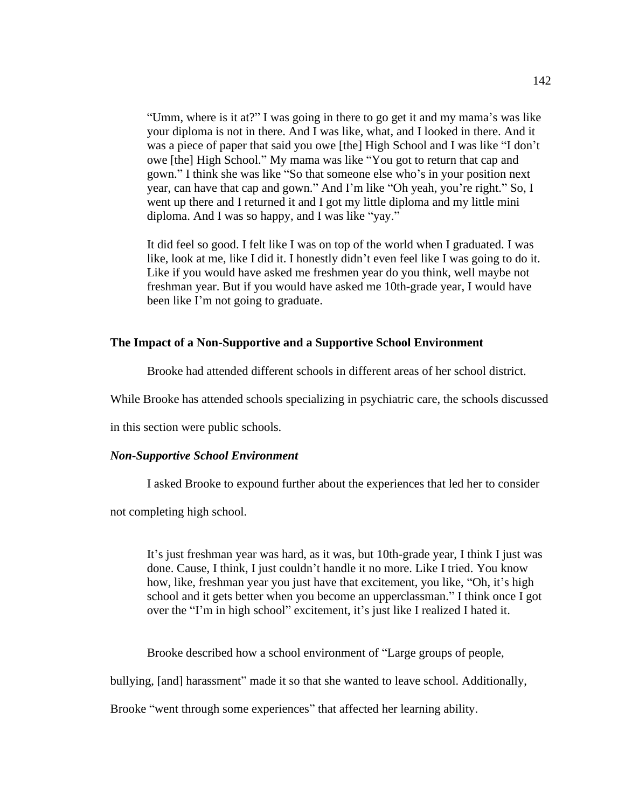"Umm, where is it at?" I was going in there to go get it and my mama's was like your diploma is not in there. And I was like, what, and I looked in there. And it was a piece of paper that said you owe [the] High School and I was like "I don't owe [the] High School." My mama was like "You got to return that cap and gown." I think she was like "So that someone else who's in your position next year, can have that cap and gown." And I'm like "Oh yeah, you're right." So, I went up there and I returned it and I got my little diploma and my little mini diploma. And I was so happy, and I was like "yay."

It did feel so good. I felt like I was on top of the world when I graduated. I was like, look at me, like I did it. I honestly didn't even feel like I was going to do it. Like if you would have asked me freshmen year do you think, well maybe not freshman year. But if you would have asked me 10th-grade year, I would have been like I'm not going to graduate.

## **The Impact of a Non-Supportive and a Supportive School Environment**

Brooke had attended different schools in different areas of her school district.

While Brooke has attended schools specializing in psychiatric care, the schools discussed

in this section were public schools.

## *Non-Supportive School Environment*

I asked Brooke to expound further about the experiences that led her to consider

not completing high school.

It's just freshman year was hard, as it was, but 10th-grade year, I think I just was done. Cause, I think, I just couldn't handle it no more. Like I tried. You know how, like, freshman year you just have that excitement, you like, "Oh, it's high school and it gets better when you become an upperclassman." I think once I got over the "I'm in high school" excitement, it's just like I realized I hated it.

Brooke described how a school environment of "Large groups of people,

bullying, [and] harassment" made it so that she wanted to leave school. Additionally,

Brooke "went through some experiences" that affected her learning ability.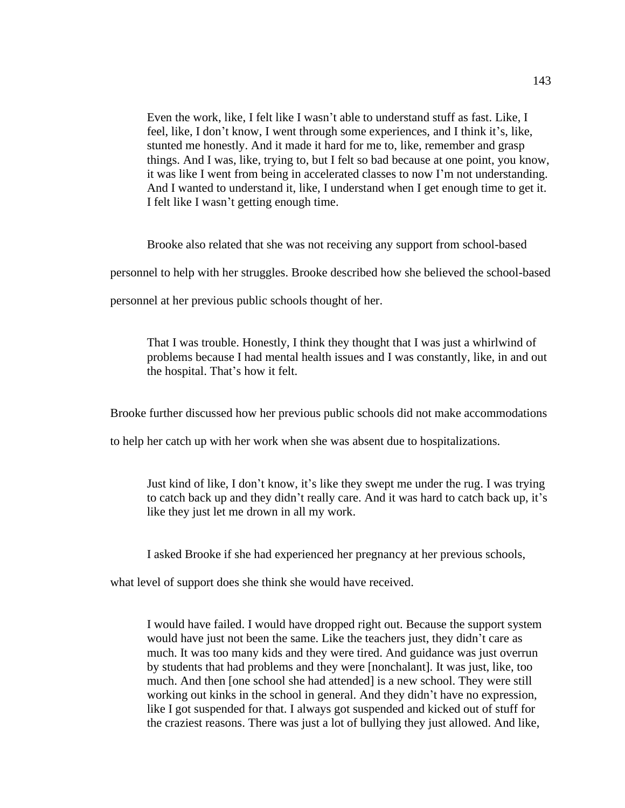Even the work, like, I felt like I wasn't able to understand stuff as fast. Like, I feel, like, I don't know, I went through some experiences, and I think it's, like, stunted me honestly. And it made it hard for me to, like, remember and grasp things. And I was, like, trying to, but I felt so bad because at one point, you know, it was like I went from being in accelerated classes to now I'm not understanding. And I wanted to understand it, like, I understand when I get enough time to get it. I felt like I wasn't getting enough time.

Brooke also related that she was not receiving any support from school-based

personnel to help with her struggles. Brooke described how she believed the school-based

personnel at her previous public schools thought of her.

That I was trouble. Honestly, I think they thought that I was just a whirlwind of problems because I had mental health issues and I was constantly, like, in and out the hospital. That's how it felt.

Brooke further discussed how her previous public schools did not make accommodations

to help her catch up with her work when she was absent due to hospitalizations.

Just kind of like, I don't know, it's like they swept me under the rug. I was trying to catch back up and they didn't really care. And it was hard to catch back up, it's like they just let me drown in all my work.

I asked Brooke if she had experienced her pregnancy at her previous schools,

what level of support does she think she would have received.

I would have failed. I would have dropped right out. Because the support system would have just not been the same. Like the teachers just, they didn't care as much. It was too many kids and they were tired. And guidance was just overrun by students that had problems and they were [nonchalant]. It was just, like, too much. And then [one school she had attended] is a new school. They were still working out kinks in the school in general. And they didn't have no expression, like I got suspended for that. I always got suspended and kicked out of stuff for the craziest reasons. There was just a lot of bullying they just allowed. And like,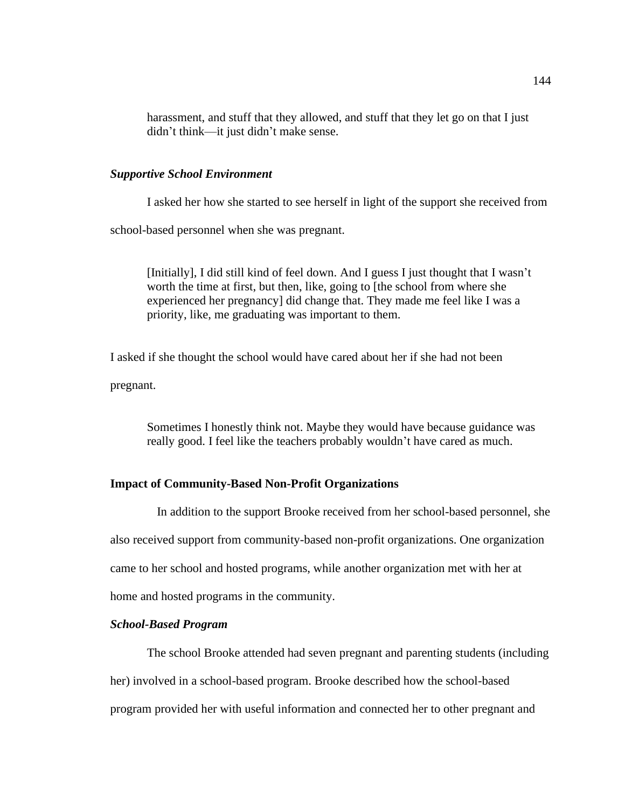harassment, and stuff that they allowed, and stuff that they let go on that I just didn't think—it just didn't make sense.

## *Supportive School Environment*

I asked her how she started to see herself in light of the support she received from school-based personnel when she was pregnant.

[Initially], I did still kind of feel down. And I guess I just thought that I wasn't worth the time at first, but then, like, going to [the school from where she experienced her pregnancy] did change that. They made me feel like I was a priority, like, me graduating was important to them.

I asked if she thought the school would have cared about her if she had not been pregnant.

Sometimes I honestly think not. Maybe they would have because guidance was really good. I feel like the teachers probably wouldn't have cared as much.

# **Impact of Community-Based Non-Profit Organizations**

In addition to the support Brooke received from her school-based personnel, she

also received support from community-based non-profit organizations. One organization

came to her school and hosted programs, while another organization met with her at

home and hosted programs in the community.

# *School-Based Program*

The school Brooke attended had seven pregnant and parenting students (including her) involved in a school-based program. Brooke described how the school-based program provided her with useful information and connected her to other pregnant and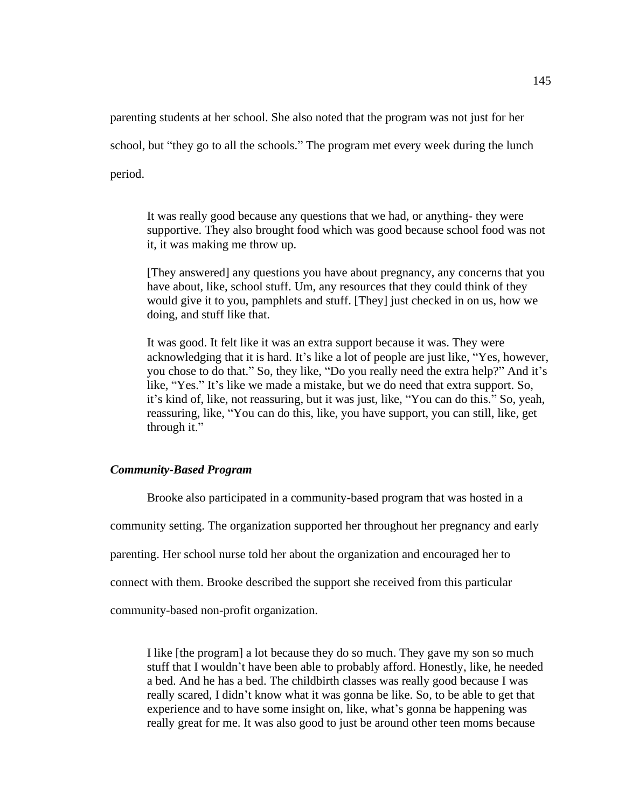parenting students at her school. She also noted that the program was not just for her

school, but "they go to all the schools." The program met every week during the lunch

period.

It was really good because any questions that we had, or anything- they were supportive. They also brought food which was good because school food was not it, it was making me throw up.

[They answered] any questions you have about pregnancy, any concerns that you have about, like, school stuff. Um, any resources that they could think of they would give it to you, pamphlets and stuff. [They] just checked in on us, how we doing, and stuff like that.

It was good. It felt like it was an extra support because it was. They were acknowledging that it is hard. It's like a lot of people are just like, "Yes, however, you chose to do that." So, they like, "Do you really need the extra help?" And it's like, "Yes." It's like we made a mistake, but we do need that extra support. So, it's kind of, like, not reassuring, but it was just, like, "You can do this." So, yeah, reassuring, like, "You can do this, like, you have support, you can still, like, get through it."

# *Community-Based Program*

Brooke also participated in a community-based program that was hosted in a community setting. The organization supported her throughout her pregnancy and early parenting. Her school nurse told her about the organization and encouraged her to connect with them. Brooke described the support she received from this particular

community-based non-profit organization.

I like [the program] a lot because they do so much. They gave my son so much stuff that I wouldn't have been able to probably afford. Honestly, like, he needed a bed. And he has a bed. The childbirth classes was really good because I was really scared, I didn't know what it was gonna be like. So, to be able to get that experience and to have some insight on, like, what's gonna be happening was really great for me. It was also good to just be around other teen moms because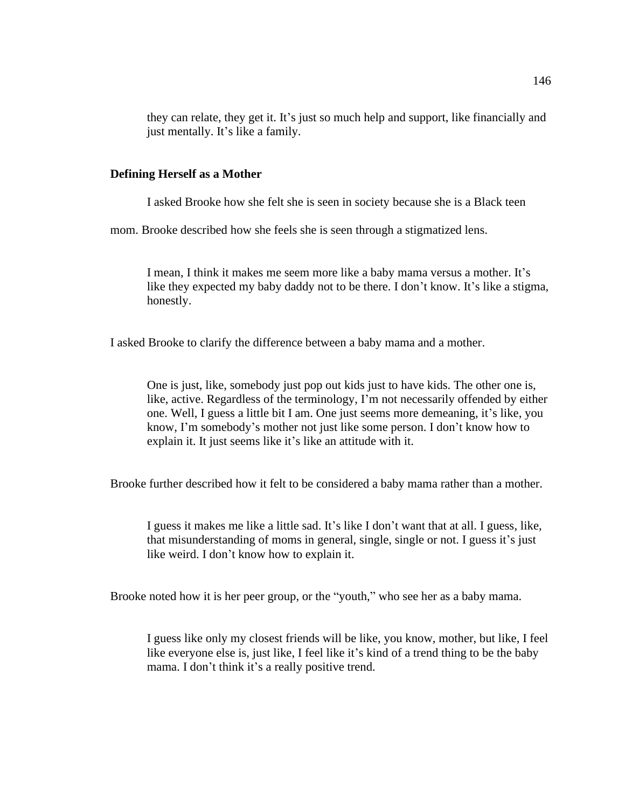they can relate, they get it. It's just so much help and support, like financially and just mentally. It's like a family.

## **Defining Herself as a Mother**

I asked Brooke how she felt she is seen in society because she is a Black teen

mom. Brooke described how she feels she is seen through a stigmatized lens.

I mean, I think it makes me seem more like a baby mama versus a mother. It's like they expected my baby daddy not to be there. I don't know. It's like a stigma, honestly.

I asked Brooke to clarify the difference between a baby mama and a mother.

One is just, like, somebody just pop out kids just to have kids. The other one is, like, active. Regardless of the terminology, I'm not necessarily offended by either one. Well, I guess a little bit I am. One just seems more demeaning, it's like, you know, I'm somebody's mother not just like some person. I don't know how to explain it. It just seems like it's like an attitude with it.

Brooke further described how it felt to be considered a baby mama rather than a mother.

I guess it makes me like a little sad. It's like I don't want that at all. I guess, like, that misunderstanding of moms in general, single, single or not. I guess it's just like weird. I don't know how to explain it.

Brooke noted how it is her peer group, or the "youth," who see her as a baby mama.

I guess like only my closest friends will be like, you know, mother, but like, I feel like everyone else is, just like, I feel like it's kind of a trend thing to be the baby mama. I don't think it's a really positive trend.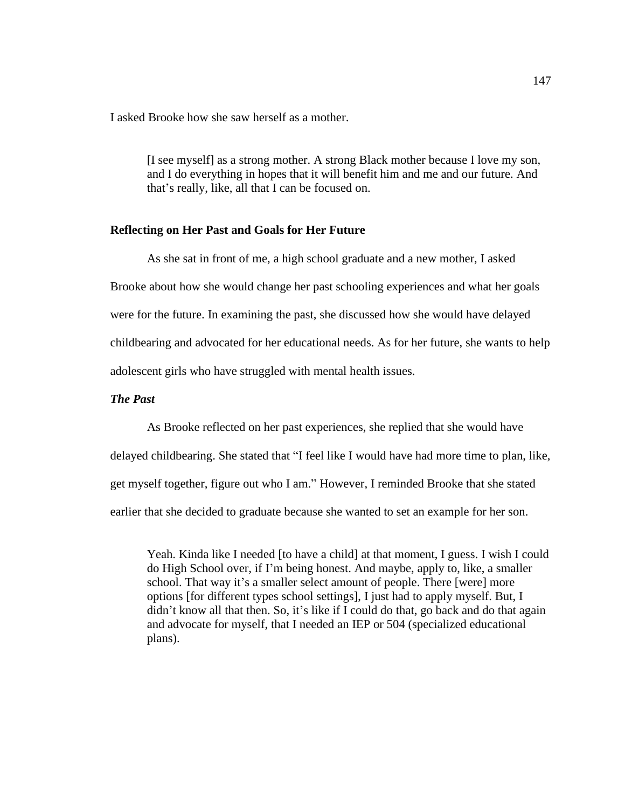I asked Brooke how she saw herself as a mother.

[I see myself] as a strong mother. A strong Black mother because I love my son, and I do everything in hopes that it will benefit him and me and our future. And that's really, like, all that I can be focused on.

# **Reflecting on Her Past and Goals for Her Future**

As she sat in front of me, a high school graduate and a new mother, I asked Brooke about how she would change her past schooling experiences and what her goals were for the future. In examining the past, she discussed how she would have delayed childbearing and advocated for her educational needs. As for her future, she wants to help adolescent girls who have struggled with mental health issues.

# *The Past*

As Brooke reflected on her past experiences, she replied that she would have delayed childbearing. She stated that "I feel like I would have had more time to plan, like, get myself together, figure out who I am." However, I reminded Brooke that she stated earlier that she decided to graduate because she wanted to set an example for her son.

Yeah. Kinda like I needed [to have a child] at that moment, I guess. I wish I could do High School over, if I'm being honest. And maybe, apply to, like, a smaller school. That way it's a smaller select amount of people. There [were] more options [for different types school settings], I just had to apply myself. But, I didn't know all that then. So, it's like if I could do that, go back and do that again and advocate for myself, that I needed an IEP or 504 (specialized educational plans).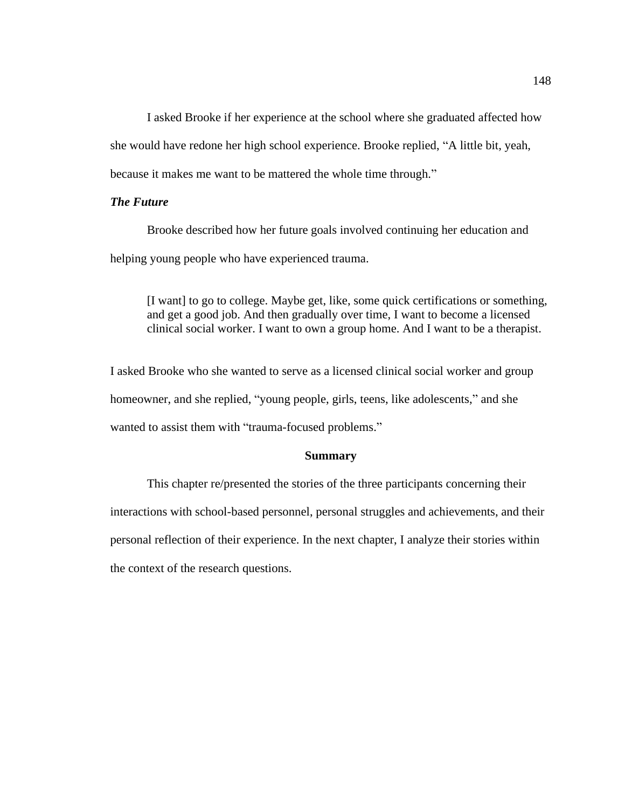I asked Brooke if her experience at the school where she graduated affected how she would have redone her high school experience. Brooke replied, "A little bit, yeah, because it makes me want to be mattered the whole time through."

# *The Future*

Brooke described how her future goals involved continuing her education and helping young people who have experienced trauma.

[I want] to go to college. Maybe get, like, some quick certifications or something, and get a good job. And then gradually over time, I want to become a licensed clinical social worker. I want to own a group home. And I want to be a therapist.

I asked Brooke who she wanted to serve as a licensed clinical social worker and group homeowner, and she replied, "young people, girls, teens, like adolescents," and she wanted to assist them with "trauma-focused problems."

## **Summary**

This chapter re/presented the stories of the three participants concerning their interactions with school-based personnel, personal struggles and achievements, and their personal reflection of their experience. In the next chapter, I analyze their stories within the context of the research questions.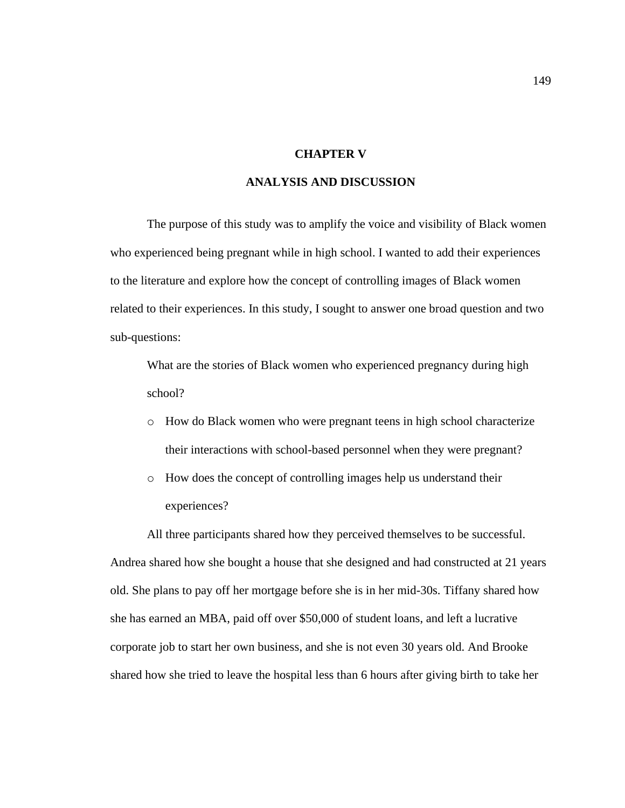# **CHAPTER V**

# **ANALYSIS AND DISCUSSION**

The purpose of this study was to amplify the voice and visibility of Black women who experienced being pregnant while in high school. I wanted to add their experiences to the literature and explore how the concept of controlling images of Black women related to their experiences. In this study, I sought to answer one broad question and two sub-questions:

What are the stories of Black women who experienced pregnancy during high school?

- o How do Black women who were pregnant teens in high school characterize their interactions with school-based personnel when they were pregnant?
- o How does the concept of controlling images help us understand their experiences?

All three participants shared how they perceived themselves to be successful. Andrea shared how she bought a house that she designed and had constructed at 21 years old. She plans to pay off her mortgage before she is in her mid-30s. Tiffany shared how she has earned an MBA, paid off over \$50,000 of student loans, and left a lucrative corporate job to start her own business, and she is not even 30 years old. And Brooke shared how she tried to leave the hospital less than 6 hours after giving birth to take her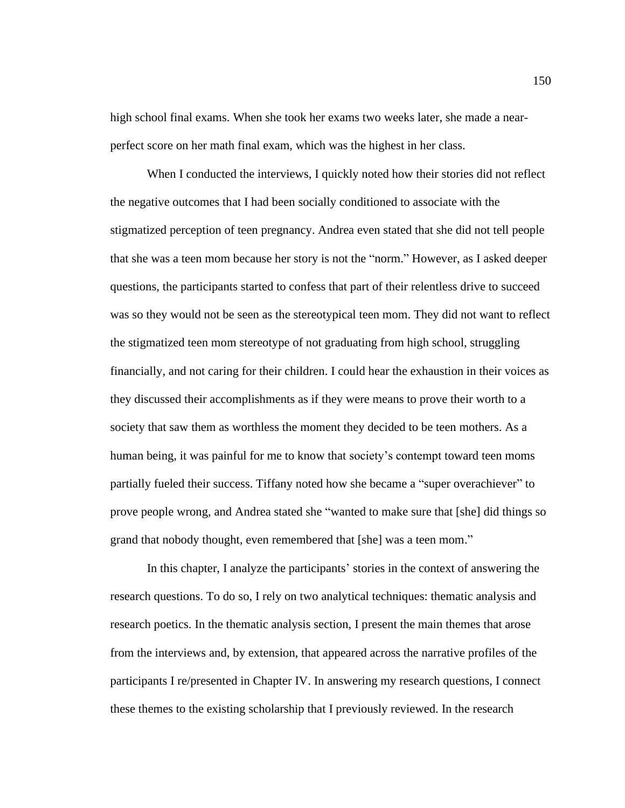high school final exams. When she took her exams two weeks later, she made a nearperfect score on her math final exam, which was the highest in her class.

When I conducted the interviews, I quickly noted how their stories did not reflect the negative outcomes that I had been socially conditioned to associate with the stigmatized perception of teen pregnancy. Andrea even stated that she did not tell people that she was a teen mom because her story is not the "norm." However, as I asked deeper questions, the participants started to confess that part of their relentless drive to succeed was so they would not be seen as the stereotypical teen mom. They did not want to reflect the stigmatized teen mom stereotype of not graduating from high school, struggling financially, and not caring for their children. I could hear the exhaustion in their voices as they discussed their accomplishments as if they were means to prove their worth to a society that saw them as worthless the moment they decided to be teen mothers. As a human being, it was painful for me to know that society's contempt toward teen moms partially fueled their success. Tiffany noted how she became a "super overachiever" to prove people wrong, and Andrea stated she "wanted to make sure that [she] did things so grand that nobody thought, even remembered that [she] was a teen mom."

In this chapter, I analyze the participants' stories in the context of answering the research questions. To do so, I rely on two analytical techniques: thematic analysis and research poetics. In the thematic analysis section, I present the main themes that arose from the interviews and, by extension, that appeared across the narrative profiles of the participants I re/presented in Chapter IV. In answering my research questions, I connect these themes to the existing scholarship that I previously reviewed. In the research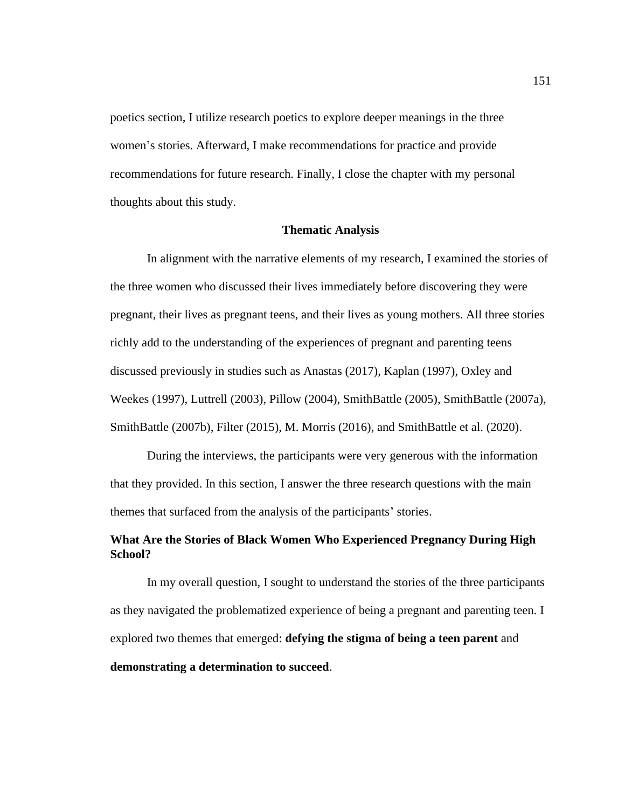poetics section, I utilize research poetics to explore deeper meanings in the three women's stories. Afterward, I make recommendations for practice and provide recommendations for future research. Finally, I close the chapter with my personal thoughts about this study.

### **Thematic Analysis**

In alignment with the narrative elements of my research, I examined the stories of the three women who discussed their lives immediately before discovering they were pregnant, their lives as pregnant teens, and their lives as young mothers. All three stories richly add to the understanding of the experiences of pregnant and parenting teens discussed previously in studies such as Anastas (2017), Kaplan (1997), Oxley and Weekes (1997), Luttrell (2003), Pillow (2004), SmithBattle (2005), SmithBattle (2007a), SmithBattle (2007b), Filter (2015), M. Morris (2016), and SmithBattle et al. (2020).

During the interviews, the participants were very generous with the information that they provided. In this section, I answer the three research questions with the main themes that surfaced from the analysis of the participants' stories.

# **What Are the Stories of Black Women Who Experienced Pregnancy During High School?**

In my overall question, I sought to understand the stories of the three participants as they navigated the problematized experience of being a pregnant and parenting teen. I explored two themes that emerged: **defying the stigma of being a teen parent** and **demonstrating a determination to succeed**.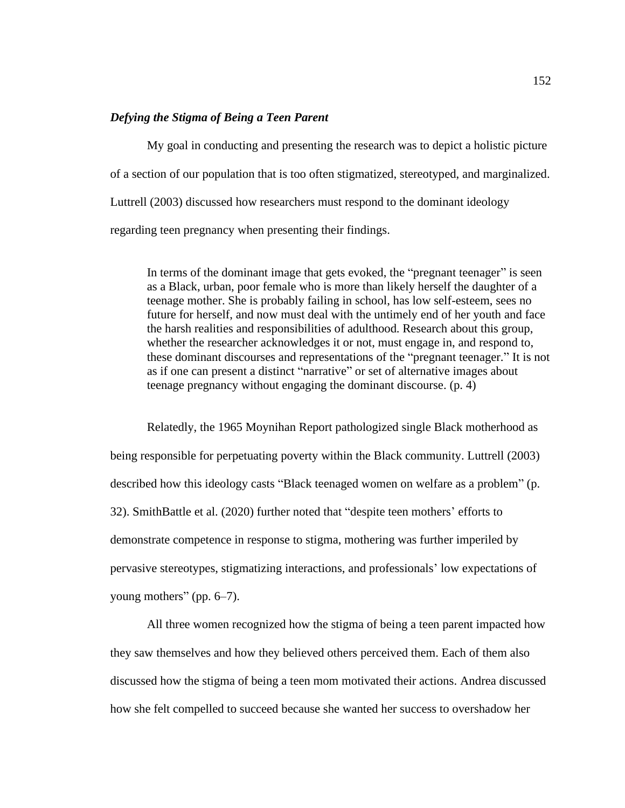# *Defying the Stigma of Being a Teen Parent*

My goal in conducting and presenting the research was to depict a holistic picture of a section of our population that is too often stigmatized, stereotyped, and marginalized. Luttrell (2003) discussed how researchers must respond to the dominant ideology regarding teen pregnancy when presenting their findings.

In terms of the dominant image that gets evoked, the "pregnant teenager" is seen as a Black, urban, poor female who is more than likely herself the daughter of a teenage mother. She is probably failing in school, has low self-esteem, sees no future for herself, and now must deal with the untimely end of her youth and face the harsh realities and responsibilities of adulthood. Research about this group, whether the researcher acknowledges it or not, must engage in, and respond to, these dominant discourses and representations of the "pregnant teenager." It is not as if one can present a distinct "narrative" or set of alternative images about teenage pregnancy without engaging the dominant discourse. (p. 4)

Relatedly, the 1965 Moynihan Report pathologized single Black motherhood as being responsible for perpetuating poverty within the Black community. Luttrell (2003) described how this ideology casts "Black teenaged women on welfare as a problem" (p. 32). SmithBattle et al. (2020) further noted that "despite teen mothers' efforts to demonstrate competence in response to stigma, mothering was further imperiled by pervasive stereotypes, stigmatizing interactions, and professionals' low expectations of young mothers" (pp. 6–7).

All three women recognized how the stigma of being a teen parent impacted how they saw themselves and how they believed others perceived them. Each of them also discussed how the stigma of being a teen mom motivated their actions. Andrea discussed how she felt compelled to succeed because she wanted her success to overshadow her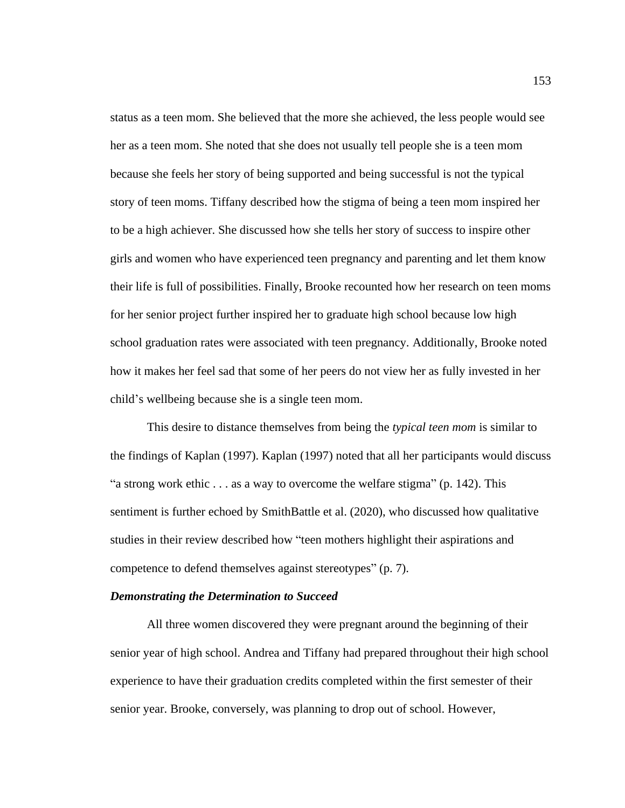status as a teen mom. She believed that the more she achieved, the less people would see her as a teen mom. She noted that she does not usually tell people she is a teen mom because she feels her story of being supported and being successful is not the typical story of teen moms. Tiffany described how the stigma of being a teen mom inspired her to be a high achiever. She discussed how she tells her story of success to inspire other girls and women who have experienced teen pregnancy and parenting and let them know their life is full of possibilities. Finally, Brooke recounted how her research on teen moms for her senior project further inspired her to graduate high school because low high school graduation rates were associated with teen pregnancy. Additionally, Brooke noted how it makes her feel sad that some of her peers do not view her as fully invested in her child's wellbeing because she is a single teen mom.

This desire to distance themselves from being the *typical teen mom* is similar to the findings of Kaplan (1997). Kaplan (1997) noted that all her participants would discuss "a strong work ethic . . . as a way to overcome the welfare stigma" (p. 142). This sentiment is further echoed by SmithBattle et al. (2020), who discussed how qualitative studies in their review described how "teen mothers highlight their aspirations and competence to defend themselves against stereotypes" (p. 7).

### *Demonstrating the Determination to Succeed*

All three women discovered they were pregnant around the beginning of their senior year of high school. Andrea and Tiffany had prepared throughout their high school experience to have their graduation credits completed within the first semester of their senior year. Brooke, conversely, was planning to drop out of school. However,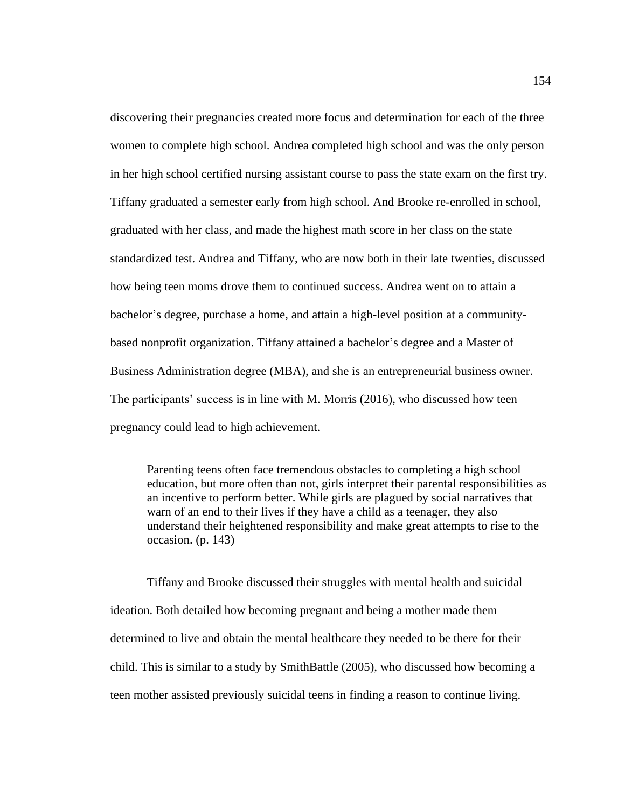discovering their pregnancies created more focus and determination for each of the three women to complete high school. Andrea completed high school and was the only person in her high school certified nursing assistant course to pass the state exam on the first try. Tiffany graduated a semester early from high school. And Brooke re-enrolled in school, graduated with her class, and made the highest math score in her class on the state standardized test. Andrea and Tiffany, who are now both in their late twenties, discussed how being teen moms drove them to continued success. Andrea went on to attain a bachelor's degree, purchase a home, and attain a high-level position at a communitybased nonprofit organization. Tiffany attained a bachelor's degree and a Master of Business Administration degree (MBA), and she is an entrepreneurial business owner. The participants' success is in line with M. Morris (2016), who discussed how teen pregnancy could lead to high achievement.

Parenting teens often face tremendous obstacles to completing a high school education, but more often than not, girls interpret their parental responsibilities as an incentive to perform better. While girls are plagued by social narratives that warn of an end to their lives if they have a child as a teenager, they also understand their heightened responsibility and make great attempts to rise to the occasion. (p. 143)

Tiffany and Brooke discussed their struggles with mental health and suicidal ideation. Both detailed how becoming pregnant and being a mother made them determined to live and obtain the mental healthcare they needed to be there for their child. This is similar to a study by SmithBattle (2005), who discussed how becoming a teen mother assisted previously suicidal teens in finding a reason to continue living.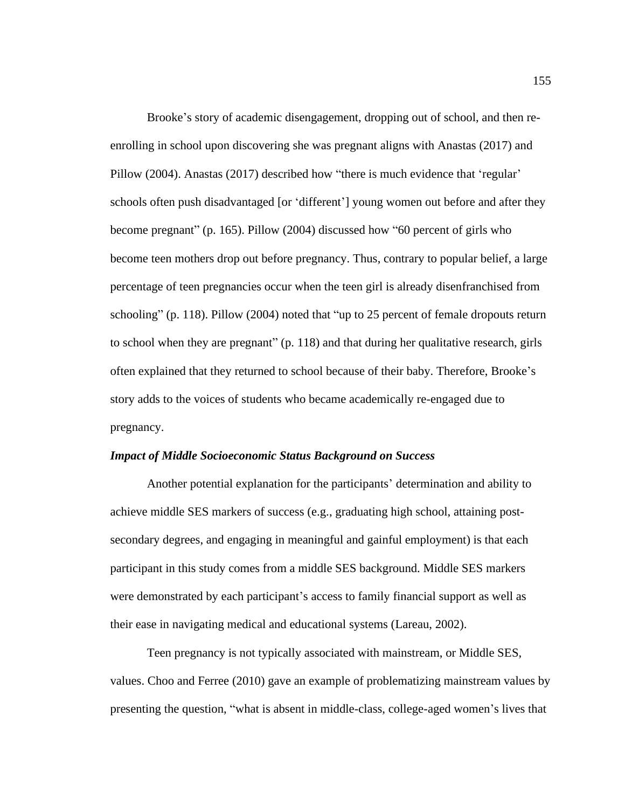Brooke's story of academic disengagement, dropping out of school, and then reenrolling in school upon discovering she was pregnant aligns with Anastas (2017) and Pillow (2004). Anastas (2017) described how "there is much evidence that 'regular' schools often push disadvantaged [or 'different'] young women out before and after they become pregnant" (p. 165). Pillow (2004) discussed how "60 percent of girls who become teen mothers drop out before pregnancy. Thus, contrary to popular belief, a large percentage of teen pregnancies occur when the teen girl is already disenfranchised from schooling" (p. 118). Pillow (2004) noted that "up to 25 percent of female dropouts return to school when they are pregnant" (p. 118) and that during her qualitative research, girls often explained that they returned to school because of their baby. Therefore, Brooke's story adds to the voices of students who became academically re-engaged due to pregnancy.

### *Impact of Middle Socioeconomic Status Background on Success*

Another potential explanation for the participants' determination and ability to achieve middle SES markers of success (e.g., graduating high school, attaining postsecondary degrees, and engaging in meaningful and gainful employment) is that each participant in this study comes from a middle SES background. Middle SES markers were demonstrated by each participant's access to family financial support as well as their ease in navigating medical and educational systems (Lareau, 2002).

Teen pregnancy is not typically associated with mainstream, or Middle SES, values. Choo and Ferree (2010) gave an example of problematizing mainstream values by presenting the question, "what is absent in middle-class, college-aged women's lives that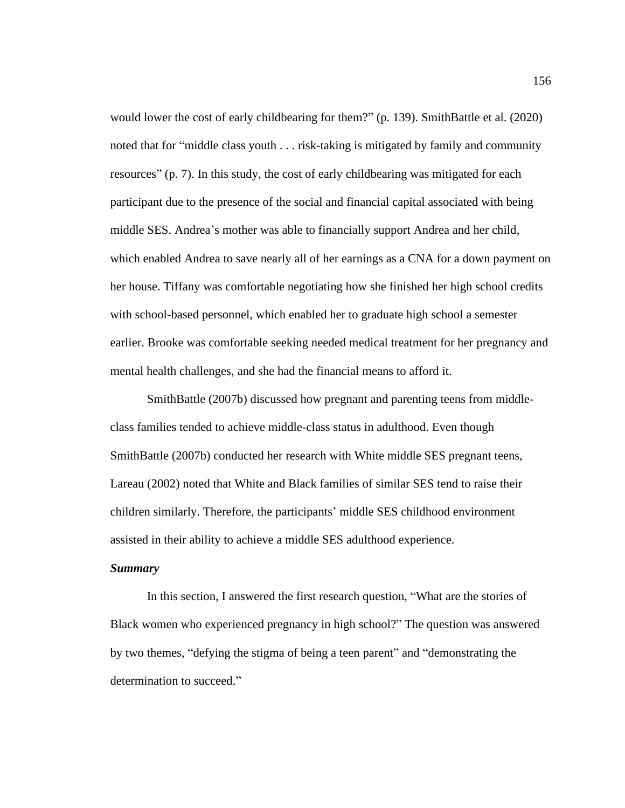would lower the cost of early childbearing for them?" (p. 139). SmithBattle et al. (2020) noted that for "middle class youth . . . risk-taking is mitigated by family and community resources" (p. 7). In this study, the cost of early childbearing was mitigated for each participant due to the presence of the social and financial capital associated with being middle SES. Andrea's mother was able to financially support Andrea and her child, which enabled Andrea to save nearly all of her earnings as a CNA for a down payment on her house. Tiffany was comfortable negotiating how she finished her high school credits with school-based personnel, which enabled her to graduate high school a semester earlier. Brooke was comfortable seeking needed medical treatment for her pregnancy and mental health challenges, and she had the financial means to afford it.

SmithBattle (2007b) discussed how pregnant and parenting teens from middleclass families tended to achieve middle-class status in adulthood. Even though SmithBattle (2007b) conducted her research with White middle SES pregnant teens, Lareau (2002) noted that White and Black families of similar SES tend to raise their children similarly. Therefore, the participants' middle SES childhood environment assisted in their ability to achieve a middle SES adulthood experience.

## *Summary*

In this section, I answered the first research question, "What are the stories of Black women who experienced pregnancy in high school?" The question was answered by two themes, "defying the stigma of being a teen parent" and "demonstrating the determination to succeed."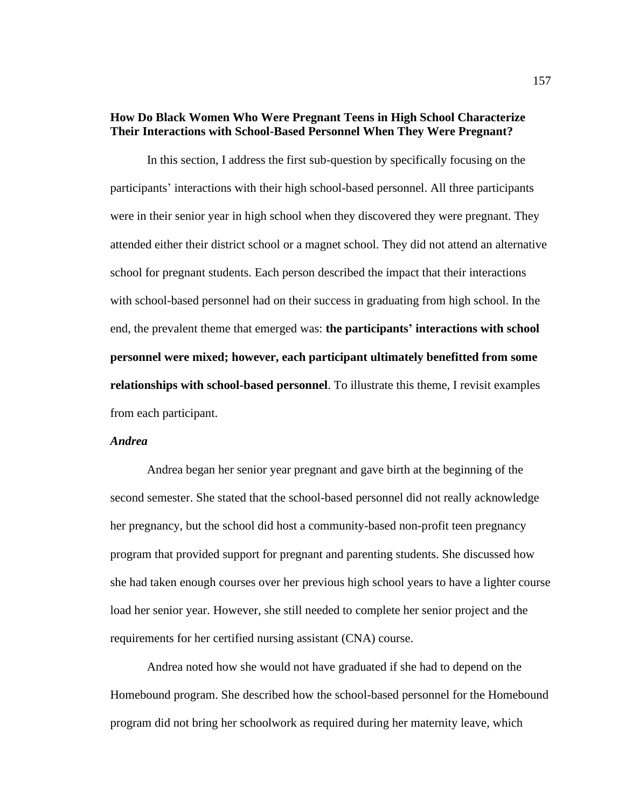# **How Do Black Women Who Were Pregnant Teens in High School Characterize Their Interactions with School-Based Personnel When They Were Pregnant?**

In this section, I address the first sub-question by specifically focusing on the participants' interactions with their high school-based personnel. All three participants were in their senior year in high school when they discovered they were pregnant. They attended either their district school or a magnet school. They did not attend an alternative school for pregnant students. Each person described the impact that their interactions with school-based personnel had on their success in graduating from high school. In the end, the prevalent theme that emerged was: **the participants' interactions with school personnel were mixed; however, each participant ultimately benefitted from some relationships with school-based personnel**. To illustrate this theme, I revisit examples from each participant.

### *Andrea*

Andrea began her senior year pregnant and gave birth at the beginning of the second semester. She stated that the school-based personnel did not really acknowledge her pregnancy, but the school did host a community-based non-profit teen pregnancy program that provided support for pregnant and parenting students. She discussed how she had taken enough courses over her previous high school years to have a lighter course load her senior year. However, she still needed to complete her senior project and the requirements for her certified nursing assistant (CNA) course.

Andrea noted how she would not have graduated if she had to depend on the Homebound program. She described how the school-based personnel for the Homebound program did not bring her schoolwork as required during her maternity leave, which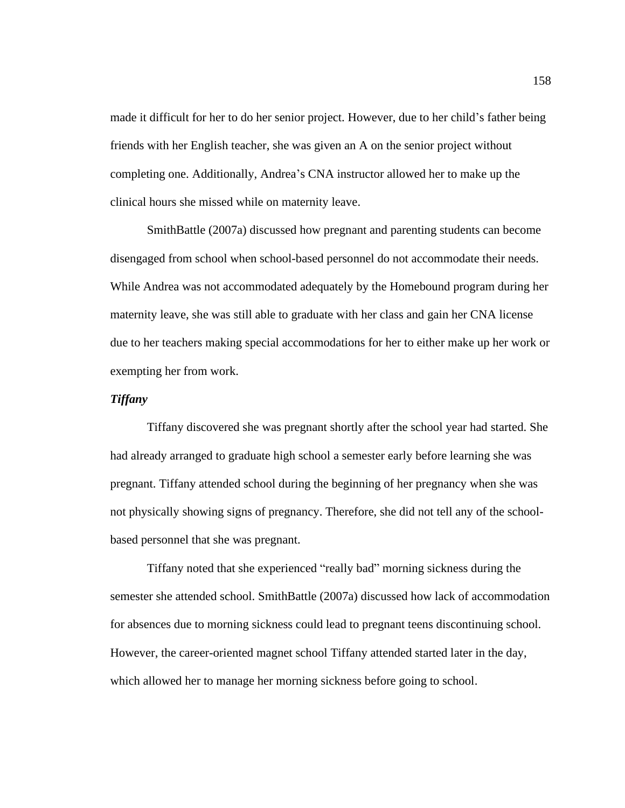made it difficult for her to do her senior project. However, due to her child's father being friends with her English teacher, she was given an A on the senior project without completing one. Additionally, Andrea's CNA instructor allowed her to make up the clinical hours she missed while on maternity leave.

SmithBattle (2007a) discussed how pregnant and parenting students can become disengaged from school when school-based personnel do not accommodate their needs. While Andrea was not accommodated adequately by the Homebound program during her maternity leave, she was still able to graduate with her class and gain her CNA license due to her teachers making special accommodations for her to either make up her work or exempting her from work.

# *Tiffany*

Tiffany discovered she was pregnant shortly after the school year had started. She had already arranged to graduate high school a semester early before learning she was pregnant. Tiffany attended school during the beginning of her pregnancy when she was not physically showing signs of pregnancy. Therefore, she did not tell any of the schoolbased personnel that she was pregnant.

Tiffany noted that she experienced "really bad" morning sickness during the semester she attended school. SmithBattle (2007a) discussed how lack of accommodation for absences due to morning sickness could lead to pregnant teens discontinuing school. However, the career-oriented magnet school Tiffany attended started later in the day, which allowed her to manage her morning sickness before going to school.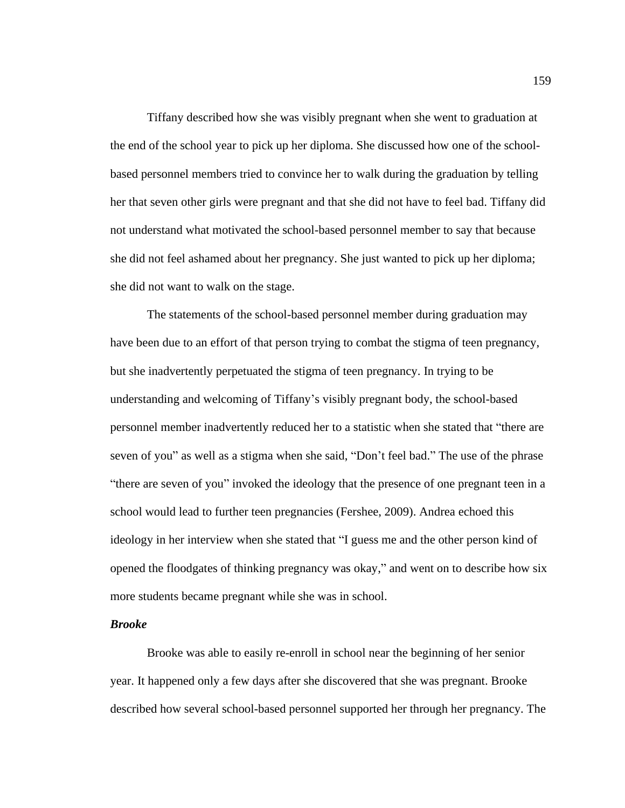Tiffany described how she was visibly pregnant when she went to graduation at the end of the school year to pick up her diploma. She discussed how one of the schoolbased personnel members tried to convince her to walk during the graduation by telling her that seven other girls were pregnant and that she did not have to feel bad. Tiffany did not understand what motivated the school-based personnel member to say that because she did not feel ashamed about her pregnancy. She just wanted to pick up her diploma; she did not want to walk on the stage.

The statements of the school-based personnel member during graduation may have been due to an effort of that person trying to combat the stigma of teen pregnancy, but she inadvertently perpetuated the stigma of teen pregnancy. In trying to be understanding and welcoming of Tiffany's visibly pregnant body, the school-based personnel member inadvertently reduced her to a statistic when she stated that "there are seven of you" as well as a stigma when she said, "Don't feel bad." The use of the phrase "there are seven of you" invoked the ideology that the presence of one pregnant teen in a school would lead to further teen pregnancies (Fershee, 2009). Andrea echoed this ideology in her interview when she stated that "I guess me and the other person kind of opened the floodgates of thinking pregnancy was okay," and went on to describe how six more students became pregnant while she was in school.

#### *Brooke*

Brooke was able to easily re-enroll in school near the beginning of her senior year. It happened only a few days after she discovered that she was pregnant. Brooke described how several school-based personnel supported her through her pregnancy. The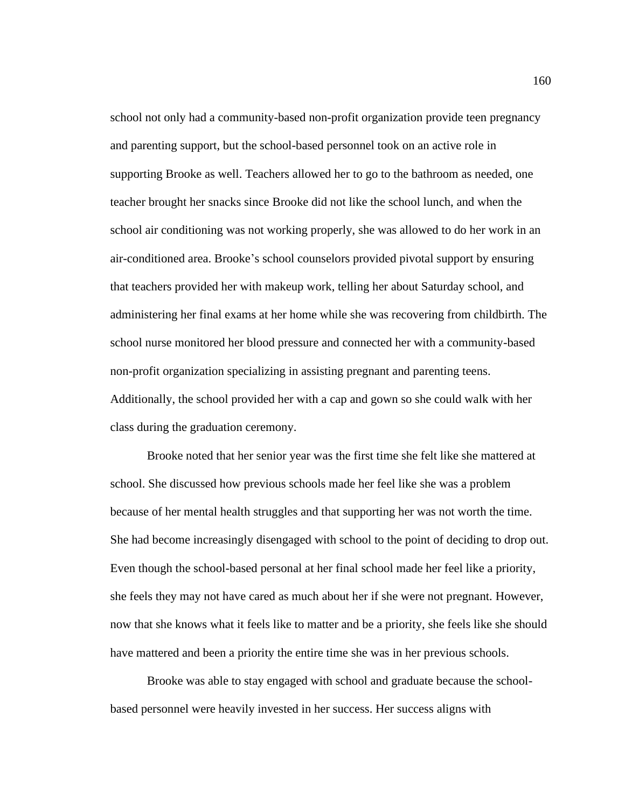school not only had a community-based non-profit organization provide teen pregnancy and parenting support, but the school-based personnel took on an active role in supporting Brooke as well. Teachers allowed her to go to the bathroom as needed, one teacher brought her snacks since Brooke did not like the school lunch, and when the school air conditioning was not working properly, she was allowed to do her work in an air-conditioned area. Brooke's school counselors provided pivotal support by ensuring that teachers provided her with makeup work, telling her about Saturday school, and administering her final exams at her home while she was recovering from childbirth. The school nurse monitored her blood pressure and connected her with a community-based non-profit organization specializing in assisting pregnant and parenting teens. Additionally, the school provided her with a cap and gown so she could walk with her class during the graduation ceremony.

Brooke noted that her senior year was the first time she felt like she mattered at school. She discussed how previous schools made her feel like she was a problem because of her mental health struggles and that supporting her was not worth the time. She had become increasingly disengaged with school to the point of deciding to drop out. Even though the school-based personal at her final school made her feel like a priority, she feels they may not have cared as much about her if she were not pregnant. However, now that she knows what it feels like to matter and be a priority, she feels like she should have mattered and been a priority the entire time she was in her previous schools.

Brooke was able to stay engaged with school and graduate because the schoolbased personnel were heavily invested in her success. Her success aligns with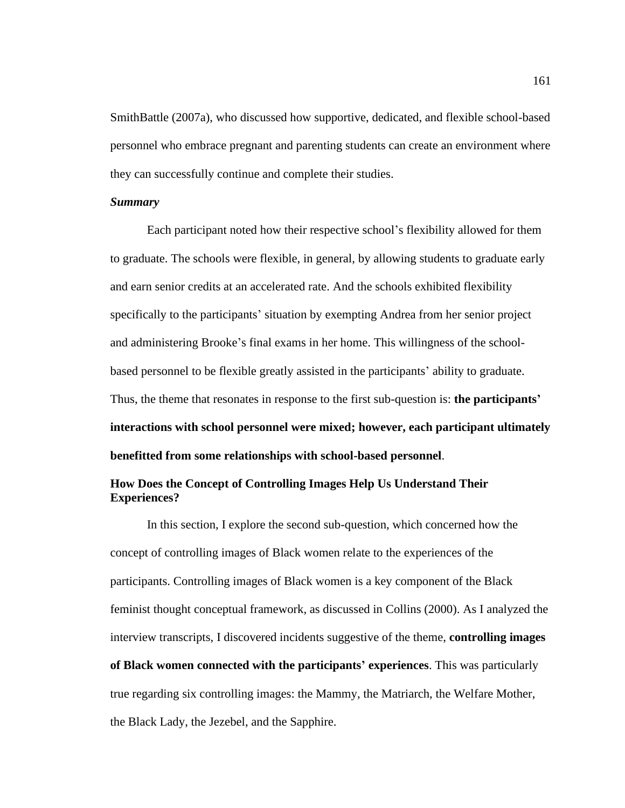SmithBattle (2007a), who discussed how supportive, dedicated, and flexible school-based personnel who embrace pregnant and parenting students can create an environment where they can successfully continue and complete their studies.

### *Summary*

Each participant noted how their respective school's flexibility allowed for them to graduate. The schools were flexible, in general, by allowing students to graduate early and earn senior credits at an accelerated rate. And the schools exhibited flexibility specifically to the participants' situation by exempting Andrea from her senior project and administering Brooke's final exams in her home. This willingness of the schoolbased personnel to be flexible greatly assisted in the participants' ability to graduate. Thus, the theme that resonates in response to the first sub-question is: **the participants' interactions with school personnel were mixed; however, each participant ultimately benefitted from some relationships with school-based personnel**.

# **How Does the Concept of Controlling Images Help Us Understand Their Experiences?**

In this section, I explore the second sub-question, which concerned how the concept of controlling images of Black women relate to the experiences of the participants. Controlling images of Black women is a key component of the Black feminist thought conceptual framework, as discussed in Collins (2000). As I analyzed the interview transcripts, I discovered incidents suggestive of the theme, **controlling images of Black women connected with the participants' experiences**. This was particularly true regarding six controlling images: the Mammy, the Matriarch, the Welfare Mother, the Black Lady, the Jezebel, and the Sapphire.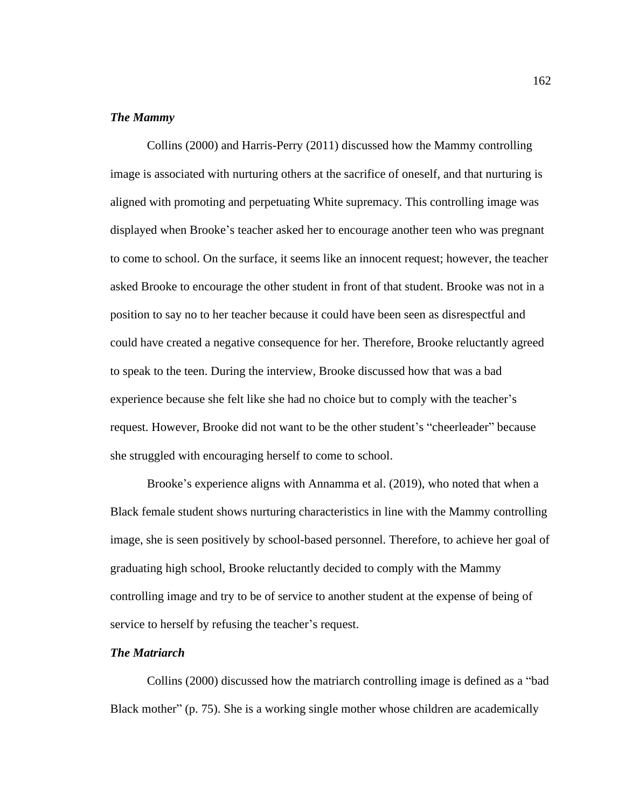## *The Mammy*

Collins (2000) and Harris-Perry (2011) discussed how the Mammy controlling image is associated with nurturing others at the sacrifice of oneself, and that nurturing is aligned with promoting and perpetuating White supremacy. This controlling image was displayed when Brooke's teacher asked her to encourage another teen who was pregnant to come to school. On the surface, it seems like an innocent request; however, the teacher asked Brooke to encourage the other student in front of that student. Brooke was not in a position to say no to her teacher because it could have been seen as disrespectful and could have created a negative consequence for her. Therefore, Brooke reluctantly agreed to speak to the teen. During the interview, Brooke discussed how that was a bad experience because she felt like she had no choice but to comply with the teacher's request. However, Brooke did not want to be the other student's "cheerleader" because she struggled with encouraging herself to come to school.

Brooke's experience aligns with Annamma et al. (2019), who noted that when a Black female student shows nurturing characteristics in line with the Mammy controlling image, she is seen positively by school-based personnel. Therefore, to achieve her goal of graduating high school, Brooke reluctantly decided to comply with the Mammy controlling image and try to be of service to another student at the expense of being of service to herself by refusing the teacher's request.

### *The Matriarch*

Collins (2000) discussed how the matriarch controlling image is defined as a "bad Black mother" (p. 75). She is a working single mother whose children are academically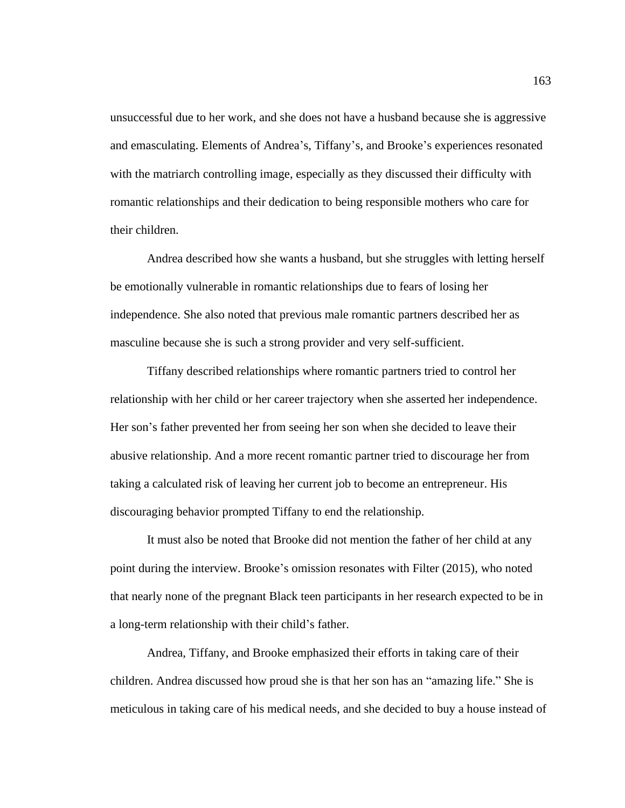unsuccessful due to her work, and she does not have a husband because she is aggressive and emasculating. Elements of Andrea's, Tiffany's, and Brooke's experiences resonated with the matriarch controlling image, especially as they discussed their difficulty with romantic relationships and their dedication to being responsible mothers who care for their children.

Andrea described how she wants a husband, but she struggles with letting herself be emotionally vulnerable in romantic relationships due to fears of losing her independence. She also noted that previous male romantic partners described her as masculine because she is such a strong provider and very self-sufficient.

Tiffany described relationships where romantic partners tried to control her relationship with her child or her career trajectory when she asserted her independence. Her son's father prevented her from seeing her son when she decided to leave their abusive relationship. And a more recent romantic partner tried to discourage her from taking a calculated risk of leaving her current job to become an entrepreneur. His discouraging behavior prompted Tiffany to end the relationship.

It must also be noted that Brooke did not mention the father of her child at any point during the interview. Brooke's omission resonates with Filter (2015), who noted that nearly none of the pregnant Black teen participants in her research expected to be in a long-term relationship with their child's father.

Andrea, Tiffany, and Brooke emphasized their efforts in taking care of their children. Andrea discussed how proud she is that her son has an "amazing life." She is meticulous in taking care of his medical needs, and she decided to buy a house instead of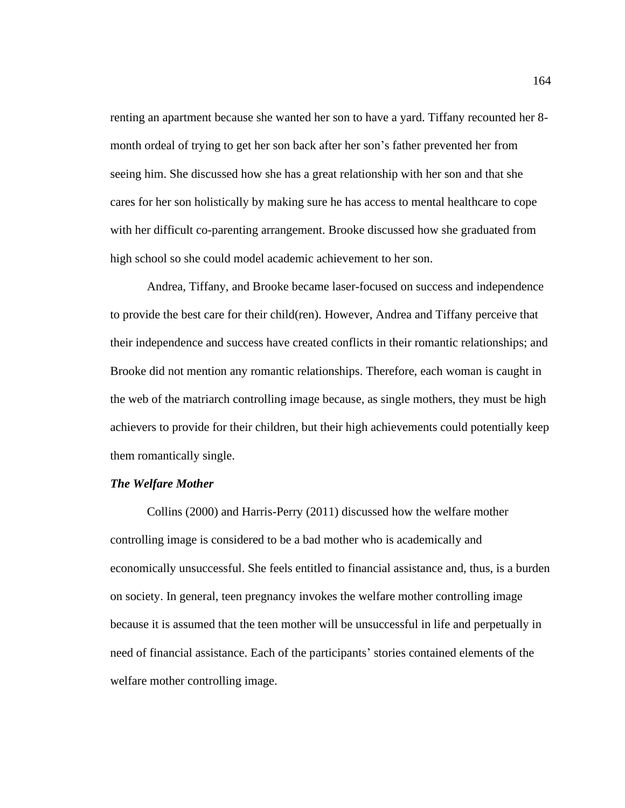renting an apartment because she wanted her son to have a yard. Tiffany recounted her 8 month ordeal of trying to get her son back after her son's father prevented her from seeing him. She discussed how she has a great relationship with her son and that she cares for her son holistically by making sure he has access to mental healthcare to cope with her difficult co-parenting arrangement. Brooke discussed how she graduated from high school so she could model academic achievement to her son.

Andrea, Tiffany, and Brooke became laser-focused on success and independence to provide the best care for their child(ren). However, Andrea and Tiffany perceive that their independence and success have created conflicts in their romantic relationships; and Brooke did not mention any romantic relationships. Therefore, each woman is caught in the web of the matriarch controlling image because, as single mothers, they must be high achievers to provide for their children, but their high achievements could potentially keep them romantically single.

### *The Welfare Mother*

Collins (2000) and Harris-Perry (2011) discussed how the welfare mother controlling image is considered to be a bad mother who is academically and economically unsuccessful. She feels entitled to financial assistance and, thus, is a burden on society. In general, teen pregnancy invokes the welfare mother controlling image because it is assumed that the teen mother will be unsuccessful in life and perpetually in need of financial assistance. Each of the participants' stories contained elements of the welfare mother controlling image.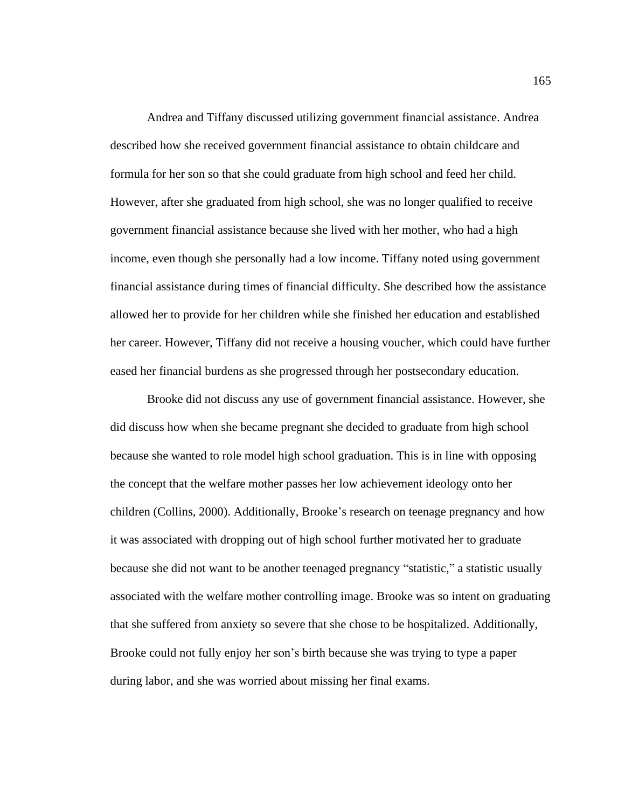Andrea and Tiffany discussed utilizing government financial assistance. Andrea described how she received government financial assistance to obtain childcare and formula for her son so that she could graduate from high school and feed her child. However, after she graduated from high school, she was no longer qualified to receive government financial assistance because she lived with her mother, who had a high income, even though she personally had a low income. Tiffany noted using government financial assistance during times of financial difficulty. She described how the assistance allowed her to provide for her children while she finished her education and established her career. However, Tiffany did not receive a housing voucher, which could have further eased her financial burdens as she progressed through her postsecondary education.

Brooke did not discuss any use of government financial assistance. However, she did discuss how when she became pregnant she decided to graduate from high school because she wanted to role model high school graduation. This is in line with opposing the concept that the welfare mother passes her low achievement ideology onto her children (Collins, 2000). Additionally, Brooke's research on teenage pregnancy and how it was associated with dropping out of high school further motivated her to graduate because she did not want to be another teenaged pregnancy "statistic," a statistic usually associated with the welfare mother controlling image. Brooke was so intent on graduating that she suffered from anxiety so severe that she chose to be hospitalized. Additionally, Brooke could not fully enjoy her son's birth because she was trying to type a paper during labor, and she was worried about missing her final exams.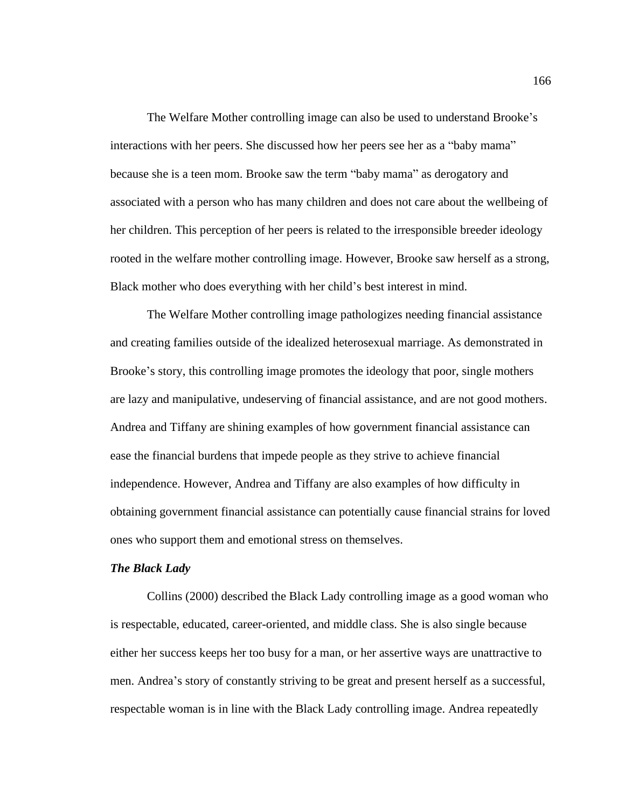The Welfare Mother controlling image can also be used to understand Brooke's interactions with her peers. She discussed how her peers see her as a "baby mama" because she is a teen mom. Brooke saw the term "baby mama" as derogatory and associated with a person who has many children and does not care about the wellbeing of her children. This perception of her peers is related to the irresponsible breeder ideology rooted in the welfare mother controlling image. However, Brooke saw herself as a strong, Black mother who does everything with her child's best interest in mind.

The Welfare Mother controlling image pathologizes needing financial assistance and creating families outside of the idealized heterosexual marriage. As demonstrated in Brooke's story, this controlling image promotes the ideology that poor, single mothers are lazy and manipulative, undeserving of financial assistance, and are not good mothers. Andrea and Tiffany are shining examples of how government financial assistance can ease the financial burdens that impede people as they strive to achieve financial independence. However, Andrea and Tiffany are also examples of how difficulty in obtaining government financial assistance can potentially cause financial strains for loved ones who support them and emotional stress on themselves.

### *The Black Lady*

Collins (2000) described the Black Lady controlling image as a good woman who is respectable, educated, career-oriented, and middle class. She is also single because either her success keeps her too busy for a man, or her assertive ways are unattractive to men. Andrea's story of constantly striving to be great and present herself as a successful, respectable woman is in line with the Black Lady controlling image. Andrea repeatedly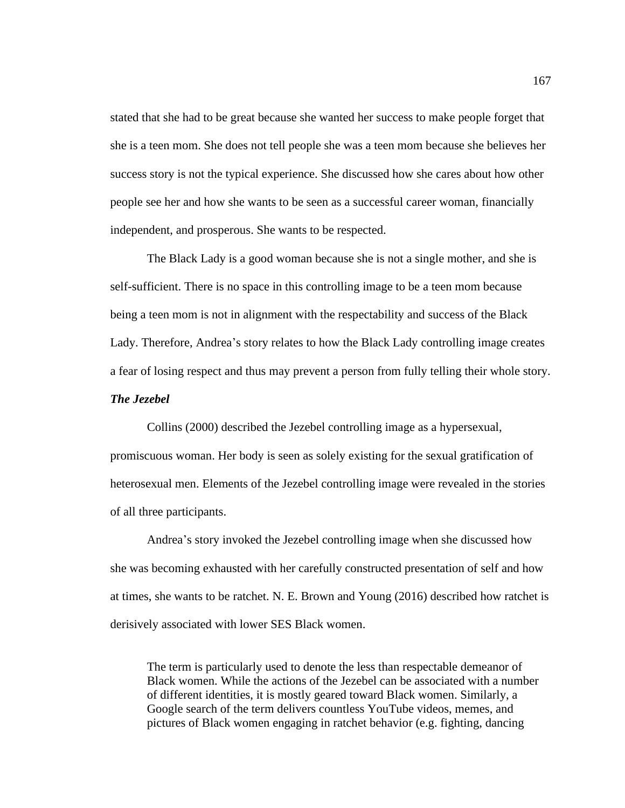stated that she had to be great because she wanted her success to make people forget that she is a teen mom. She does not tell people she was a teen mom because she believes her success story is not the typical experience. She discussed how she cares about how other people see her and how she wants to be seen as a successful career woman, financially independent, and prosperous. She wants to be respected.

The Black Lady is a good woman because she is not a single mother, and she is self-sufficient. There is no space in this controlling image to be a teen mom because being a teen mom is not in alignment with the respectability and success of the Black Lady. Therefore, Andrea's story relates to how the Black Lady controlling image creates a fear of losing respect and thus may prevent a person from fully telling their whole story.

# *The Jezebel*

Collins (2000) described the Jezebel controlling image as a hypersexual, promiscuous woman. Her body is seen as solely existing for the sexual gratification of heterosexual men. Elements of the Jezebel controlling image were revealed in the stories of all three participants.

Andrea's story invoked the Jezebel controlling image when she discussed how she was becoming exhausted with her carefully constructed presentation of self and how at times, she wants to be ratchet. N. E. Brown and Young (2016) described how ratchet is derisively associated with lower SES Black women.

The term is particularly used to denote the less than respectable demeanor of Black women. While the actions of the Jezebel can be associated with a number of different identities, it is mostly geared toward Black women. Similarly, a Google search of the term delivers countless YouTube videos, memes, and pictures of Black women engaging in ratchet behavior (e.g. fighting, dancing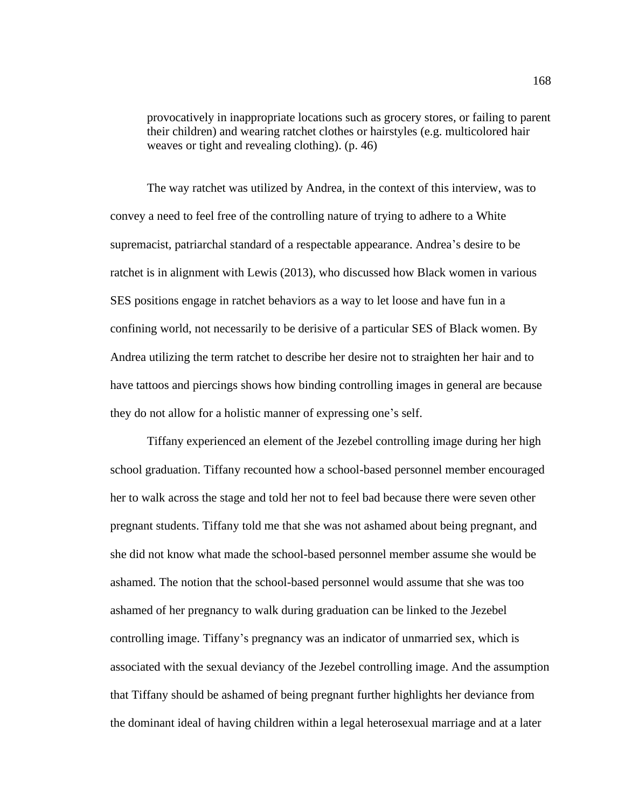provocatively in inappropriate locations such as grocery stores, or failing to parent their children) and wearing ratchet clothes or hairstyles (e.g. multicolored hair weaves or tight and revealing clothing). (p. 46)

The way ratchet was utilized by Andrea, in the context of this interview, was to convey a need to feel free of the controlling nature of trying to adhere to a White supremacist, patriarchal standard of a respectable appearance. Andrea's desire to be ratchet is in alignment with Lewis (2013), who discussed how Black women in various SES positions engage in ratchet behaviors as a way to let loose and have fun in a confining world, not necessarily to be derisive of a particular SES of Black women. By Andrea utilizing the term ratchet to describe her desire not to straighten her hair and to have tattoos and piercings shows how binding controlling images in general are because they do not allow for a holistic manner of expressing one's self.

Tiffany experienced an element of the Jezebel controlling image during her high school graduation. Tiffany recounted how a school-based personnel member encouraged her to walk across the stage and told her not to feel bad because there were seven other pregnant students. Tiffany told me that she was not ashamed about being pregnant, and she did not know what made the school-based personnel member assume she would be ashamed. The notion that the school-based personnel would assume that she was too ashamed of her pregnancy to walk during graduation can be linked to the Jezebel controlling image. Tiffany's pregnancy was an indicator of unmarried sex, which is associated with the sexual deviancy of the Jezebel controlling image. And the assumption that Tiffany should be ashamed of being pregnant further highlights her deviance from the dominant ideal of having children within a legal heterosexual marriage and at a later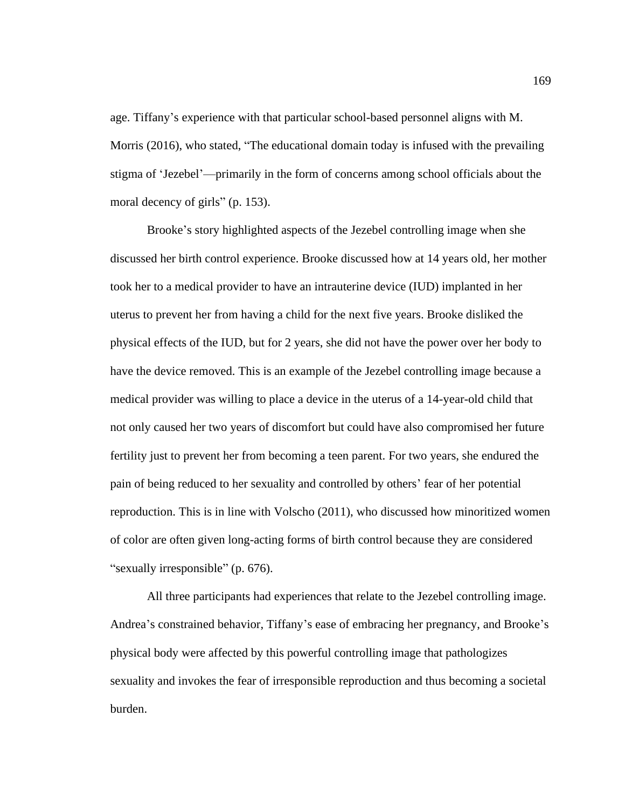age. Tiffany's experience with that particular school-based personnel aligns with M. Morris (2016), who stated, "The educational domain today is infused with the prevailing stigma of 'Jezebel'—primarily in the form of concerns among school officials about the moral decency of girls" (p. 153).

Brooke's story highlighted aspects of the Jezebel controlling image when she discussed her birth control experience. Brooke discussed how at 14 years old, her mother took her to a medical provider to have an intrauterine device (IUD) implanted in her uterus to prevent her from having a child for the next five years. Brooke disliked the physical effects of the IUD, but for 2 years, she did not have the power over her body to have the device removed. This is an example of the Jezebel controlling image because a medical provider was willing to place a device in the uterus of a 14-year-old child that not only caused her two years of discomfort but could have also compromised her future fertility just to prevent her from becoming a teen parent. For two years, she endured the pain of being reduced to her sexuality and controlled by others' fear of her potential reproduction. This is in line with Volscho (2011), who discussed how minoritized women of color are often given long-acting forms of birth control because they are considered "sexually irresponsible" (p. 676).

All three participants had experiences that relate to the Jezebel controlling image. Andrea's constrained behavior, Tiffany's ease of embracing her pregnancy, and Brooke's physical body were affected by this powerful controlling image that pathologizes sexuality and invokes the fear of irresponsible reproduction and thus becoming a societal burden.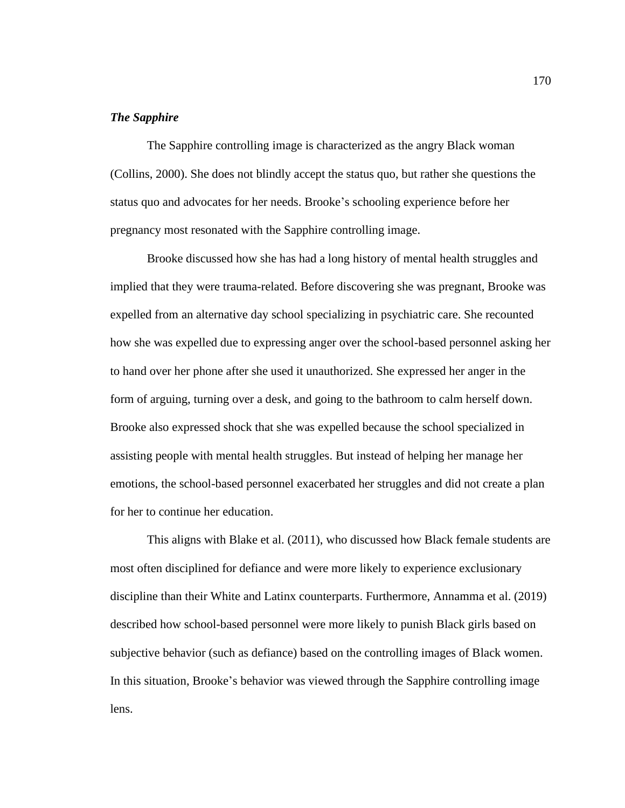## *The Sapphire*

The Sapphire controlling image is characterized as the angry Black woman (Collins, 2000). She does not blindly accept the status quo, but rather she questions the status quo and advocates for her needs. Brooke's schooling experience before her pregnancy most resonated with the Sapphire controlling image.

Brooke discussed how she has had a long history of mental health struggles and implied that they were trauma-related. Before discovering she was pregnant, Brooke was expelled from an alternative day school specializing in psychiatric care. She recounted how she was expelled due to expressing anger over the school-based personnel asking her to hand over her phone after she used it unauthorized. She expressed her anger in the form of arguing, turning over a desk, and going to the bathroom to calm herself down. Brooke also expressed shock that she was expelled because the school specialized in assisting people with mental health struggles. But instead of helping her manage her emotions, the school-based personnel exacerbated her struggles and did not create a plan for her to continue her education.

This aligns with Blake et al. (2011), who discussed how Black female students are most often disciplined for defiance and were more likely to experience exclusionary discipline than their White and Latinx counterparts. Furthermore, Annamma et al. (2019) described how school-based personnel were more likely to punish Black girls based on subjective behavior (such as defiance) based on the controlling images of Black women. In this situation, Brooke's behavior was viewed through the Sapphire controlling image lens.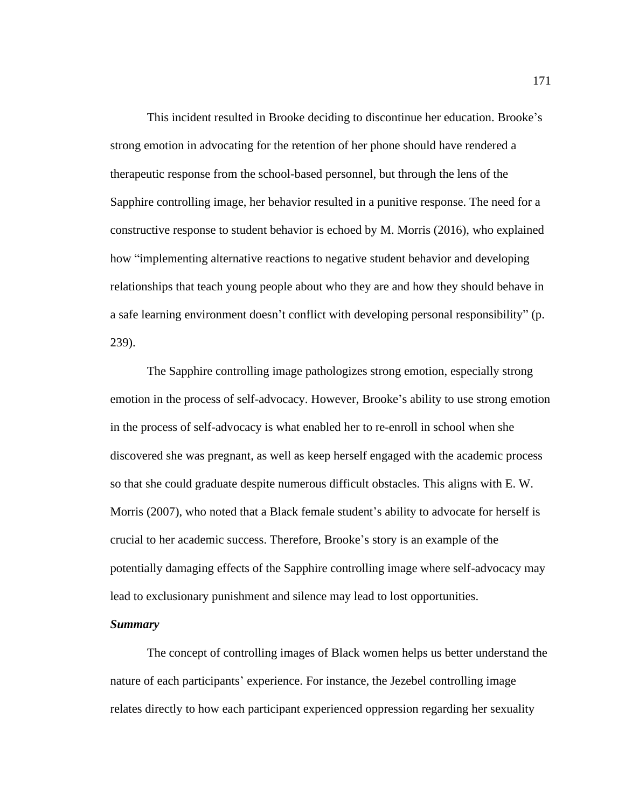This incident resulted in Brooke deciding to discontinue her education. Brooke's strong emotion in advocating for the retention of her phone should have rendered a therapeutic response from the school-based personnel, but through the lens of the Sapphire controlling image, her behavior resulted in a punitive response. The need for a constructive response to student behavior is echoed by M. Morris (2016), who explained how "implementing alternative reactions to negative student behavior and developing relationships that teach young people about who they are and how they should behave in a safe learning environment doesn't conflict with developing personal responsibility" (p. 239).

The Sapphire controlling image pathologizes strong emotion, especially strong emotion in the process of self-advocacy. However, Brooke's ability to use strong emotion in the process of self-advocacy is what enabled her to re-enroll in school when she discovered she was pregnant, as well as keep herself engaged with the academic process so that she could graduate despite numerous difficult obstacles. This aligns with E. W. Morris (2007), who noted that a Black female student's ability to advocate for herself is crucial to her academic success. Therefore, Brooke's story is an example of the potentially damaging effects of the Sapphire controlling image where self-advocacy may lead to exclusionary punishment and silence may lead to lost opportunities.

# *Summary*

The concept of controlling images of Black women helps us better understand the nature of each participants' experience. For instance, the Jezebel controlling image relates directly to how each participant experienced oppression regarding her sexuality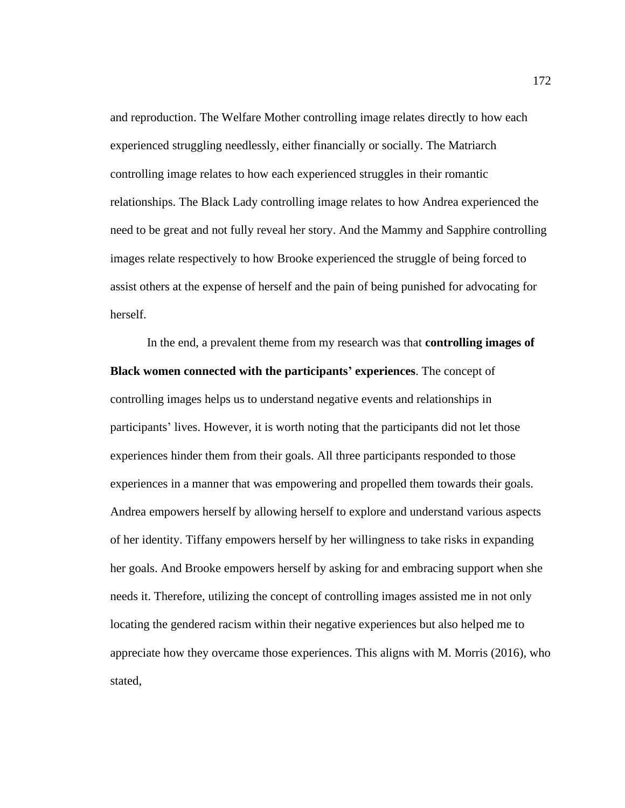and reproduction. The Welfare Mother controlling image relates directly to how each experienced struggling needlessly, either financially or socially. The Matriarch controlling image relates to how each experienced struggles in their romantic relationships. The Black Lady controlling image relates to how Andrea experienced the need to be great and not fully reveal her story. And the Mammy and Sapphire controlling images relate respectively to how Brooke experienced the struggle of being forced to assist others at the expense of herself and the pain of being punished for advocating for herself.

In the end, a prevalent theme from my research was that **controlling images of Black women connected with the participants' experiences**. The concept of controlling images helps us to understand negative events and relationships in participants' lives. However, it is worth noting that the participants did not let those experiences hinder them from their goals. All three participants responded to those experiences in a manner that was empowering and propelled them towards their goals. Andrea empowers herself by allowing herself to explore and understand various aspects of her identity. Tiffany empowers herself by her willingness to take risks in expanding her goals. And Brooke empowers herself by asking for and embracing support when she needs it. Therefore, utilizing the concept of controlling images assisted me in not only locating the gendered racism within their negative experiences but also helped me to appreciate how they overcame those experiences. This aligns with M. Morris (2016), who stated,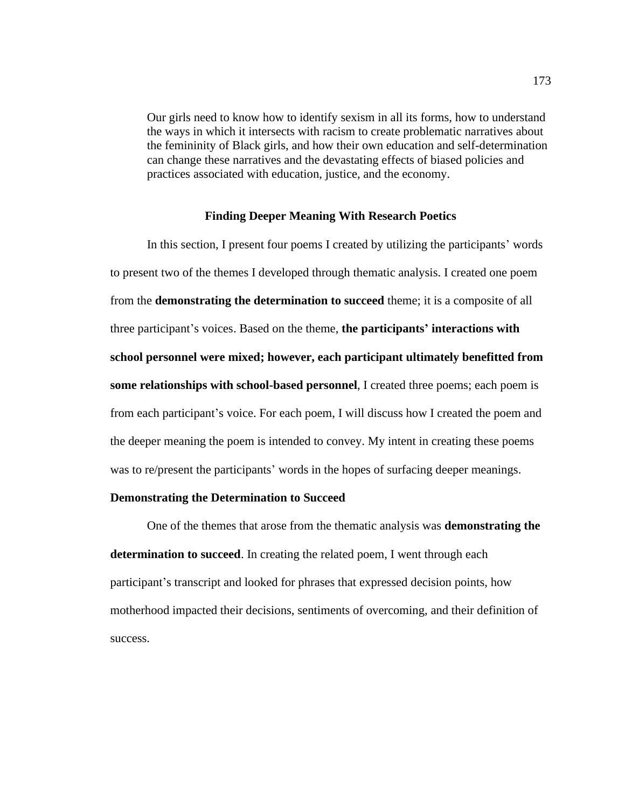Our girls need to know how to identify sexism in all its forms, how to understand the ways in which it intersects with racism to create problematic narratives about the femininity of Black girls, and how their own education and self-determination can change these narratives and the devastating effects of biased policies and practices associated with education, justice, and the economy.

# **Finding Deeper Meaning With Research Poetics**

In this section, I present four poems I created by utilizing the participants' words to present two of the themes I developed through thematic analysis. I created one poem from the **demonstrating the determination to succeed** theme; it is a composite of all three participant's voices. Based on the theme, **the participants' interactions with school personnel were mixed; however, each participant ultimately benefitted from some relationships with school-based personnel**, I created three poems; each poem is from each participant's voice. For each poem, I will discuss how I created the poem and the deeper meaning the poem is intended to convey. My intent in creating these poems was to re/present the participants' words in the hopes of surfacing deeper meanings.

### **Demonstrating the Determination to Succeed**

One of the themes that arose from the thematic analysis was **demonstrating the determination to succeed**. In creating the related poem, I went through each participant's transcript and looked for phrases that expressed decision points, how motherhood impacted their decisions, sentiments of overcoming, and their definition of success.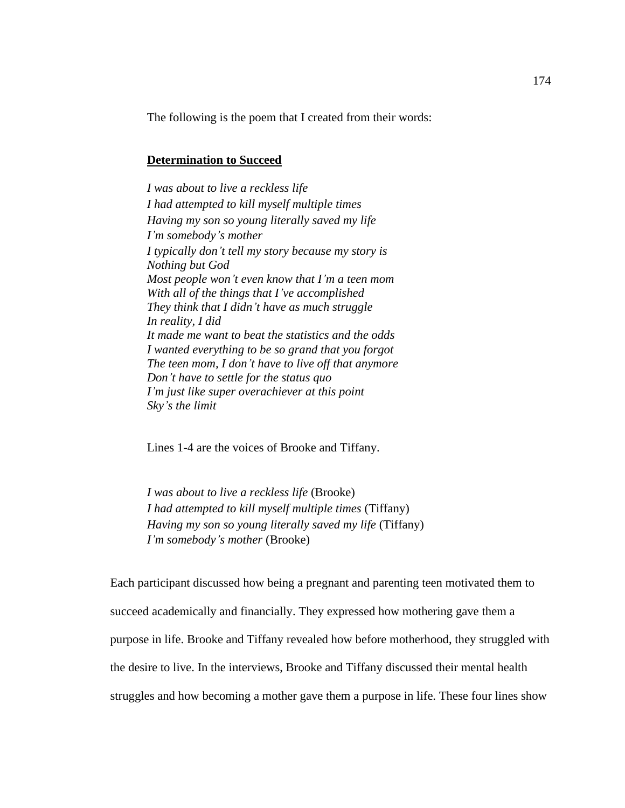The following is the poem that I created from their words:

# **Determination to Succeed**

*I was about to live a reckless life I had attempted to kill myself multiple times Having my son so young literally saved my life I'm somebody's mother I typically don't tell my story because my story is Nothing but God Most people won't even know that I'm a teen mom With all of the things that I've accomplished They think that I didn't have as much struggle In reality, I did It made me want to beat the statistics and the odds I wanted everything to be so grand that you forgot The teen mom, I don't have to live off that anymore Don't have to settle for the status quo I'm just like super overachiever at this point Sky's the limit*

Lines 1-4 are the voices of Brooke and Tiffany.

*I was about to live a reckless life* (Brooke) *I had attempted to kill myself multiple times* (Tiffany) *Having my son so young literally saved my life* (Tiffany) *I'm somebody's mother* (Brooke)

Each participant discussed how being a pregnant and parenting teen motivated them to succeed academically and financially. They expressed how mothering gave them a purpose in life. Brooke and Tiffany revealed how before motherhood, they struggled with the desire to live. In the interviews, Brooke and Tiffany discussed their mental health struggles and how becoming a mother gave them a purpose in life. These four lines show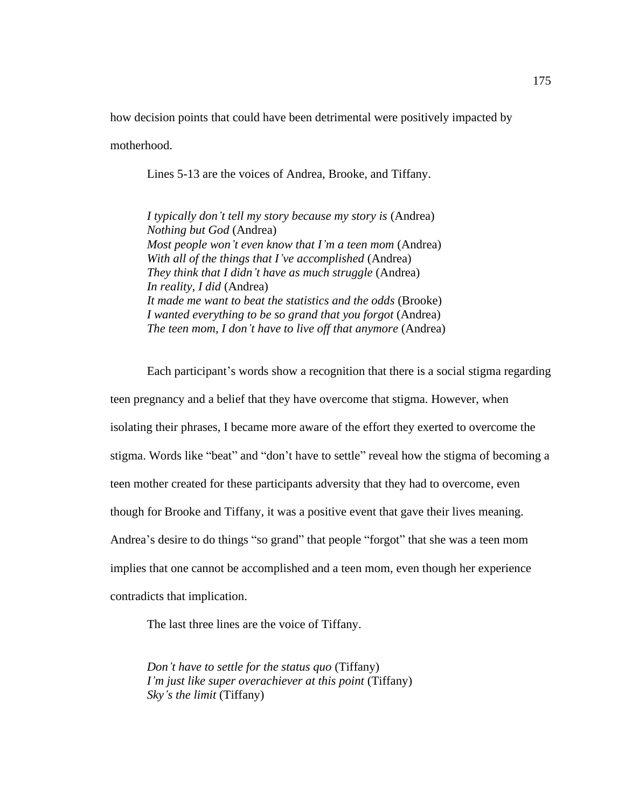how decision points that could have been detrimental were positively impacted by

motherhood.

Lines 5-13 are the voices of Andrea, Brooke, and Tiffany.

*I typically don't tell my story because my story is* (Andrea) *Nothing but God* (Andrea) *Most people won't even know that I'm a teen mom* (Andrea) *With all of the things that I've accomplished* (Andrea) *They think that I didn't have as much struggle* (Andrea) *In reality, I did* (Andrea) *It made me want to beat the statistics and the odds* (Brooke) *I wanted everything to be so grand that you forgot* (Andrea) *The teen mom, I don't have to live off that anymore* (Andrea)

Each participant's words show a recognition that there is a social stigma regarding teen pregnancy and a belief that they have overcome that stigma. However, when isolating their phrases, I became more aware of the effort they exerted to overcome the stigma. Words like "beat" and "don't have to settle" reveal how the stigma of becoming a teen mother created for these participants adversity that they had to overcome, even though for Brooke and Tiffany, it was a positive event that gave their lives meaning. Andrea's desire to do things "so grand" that people "forgot" that she was a teen mom implies that one cannot be accomplished and a teen mom, even though her experience contradicts that implication.

The last three lines are the voice of Tiffany.

*Don't have to settle for the status quo* (Tiffany) *I'm just like super overachiever at this point* (Tiffany) *Sky's the limit* (Tiffany)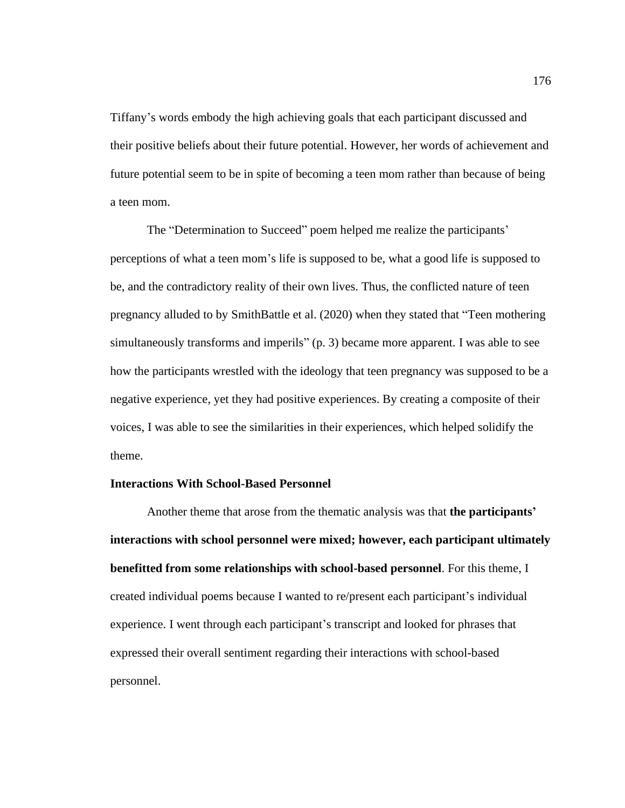Tiffany's words embody the high achieving goals that each participant discussed and their positive beliefs about their future potential. However, her words of achievement and future potential seem to be in spite of becoming a teen mom rather than because of being a teen mom.

The "Determination to Succeed" poem helped me realize the participants' perceptions of what a teen mom's life is supposed to be, what a good life is supposed to be, and the contradictory reality of their own lives. Thus, the conflicted nature of teen pregnancy alluded to by SmithBattle et al. (2020) when they stated that "Teen mothering simultaneously transforms and imperils" (p. 3) became more apparent. I was able to see how the participants wrestled with the ideology that teen pregnancy was supposed to be a negative experience, yet they had positive experiences. By creating a composite of their voices, I was able to see the similarities in their experiences, which helped solidify the theme.

# **Interactions With School-Based Personnel**

Another theme that arose from the thematic analysis was that **the participants' interactions with school personnel were mixed; however, each participant ultimately benefitted from some relationships with school-based personnel**. For this theme, I created individual poems because I wanted to re/present each participant's individual experience. I went through each participant's transcript and looked for phrases that expressed their overall sentiment regarding their interactions with school-based personnel.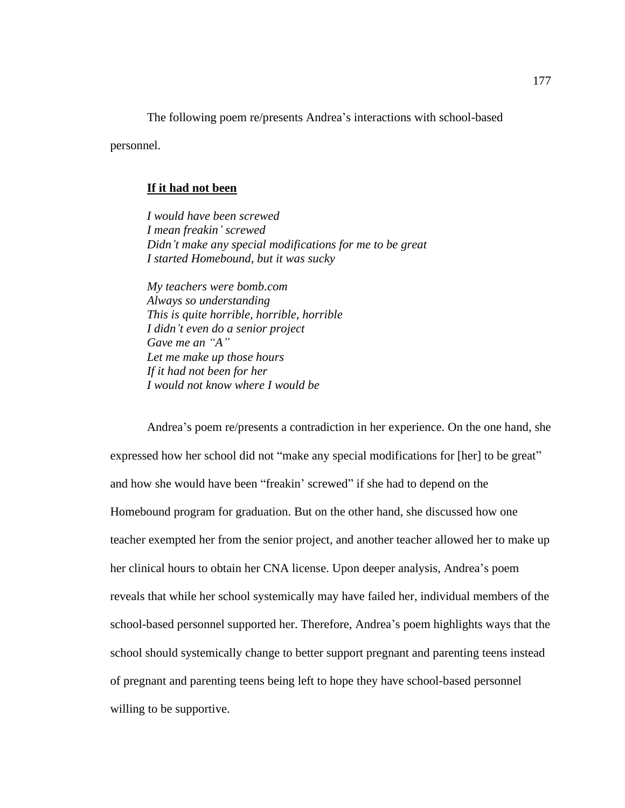The following poem re/presents Andrea's interactions with school-based

personnel.

### **If it had not been**

*I would have been screwed I mean freakin' screwed Didn't make any special modifications for me to be great I started Homebound, but it was sucky*

*My teachers were bomb.com Always so understanding This is quite horrible, horrible, horrible I didn't even do a senior project Gave me an "A" Let me make up those hours If it had not been for her I would not know where I would be*

Andrea's poem re/presents a contradiction in her experience. On the one hand, she expressed how her school did not "make any special modifications for [her] to be great" and how she would have been "freakin' screwed" if she had to depend on the Homebound program for graduation. But on the other hand, she discussed how one teacher exempted her from the senior project, and another teacher allowed her to make up her clinical hours to obtain her CNA license. Upon deeper analysis, Andrea's poem reveals that while her school systemically may have failed her, individual members of the school-based personnel supported her. Therefore, Andrea's poem highlights ways that the school should systemically change to better support pregnant and parenting teens instead of pregnant and parenting teens being left to hope they have school-based personnel willing to be supportive.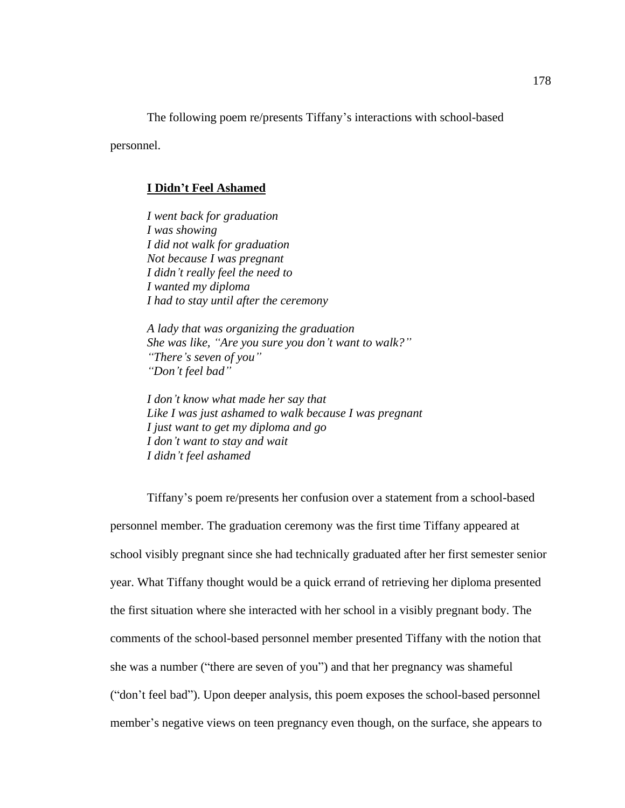The following poem re/presents Tiffany's interactions with school-based

personnel.

### **I Didn't Feel Ashamed**

*I went back for graduation I was showing I did not walk for graduation Not because I was pregnant I didn't really feel the need to I wanted my diploma I had to stay until after the ceremony*

*A lady that was organizing the graduation She was like, "Are you sure you don't want to walk?" "There's seven of you" "Don't feel bad"*

*I don't know what made her say that Like I was just ashamed to walk because I was pregnant I just want to get my diploma and go I don't want to stay and wait I didn't feel ashamed*

Tiffany's poem re/presents her confusion over a statement from a school-based personnel member. The graduation ceremony was the first time Tiffany appeared at school visibly pregnant since she had technically graduated after her first semester senior year. What Tiffany thought would be a quick errand of retrieving her diploma presented the first situation where she interacted with her school in a visibly pregnant body. The comments of the school-based personnel member presented Tiffany with the notion that she was a number ("there are seven of you") and that her pregnancy was shameful ("don't feel bad"). Upon deeper analysis, this poem exposes the school-based personnel member's negative views on teen pregnancy even though, on the surface, she appears to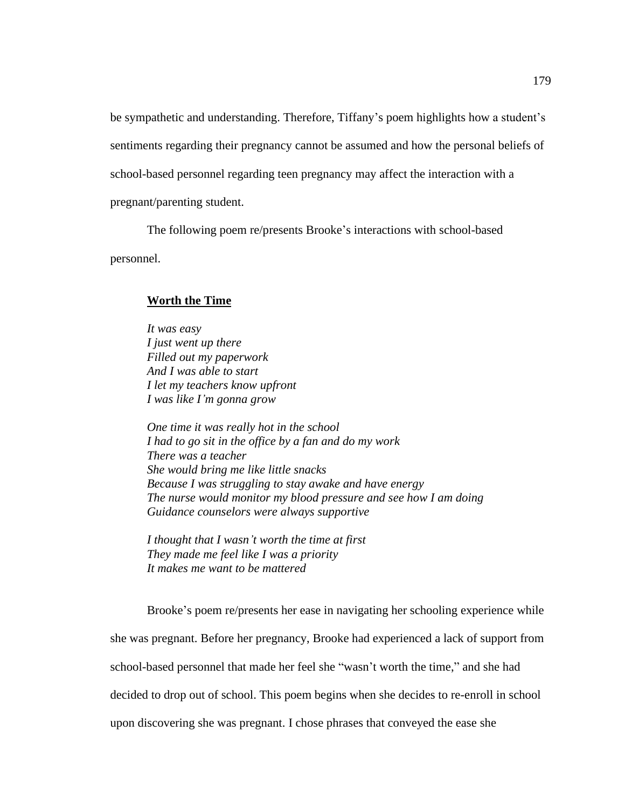be sympathetic and understanding. Therefore, Tiffany's poem highlights how a student's sentiments regarding their pregnancy cannot be assumed and how the personal beliefs of school-based personnel regarding teen pregnancy may affect the interaction with a pregnant/parenting student.

The following poem re/presents Brooke's interactions with school-based personnel.

## **Worth the Time**

*It was easy I just went up there Filled out my paperwork And I was able to start I let my teachers know upfront I was like I'm gonna grow*

*One time it was really hot in the school I had to go sit in the office by a fan and do my work There was a teacher She would bring me like little snacks Because I was struggling to stay awake and have energy The nurse would monitor my blood pressure and see how I am doing Guidance counselors were always supportive*

*I thought that I wasn't worth the time at first They made me feel like I was a priority It makes me want to be mattered*

Brooke's poem re/presents her ease in navigating her schooling experience while she was pregnant. Before her pregnancy, Brooke had experienced a lack of support from school-based personnel that made her feel she "wasn't worth the time," and she had decided to drop out of school. This poem begins when she decides to re-enroll in school upon discovering she was pregnant. I chose phrases that conveyed the ease she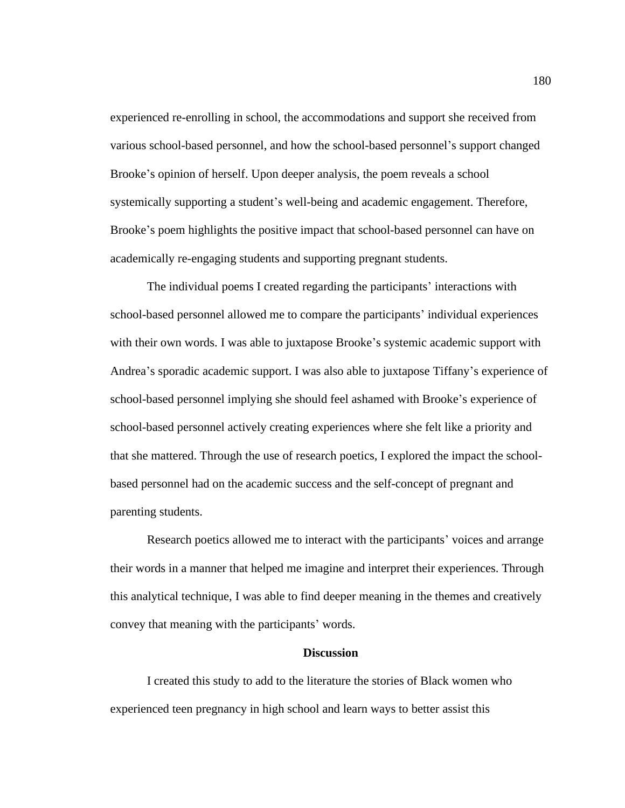experienced re-enrolling in school, the accommodations and support she received from various school-based personnel, and how the school-based personnel's support changed Brooke's opinion of herself. Upon deeper analysis, the poem reveals a school systemically supporting a student's well-being and academic engagement. Therefore, Brooke's poem highlights the positive impact that school-based personnel can have on academically re-engaging students and supporting pregnant students.

The individual poems I created regarding the participants' interactions with school-based personnel allowed me to compare the participants' individual experiences with their own words. I was able to juxtapose Brooke's systemic academic support with Andrea's sporadic academic support. I was also able to juxtapose Tiffany's experience of school-based personnel implying she should feel ashamed with Brooke's experience of school-based personnel actively creating experiences where she felt like a priority and that she mattered. Through the use of research poetics, I explored the impact the schoolbased personnel had on the academic success and the self-concept of pregnant and parenting students.

Research poetics allowed me to interact with the participants' voices and arrange their words in a manner that helped me imagine and interpret their experiences. Through this analytical technique, I was able to find deeper meaning in the themes and creatively convey that meaning with the participants' words.

# **Discussion**

I created this study to add to the literature the stories of Black women who experienced teen pregnancy in high school and learn ways to better assist this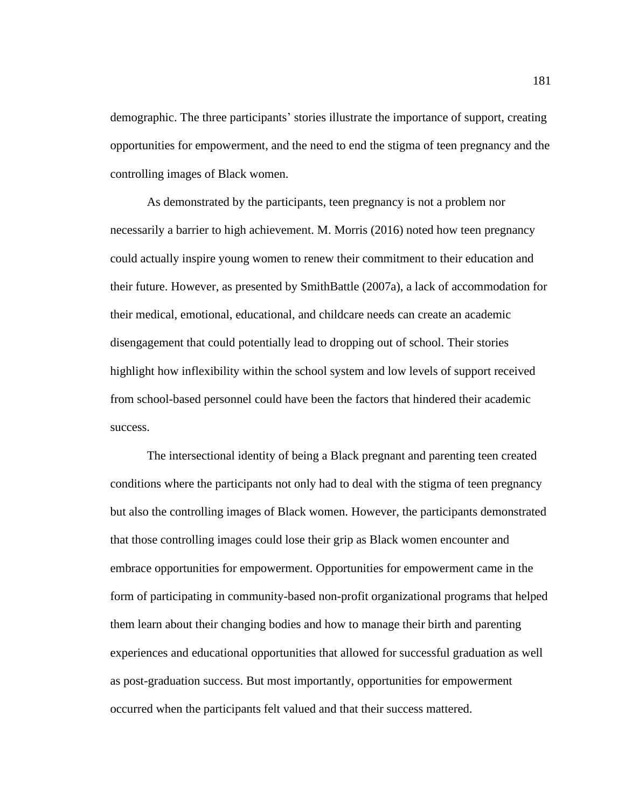demographic. The three participants' stories illustrate the importance of support, creating opportunities for empowerment, and the need to end the stigma of teen pregnancy and the controlling images of Black women.

As demonstrated by the participants, teen pregnancy is not a problem nor necessarily a barrier to high achievement. M. Morris (2016) noted how teen pregnancy could actually inspire young women to renew their commitment to their education and their future. However, as presented by SmithBattle (2007a), a lack of accommodation for their medical, emotional, educational, and childcare needs can create an academic disengagement that could potentially lead to dropping out of school. Their stories highlight how inflexibility within the school system and low levels of support received from school-based personnel could have been the factors that hindered their academic success.

The intersectional identity of being a Black pregnant and parenting teen created conditions where the participants not only had to deal with the stigma of teen pregnancy but also the controlling images of Black women. However, the participants demonstrated that those controlling images could lose their grip as Black women encounter and embrace opportunities for empowerment. Opportunities for empowerment came in the form of participating in community-based non-profit organizational programs that helped them learn about their changing bodies and how to manage their birth and parenting experiences and educational opportunities that allowed for successful graduation as well as post-graduation success. But most importantly, opportunities for empowerment occurred when the participants felt valued and that their success mattered.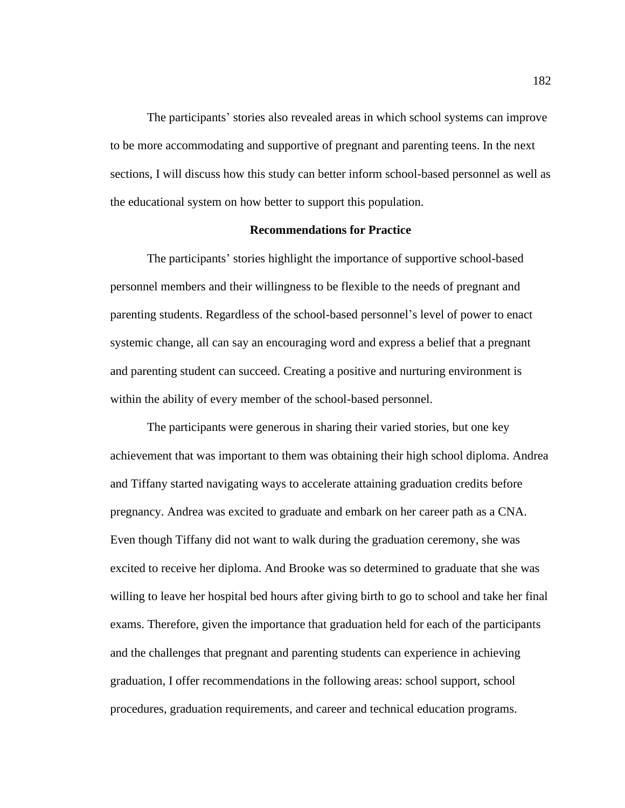The participants' stories also revealed areas in which school systems can improve to be more accommodating and supportive of pregnant and parenting teens. In the next sections, I will discuss how this study can better inform school-based personnel as well as the educational system on how better to support this population.

## **Recommendations for Practice**

The participants' stories highlight the importance of supportive school-based personnel members and their willingness to be flexible to the needs of pregnant and parenting students. Regardless of the school-based personnel's level of power to enact systemic change, all can say an encouraging word and express a belief that a pregnant and parenting student can succeed. Creating a positive and nurturing environment is within the ability of every member of the school-based personnel.

The participants were generous in sharing their varied stories, but one key achievement that was important to them was obtaining their high school diploma. Andrea and Tiffany started navigating ways to accelerate attaining graduation credits before pregnancy. Andrea was excited to graduate and embark on her career path as a CNA. Even though Tiffany did not want to walk during the graduation ceremony, she was excited to receive her diploma. And Brooke was so determined to graduate that she was willing to leave her hospital bed hours after giving birth to go to school and take her final exams. Therefore, given the importance that graduation held for each of the participants and the challenges that pregnant and parenting students can experience in achieving graduation, I offer recommendations in the following areas: school support, school procedures, graduation requirements, and career and technical education programs.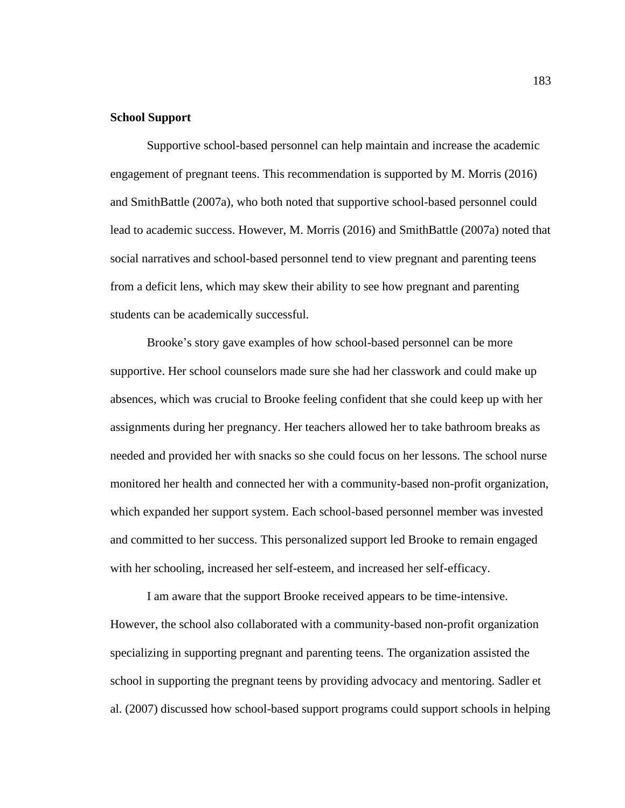# **School Support**

Supportive school-based personnel can help maintain and increase the academic engagement of pregnant teens. This recommendation is supported by M. Morris (2016) and SmithBattle (2007a), who both noted that supportive school-based personnel could lead to academic success. However, M. Morris (2016) and SmithBattle (2007a) noted that social narratives and school-based personnel tend to view pregnant and parenting teens from a deficit lens, which may skew their ability to see how pregnant and parenting students can be academically successful.

Brooke's story gave examples of how school-based personnel can be more supportive. Her school counselors made sure she had her classwork and could make up absences, which was crucial to Brooke feeling confident that she could keep up with her assignments during her pregnancy. Her teachers allowed her to take bathroom breaks as needed and provided her with snacks so she could focus on her lessons. The school nurse monitored her health and connected her with a community-based non-profit organization, which expanded her support system. Each school-based personnel member was invested and committed to her success. This personalized support led Brooke to remain engaged with her schooling, increased her self-esteem, and increased her self-efficacy.

I am aware that the support Brooke received appears to be time-intensive. However, the school also collaborated with a community-based non-profit organization specializing in supporting pregnant and parenting teens. The organization assisted the school in supporting the pregnant teens by providing advocacy and mentoring. Sadler et al. (2007) discussed how school-based support programs could support schools in helping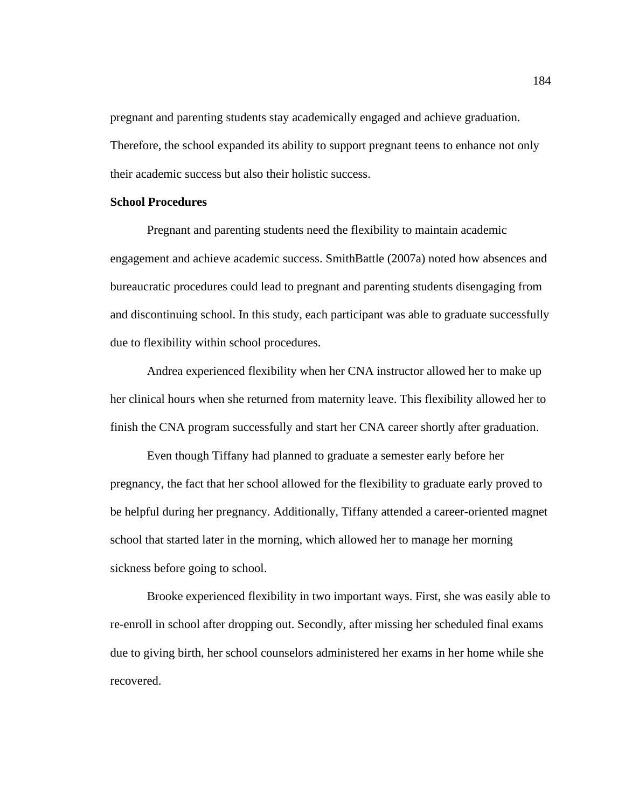pregnant and parenting students stay academically engaged and achieve graduation. Therefore, the school expanded its ability to support pregnant teens to enhance not only their academic success but also their holistic success.

# **School Procedures**

Pregnant and parenting students need the flexibility to maintain academic engagement and achieve academic success. SmithBattle (2007a) noted how absences and bureaucratic procedures could lead to pregnant and parenting students disengaging from and discontinuing school. In this study, each participant was able to graduate successfully due to flexibility within school procedures.

Andrea experienced flexibility when her CNA instructor allowed her to make up her clinical hours when she returned from maternity leave. This flexibility allowed her to finish the CNA program successfully and start her CNA career shortly after graduation.

Even though Tiffany had planned to graduate a semester early before her pregnancy, the fact that her school allowed for the flexibility to graduate early proved to be helpful during her pregnancy. Additionally, Tiffany attended a career-oriented magnet school that started later in the morning, which allowed her to manage her morning sickness before going to school.

Brooke experienced flexibility in two important ways. First, she was easily able to re-enroll in school after dropping out. Secondly, after missing her scheduled final exams due to giving birth, her school counselors administered her exams in her home while she recovered.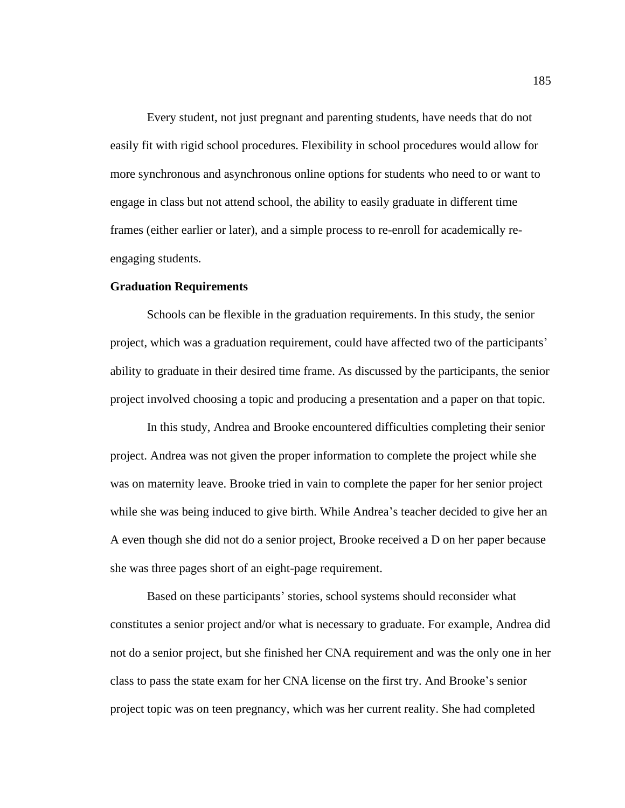Every student, not just pregnant and parenting students, have needs that do not easily fit with rigid school procedures. Flexibility in school procedures would allow for more synchronous and asynchronous online options for students who need to or want to engage in class but not attend school, the ability to easily graduate in different time frames (either earlier or later), and a simple process to re-enroll for academically reengaging students.

# **Graduation Requirements**

Schools can be flexible in the graduation requirements. In this study, the senior project, which was a graduation requirement, could have affected two of the participants' ability to graduate in their desired time frame. As discussed by the participants, the senior project involved choosing a topic and producing a presentation and a paper on that topic.

In this study, Andrea and Brooke encountered difficulties completing their senior project. Andrea was not given the proper information to complete the project while she was on maternity leave. Brooke tried in vain to complete the paper for her senior project while she was being induced to give birth. While Andrea's teacher decided to give her an A even though she did not do a senior project, Brooke received a D on her paper because she was three pages short of an eight-page requirement.

Based on these participants' stories, school systems should reconsider what constitutes a senior project and/or what is necessary to graduate. For example, Andrea did not do a senior project, but she finished her CNA requirement and was the only one in her class to pass the state exam for her CNA license on the first try. And Brooke's senior project topic was on teen pregnancy, which was her current reality. She had completed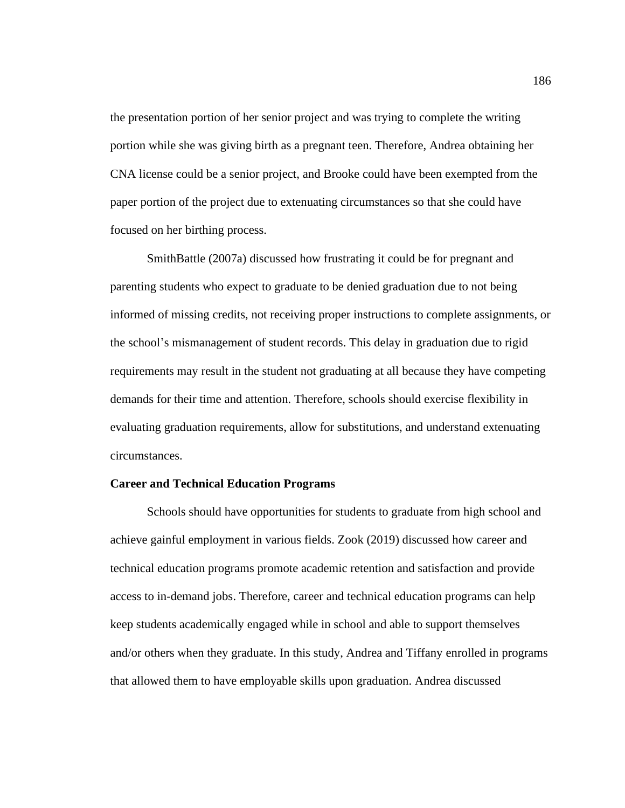the presentation portion of her senior project and was trying to complete the writing portion while she was giving birth as a pregnant teen. Therefore, Andrea obtaining her CNA license could be a senior project, and Brooke could have been exempted from the paper portion of the project due to extenuating circumstances so that she could have focused on her birthing process.

SmithBattle (2007a) discussed how frustrating it could be for pregnant and parenting students who expect to graduate to be denied graduation due to not being informed of missing credits, not receiving proper instructions to complete assignments, or the school's mismanagement of student records. This delay in graduation due to rigid requirements may result in the student not graduating at all because they have competing demands for their time and attention. Therefore, schools should exercise flexibility in evaluating graduation requirements, allow for substitutions, and understand extenuating circumstances.

# **Career and Technical Education Programs**

Schools should have opportunities for students to graduate from high school and achieve gainful employment in various fields. Zook (2019) discussed how career and technical education programs promote academic retention and satisfaction and provide access to in-demand jobs. Therefore, career and technical education programs can help keep students academically engaged while in school and able to support themselves and/or others when they graduate. In this study, Andrea and Tiffany enrolled in programs that allowed them to have employable skills upon graduation. Andrea discussed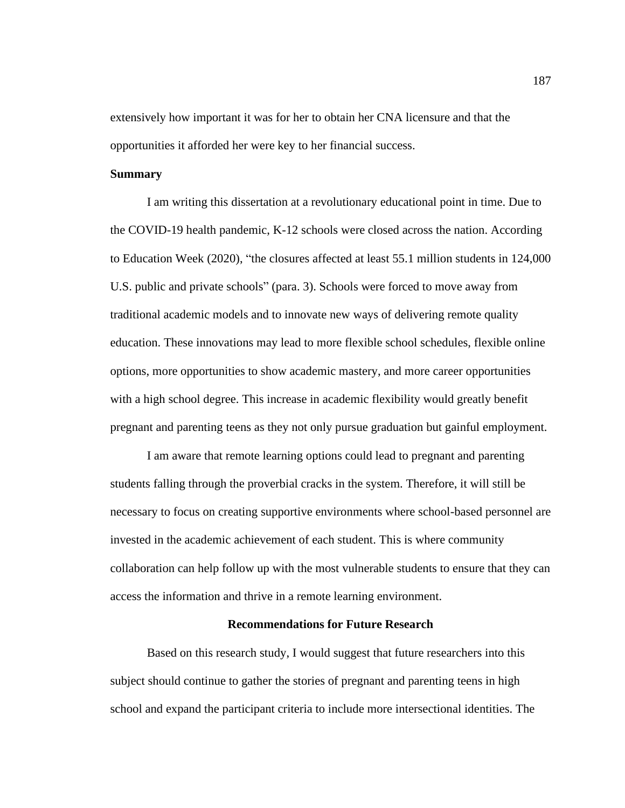extensively how important it was for her to obtain her CNA licensure and that the opportunities it afforded her were key to her financial success.

# **Summary**

I am writing this dissertation at a revolutionary educational point in time. Due to the COVID-19 health pandemic, K-12 schools were closed across the nation. According to Education Week (2020), "the closures affected at least 55.1 million students in 124,000 U.S. public and private schools" (para. 3). Schools were forced to move away from traditional academic models and to innovate new ways of delivering remote quality education. These innovations may lead to more flexible school schedules, flexible online options, more opportunities to show academic mastery, and more career opportunities with a high school degree. This increase in academic flexibility would greatly benefit pregnant and parenting teens as they not only pursue graduation but gainful employment.

I am aware that remote learning options could lead to pregnant and parenting students falling through the proverbial cracks in the system. Therefore, it will still be necessary to focus on creating supportive environments where school-based personnel are invested in the academic achievement of each student. This is where community collaboration can help follow up with the most vulnerable students to ensure that they can access the information and thrive in a remote learning environment.

# **Recommendations for Future Research**

Based on this research study, I would suggest that future researchers into this subject should continue to gather the stories of pregnant and parenting teens in high school and expand the participant criteria to include more intersectional identities. The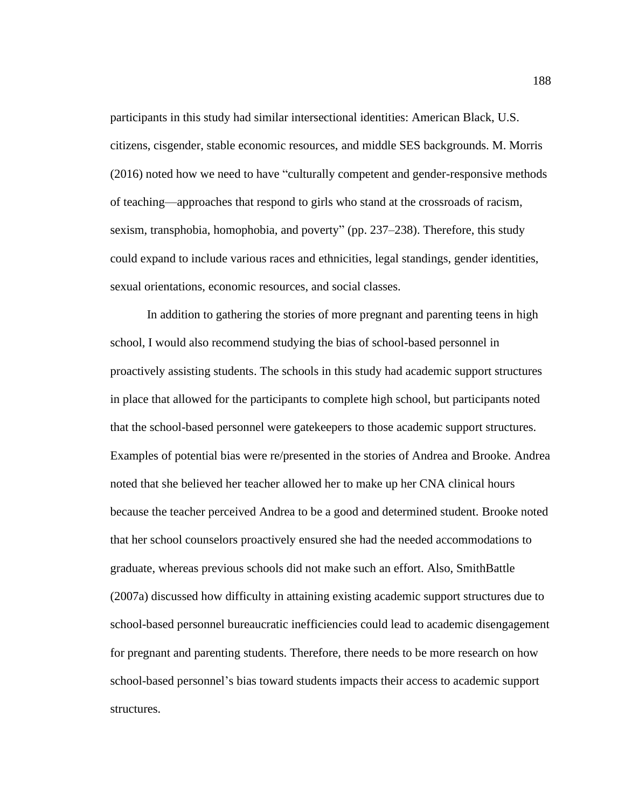participants in this study had similar intersectional identities: American Black, U.S. citizens, cisgender, stable economic resources, and middle SES backgrounds. M. Morris (2016) noted how we need to have "culturally competent and gender-responsive methods of teaching—approaches that respond to girls who stand at the crossroads of racism, sexism, transphobia, homophobia, and poverty" (pp. 237–238). Therefore, this study could expand to include various races and ethnicities, legal standings, gender identities, sexual orientations, economic resources, and social classes.

In addition to gathering the stories of more pregnant and parenting teens in high school, I would also recommend studying the bias of school-based personnel in proactively assisting students. The schools in this study had academic support structures in place that allowed for the participants to complete high school, but participants noted that the school-based personnel were gatekeepers to those academic support structures. Examples of potential bias were re/presented in the stories of Andrea and Brooke. Andrea noted that she believed her teacher allowed her to make up her CNA clinical hours because the teacher perceived Andrea to be a good and determined student. Brooke noted that her school counselors proactively ensured she had the needed accommodations to graduate, whereas previous schools did not make such an effort. Also, SmithBattle (2007a) discussed how difficulty in attaining existing academic support structures due to school-based personnel bureaucratic inefficiencies could lead to academic disengagement for pregnant and parenting students. Therefore, there needs to be more research on how school-based personnel's bias toward students impacts their access to academic support structures.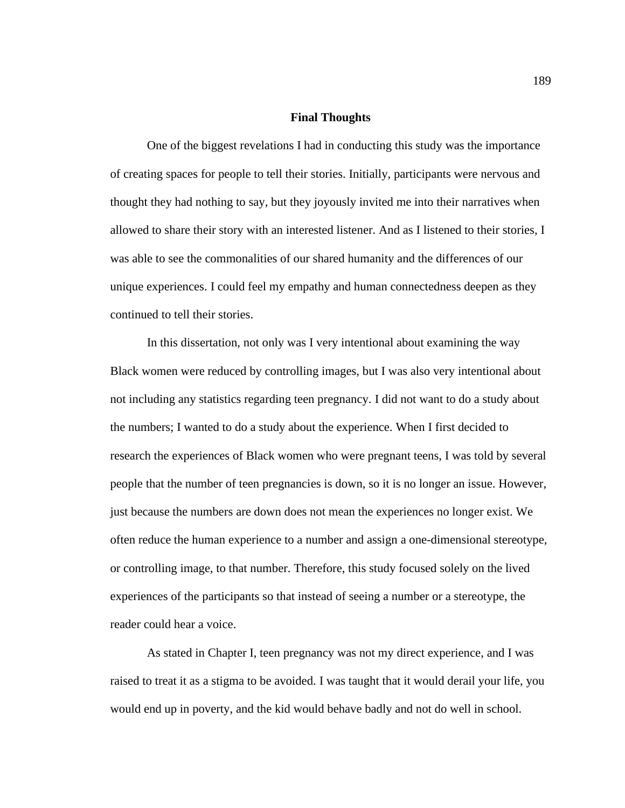### **Final Thoughts**

One of the biggest revelations I had in conducting this study was the importance of creating spaces for people to tell their stories. Initially, participants were nervous and thought they had nothing to say, but they joyously invited me into their narratives when allowed to share their story with an interested listener. And as I listened to their stories, I was able to see the commonalities of our shared humanity and the differences of our unique experiences. I could feel my empathy and human connectedness deepen as they continued to tell their stories.

In this dissertation, not only was I very intentional about examining the way Black women were reduced by controlling images, but I was also very intentional about not including any statistics regarding teen pregnancy. I did not want to do a study about the numbers; I wanted to do a study about the experience. When I first decided to research the experiences of Black women who were pregnant teens, I was told by several people that the number of teen pregnancies is down, so it is no longer an issue. However, just because the numbers are down does not mean the experiences no longer exist. We often reduce the human experience to a number and assign a one-dimensional stereotype, or controlling image, to that number. Therefore, this study focused solely on the lived experiences of the participants so that instead of seeing a number or a stereotype, the reader could hear a voice.

As stated in Chapter I, teen pregnancy was not my direct experience, and I was raised to treat it as a stigma to be avoided. I was taught that it would derail your life, you would end up in poverty, and the kid would behave badly and not do well in school.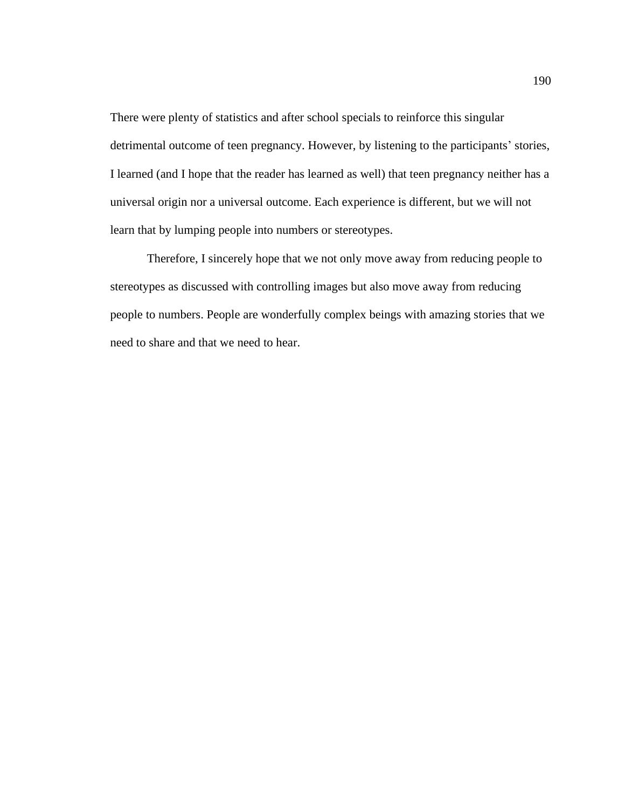There were plenty of statistics and after school specials to reinforce this singular detrimental outcome of teen pregnancy. However, by listening to the participants' stories, I learned (and I hope that the reader has learned as well) that teen pregnancy neither has a universal origin nor a universal outcome. Each experience is different, but we will not learn that by lumping people into numbers or stereotypes.

Therefore, I sincerely hope that we not only move away from reducing people to stereotypes as discussed with controlling images but also move away from reducing people to numbers. People are wonderfully complex beings with amazing stories that we need to share and that we need to hear.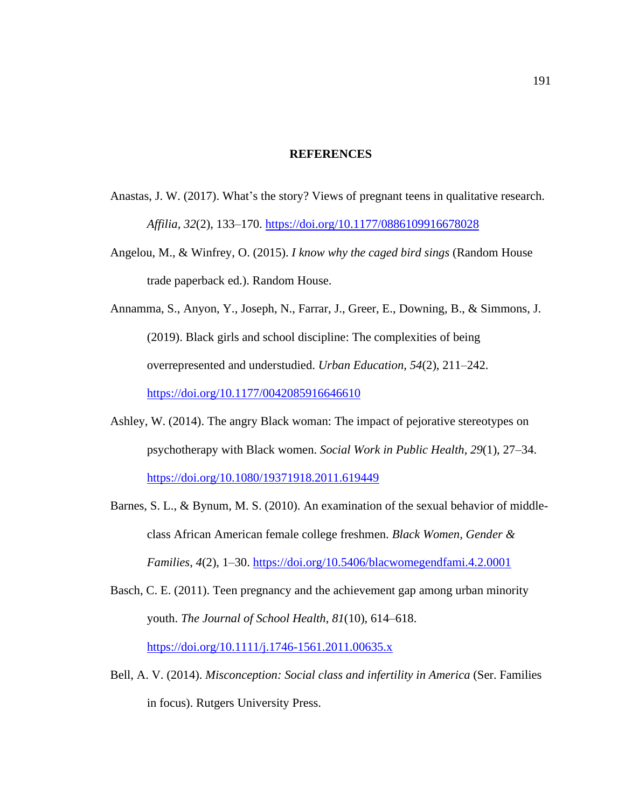### **REFERENCES**

- Anastas, J. W. (2017). What's the story? Views of pregnant teens in qualitative research. *Affilia*, *32*(2), 133–170. <https://doi.org/10.1177/0886109916678028>
- Angelou, M., & Winfrey, O. (2015). *I know why the caged bird sings* (Random House trade paperback ed.). Random House.
- Annamma, S., Anyon, Y., Joseph, N., Farrar, J., Greer, E., Downing, B., & Simmons, J. (2019). Black girls and school discipline: The complexities of being overrepresented and understudied. *Urban Education*, *54*(2), 211–242. <https://doi.org/10.1177/0042085916646610>
- Ashley, W. (2014). The angry Black woman: The impact of pejorative stereotypes on psychotherapy with Black women. *Social Work in Public Health*, *29*(1), 27–34. <https://doi.org/10.1080/19371918.2011.619449>
- Barnes, S. L., & Bynum, M. S. (2010). An examination of the sexual behavior of middleclass African American female college freshmen. *Black Women, Gender & Families*, *4*(2), 1–30. <https://doi.org/10.5406/blacwomegendfami.4.2.0001>

Basch, C. E. (2011). Teen pregnancy and the achievement gap among urban minority youth. *The Journal of School Health*, *81*(10), 614–618. <https://doi.org/10.1111/j.1746-1561.2011.00635.x>

Bell, A. V. (2014). *Misconception: Social class and infertility in America* (Ser. Families in focus). Rutgers University Press.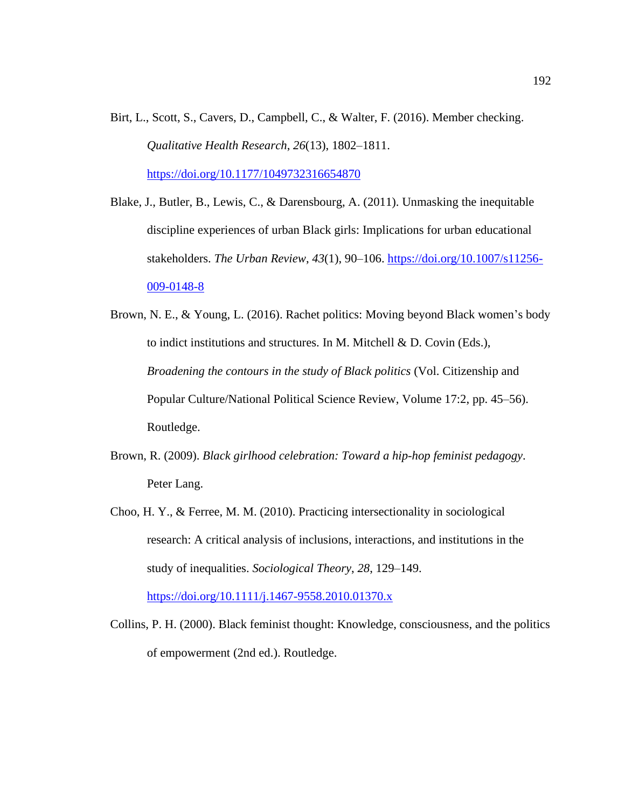- Birt, L., Scott, S., Cavers, D., Campbell, C., & Walter, F. (2016). Member checking. *Qualitative Health Research*, *26*(13), 1802–1811. <https://doi.org/10.1177/1049732316654870>
- Blake, J., Butler, B., Lewis, C., & Darensbourg, A. (2011). Unmasking the inequitable discipline experiences of urban Black girls: Implications for urban educational stakeholders. *The Urban Review*, *43*(1), 90–106. [https://doi.org/10.1007/s11256-](https://doi.org/10.1007/s11256-009-0148-8) [009-0148-8](https://doi.org/10.1007/s11256-009-0148-8)
- Brown, N. E., & Young, L. (2016). Rachet politics: Moving beyond Black women's body to indict institutions and structures. In M. Mitchell & D. Covin (Eds.), *Broadening the contours in the study of Black politics* (Vol. Citizenship and Popular Culture/National Political Science Review, Volume 17:2, pp. 45–56). Routledge.
- Brown, R. (2009). *Black girlhood celebration: Toward a hip-hop feminist pedagogy*. Peter Lang.
- Choo, H. Y., & Ferree, M. M. (2010). Practicing intersectionality in sociological research: A critical analysis of inclusions, interactions, and institutions in the study of inequalities. *Sociological Theory*, *28*, 129–149.

<https://doi.org/10.1111/j.1467-9558.2010.01370.x>

Collins, P. H. (2000). Black feminist thought: Knowledge, consciousness, and the politics of empowerment (2nd ed.). Routledge.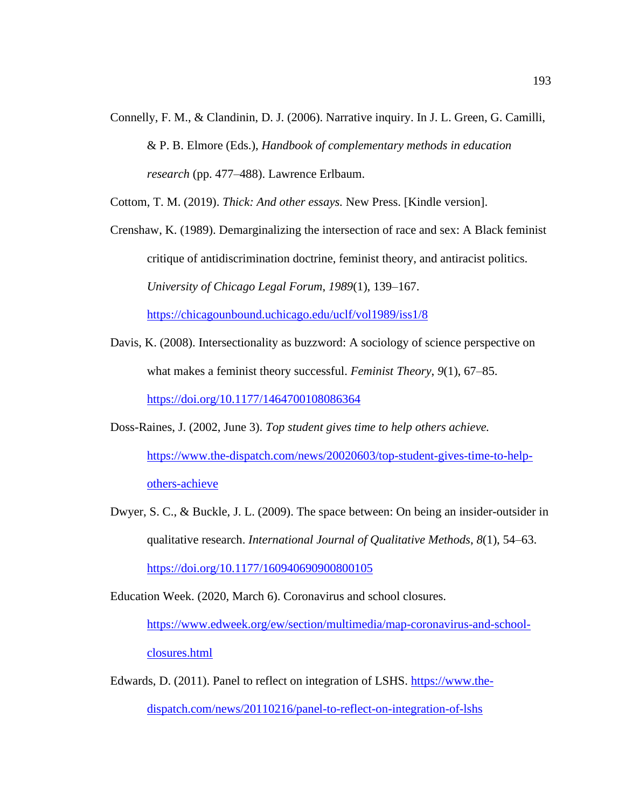Connelly, F. M., & Clandinin, D. J. (2006). Narrative inquiry. In J. L. Green, G. Camilli, & P. B. Elmore (Eds.), *Handbook of complementary methods in education research* (pp. 477–488). Lawrence Erlbaum.

Cottom, T. M. (2019). *Thick: And other essays.* New Press. [Kindle version].

Crenshaw, K. (1989). Demarginalizing the intersection of race and sex: A Black feminist critique of antidiscrimination doctrine, feminist theory, and antiracist politics. *University of Chicago Legal Forum*, *1989*(1), 139–167. <https://chicagounbound.uchicago.edu/uclf/vol1989/iss1/8>

- Davis, K. (2008). Intersectionality as buzzword: A sociology of science perspective on what makes a feminist theory successful. *Feminist Theory*, *9*(1), 67–85. <https://doi.org/10.1177/1464700108086364>
- Doss-Raines, J. (2002, June 3). *Top student gives time to help others achieve.* [https://www.the-dispatch.com/news/20020603/top-student-gives-time-to-help](https://www.the-dispatch.com/news/20020603/top-student-gives-time-to-help-others-achieve)[others-achieve](https://www.the-dispatch.com/news/20020603/top-student-gives-time-to-help-others-achieve)
- Dwyer, S. C., & Buckle, J. L. (2009). The space between: On being an insider-outsider in qualitative research. *International Journal of Qualitative Methods*, *8*(1), 54–63. <https://doi.org/10.1177/160940690900800105>

Education Week. (2020, March 6). Coronavirus and school closures. [https://www.edweek.org/ew/section/multimedia/map-coronavirus-and-school](https://www.edweek.org/ew/section/multimedia/map-coronavirus-and-school-closures.html)[closures.html](https://www.edweek.org/ew/section/multimedia/map-coronavirus-and-school-closures.html)

Edwards, D. (2011). Panel to reflect on integration of LSHS. [https://www.the-](https://www.the-dispatch.com/news/20110216/panel-to-reflect-on-integration-of-lshs)

[dispatch.com/news/20110216/panel-to-reflect-on-integration-of-lshs](https://www.the-dispatch.com/news/20110216/panel-to-reflect-on-integration-of-lshs)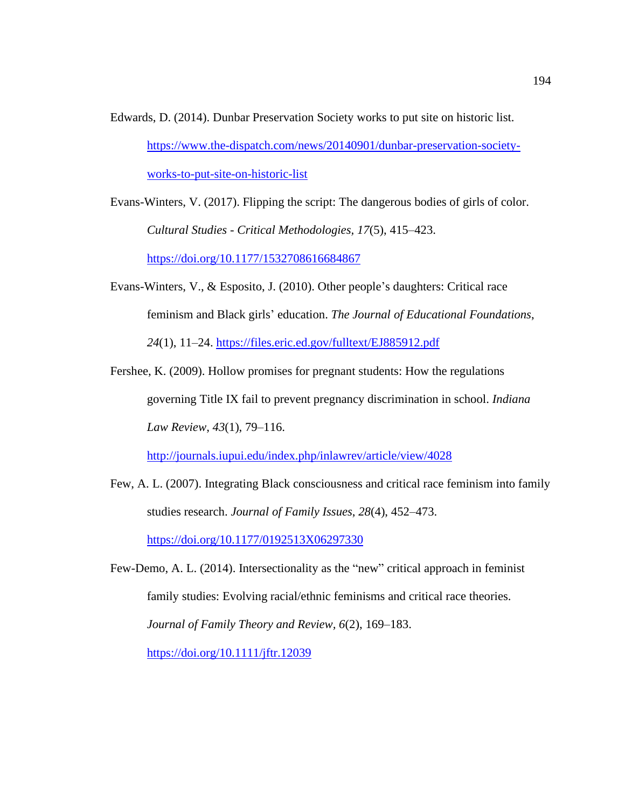Edwards, D. (2014). Dunbar Preservation Society works to put site on historic list. [https://www.the-dispatch.com/news/20140901/dunbar-preservation-society](https://www.the-dispatch.com/news/20140901/dunbar-preservation-society-works-to-put-site-on-historic-list)[works-to-put-site-on-historic-list](https://www.the-dispatch.com/news/20140901/dunbar-preservation-society-works-to-put-site-on-historic-list)

Evans-Winters, V. (2017). Flipping the script: The dangerous bodies of girls of color. *Cultural Studies - Critical Methodologies, 17*(5), 415–423. <https://doi.org/10.1177/1532708616684867>

- Evans-Winters, V., & Esposito, J. (2010). Other people's daughters: Critical race feminism and Black girls' education. *The Journal of Educational Foundations*, *24*(1), 11–24. <https://files.eric.ed.gov/fulltext/EJ885912.pdf>
- Fershee, K. (2009). Hollow promises for pregnant students: How the regulations governing Title IX fail to prevent pregnancy discrimination in school. *Indiana Law Review*, *43*(1), 79–116.

<http://journals.iupui.edu/index.php/inlawrev/article/view/4028>

Few, A. L. (2007). Integrating Black consciousness and critical race feminism into family studies research. *Journal of Family Issues*, *28*(4), 452–473.

<https://doi.org/10.1177/0192513X06297330>

Few-Demo, A. L. (2014). Intersectionality as the "new" critical approach in feminist family studies: Evolving racial/ethnic feminisms and critical race theories. *Journal of Family Theory and Review, 6*(2), 169–183. <https://doi.org/10.1111/jftr.12039>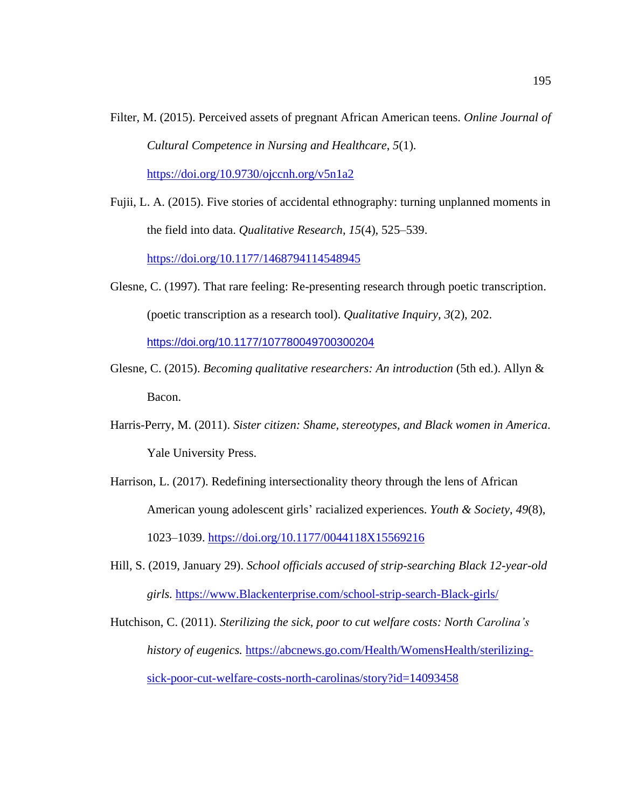- Filter, M. (2015). Perceived assets of pregnant African American teens. *Online Journal of Cultural Competence in Nursing and Healthcare*, *5*(1). <https://doi.org/10.9730/ojccnh.org/v5n1a2>
- Fujii, L. A. (2015). Five stories of accidental ethnography: turning unplanned moments in the field into data. *Qualitative Research*, *15*(4), 525–539. <https://doi.org/10.1177/1468794114548945>
- Glesne, C. (1997). That rare feeling: Re-presenting research through poetic transcription. (poetic transcription as a research tool). *Qualitative Inquiry*, *3*(2), 202. <https://doi.org/10.1177/107780049700300204>
- Glesne, C. (2015). *Becoming qualitative researchers: An introduction* (5th ed.). Allyn & Bacon.
- Harris-Perry, M. (2011). *Sister citizen: Shame, stereotypes, and Black women in America*. Yale University Press.
- Harrison, L. (2017). Redefining intersectionality theory through the lens of African American young adolescent girls' racialized experiences. *Youth & Society*, *49*(8), 1023–1039. <https://doi.org/10.1177/0044118X15569216>
- Hill, S. (2019, January 29). *School officials accused of strip-searching Black 12-year-old girls.* [https://www.Blackenterprise.com/school-strip-search-Black-girls/](https://www.blackenterprise.com/school-strip-search-Black-girls/)

Hutchison, C. (2011). *Sterilizing the sick, poor to cut welfare costs: North Carolina's history of eugenics.* [https://abcnews.go.com/Health/WomensHealth/sterilizing](https://abcnews.go.com/Health/WomensHealth/sterilizing-sick-poor-cut-welfare-costs-north-carolinas/story?id=14093458)[sick-poor-cut-welfare-costs-north-carolinas/story?id=14093458](https://abcnews.go.com/Health/WomensHealth/sterilizing-sick-poor-cut-welfare-costs-north-carolinas/story?id=14093458)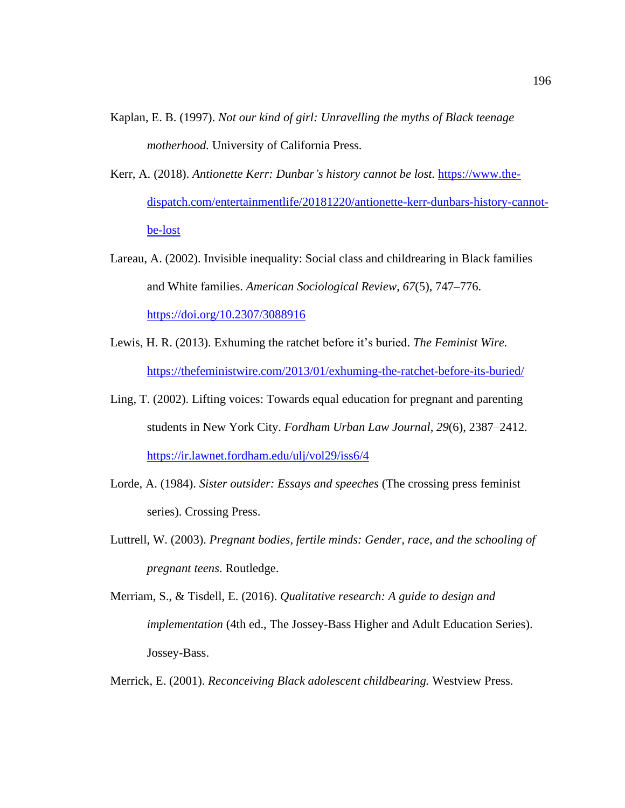- Kaplan, E. B. (1997). *Not our kind of girl: Unravelling the myths of Black teenage motherhood.* University of California Press.
- Kerr, A. (2018). *Antionette Kerr: Dunbar's history cannot be lost.* [https://www.the](https://www.the-dispatch.com/entertainmentlife/20181220/antionette-kerr-dunbars-history-cannot-be-lost)[dispatch.com/entertainmentlife/20181220/antionette-kerr-dunbars-history-cannot](https://www.the-dispatch.com/entertainmentlife/20181220/antionette-kerr-dunbars-history-cannot-be-lost)[be-lost](https://www.the-dispatch.com/entertainmentlife/20181220/antionette-kerr-dunbars-history-cannot-be-lost)
- Lareau, A. (2002). Invisible inequality: Social class and childrearing in Black families and White families. *American Sociological Review*, *67*(5), 747–776. <https://doi.org/10.2307/3088916>
- Lewis, H. R. (2013). Exhuming the ratchet before it's buried. *The Feminist Wire.* <https://thefeministwire.com/2013/01/exhuming-the-ratchet-before-its-buried/>
- Ling, T. (2002). Lifting voices: Towards equal education for pregnant and parenting students in New York City. *Fordham Urban Law Journal*, *29*(6), 2387–2412. <https://ir.lawnet.fordham.edu/ulj/vol29/iss6/4>
- Lorde, A. (1984). *Sister outsider: Essays and speeches* (The crossing press feminist series). Crossing Press.
- Luttrell, W. (2003). *Pregnant bodies, fertile minds: Gender, race, and the schooling of pregnant teens*. Routledge.
- Merriam, S., & Tisdell, E. (2016). *Qualitative research: A guide to design and implementation* (4th ed., The Jossey-Bass Higher and Adult Education Series). Jossey-Bass.

Merrick, E. (2001). *Reconceiving Black adolescent childbearing.* Westview Press.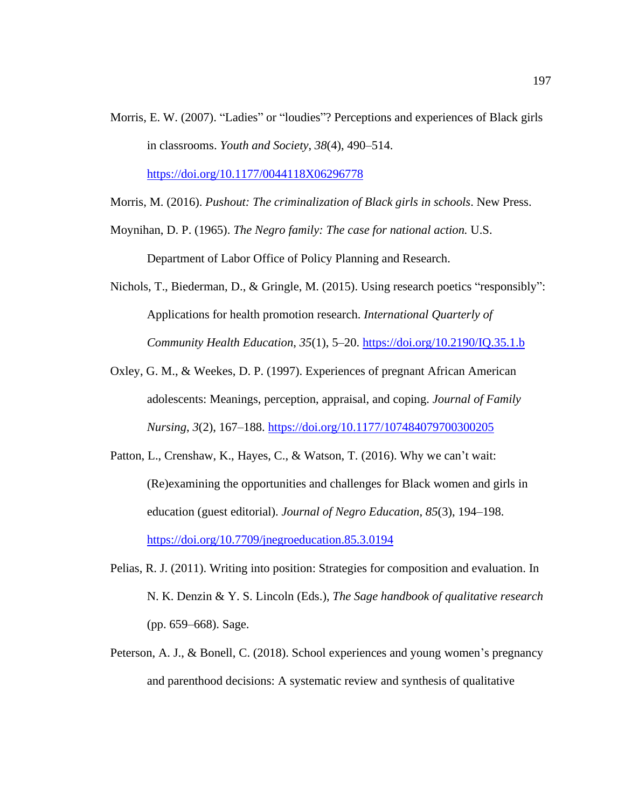Morris, E. W. (2007). "Ladies" or "loudies"? Perceptions and experiences of Black girls in classrooms. *Youth and Society*, *38*(4), 490–514.

<https://doi.org/10.1177/0044118X06296778>

Morris, M. (2016). *Pushout: The criminalization of Black girls in schools*. New Press.

Moynihan, D. P. (1965). *The Negro family: The case for national action.* U.S. Department of Labor Office of Policy Planning and Research.

Nichols, T., Biederman, D., & Gringle, M. (2015). Using research poetics "responsibly": Applications for health promotion research. *International Quarterly of Community Health Education*, *35*(1), 5–20. <https://doi.org/10.2190/IQ.35.1.b>

- Oxley, G. M., & Weekes, D. P. (1997). Experiences of pregnant African American adolescents: Meanings, perception, appraisal, and coping. *Journal of Family Nursing*, *3*(2), 167–188. <https://doi.org/10.1177/107484079700300205>
- Patton, L., Crenshaw, K., Hayes, C., & Watson, T. (2016). Why we can't wait: (Re)examining the opportunities and challenges for Black women and girls in education (guest editorial). *Journal of Negro Education*, *85*(3), 194–198. <https://doi.org/10.7709/jnegroeducation.85.3.0194>
- Pelias, R. J. (2011). Writing into position: Strategies for composition and evaluation. In N. K. Denzin & Y. S. Lincoln (Eds.), *The Sage handbook of qualitative research* (pp. 659–668). Sage.
- Peterson, A. J., & Bonell, C. (2018). School experiences and young women's pregnancy and parenthood decisions: A systematic review and synthesis of qualitative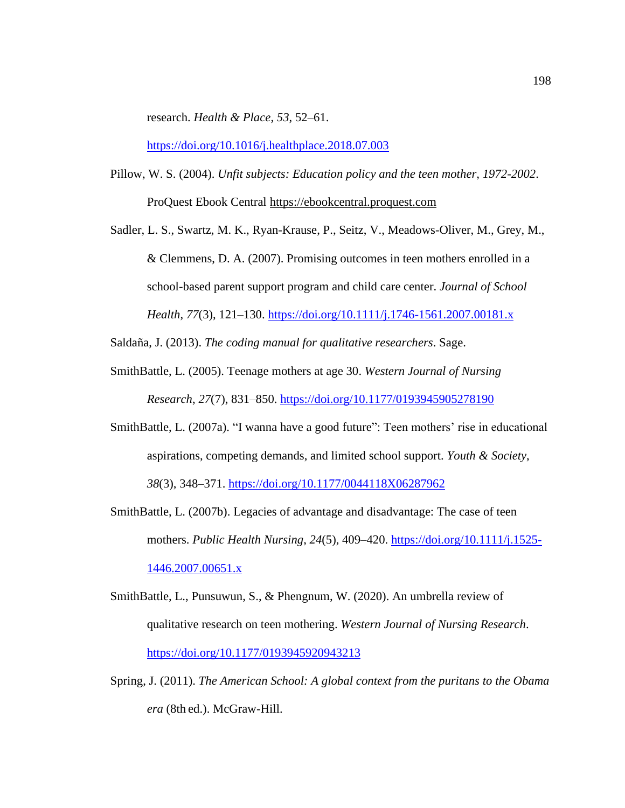research. *Health & Place*, *53*, 52–61.

<https://doi.org/10.1016/j.healthplace.2018.07.003>

- Pillow, W. S. (2004). *Unfit subjects: Education policy and the teen mother, 1972-2002*. ProQuest Ebook Central https://ebookcentral.proquest.com
- Sadler, L. S., Swartz, M. K., Ryan-Krause, P., Seitz, V., Meadows-Oliver, M., Grey, M., & Clemmens, D. A. (2007). Promising outcomes in teen mothers enrolled in a school-based parent support program and child care center. *Journal of School Health*, *77*(3), 121–130. <https://doi.org/10.1111/j.1746-1561.2007.00181.x>

Saldaña, J. (2013). *The coding manual for qualitative researchers*. Sage.

- SmithBattle, L. (2005). Teenage mothers at age 30. *Western Journal of Nursing Research*, *27*(7), 831–850. <https://doi.org/10.1177/0193945905278190>
- SmithBattle, L. (2007a). "I wanna have a good future": Teen mothers' rise in educational aspirations, competing demands, and limited school support. *Youth & Society*, *38*(3), 348–371. <https://doi.org/10.1177/0044118X06287962>
- SmithBattle, L. (2007b). Legacies of advantage and disadvantage: The case of teen mothers. *Public Health Nursing*, *24*(5), 409–420. [https://doi.org/10.1111/j.1525-](https://doi.org/10.1111/j.1525-1446.2007.00651.x) [1446.2007.00651.x](https://doi.org/10.1111/j.1525-1446.2007.00651.x)
- SmithBattle, L., Punsuwun, S., & Phengnum, W. (2020). An umbrella review of qualitative research on teen mothering. *Western Journal of Nursing Research*. <https://doi.org/10.1177/0193945920943213>
- Spring, J. (2011). *The American School: A global context from the puritans to the Obama era* (8th ed.). McGraw-Hill.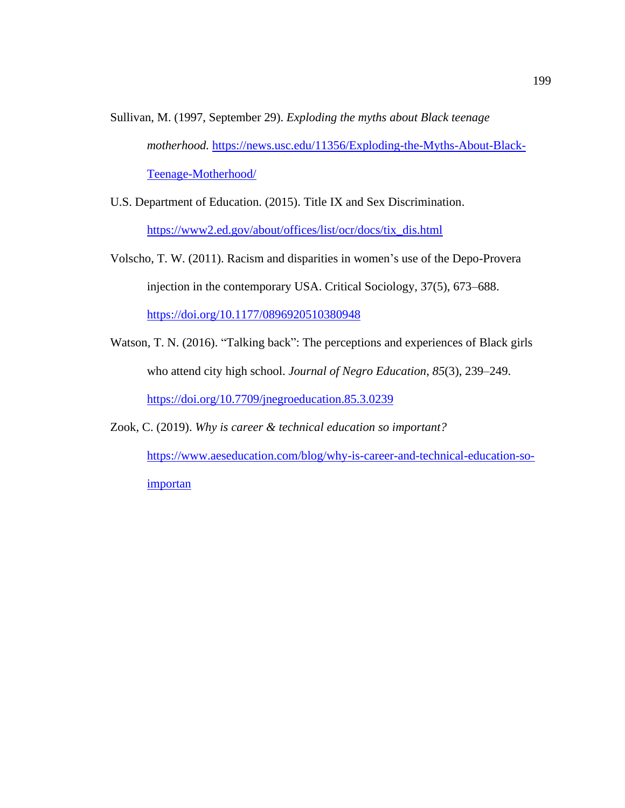- Sullivan, M. (1997, September 29). *Exploding the myths about Black teenage motherhood.* [https://news.usc.edu/11356/Exploding-the-Myths-About-Black-](https://news.usc.edu/11356/Exploding-the-Myths-About-Black-Teenage-Motherhood/)[Teenage-Motherhood/](https://news.usc.edu/11356/Exploding-the-Myths-About-Black-Teenage-Motherhood/)
- U.S. Department of Education. (2015). Title IX and Sex Discrimination. [https://www2.ed.gov/about/offices/list/ocr/docs/tix\\_dis.html](https://www2.ed.gov/about/offices/list/ocr/docs/tix_dis.html)
- Volscho, T. W. (2011). Racism and disparities in women's use of the Depo-Provera injection in the contemporary USA. Critical Sociology, 37(5), 673–688. <https://doi.org/10.1177/0896920510380948>
- Watson, T. N. (2016). "Talking back": The perceptions and experiences of Black girls who attend city high school. *Journal of Negro Education*, *85*(3), 239–249. <https://doi.org/10.7709/jnegroeducation.85.3.0239>
- Zook, C. (2019). *Why is career & technical education so important?*

[https://www.aeseducation.com/blog/why-is-career-and-technical-education-so](https://www.aeseducation.com/blog/why-is-career-and-technical-education-so-importan)[importan](https://www.aeseducation.com/blog/why-is-career-and-technical-education-so-importan)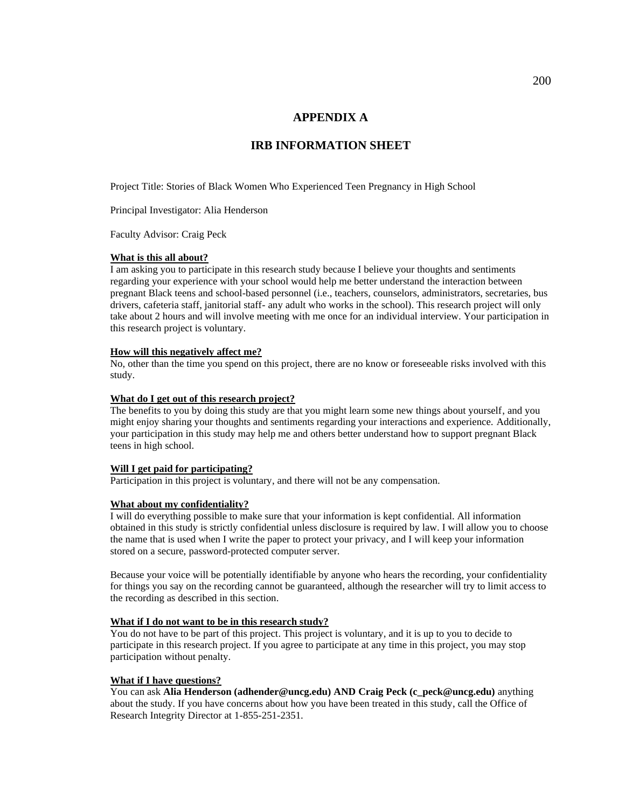# **APPENDIX A**

# **IRB INFORMATION SHEET**

Project Title: Stories of Black Women Who Experienced Teen Pregnancy in High School

Principal Investigator: Alia Henderson

Faculty Advisor: Craig Peck

#### **What is this all about?**

I am asking you to participate in this research study because I believe your thoughts and sentiments regarding your experience with your school would help me better understand the interaction between pregnant Black teens and school-based personnel (i.e., teachers, counselors, administrators, secretaries, bus drivers, cafeteria staff, janitorial staff- any adult who works in the school). This research project will only take about 2 hours and will involve meeting with me once for an individual interview. Your participation in this research project is voluntary.

#### **How will this negatively affect me?**

No, other than the time you spend on this project, there are no know or foreseeable risks involved with this study.

#### **What do I get out of this research project?**

The benefits to you by doing this study are that you might learn some new things about yourself, and you might enjoy sharing your thoughts and sentiments regarding your interactions and experience. Additionally, your participation in this study may help me and others better understand how to support pregnant Black teens in high school.

#### **Will I get paid for participating?**

Participation in this project is voluntary, and there will not be any compensation.

#### **What about my confidentiality?**

I will do everything possible to make sure that your information is kept confidential. All information obtained in this study is strictly confidential unless disclosure is required by law. I will allow you to choose the name that is used when I write the paper to protect your privacy, and I will keep your information stored on a secure, password-protected computer server.

Because your voice will be potentially identifiable by anyone who hears the recording, your confidentiality for things you say on the recording cannot be guaranteed, although the researcher will try to limit access to the recording as described in this section.

#### **What if I do not want to be in this research study?**

You do not have to be part of this project. This project is voluntary, and it is up to you to decide to participate in this research project. If you agree to participate at any time in this project, you may stop participation without penalty.

#### **What if I have questions?**

You can ask **Alia Henderson (adhender@uncg.edu) AND Craig Peck (c\_peck@uncg.edu)** anything about the study. If you have concerns about how you have been treated in this study, call the Office of Research Integrity Director at 1-855-251-2351.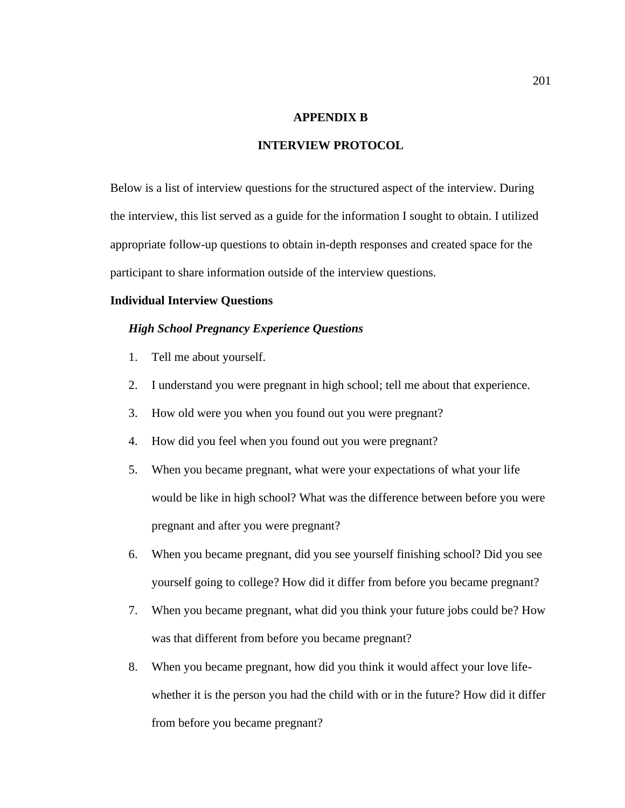# **APPENDIX B**

# **INTERVIEW PROTOCOL**

Below is a list of interview questions for the structured aspect of the interview. During the interview, this list served as a guide for the information I sought to obtain. I utilized appropriate follow-up questions to obtain in-depth responses and created space for the participant to share information outside of the interview questions.

### **Individual Interview Questions**

#### *High School Pregnancy Experience Questions*

- 1. Tell me about yourself.
- 2. I understand you were pregnant in high school; tell me about that experience.
- 3. How old were you when you found out you were pregnant?
- 4. How did you feel when you found out you were pregnant?
- 5. When you became pregnant, what were your expectations of what your life would be like in high school? What was the difference between before you were pregnant and after you were pregnant?
- 6. When you became pregnant, did you see yourself finishing school? Did you see yourself going to college? How did it differ from before you became pregnant?
- 7. When you became pregnant, what did you think your future jobs could be? How was that different from before you became pregnant?
- 8. When you became pregnant, how did you think it would affect your love lifewhether it is the person you had the child with or in the future? How did it differ from before you became pregnant?